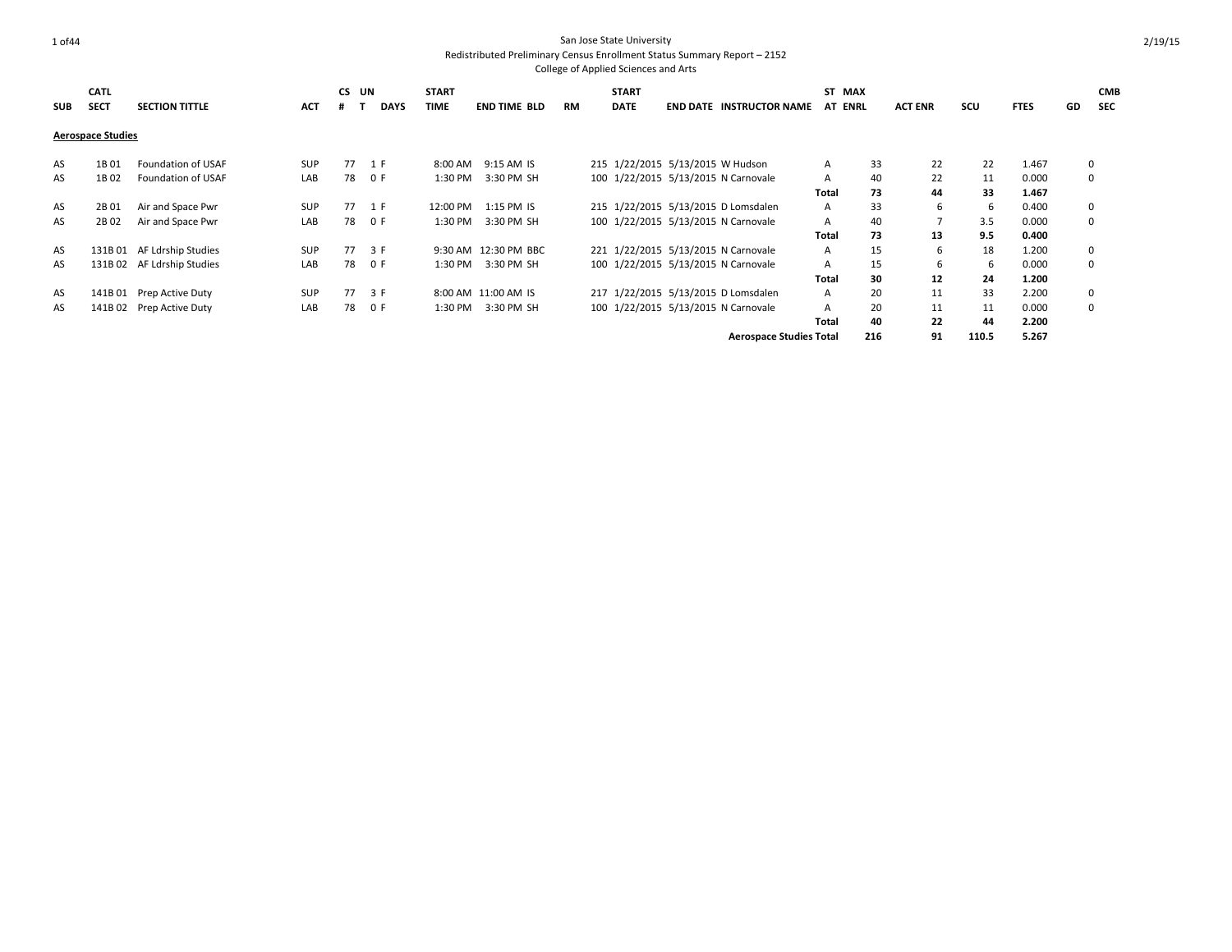| <b>SUB</b> | <b>CATL</b><br><b>SECT</b> | <b>SECTION TITTLE</b>      | <b>ACT</b> | CS UN<br># | <b>DAYS</b> | <b>START</b><br><b>TIME</b> | <b>END TIME BLD</b>  | <b>RM</b> | <b>START</b><br><b>DATE</b>      | <b>END DATE INSTRUCTOR NAME</b>     | ST MAX<br><b>AT ENRL</b> |     | <b>ACT ENR</b> | scu   | <b>FTES</b> | GD | <b>CMB</b><br><b>SEC</b> |
|------------|----------------------------|----------------------------|------------|------------|-------------|-----------------------------|----------------------|-----------|----------------------------------|-------------------------------------|--------------------------|-----|----------------|-------|-------------|----|--------------------------|
|            | <b>Aerospace Studies</b>   |                            |            |            |             |                             |                      |           |                                  |                                     |                          |     |                |       |             |    |                          |
| AS         | 1B01                       | Foundation of USAF         | <b>SUP</b> | 77         | 1 F         | 8:00 AM                     | 9:15 AM IS           |           | 215 1/22/2015 5/13/2015 W Hudson |                                     | A                        | 33  | 22             | 22    | 1.467       |    | $\mathbf 0$              |
| AS         | 1B02                       | Foundation of USAF         | LAB        | 78         | 0 F         | 1:30 PM                     | 3:30 PM SH           |           |                                  | 100 1/22/2015 5/13/2015 N Carnovale | $\mathsf{A}$             | 40  | 22             | 11    | 0.000       |    | $\mathbf 0$              |
|            |                            |                            |            |            |             |                             |                      |           |                                  |                                     | Total                    | 73  | 44             | 33    | 1.467       |    |                          |
| AS         | 2B01                       | Air and Space Pwr          | SUP        | 77         | 1 F         | 12:00 PM                    | 1:15 PM IS           |           |                                  | 215 1/22/2015 5/13/2015 D Lomsdalen | A                        | 33  | 6              | 6     | 0.400       |    | $\mathbf 0$              |
| AS         | 2B 02                      | Air and Space Pwr          | LAB        | 78         | 0 F         | 1:30 PM                     | 3:30 PM SH           |           |                                  | 100 1/22/2015 5/13/2015 N Carnovale | A                        | 40  | 7              | 3.5   | 0.000       |    | $\mathbf 0$              |
|            |                            |                            |            |            |             |                             |                      |           |                                  |                                     | Total                    | 73  | 13             | 9.5   | 0.400       |    |                          |
| AS         |                            | 131B 01 AF Ldrship Studies | <b>SUP</b> | 77         | 3 F         |                             | 9:30 AM 12:30 PM BBC |           |                                  | 221 1/22/2015 5/13/2015 N Carnovale | $\mathsf{A}$             | 15  | 6              | 18    | 1.200       |    | $\mathbf 0$              |
| AS         |                            | 131B 02 AF Ldrship Studies | LAB        | 78         | 0 F         | 1:30 PM                     | 3:30 PM SH           |           |                                  | 100 1/22/2015 5/13/2015 N Carnovale | A                        | 15  | 6              | 6     | 0.000       |    | $\mathbf 0$              |
|            |                            |                            |            |            |             |                             |                      |           |                                  |                                     | Total                    | 30  | 12             | 24    | 1.200       |    |                          |
| AS         |                            | 141B 01 Prep Active Duty   | <b>SUP</b> | 77         | 3 F         |                             | 8:00 AM 11:00 AM IS  |           |                                  | 217 1/22/2015 5/13/2015 D Lomsdalen | $\mathsf{A}$             | 20  | 11             | 33    | 2.200       |    | $\mathbf 0$              |
| AS         |                            | 141B 02 Prep Active Duty   | LAB        | 78         | 0 F         | 1:30 PM                     | 3:30 PM SH           |           |                                  | 100 1/22/2015 5/13/2015 N Carnovale | A                        | 20  | 11             | 11    | 0.000       |    | $\mathbf 0$              |
|            |                            |                            |            |            |             |                             |                      |           |                                  |                                     | <b>Total</b>             | 40  | 22             | 44    | 2.200       |    |                          |
|            |                            |                            |            |            |             |                             |                      |           |                                  | <b>Aerospace Studies Total</b>      |                          | 216 | 91             | 110.5 | 5.267       |    |                          |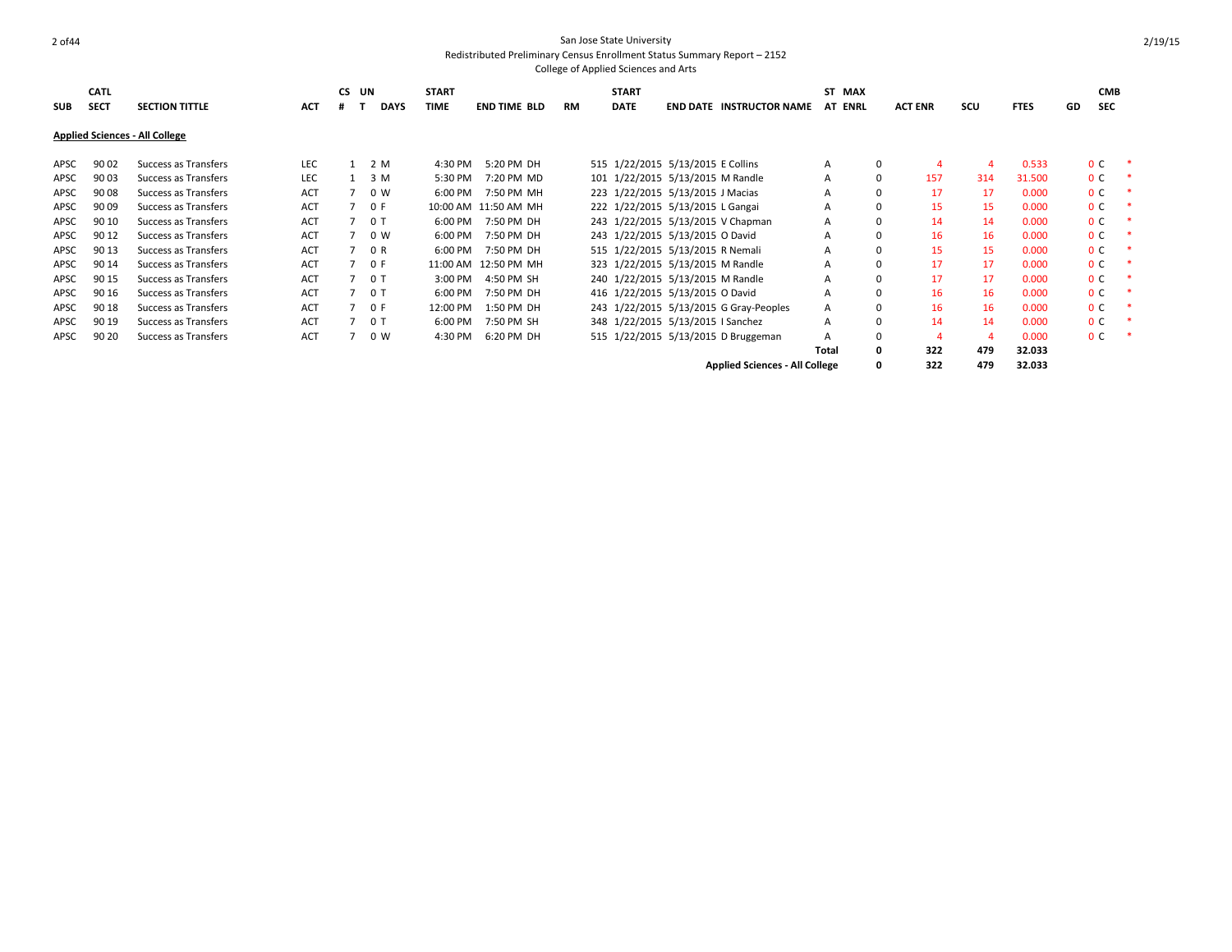| <b>SUB</b> | <b>CATL</b><br><b>SECT</b> | <b>SECTION TITTLE</b>                 | <b>ACT</b> | CS UN | <b>DAYS</b>    | <b>START</b><br>TIME | <b>END TIME BLD</b>  | RM | <b>START</b><br><b>DATE</b> | <b>END DATE</b>                        | <b>INSTRUCTOR NAME</b>                | ST MAX<br>AT ENRL |          | <b>ACT ENR</b> | scu | <b>FTES</b> | GD | <b>CMB</b><br><b>SEC</b> |   |
|------------|----------------------------|---------------------------------------|------------|-------|----------------|----------------------|----------------------|----|-----------------------------|----------------------------------------|---------------------------------------|-------------------|----------|----------------|-----|-------------|----|--------------------------|---|
|            |                            | <b>Applied Sciences - All College</b> |            |       |                |                      |                      |    |                             |                                        |                                       |                   |          |                |     |             |    |                          |   |
| APSC       | 90 02                      | Success as Transfers                  | LEC        |       | 2 M            | 4:30 PM              | 5:20 PM DH           |    |                             | 515 1/22/2015 5/13/2015 E Collins      |                                       | A                 | $\Omega$ |                |     | 0.533       |    | 0 <sup>c</sup>           | * |
| APSC       | 90 03                      | Success as Transfers                  | <b>LEC</b> |       | 3 M            | 5:30 PM              | 7:20 PM MD           |    |                             | 101 1/22/2015 5/13/2015 M Randle       |                                       | A                 | $\Omega$ | 157            | 314 | 31.500      |    | 0 <sup>c</sup>           | ∗ |
| APSC       | 90 08                      | Success as Transfers                  | <b>ACT</b> |       | 0 W            | 6:00 PM              | 7:50 PM MH           |    |                             | 223 1/22/2015 5/13/2015 J Macias       |                                       | A                 |          | 17             | 17  | 0.000       |    | 0 <sup>C</sup>           |   |
| APSC       | 90 09                      | Success as Transfers                  | ACT        |       | 70F            |                      | 10:00 AM 11:50 AM MH |    |                             | 222 1/22/2015 5/13/2015 L Gangai       |                                       | A                 |          | 15             | 15  | 0.000       |    | 0 <sup>c</sup>           |   |
| APSC       | 90 10                      | Success as Transfers                  | <b>ACT</b> |       | 0 T            | 6:00 PM              | 7:50 PM DH           |    |                             | 243 1/22/2015 5/13/2015 V Chapman      |                                       | A                 |          | 14             | 14  | 0.000       |    | 0 <sup>c</sup>           | ∗ |
| APSC       | 90 12                      | Success as Transfers                  | <b>ACT</b> |       | 0 W            | 6:00 PM              | 7:50 PM DH           |    |                             | 243 1/22/2015 5/13/2015 O David        |                                       | A                 |          | 16             | 16  | 0.000       |    | 0 <sup>c</sup>           |   |
| APSC       | 90 13                      | Success as Transfers                  | <b>ACT</b> |       | 0 R            | 6:00 PM              | 7:50 PM DH           |    |                             | 515 1/22/2015 5/13/2015 R Nemali       |                                       | A                 |          | 15             | 15  | 0.000       |    | 0 <sup>c</sup>           |   |
| APSC       | 90 14                      | Success as Transfers                  | <b>ACT</b> |       | 0 F            |                      | 11:00 AM 12:50 PM MH |    |                             | 323 1/22/2015 5/13/2015 M Randle       |                                       | A                 |          | 17             | 17  | 0.000       |    | 0 <sup>c</sup>           |   |
| APSC       | 90 15                      | Success as Transfers                  | <b>ACT</b> |       | 0 <sub>T</sub> | 3:00 PM              | 4:50 PM SH           |    |                             | 240 1/22/2015 5/13/2015 M Randle       |                                       | A                 |          | 17             | 17  | 0.000       |    | 0 <sup>c</sup>           |   |
| APSC       | 90 16                      | Success as Transfers                  | <b>ACT</b> |       | 0 T            | 6:00 PM              | 7:50 PM DH           |    |                             | 416 1/22/2015 5/13/2015 O David        |                                       | A                 |          | 16             | 16  | 0.000       |    | 0 <sup>C</sup>           | ∗ |
| APSC       | 90 18                      | Success as Transfers                  | ACT        |       | 0 F            | 12:00 PM             | 1:50 PM DH           |    |                             | 243 1/22/2015 5/13/2015 G Gray-Peoples |                                       | A                 |          | 16             | 16  | 0.000       |    | 0 <sup>c</sup>           |   |
| APSC       | 90 19                      | Success as Transfers                  | <b>ACT</b> |       | 0 T            | 6:00 PM              | 7:50 PM SH           |    |                             | 348 1/22/2015 5/13/2015   Sanchez      |                                       | A                 |          | 14             | 14  | 0.000       |    | 0 <sup>c</sup>           |   |
| APSC       | 90 20                      | Success as Transfers                  | <b>ACT</b> |       | 0 W            | 4:30 PM              | 6:20 PM DH           |    |                             | 515 1/22/2015 5/13/2015 D Bruggeman    |                                       | A                 | $\Omega$ |                | 4   | 0.000       |    | 0 <sup>c</sup>           |   |
|            |                            |                                       |            |       |                |                      |                      |    |                             |                                        |                                       | Total             |          | 322            | 479 | 32.033      |    |                          |   |
|            |                            |                                       |            |       |                |                      |                      |    |                             |                                        | <b>Applied Sciences - All College</b> |                   |          | 322            | 479 | 32.033      |    |                          |   |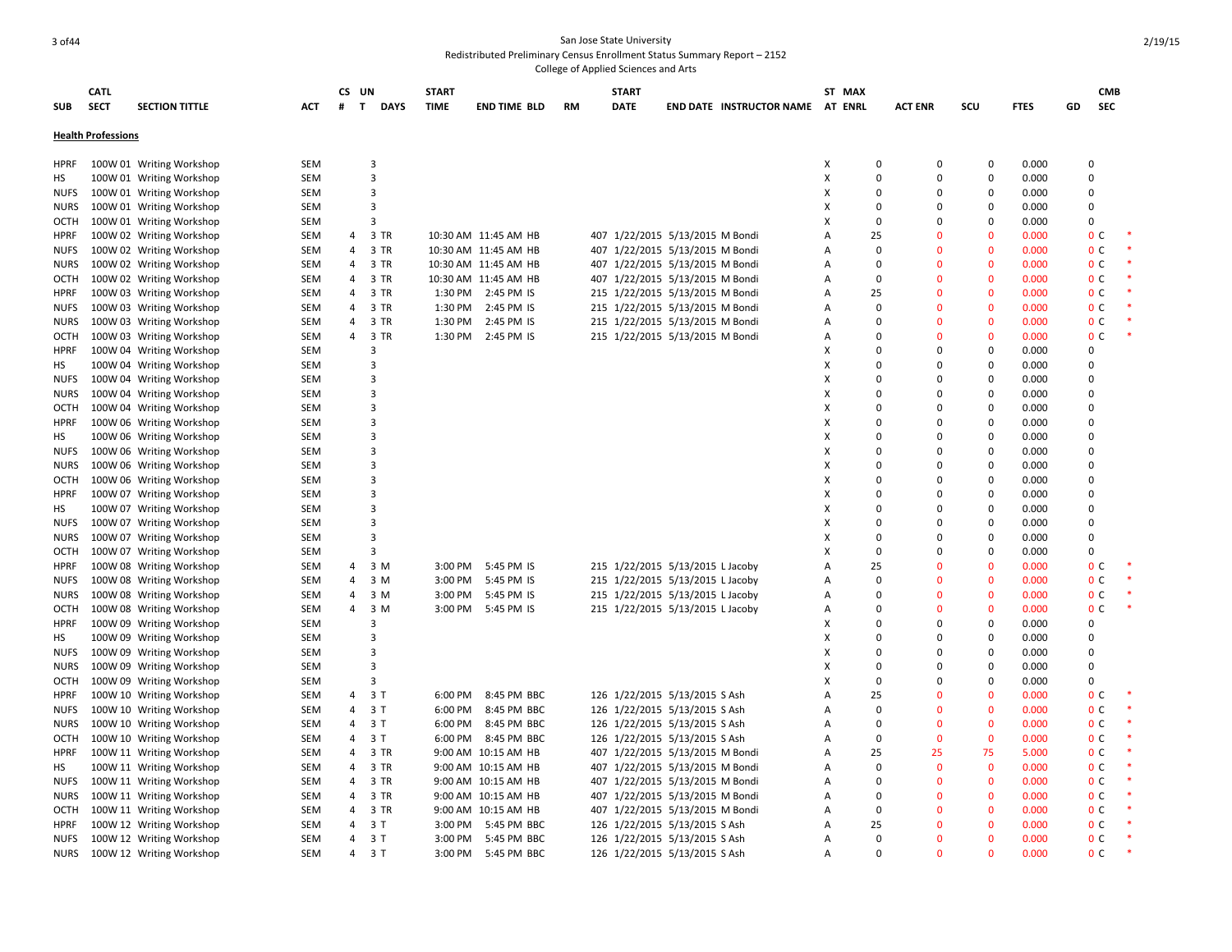# 3 of44 San Jose State University Redistributed Preliminary Census Enrollment Status Summary Report – 2152

|             | <b>CATL</b>               |                                                      |            | CS UN          |                             | <b>START</b> |                      |    | <b>START</b>                     |                                  | ST MAX |                         |                          |             |    | <b>CMB</b>     |        |
|-------------|---------------------------|------------------------------------------------------|------------|----------------|-----------------------------|--------------|----------------------|----|----------------------------------|----------------------------------|--------|-------------------------|--------------------------|-------------|----|----------------|--------|
| <b>SUB</b>  | <b>SECT</b>               | <b>SECTION TITTLE</b>                                | ACT        | #              | $\mathbf{T}$<br><b>DAYS</b> | <b>TIME</b>  | <b>END TIME BLD</b>  | RM | <b>DATE</b>                      | END DATE INSTRUCTOR NAME AT ENRL |        | <b>ACT ENR</b>          | scu                      | <b>FTES</b> | GD | <b>SEC</b>     |        |
|             |                           |                                                      |            |                |                             |              |                      |    |                                  |                                  |        |                         |                          |             |    |                |        |
|             | <b>Health Professions</b> |                                                      |            |                |                             |              |                      |    |                                  |                                  |        |                         |                          |             |    |                |        |
|             |                           |                                                      |            |                |                             |              |                      |    |                                  |                                  |        |                         |                          |             |    |                |        |
| HPRF        |                           | 100W 01 Writing Workshop                             | SEM        |                | 3                           |              |                      |    |                                  |                                  | x      | 0                       | 0<br>0                   | 0.000       |    | $\Omega$       |        |
| HS          |                           | 100W 01 Writing Workshop                             | <b>SEM</b> |                | 3                           |              |                      |    |                                  |                                  | X      | $\mathbf 0$             | 0<br>0                   | 0.000       |    | $\Omega$       |        |
| <b>NUFS</b> |                           | 100W 01 Writing Workshop                             | <b>SEM</b> |                | 3                           |              |                      |    |                                  |                                  | Х      | $\Omega$                | $\Omega$<br>$\Omega$     | 0.000       |    | $\Omega$       |        |
| <b>NURS</b> |                           | 100W 01 Writing Workshop                             | SEM        |                | 3                           |              |                      |    |                                  |                                  | Х      | $\Omega$<br>0           | 0                        | 0.000       |    | $\Omega$       |        |
| OCTH        |                           | 100W 01 Writing Workshop                             | <b>SEM</b> |                | 3                           |              |                      |    |                                  |                                  | X      | $\Omega$<br>$\Omega$    | $\Omega$                 | 0.000       |    | $\Omega$       |        |
| HPRF        |                           | 100W 02 Writing Workshop                             | <b>SEM</b> | 4              | 3 TR                        |              | 10:30 AM 11:45 AM HB |    | 407 1/22/2015 5/13/2015 M Bondi  |                                  | A      | 25<br>$\Omega$          | $\Omega$                 | 0.000       |    | 0 <sup>c</sup> |        |
| <b>NUFS</b> |                           | 100W 02 Writing Workshop                             | <b>SEM</b> | 4              | 3 TR                        |              | 10:30 AM 11:45 AM HB |    | 407 1/22/2015 5/13/2015 M Bondi  |                                  | Α      | $\Omega$                | $\Omega$<br>$\Omega$     | 0.000       |    | 0 <sub>c</sub> | $\ast$ |
| <b>NURS</b> |                           | 100W 02 Writing Workshop                             | <b>SEM</b> | 4              | 3 TR                        |              | 10:30 AM 11:45 AM HB |    | 407 1/22/2015 5/13/2015 M Bondi  |                                  | A      | $\Omega$<br>$\Omega$    | $\Omega$                 | 0.000       |    | 0 <sup>c</sup> |        |
| OCTH        |                           | 100W 02 Writing Workshop                             | <b>SEM</b> | 4              | 3 TR                        |              | 10:30 AM 11:45 AM HB |    | 407 1/22/2015 5/13/2015 M Bondi  |                                  | Α      | $\mathbf 0$             | $\overline{0}$<br>0      | 0.000       |    | 0 <sup>C</sup> |        |
| HPRF        |                           | 100W 03 Writing Workshop                             | <b>SEM</b> | 4              | 3 TR                        |              | 1:30 PM 2:45 PM IS   |    | 215 1/22/2015 5/13/2015 M Bondi  |                                  | A      | 25                      | $\Omega$<br>$\Omega$     | 0.000       |    | 0 <sup>c</sup> |        |
| <b>NUFS</b> |                           | 100W 03 Writing Workshop                             | <b>SEM</b> | 4              | 3 TR                        | 1:30 PM      | 2:45 PM IS           |    | 215 1/22/2015 5/13/2015 M Bondi  |                                  | А      | $\mathbf 0$             | $\overline{0}$<br>0      | 0.000       |    | 0 <sup>C</sup> |        |
| <b>NURS</b> |                           | 100W 03 Writing Workshop                             | <b>SEM</b> | $\overline{4}$ | 3 TR                        | 1:30 PM      | 2:45 PM IS           |    | 215 1/22/2015 5/13/2015 M Bondi  |                                  | A      | $\Omega$                | $\Omega$<br>$\mathbf{0}$ | 0.000       |    | 0 <sub>c</sub> | $\ast$ |
| OCTH        |                           | 100W 03 Writing Workshop                             | <b>SEM</b> | 4              | 3 TR                        |              | 1:30 PM 2:45 PM IS   |    | 215 1/22/2015 5/13/2015 M Bondi  |                                  | А      | $\Omega$                | $\Omega$<br>$\mathbf 0$  | 0.000       |    | 0 <sup>C</sup> | $\ast$ |
| <b>HPRF</b> |                           | 100W 04 Writing Workshop                             | <b>SEM</b> |                | 3                           |              |                      |    |                                  |                                  | x      | $\Omega$<br>$\Omega$    | $\Omega$                 | 0.000       |    | $\Omega$       |        |
| HS          |                           | 100W 04 Writing Workshop                             | <b>SEM</b> |                | 3                           |              |                      |    |                                  |                                  | X      | $\Omega$<br>$\Omega$    | 0                        | 0.000       |    | $\Omega$       |        |
| <b>NUFS</b> |                           | 100W 04 Writing Workshop                             | <b>SEM</b> |                | 3                           |              |                      |    |                                  |                                  | x      | $\Omega$<br>$\Omega$    | $\Omega$                 | 0.000       |    | $\Omega$       |        |
| <b>NURS</b> |                           | 100W 04 Writing Workshop                             | <b>SEM</b> |                | 3                           |              |                      |    |                                  |                                  | x      | $\Omega$<br>$\Omega$    | 0                        | 0.000       |    | $\Omega$       |        |
| <b>OCTH</b> |                           | 100W 04 Writing Workshop                             | <b>SEM</b> |                | 3                           |              |                      |    |                                  |                                  | X      | $\Omega$<br>$\Omega$    | 0                        | 0.000       |    | $\Omega$       |        |
| <b>HPRF</b> |                           | 100W 06 Writing Workshop                             | <b>SEM</b> |                | 3                           |              |                      |    |                                  |                                  | X      | $\Omega$                | $\Omega$<br>$\Omega$     | 0.000       |    | $\Omega$       |        |
| НS          |                           | 100W 06 Writing Workshop                             | SEM        |                | $\overline{\mathbf{3}}$     |              |                      |    |                                  |                                  | X      | $\Omega$                | 0<br>0                   | 0.000       |    | $\Omega$       |        |
| <b>NUFS</b> |                           |                                                      | <b>SEM</b> |                | 3                           |              |                      |    |                                  |                                  | x      | $\Omega$<br>$\Omega$    | $\Omega$                 | 0.000       |    | $\Omega$       |        |
|             |                           | 100W 06 Writing Workshop<br>100W 06 Writing Workshop | <b>SEM</b> |                | 3                           |              |                      |    |                                  |                                  | X      | $\Omega$<br>$\Omega$    | 0                        | 0.000       |    | $\Omega$       |        |
| <b>NURS</b> |                           |                                                      |            |                | 3                           |              |                      |    |                                  |                                  | x      | $\Omega$<br>$\Omega$    | $\Omega$                 |             |    | $\Omega$       |        |
| <b>OCTH</b> |                           | 100W 06 Writing Workshop                             | <b>SEM</b> |                |                             |              |                      |    |                                  |                                  |        | $\Omega$                |                          | 0.000       |    |                |        |
| <b>HPRF</b> |                           | 100W 07 Writing Workshop                             | <b>SEM</b> |                | 3                           |              |                      |    |                                  |                                  | X      | 0                       | 0                        | 0.000       |    | $\Omega$       |        |
| HS          |                           | 100W 07 Writing Workshop                             | <b>SEM</b> |                | $\overline{3}$              |              |                      |    |                                  |                                  | x      | $\Omega$<br>$\Omega$    | 0                        | 0.000       |    | $\mathbf 0$    |        |
| <b>NUFS</b> |                           | 100W 07 Writing Workshop                             | <b>SEM</b> |                | 3                           |              |                      |    |                                  |                                  | X      | $\Omega$                | 0<br>$\Omega$            | 0.000       |    | $\Omega$       |        |
| <b>NURS</b> |                           | 100W 07 Writing Workshop                             | <b>SEM</b> |                | 3                           |              |                      |    |                                  |                                  | x      | $\Omega$<br>$\Omega$    | 0                        | 0.000       |    | $\Omega$       |        |
| OCTH        |                           | 100W 07 Writing Workshop                             | <b>SEM</b> |                | 3                           |              |                      |    |                                  |                                  | X      | $\Omega$                | $\Omega$<br>0            | 0.000       |    | $\Omega$       |        |
| <b>HPRF</b> |                           | 100W 08 Writing Workshop                             | <b>SEM</b> | 4              | 3 M                         | 3:00 PM      | 5:45 PM IS           |    | 215 1/22/2015 5/13/2015 L Jacoby |                                  | Α      | 25                      | $\Omega$<br>0            | 0.000       |    | 0 <sup>c</sup> |        |
| <b>NUFS</b> |                           | 100W 08 Writing Workshop                             | <b>SEM</b> | 4              | 3 M                         | 3:00 PM      | 5:45 PM IS           |    | 215 1/22/2015 5/13/2015 L Jacoby |                                  | А      | $\Omega$                | $\Omega$<br>$\Omega$     | 0.000       |    | 0 <sup>c</sup> |        |
| <b>NURS</b> |                           | 100W 08 Writing Workshop                             | <b>SEM</b> | 4              | 3 M                         | 3:00 PM      | 5:45 PM IS           |    | 215 1/22/2015 5/13/2015 L Jacoby |                                  | A      | $\Omega$<br>0           | $\Omega$                 | 0.000       |    | 0 <sup>c</sup> |        |
| <b>OCTH</b> |                           | 100W 08 Writing Workshop                             | <b>SEM</b> | 4              | 3 M                         |              | 3:00 PM 5:45 PM IS   |    | 215 1/22/2015 5/13/2015 L Jacoby |                                  | А      | $\Omega$                | $\Omega$<br>$\Omega$     | 0.000       |    | 0 <sub>c</sub> |        |
| <b>HPRF</b> |                           | 100W 09 Writing Workshop                             | <b>SEM</b> |                | 3                           |              |                      |    |                                  |                                  | X      | $\Omega$<br>0           | 0                        | 0.000       |    | $\Omega$       |        |
| HS          |                           | 100W 09 Writing Workshop                             | <b>SEM</b> |                | 3                           |              |                      |    |                                  |                                  | X      | $\Omega$                | $\Omega$<br>0            | 0.000       |    | $\Omega$       |        |
| <b>NUFS</b> |                           | 100W 09 Writing Workshop                             | <b>SEM</b> |                | 3                           |              |                      |    |                                  |                                  | x      | $\Omega$<br>$\Omega$    | $\Omega$                 | 0.000       |    | $\Omega$       |        |
| NURS        |                           | 100W 09 Writing Workshop                             | <b>SEM</b> |                | 3                           |              |                      |    |                                  |                                  | X      | $\Omega$                | 0<br>0                   | 0.000       |    | $\mathbf 0$    |        |
| OCTH        |                           | 100W 09 Writing Workshop                             | <b>SEM</b> |                | 3                           |              |                      |    |                                  |                                  | X      | $\Omega$                | $\Omega$<br>$\Omega$     | 0.000       |    | $\Omega$       |        |
| <b>HPRF</b> |                           | 100W 10 Writing Workshop                             | <b>SEM</b> |                | 4 3 T                       |              | 6:00 PM 8:45 PM BBC  |    | 126 1/22/2015 5/13/2015 S Ash    |                                  | А      | 25                      | $\Omega$<br>0            | 0.000       |    | 0 <sup>C</sup> |        |
| <b>NUFS</b> |                           | 100W 10 Writing Workshop                             | <b>SEM</b> |                | 4 3 T                       |              | 6:00 PM 8:45 PM BBC  |    | 126 1/22/2015 5/13/2015 S Ash    |                                  | A      | $\Omega$                | $\Omega$<br>$\mathbf{0}$ | 0.000       |    | 0 <sup>c</sup> | $\ast$ |
| <b>NURS</b> |                           | 100W 10 Writing Workshop                             | SEM        | 4              | 3 T                         | 6:00 PM      | 8:45 PM BBC          |    | 126 1/22/2015 5/13/2015 S Ash    |                                  | Α      | $\Omega$                | $\Omega$<br>$\Omega$     | 0.000       |    | 0 <sup>c</sup> |        |
| OCTH        |                           | 100W 10 Writing Workshop                             | <b>SEM</b> | $\overline{4}$ | 3T                          |              | 6:00 PM 8:45 PM BBC  |    | 126 1/22/2015 5/13/2015 S Ash    |                                  | Α      | $\Omega$<br>$\Omega$    | $\mathbf 0$              | 0.000       |    | 0 <sub>c</sub> | $\ast$ |
| <b>HPRF</b> |                           | 100W 11 Writing Workshop                             | <b>SEM</b> | 4              | 3 TR                        |              | 9:00 AM 10:15 AM HB  |    | 407 1/22/2015 5/13/2015 M Bondi  |                                  | А      | 25<br>25                | 75                       | 5.000       |    | 0 <sup>C</sup> |        |
| НS          |                           | 100W 11 Writing Workshop                             | <b>SEM</b> | $\overline{4}$ | 3 TR                        |              | 9:00 AM 10:15 AM HB  |    | 407 1/22/2015 5/13/2015 M Bondi  |                                  | А      | $\Omega$<br>$\mathbf 0$ | $\mathbf 0$              | 0.000       |    | 0 <sup>c</sup> |        |
| <b>NUFS</b> |                           | 100W 11 Writing Workshop                             | <b>SEM</b> | 4              | 3 TR                        |              | 9:00 AM 10:15 AM HB  |    | 407 1/22/2015 5/13/2015 M Bondi  |                                  | Α      | $\Omega$                | $\mathbf 0$<br>$\Omega$  | 0.000       |    | 0 <sup>c</sup> |        |
| NURS        |                           | 100W 11 Writing Workshop                             | <b>SEM</b> | 4              | 3 TR                        |              | 9:00 AM 10:15 AM HB  |    | 407 1/22/2015 5/13/2015 M Bondi  |                                  | А      | $\Omega$                | $\mathbf 0$<br>0         | 0.000       |    | 0 <sub>c</sub> |        |
| OCTH        |                           | 100W 11 Writing Workshop                             | <b>SEM</b> | 4              | 3 TR                        |              | 9:00 AM 10:15 AM HB  |    | 407 1/22/2015 5/13/2015 M Bondi  |                                  | А      | $\Omega$                | $\Omega$<br>$\mathbf{0}$ | 0.000       |    | 0 <sup>c</sup> |        |
| <b>HPRF</b> |                           | 100W 12 Writing Workshop                             | <b>SEM</b> |                | 4 3 T                       |              | 3:00 PM 5:45 PM BBC  |    | 126 1/22/2015 5/13/2015 S Ash    |                                  | А      | 25                      | $\mathbf{0}$<br>$\Omega$ | 0.000       |    | 0 <sup>C</sup> |        |
| <b>NUFS</b> |                           | 100W 12 Writing Workshop                             | <b>SEM</b> | 4              | 3 T                         | 3:00 PM      | 5:45 PM BBC          |    | 126 1/22/2015 5/13/2015 S Ash    |                                  | A      | $\Omega$                | $\Omega$<br>$\Omega$     | 0.000       |    | 0 <sup>c</sup> |        |
| <b>NURS</b> |                           | 100W 12 Writing Workshop                             | <b>SEM</b> | 4              | 3 T                         |              | 3:00 PM 5:45 PM BBC  |    | 126 1/22/2015 5/13/2015 S Ash    |                                  | A      | $\Omega$                | $\Omega$<br>$\Omega$     | 0.000       |    | 0 <sup>c</sup> |        |
|             |                           |                                                      |            |                |                             |              |                      |    |                                  |                                  |        |                         |                          |             |    |                |        |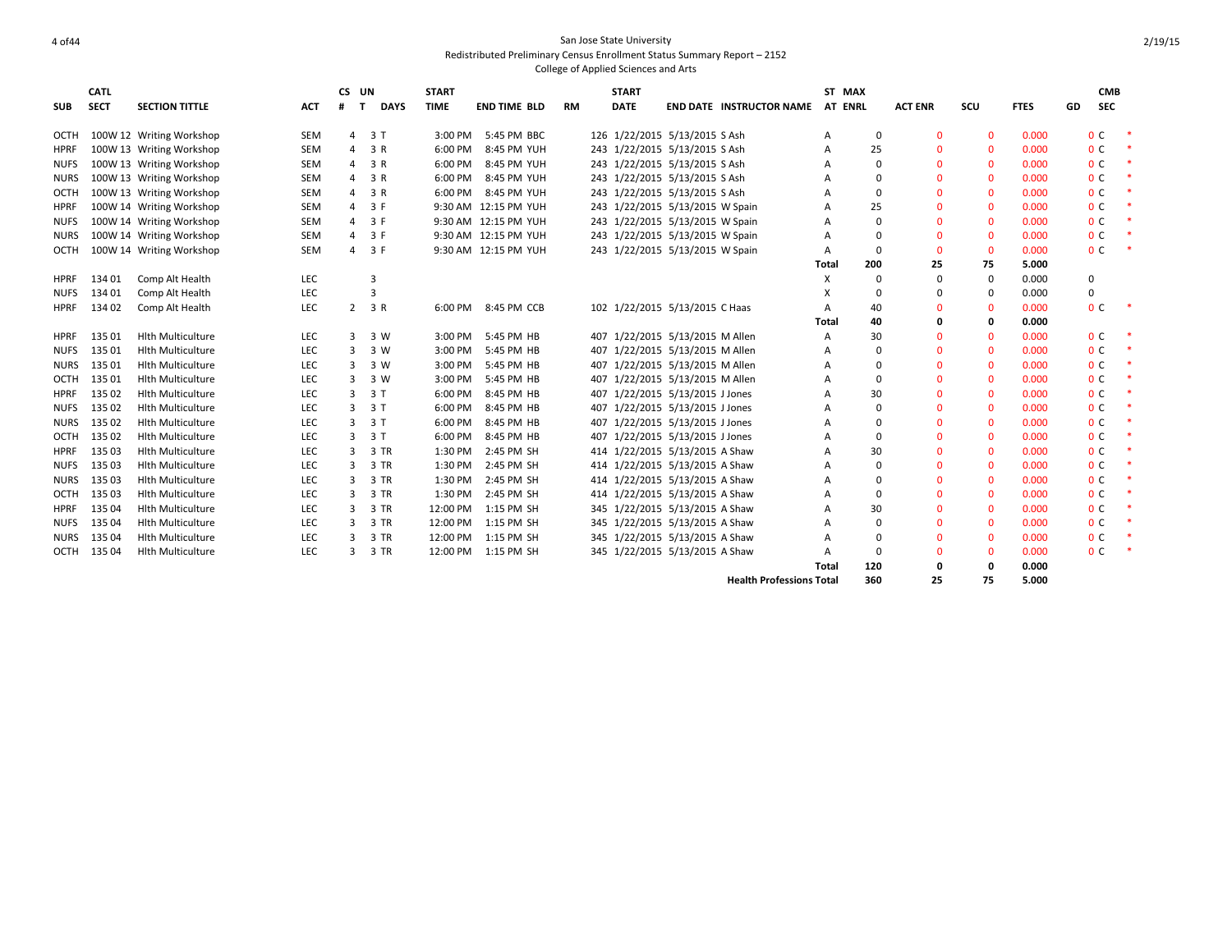|             | <b>CATL</b> |                          |            | CS UN          |                  | <b>START</b> |                      |           | <b>START</b> |                                 |       | ST MAX         |                |              |             |    | <b>CMB</b>     |        |
|-------------|-------------|--------------------------|------------|----------------|------------------|--------------|----------------------|-----------|--------------|---------------------------------|-------|----------------|----------------|--------------|-------------|----|----------------|--------|
| <b>SUB</b>  | <b>SECT</b> | <b>SECTION TITTLE</b>    | <b>ACT</b> | #              | <b>DAYS</b><br>T | <b>TIME</b>  | <b>END TIME BLD</b>  | <b>RM</b> | <b>DATE</b>  | <b>END DATE INSTRUCTOR NAME</b> |       | <b>AT ENRL</b> | <b>ACT ENR</b> | scu          | <b>FTES</b> | GD | <b>SEC</b>     |        |
| OCTH        |             | 100W 12 Writing Workshop | <b>SEM</b> |                | 4 3 T            | 3:00 PM      | 5:45 PM BBC          |           |              | 126 1/22/2015 5/13/2015 S Ash   | A     | 0              | $\mathbf{0}$   | $\mathbf{0}$ | 0.000       |    | 0 <sup>C</sup> | -4     |
| <b>HPRF</b> |             | 100W 13 Writing Workshop | <b>SEM</b> | 4              | 3 R              | 6:00 PM      | 8:45 PM YUH          |           |              | 243 1/22/2015 5/13/2015 S Ash   | A     | 25             | $\Omega$       | $\mathbf{0}$ | 0.000       |    | 0 <sup>c</sup> |        |
| <b>NUFS</b> |             | 100W 13 Writing Workshop | <b>SEM</b> | 4              | 3 R              | 6:00 PM      | 8:45 PM YUH          |           |              | 243 1/22/2015 5/13/2015 S Ash   | A     | $\Omega$       | $\Omega$       | $\mathbf{0}$ | 0.000       |    | 0 <sup>C</sup> |        |
| <b>NURS</b> |             | 100W 13 Writing Workshop | <b>SEM</b> | 4              | 3 R              | 6:00 PM      | 8:45 PM YUH          |           |              | 243 1/22/2015 5/13/2015 S Ash   | А     | $\Omega$       | $\Omega$       | $\mathbf{0}$ | 0.000       |    | 0 <sup>c</sup> |        |
| OCTH        |             | 100W 13 Writing Workshop | SEM        | 4              | 3 R              | 6:00 PM      | 8:45 PM YUH          |           |              | 243 1/22/2015 5/13/2015 S Ash   | A     | $\Omega$       | $\mathbf{0}$   | $\mathbf{0}$ | 0.000       |    | 0 <sup>C</sup> |        |
| <b>HPRF</b> |             | 100W 14 Writing Workshop | <b>SEM</b> | 4              | 3 F              |              | 9:30 AM 12:15 PM YUH |           |              | 243 1/22/2015 5/13/2015 W Spain | А     | 25             | $\Omega$       | $\mathbf{0}$ | 0.000       |    | 0 <sup>c</sup> |        |
| <b>NUFS</b> |             | 100W 14 Writing Workshop | SEM        | $\overline{4}$ | 3 F              |              | 9:30 AM 12:15 PM YUH |           |              | 243 1/22/2015 5/13/2015 W Spain | A     | $\Omega$       | $\Omega$       | $\mathbf{0}$ | 0.000       |    | 0 <sup>c</sup> |        |
| <b>NURS</b> |             | 100W 14 Writing Workshop | SEM        | 4              | 3 F              |              | 9:30 AM 12:15 PM YUH |           |              | 243 1/22/2015 5/13/2015 W Spain | A     | $\Omega$       | $\Omega$       | $\mathbf{0}$ | 0.000       |    | 0 <sup>C</sup> |        |
| OCTH        |             | 100W 14 Writing Workshop | SEM        | 4              | 3 F              |              | 9:30 AM 12:15 PM YUH |           |              | 243 1/22/2015 5/13/2015 W Spain | A     | $\Omega$       | $\Omega$       | $\mathbf{0}$ | 0.000       |    | 0 <sup>C</sup> | $\ast$ |
|             |             |                          |            |                |                  |              |                      |           |              |                                 | Total | 200            | 25             | 75           | 5.000       |    |                |        |
| HPRF        | 134 01      | Comp Alt Health          | LEC        |                | 3                |              |                      |           |              |                                 | Χ     | $\Omega$       | $\Omega$       | $\mathbf 0$  | 0.000       |    | 0              |        |
| <b>NUFS</b> | 134 01      | Comp Alt Health          | LEC        |                | $\overline{3}$   |              |                      |           |              |                                 | X     | $\Omega$       | $\Omega$       | 0            | 0.000       |    | 0              |        |
| <b>HPRF</b> | 134 02      | Comp Alt Health          | LEC        | $\mathbf{2}$   | 3 R              |              | 6:00 PM 8:45 PM CCB  |           |              | 102 1/22/2015 5/13/2015 C Haas  | A     | 40             | $\Omega$       | $\mathbf{0}$ | 0.000       |    | 0 <sup>C</sup> |        |
|             |             |                          |            |                |                  |              |                      |           |              |                                 | Total | 40             | O              | 0            | 0.000       |    |                |        |
| <b>HPRF</b> | 13501       | <b>Hith Multiculture</b> | LEC        | 3              | 3 W              | 3:00 PM      | 5:45 PM HB           |           |              | 407 1/22/2015 5/13/2015 M Allen | A     | 30             | $\mathbf{0}$   | $\mathbf 0$  | 0.000       |    | 0 <sup>C</sup> |        |
| <b>NUFS</b> | 135 01      | <b>Hith Multiculture</b> | LEC        | 3              | 3 W              | 3:00 PM      | 5:45 PM HB           |           |              | 407 1/22/2015 5/13/2015 M Allen | A     | $\Omega$       | $\Omega$       | $\mathbf{0}$ | 0.000       |    | 0 <sup>c</sup> |        |
| <b>NURS</b> | 135 01      | <b>Hith Multiculture</b> | LEC        | 3              | 3 W              | 3:00 PM      | 5:45 PM HB           |           |              | 407 1/22/2015 5/13/2015 M Allen | A     | $\Omega$       | $\mathbf{0}$   | $\mathbf{0}$ | 0.000       |    | 0 <sup>c</sup> |        |
| <b>OCTH</b> | 135 01      | <b>Hith Multiculture</b> | LEC        | 3              | 3 W              | 3:00 PM      | 5:45 PM HB           |           |              | 407 1/22/2015 5/13/2015 M Allen | A     | $\Omega$       | $\Omega$       | $\mathbf{0}$ | 0.000       |    | 0 <sup>c</sup> |        |
| <b>HPRF</b> | 135 02      | <b>Hith Multiculture</b> | LEC        | 3              | 3 T              | 6:00 PM      | 8:45 PM HB           |           |              | 407 1/22/2015 5/13/2015 J Jones | А     | 30             | $\Omega$       | $\mathbf{0}$ | 0.000       |    | 0 <sup>c</sup> |        |
| <b>NUFS</b> | 135 02      | <b>Hith Multiculture</b> | LEC        | 3              | 3 T              | 6:00 PM      | 8:45 PM HB           |           |              | 407 1/22/2015 5/13/2015 J Jones | A     | $\Omega$       | $\Omega$       | $\mathbf{0}$ | 0.000       |    | 0 <sup>c</sup> |        |
| <b>NURS</b> | 13502       | <b>Hith Multiculture</b> | LEC        | 3              | 3 T              | 6:00 PM      | 8:45 PM HB           |           |              | 407 1/22/2015 5/13/2015 J Jones | A     | $\Omega$       | $\Omega$       | $\mathbf{0}$ | 0.000       |    | 0 <sup>c</sup> |        |
| <b>OCTH</b> | 135 02      | <b>Hith Multiculture</b> | LEC        | 3              | 3T               | 6:00 PM      | 8:45 PM HB           |           |              | 407 1/22/2015 5/13/2015 J Jones | А     | $\Omega$       | $\mathbf{0}$   | $\mathbf{0}$ | 0.000       |    | 0 <sup>c</sup> |        |
| <b>HPRF</b> | 135 03      | <b>Hith Multiculture</b> | LEC        | 3              | 3 TR             | 1:30 PM      | 2:45 PM SH           |           |              | 414 1/22/2015 5/13/2015 A Shaw  | А     | 30             | $\Omega$       | $\mathbf{0}$ | 0.000       |    | 0 <sup>c</sup> |        |
| <b>NUFS</b> | 13503       | <b>Hith Multiculture</b> | LEC        | 3              | 3 TR             | 1:30 PM      | 2:45 PM SH           |           |              | 414 1/22/2015 5/13/2015 A Shaw  | A     | $\Omega$       | $\Omega$       | $\mathbf{0}$ | 0.000       |    | 0 <sup>c</sup> |        |
| <b>NURS</b> | 135 03      | <b>Hith Multiculture</b> | LEC        | 3              | 3 TR             | 1:30 PM      | 2:45 PM SH           |           |              | 414 1/22/2015 5/13/2015 A Shaw  | А     | $\Omega$       | $\Omega$       | $\mathbf{0}$ | 0.000       |    | 0 <sup>C</sup> |        |
| OCTH        | 13503       | <b>Hith Multiculture</b> | LEC        | 3              | 3 TR             | 1:30 PM      | 2:45 PM SH           |           |              | 414 1/22/2015 5/13/2015 A Shaw  | А     | $\Omega$       | $\Omega$       | $\mathbf{0}$ | 0.000       |    | 0 <sup>c</sup> |        |
| HPRF        | 135 04      | <b>Hith Multiculture</b> | LEC        | 3              | 3 TR             | 12:00 PM     | 1:15 PM SH           |           |              | 345 1/22/2015 5/13/2015 A Shaw  | А     | 30             | $\mathbf{0}$   | $\mathbf{0}$ | 0.000       |    | 0 <sup>c</sup> |        |
| <b>NUFS</b> | 135 04      | <b>Hith Multiculture</b> | LEC        | 3              | 3 TR             | 12:00 PM     | 1:15 PM SH           |           |              | 345 1/22/2015 5/13/2015 A Shaw  | A     | $\Omega$       | $\Omega$       | $\mathbf{0}$ | 0.000       |    | 0 <sup>c</sup> |        |
| <b>NURS</b> | 135 04      | <b>Hith Multiculture</b> | LEC        | 3              | 3 TR             | 12:00 PM     | 1:15 PM SH           |           |              | 345 1/22/2015 5/13/2015 A Shaw  | A     | $\Omega$       | $\Omega$       | $\mathbf{0}$ | 0.000       |    | 0 <sup>C</sup> | $\ast$ |
| OCTH        | 135 04      | <b>Hith Multiculture</b> | LEC        | 3              | 3 TR             |              | 12:00 PM 1:15 PM SH  |           |              | 345 1/22/2015 5/13/2015 A Shaw  | A     | $\Omega$       | $\Omega$       | $\mathbf{0}$ | 0.000       |    | 0 <sup>C</sup> |        |
|             |             |                          |            |                |                  |              |                      |           |              |                                 | Total | 120            | 0              | 0            | 0.000       |    |                |        |
|             |             |                          |            |                |                  |              |                      |           |              | <b>Health Professions Total</b> |       | 360            | 25             | 75           | 5.000       |    |                |        |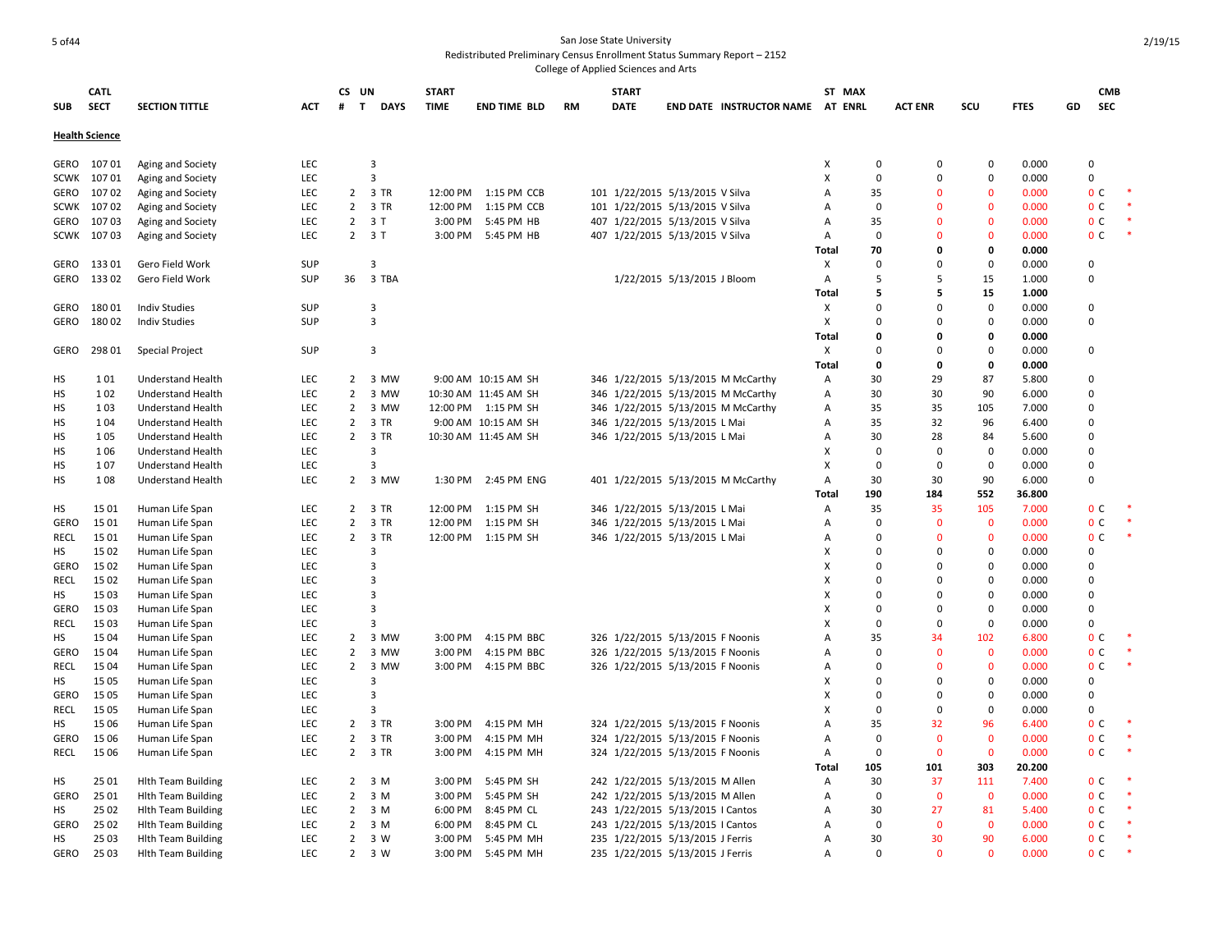|             | CATL                  |                           |            | CS UN             |                | <b>START</b> |                      |    | <b>START</b>                     |                             |                                    | ST MAX       |             |                |                  |             |    | <b>CMB</b>     |  |
|-------------|-----------------------|---------------------------|------------|-------------------|----------------|--------------|----------------------|----|----------------------------------|-----------------------------|------------------------------------|--------------|-------------|----------------|------------------|-------------|----|----------------|--|
| <b>SUB</b>  | <b>SECT</b>           | <b>SECTION TITTLE</b>     | <b>ACT</b> | #<br>$\mathbf{T}$ | <b>DAYS</b>    | <b>TIME</b>  | <b>END TIME BLD</b>  | RM | <b>DATE</b>                      |                             | END DATE INSTRUCTOR NAME AT ENRL   |              |             | <b>ACT ENR</b> | SCU              | <b>FTES</b> | GD | <b>SEC</b>     |  |
|             | <b>Health Science</b> |                           |            |                   |                |              |                      |    |                                  |                             |                                    |              |             |                |                  |             |    |                |  |
|             |                       |                           |            |                   |                |              |                      |    |                                  |                             |                                    |              |             |                |                  |             |    |                |  |
|             | GERO 10701            | Aging and Society         | LEC        |                   | 3              |              |                      |    |                                  |                             |                                    | х            | $\mathbf 0$ | 0              | 0                | 0.000       |    | 0              |  |
| <b>SCWK</b> | 10701                 | Aging and Society         | LEC        |                   | $\overline{3}$ |              |                      |    |                                  |                             |                                    | X            | $\mathbf 0$ | 0              | $\mathbf 0$      | 0.000       |    | 0              |  |
| GERO        | 10702                 | Aging and Society         | LEC        |                   | 2 3 TR         | 12:00 PM     | 1:15 PM CCB          |    | 101 1/22/2015 5/13/2015 V Silva  |                             |                                    | A            | 35          | $\Omega$       | $\Omega$         | 0.000       |    | 0 <sup>c</sup> |  |
| <b>SCWK</b> | 10702                 | Aging and Society         | LEC        |                   | 2 3 TR         | 12:00 PM     | 1:15 PM CCB          |    | 101 1/22/2015 5/13/2015 V Silva  |                             |                                    | A            | $\Omega$    | $\Omega$       | $\mathbf{0}$     | 0.000       |    | 0 <sup>c</sup> |  |
| GERO        | 10703                 | Aging and Society         | LEC        |                   | $2 \t3T$       | 3:00 PM      | 5:45 PM HB           |    | 407 1/22/2015 5/13/2015 V Silva  |                             |                                    | A            | 35          | $\Omega$       | $\Omega$         | 0.000       |    | 0 <sup>c</sup> |  |
| SCWK        | 10703                 | Aging and Society         | LEC        |                   | 2 3 T          | 3:00 PM      | 5:45 PM HB           |    | 407 1/22/2015 5/13/2015 V Silva  |                             |                                    | Α            | $\Omega$    | $\Omega$       | $\Omega$         | 0.000       |    | 0 <sup>c</sup> |  |
|             |                       |                           |            |                   |                |              |                      |    |                                  |                             |                                    | <b>Total</b> | 70          | 0              | 0                | 0.000       |    |                |  |
| GERO        | 13301                 | Gero Field Work           | <b>SUP</b> |                   | 3              |              |                      |    |                                  |                             |                                    | X            | $\Omega$    | $\Omega$       | $\Omega$         | 0.000       |    | 0              |  |
| GERO        | 13302                 | Gero Field Work           | <b>SUP</b> | 36                | 3 TBA          |              |                      |    |                                  | 1/22/2015 5/13/2015 J Bloom |                                    | Α            | 5           | 5              | 15               | 1.000       |    | $\Omega$       |  |
|             |                       |                           |            |                   |                |              |                      |    |                                  |                             |                                    | Total        | 5           | 5              | 15               | 1.000       |    |                |  |
| GERO        | 18001                 | <b>Indiv Studies</b>      | <b>SUP</b> |                   | 3              |              |                      |    |                                  |                             |                                    | Χ            | $\Omega$    | $\Omega$       | $\mathbf 0$      | 0.000       |    | $\Omega$       |  |
| GERO        | 18002                 | <b>Indiv Studies</b>      | SUP        |                   | $\overline{3}$ |              |                      |    |                                  |                             |                                    | X            | $\Omega$    | $\Omega$       | $\mathbf 0$      | 0.000       |    | 0              |  |
|             |                       |                           |            |                   |                |              |                      |    |                                  |                             |                                    | <b>Total</b> | O           | 0              | 0                | 0.000       |    |                |  |
| GERO        | 298 01                | Special Project           | <b>SUP</b> |                   | 3              |              |                      |    |                                  |                             |                                    | X            | $\Omega$    | $\Omega$       | $\mathbf 0$      | 0.000       |    | 0              |  |
|             |                       |                           |            |                   |                |              |                      |    |                                  |                             |                                    | <b>Total</b> | 0           | 0              | 0                | 0.000       |    |                |  |
| HS          | 101                   | <b>Understand Health</b>  | LEC        | $\overline{2}$    | 3 MW           |              | 9:00 AM 10:15 AM SH  |    |                                  |                             | 346 1/22/2015 5/13/2015 M McCarthy | Α            | 30          | 29             | 87               | 5.800       |    | $\Omega$       |  |
| HS          | 102                   | <b>Understand Health</b>  | LEC        | $\overline{2}$    | 3 MW           |              | 10:30 AM 11:45 AM SH |    |                                  |                             | 346 1/22/2015 5/13/2015 M McCarthy | A            | 30          | 30             | 90               | 6.000       |    | 0              |  |
| HS          | 103                   | <b>Understand Health</b>  | LEC        |                   | 2 3 MW         |              | 12:00 PM 1:15 PM SH  |    |                                  |                             | 346 1/22/2015 5/13/2015 M McCarthy | A            | 35          | 35             | 105              | 7.000       |    | 0              |  |
| HS          | 104                   | <b>Understand Health</b>  | LEC        | $\overline{2}$    | 3 TR           |              | 9:00 AM 10:15 AM SH  |    | 346 1/22/2015 5/13/2015 L Mai    |                             |                                    | A            | 35          | 32             | 96               | 6.400       |    | 0              |  |
| HS          | 105                   | Understand Health         | LEC        |                   | 2 3 TR         |              | 10:30 AM 11:45 AM SH |    | 346 1/22/2015 5/13/2015 L Mai    |                             |                                    | Α            | 30          | 28             | 84               | 5.600       |    | 0              |  |
| HS          | 106                   | <b>Understand Health</b>  | <b>LEC</b> |                   | 3              |              |                      |    |                                  |                             |                                    | x            | $\Omega$    | $\mathbf 0$    | $\boldsymbol{0}$ | 0.000       |    | $\Omega$       |  |
| HS          | 107                   | Understand Health         | LEC        |                   | $\overline{3}$ |              |                      |    |                                  |                             |                                    | x            | $\Omega$    | $\mathbf 0$    | $\mathbf 0$      | 0.000       |    | 0              |  |
| HS          | 108                   | <b>Understand Health</b>  | LEC        |                   | 2 3 MW         |              | 1:30 PM 2:45 PM ENG  |    |                                  |                             | 401 1/22/2015 5/13/2015 M McCarthy | A            | 30          | 30             | 90               | 6.000       |    | 0              |  |
|             |                       |                           |            |                   |                |              |                      |    |                                  |                             |                                    | Total        | 190         | 184            | 552              | 36.800      |    |                |  |
| HS          | 1501                  | Human Life Span           | LEC        |                   | 2 3 TR         | 12:00 PM     | 1:15 PM SH           |    | 346 1/22/2015 5/13/2015 L Mai    |                             |                                    | Α            | 35          | 35             | 105              | 7.000       |    | 0 <sup>c</sup> |  |
| <b>GERO</b> | 15 01                 | Human Life Span           | LEC        | $\overline{2}$    | 3 TR           | 12:00 PM     | 1:15 PM SH           |    | 346 1/22/2015 5/13/2015 L Mai    |                             |                                    | Α            | $\Omega$    | $\mathbf{0}$   | $\mathbf 0$      | 0.000       |    | 0 <sup>c</sup> |  |
| <b>RECL</b> | 1501                  | Human Life Span           | LEC        |                   | 2 3 TR         | 12:00 PM     | 1:15 PM SH           |    | 346 1/22/2015 5/13/2015 L Mai    |                             |                                    | A            | $\Omega$    | $\Omega$       | $\mathbf 0$      | 0.000       |    | 0 <sup>c</sup> |  |
| НS          | 15 02                 | Human Life Span           | LEC        |                   | $\overline{3}$ |              |                      |    |                                  |                             |                                    | x            | $\Omega$    | $\Omega$       | $\mathbf 0$      | 0.000       |    | $\Omega$       |  |
| <b>GERO</b> | 15 02                 | Human Life Span           | <b>LEC</b> |                   | $\overline{3}$ |              |                      |    |                                  |                             |                                    | x            | $\Omega$    | $\Omega$       | $\mathbf 0$      | 0.000       |    | $\Omega$       |  |
| RECL        | 15 02                 | Human Life Span           | LEC        |                   | $\overline{3}$ |              |                      |    |                                  |                             |                                    | x            | $\Omega$    | $\Omega$       | $\mathbf 0$      | 0.000       |    | 0              |  |
| HS          | 1503                  | Human Life Span           | LEC        |                   | $\overline{3}$ |              |                      |    |                                  |                             |                                    | x            | $\Omega$    | $\Omega$       | $\mathbf 0$      | 0.000       |    | 0              |  |
| GERO        | 15 03                 | Human Life Span           | LEC        |                   | $\overline{3}$ |              |                      |    |                                  |                             |                                    | x            | $\Omega$    | $\Omega$       | $\mathbf 0$      | 0.000       |    | $\Omega$       |  |
| RECL        | 15 03                 | Human Life Span           | LEC        |                   | 3              |              |                      |    |                                  |                             |                                    | x            | $\Omega$    | $\mathbf 0$    | $\mathbf 0$      | 0.000       |    | 0              |  |
| HS          | 15 04                 | Human Life Span           | LEC        | $\overline{2}$    | 3 MW           | 3:00 PM      | 4:15 PM BBC          |    | 326 1/22/2015 5/13/2015 F Noonis |                             |                                    | A            | 35          | 34             | 102              | 6.800       |    | 0 <sup>c</sup> |  |
| GERO        | 15 04                 | Human Life Span           | LEC        | $\overline{2}$    | 3 MW           | 3:00 PM      | 4:15 PM BBC          |    | 326 1/22/2015 5/13/2015 F Noonis |                             |                                    | A            | $\Omega$    | $\mathbf{0}$   | $\mathbf 0$      | 0.000       |    | 0 <sup>c</sup> |  |
| RECL        | 15 04                 | Human Life Span           | LEC        | $\overline{2}$    | 3 MW           |              | 3:00 PM 4:15 PM BBC  |    | 326 1/22/2015 5/13/2015 F Noonis |                             |                                    | A            | $\Omega$    | $\Omega$       | $\mathbf 0$      | 0.000       |    | 0 <sup>c</sup> |  |
| НS          | 15 05                 | Human Life Span           | LEC        |                   | 3              |              |                      |    |                                  |                             |                                    | x            | $\Omega$    | $\Omega$       | $\mathbf 0$      | 0.000       |    | 0              |  |
| GERO        | 15 05                 | Human Life Span           | LEC        |                   | 3              |              |                      |    |                                  |                             |                                    | x            | $\Omega$    | $\Omega$       | $\mathbf 0$      | 0.000       |    | $\Omega$       |  |
| <b>RECL</b> | 15 05                 | Human Life Span           | LEC        |                   | $\overline{3}$ |              |                      |    |                                  |                             |                                    | X            | $\Omega$    | $\mathbf 0$    | $\mathbf 0$      | 0.000       |    | 0              |  |
| HS          | 1506                  | Human Life Span           | LEC        | $\overline{2}$    | 3 TR           | 3:00 PM      | 4:15 PM MH           |    | 324 1/22/2015 5/13/2015 F Noonis |                             |                                    | A            | 35          | 32             | 96               | 6.400       |    | 0 <sup>c</sup> |  |
| GERO        | 15 06                 | Human Life Span           | LEC        |                   | 2 3 TR         | 3:00 PM      | 4:15 PM MH           |    | 324 1/22/2015 5/13/2015 F Noonis |                             |                                    | A            | $\Omega$    | $\mathbf 0$    | $\mathbf 0$      | 0.000       |    | 0 <sup>c</sup> |  |
| <b>RECL</b> | 15 06                 | Human Life Span           | LEC        |                   | 2 3 TR         | 3:00 PM      | 4:15 PM MH           |    | 324 1/22/2015 5/13/2015 F Noonis |                             |                                    | Α            | $\Omega$    | $\mathbf 0$    | $\mathbf 0$      | 0.000       |    | 0 <sup>c</sup> |  |
|             |                       |                           |            |                   |                |              |                      |    |                                  |                             |                                    | Total        | 105         | 101            | 303              | 20.200      |    |                |  |
| HS          | 25 01                 | <b>Hith Team Building</b> | LEC        |                   | $2 \t3 M$      | 3:00 PM      | 5:45 PM SH           |    | 242 1/22/2015 5/13/2015 M Allen  |                             |                                    | A            | 30          | 37             | 111              | 7.400       |    | 0 <sup>C</sup> |  |
| <b>GERO</b> | 25 01                 | <b>Hith Team Building</b> | LEC        | $\overline{2}$    | 3 M            | 3:00 PM      | 5:45 PM SH           |    | 242 1/22/2015 5/13/2015 M Allen  |                             |                                    | A            | $\Omega$    | $\mathbf 0$    | $\mathbf 0$      | 0.000       |    | 0 <sup>c</sup> |  |
| HS          | 25 02                 | <b>Hith Team Building</b> | LEC        | 2                 | 3 M            | 6:00 PM      | 8:45 PM CL           |    | 243 1/22/2015 5/13/2015   Cantos |                             |                                    | A            | 30          | 27             | 81               | 5.400       |    | 0 <sup>c</sup> |  |
| <b>GERO</b> | 25 02                 | <b>Hlth Team Building</b> | LEC        | $\overline{2}$    | 3 M            | 6:00 PM      | 8:45 PM CL           |    | 243 1/22/2015 5/13/2015   Cantos |                             |                                    | A            | $\Omega$    | $\mathbf{0}$   | $\mathbf 0$      | 0.000       |    | 0 <sup>C</sup> |  |
| HS.         | 2503                  | <b>Hith Team Building</b> | <b>LEC</b> | 2                 | 3 W            | 3:00 PM      | 5:45 PM MH           |    | 235 1/22/2015 5/13/2015 J Ferris |                             |                                    | A            | 30          | 30             | 90               | 6.000       |    | 0 <sup>c</sup> |  |
| GERO        | 2503                  | <b>Hith Team Building</b> | <b>LEC</b> |                   | $2 \t3W$       | 3:00 PM      | 5:45 PM MH           |    | 235 1/22/2015 5/13/2015 J Ferris |                             |                                    | A            | $\Omega$    | $\Omega$       | $\Omega$         | 0.000       |    | 0 <sup>C</sup> |  |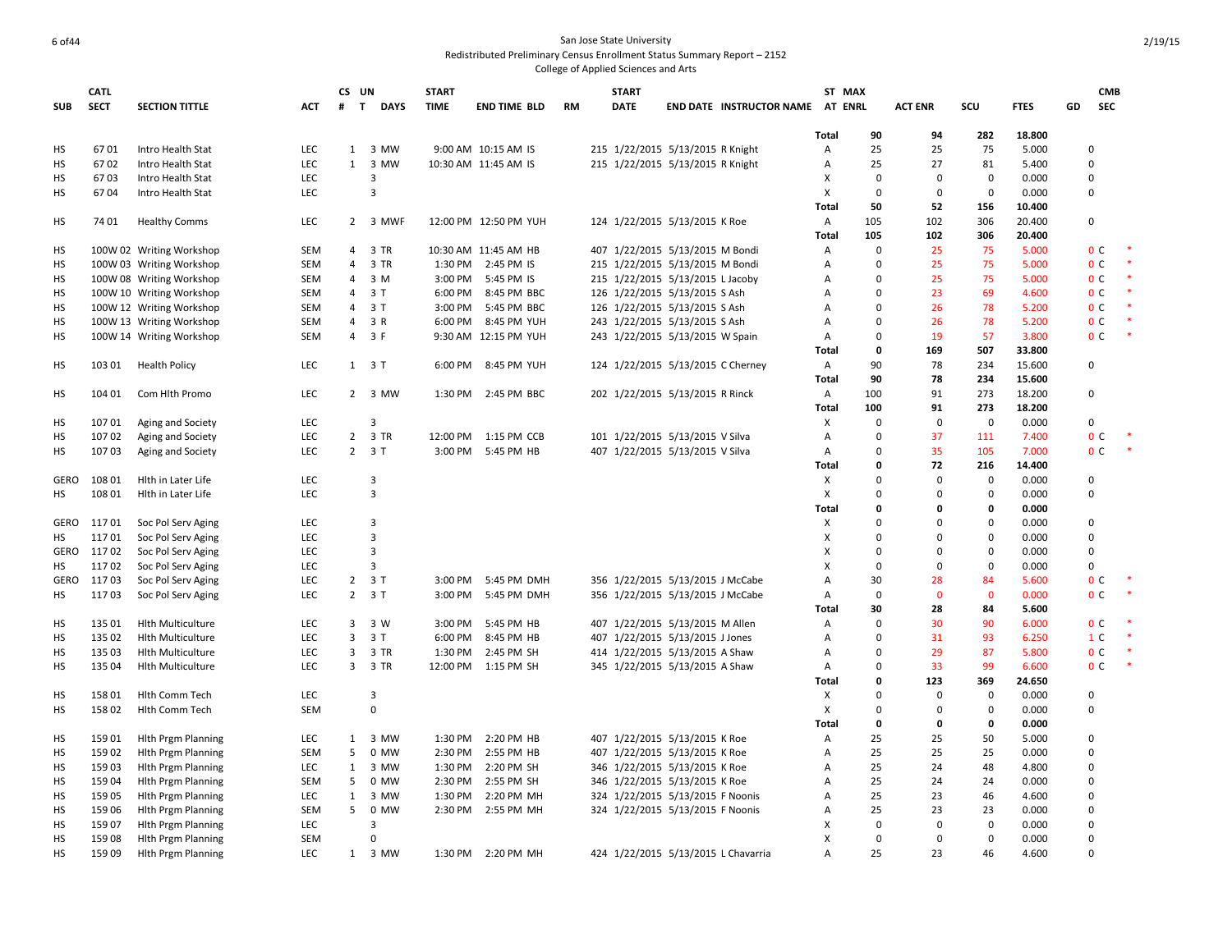|             | <b>CATL</b> |                           |            | CS UN             |                     | <b>START</b> |                       |           | <b>START</b> |                                     |              | ST MAX         |                |             |             |    | <b>CMB</b>     |        |
|-------------|-------------|---------------------------|------------|-------------------|---------------------|--------------|-----------------------|-----------|--------------|-------------------------------------|--------------|----------------|----------------|-------------|-------------|----|----------------|--------|
| <b>SUB</b>  | <b>SECT</b> | <b>SECTION TITTLE</b>     | ACT        | $\mathbf{T}$<br># | <b>DAYS</b>         | <b>TIME</b>  | <b>END TIME BLD</b>   | <b>RM</b> | <b>DATE</b>  | <b>END DATE INSTRUCTOR NAME</b>     |              | <b>AT ENRL</b> | <b>ACT ENR</b> | scu         | <b>FTES</b> | GD | <b>SEC</b>     |        |
|             |             |                           |            |                   |                     |              |                       |           |              |                                     |              |                |                |             |             |    |                |        |
|             | 6701        |                           | <b>LEC</b> |                   | 1 3 MW              |              | 9:00 AM 10:15 AM IS   |           |              |                                     | Total        | 90             | 94             | 282         | 18.800      |    | $\Omega$       |        |
| НS          |             | Intro Health Stat         |            |                   |                     |              |                       |           |              | 215 1/22/2015 5/13/2015 R Knight    | A            | 25             | 25             | 75          | 5.000       |    | $\Omega$       |        |
| HS          | 6702        | Intro Health Stat         | <b>LEC</b> |                   | 1 3 MW              |              | 10:30 AM 11:45 AM IS  |           |              | 215 1/22/2015 5/13/2015 R Knight    | Α            | 25             | 27             | 81          | 5.400       |    |                |        |
| НS          | 6703        | Intro Health Stat         | LEC        |                   | 3                   |              |                       |           |              |                                     | х            | 0              | $\mathbf 0$    | $\bf{0}$    | 0.000       |    | 0              |        |
| НS          | 6704        | Intro Health Stat         | <b>LEC</b> |                   | $\overline{3}$      |              |                       |           |              |                                     | X            | 0              | $\mathbf 0$    | $\mathbf 0$ | 0.000       |    | 0              |        |
|             |             |                           |            |                   |                     |              |                       |           |              |                                     | <b>Total</b> | 50             | 52             | 156         | 10.400      |    |                |        |
| HS          | 74 01       | <b>Healthy Comms</b>      | LEC        |                   | 2 3 MWF             |              | 12:00 PM 12:50 PM YUH |           |              | 124 1/22/2015 5/13/2015 K Roe       | Α            | 105            | 102            | 306         | 20.400      |    | 0              |        |
|             |             |                           |            |                   |                     |              |                       |           |              |                                     | Total        | 105            | 102            | 306         | 20.400      |    |                |        |
| НS          |             | 100W 02 Writing Workshop  | <b>SEM</b> |                   | 4 3 TR              |              | 10:30 AM 11:45 AM HB  |           |              | 407 1/22/2015 5/13/2015 M Bondi     | Α            | $\Omega$       | 25             | 75          | 5.000       |    | 0 <sup>C</sup> |        |
| НS          |             | 100W 03 Writing Workshop  | SEM        | 4                 | 3 TR                | 1:30 PM      | 2:45 PM IS            |           |              | 215 1/22/2015 5/13/2015 M Bondi     | A            | $\Omega$       | 25             | 75          | 5.000       |    | 0 <sup>C</sup> | $\ast$ |
| HS          |             | 100W 08 Writing Workshop  | SEM        | 4                 | 3 M                 | 3:00 PM      | 5:45 PM IS            |           |              | 215 1/22/2015 5/13/2015 L Jacoby    | Α            | $\Omega$       | 25             | 75          | 5.000       |    | 0 <sup>C</sup> | $\ast$ |
| HS          |             | 100W 10 Writing Workshop  | <b>SEM</b> | 4                 | 3T                  | 6:00 PM      | 8:45 PM BBC           |           |              | 126 1/22/2015 5/13/2015 S Ash       | A            | 0              | 23             | 69          | 4.600       |    | 0 <sup>C</sup> |        |
| НS          |             | 100W 12 Writing Workshop  | <b>SEM</b> | 4                 | 3T                  | 3:00 PM      | 5:45 PM BBC           |           |              | 126 1/22/2015 5/13/2015 S Ash       | Α            | $\Omega$       | 26             | 78          | 5.200       |    | 0 <sup>C</sup> |        |
| HS          |             | 100W 13 Writing Workshop  | SEM        | $\overline{4}$    | 3 R                 | 6:00 PM      | 8:45 PM YUH           |           |              | 243 1/22/2015 5/13/2015 S Ash       | Α            | $\Omega$       | 26             | 78          | 5.200       |    | 0 <sup>C</sup> |        |
| НS          |             | 100W 14 Writing Workshop  | <b>SEM</b> | 4                 | 3 F                 |              | 9:30 AM 12:15 PM YUH  |           |              | 243 1/22/2015 5/13/2015 W Spain     | Α            | $\mathbf 0$    | 19             | 57          | 3.800       |    | 0 <sup>c</sup> | $\ast$ |
|             |             |                           |            |                   |                     |              |                       |           |              |                                     | Total        | 0              | 169            | 507         | 33.800      |    |                |        |
| HS          | 103 01      | <b>Health Policy</b>      | LEC        |                   | $1 \quad 3 \quad T$ |              | 6:00 PM 8:45 PM YUH   |           |              | 124 1/22/2015 5/13/2015 C Cherney   | A            | 90             | 78             | 234         | 15.600      |    | 0              |        |
|             |             |                           |            |                   |                     |              |                       |           |              |                                     | Total        | 90             | 78             | 234         | 15.600      |    |                |        |
| HS          | 104 01      | Com Hlth Promo            | LEC        |                   | 2 3 MW              |              | 1:30 PM 2:45 PM BBC   |           |              | 202 1/22/2015 5/13/2015 R Rinck     | Α            | 100            | 91             | 273         | 18.200      |    | $\Omega$       |        |
|             |             |                           |            |                   |                     |              |                       |           |              |                                     | Total        | 100            | 91             | 273         | 18.200      |    |                |        |
| НS          | 10701       | Aging and Society         | LEC        |                   | 3                   |              |                       |           |              |                                     | X            | $\Omega$       | $\mathbf 0$    | $\mathbf 0$ | 0.000       |    | 0              |        |
| HS          | 10702       | Aging and Society         | LEC        |                   | 2 3 TR              | 12:00 PM     | 1:15 PM CCB           |           |              | 101 1/22/2015 5/13/2015 V Silva     | Α            | $\Omega$       | 37             | 111         | 7.400       |    | 0 <sub>c</sub> |        |
| HS          | 10703       | Aging and Society         | <b>LEC</b> |                   | $2 \t3T$            |              | 3:00 PM 5:45 PM HB    |           |              | 407 1/22/2015 5/13/2015 V Silva     | $\mathsf{A}$ | $\Omega$       | 35             | 105         | 7.000       |    | 0 <sup>c</sup> |        |
|             |             |                           |            |                   |                     |              |                       |           |              |                                     | Total        | $\mathbf 0$    | 72             | 216         | 14.400      |    |                |        |
| <b>GERO</b> | 108 01      | Hith in Later Life        | LEC        |                   | 3                   |              |                       |           |              |                                     | X            | $\Omega$       | $\mathbf 0$    | $\mathbf 0$ | 0.000       |    | 0              |        |
| HS          | 108 01      | Hith in Later Life        | LEC        |                   | 3                   |              |                       |           |              |                                     | X            | $\Omega$       | $\Omega$       | $\bf{0}$    | 0.000       |    | $\Omega$       |        |
|             |             |                           |            |                   |                     |              |                       |           |              |                                     | Total        | 0              | $\mathbf 0$    | 0           | 0.000       |    |                |        |
| <b>GERO</b> | 11701       | Soc Pol Serv Aging        | LEC        |                   | 3                   |              |                       |           |              |                                     | Χ            | $\Omega$       | $\Omega$       | $\mathbf 0$ | 0.000       |    | $\pmb{0}$      |        |
| НS          | 11701       | Soc Pol Serv Aging        | LEC        |                   | 3                   |              |                       |           |              |                                     | х            | $\Omega$       | $\Omega$       | $\mathbf 0$ | 0.000       |    | 0              |        |
| <b>GERO</b> | 11702       | Soc Pol Serv Aging        | <b>LEC</b> |                   | 3                   |              |                       |           |              |                                     | X            | $\Omega$       | $\Omega$       | $\bf{0}$    | 0.000       |    | 0              |        |
| НS          | 11702       | Soc Pol Serv Aging        | LEC        |                   | 3                   |              |                       |           |              |                                     | X            | $\Omega$       | $\Omega$       | 0           | 0.000       |    | $\mathbf 0$    |        |
| GERO        | 11703       | Soc Pol Serv Aging        | <b>LEC</b> |                   | $2 \t3 T$           | 3:00 PM      | 5:45 PM DMH           |           |              | 356 1/22/2015 5/13/2015 J McCabe    | Α            | 30             | 28             | 84          | 5.600       |    | 0 <sup>c</sup> |        |
|             |             |                           |            |                   |                     |              |                       |           |              |                                     |              | $\overline{0}$ | $\Omega$       | $\mathbf 0$ |             |    | 0 <sup>C</sup> |        |
| HS          | 11703       | Soc Pol Serv Aging        | LEC        |                   | $2 \t3T$            | 3:00 PM      | 5:45 PM DMH           |           |              | 356 1/22/2015 5/13/2015 J McCabe    | Α            |                |                |             | 0.000       |    |                |        |
|             |             |                           |            |                   |                     |              |                       |           |              |                                     | Total        | 30             | 28             | 84          | 5.600       |    |                |        |
| НS          | 135 01      | <b>Hith Multiculture</b>  | LEC        | 3                 | 3 W                 | 3:00 PM      | 5:45 PM HB            |           |              | 407 1/22/2015 5/13/2015 M Allen     | A            | $\Omega$       | 30             | 90          | 6.000       |    | 0 <sup>C</sup> |        |
| HS          | 135 02      | <b>Hith Multiculture</b>  | LEC        | $3^{\circ}$       | 3 T                 | 6:00 PM      | 8:45 PM HB            |           |              | 407 1/22/2015 5/13/2015 J Jones     | Α            | $\Omega$       | 31             | 93          | 6.250       |    | 1 <sup>C</sup> |        |
| НS          | 135 03      | <b>Hith Multiculture</b>  | LEC        | 3                 | 3 TR                | 1:30 PM      | 2:45 PM SH            |           |              | 414 1/22/2015 5/13/2015 A Shaw      | А            | $\mathbf 0$    | 29             | 87          | 5.800       |    | 0 <sup>C</sup> |        |
| HS          | 135 04      | <b>Hith Multiculture</b>  | <b>LEC</b> |                   | 3 3 TR              |              | 12:00 PM 1:15 PM SH   |           |              | 345 1/22/2015 5/13/2015 A Shaw      | Α            | $\mathbf 0$    | 33             | 99          | 6.600       |    | 0 <sup>C</sup> |        |
|             |             |                           |            |                   |                     |              |                       |           |              |                                     | Total        | 0              | 123            | 369         | 24.650      |    |                |        |
| НS          | 15801       | <b>Hith Comm Tech</b>     | <b>LEC</b> |                   | 3                   |              |                       |           |              |                                     | X            | $\Omega$       | $\mathbf 0$    | 0           | 0.000       |    | $\Omega$       |        |
| HS          | 15802       | Hlth Comm Tech            | <b>SEM</b> |                   | $\mathbf 0$         |              |                       |           |              |                                     | X            | $\mathbf 0$    | $\mathbf 0$    | $\mathbf 0$ | 0.000       |    | 0              |        |
|             |             |                           |            |                   |                     |              |                       |           |              |                                     | Total        | 0              | 0              | 0           | 0.000       |    |                |        |
| HS          | 15901       | <b>Hith Prgm Planning</b> | <b>LEC</b> | $\mathbf{1}$      | 3 MW                | 1:30 PM      | 2:20 PM HB            |           |              | 407 1/22/2015 5/13/2015 K Roe       | A            | 25             | 25             | 50          | 5.000       |    | 0              |        |
| HS          | 15902       | <b>Hith Prgm Planning</b> | <b>SEM</b> | 5                 | 0 MW                | 2:30 PM      | 2:55 PM HB            |           |              | 407 1/22/2015 5/13/2015 K Roe       | Α            | 25             | 25             | 25          | 0.000       |    | $\Omega$       |        |
| HS          | 15903       | <b>Hith Prgm Planning</b> | LEC        | $\mathbf{1}$      | 3 MW                | 1:30 PM      | 2:20 PM SH            |           |              | 346 1/22/2015 5/13/2015 K Roe       | Α            | 25             | 24             | 48          | 4.800       |    | 0              |        |
| HS          | 15904       | <b>Hith Prgm Planning</b> | <b>SEM</b> | 5                 | 0 MW                | 2:30 PM      | 2:55 PM SH            |           |              | 346 1/22/2015 5/13/2015 K Roe       | Α            | 25             | 24             | 24          | 0.000       |    | 0              |        |
| HS          | 15905       | <b>Hith Prgm Planning</b> | LEC        | 1                 | 3 MW                | 1:30 PM      | 2:20 PM MH            |           |              | 324 1/22/2015 5/13/2015 F Noonis    | A            | 25             | 23             | 46          | 4.600       |    | $\Omega$       |        |
| НS          | 159 06      | <b>Hith Prgm Planning</b> | <b>SEM</b> | 5                 | 0 MW                | 2:30 PM      | 2:55 PM MH            |           |              | 324 1/22/2015 5/13/2015 F Noonis    | Α            | 25             | 23             | 23          | 0.000       |    | 0              |        |
| HS          | 15907       | <b>Hith Prgm Planning</b> | LEC        |                   | 3                   |              |                       |           |              |                                     | X            | $^{\circ}$     | $\mathbf 0$    | $\mathbf 0$ | 0.000       |    | 0              |        |
| HS          | 15908       | <b>Hlth Prgm Planning</b> | <b>SEM</b> |                   | $\Omega$            |              |                       |           |              |                                     | х            | $\mathbf 0$    | $\mathbf 0$    | $\mathbf 0$ | 0.000       |    | 0              |        |
| HS          | 15909       | <b>Hith Prgm Planning</b> | <b>LEC</b> |                   | 1 3 MW              |              | 1:30 PM 2:20 PM MH    |           |              | 424 1/22/2015 5/13/2015 L Chavarria | A            | 25             | 23             | 46          | 4.600       |    | $\Omega$       |        |
|             |             |                           |            |                   |                     |              |                       |           |              |                                     |              |                |                |             |             |    |                |        |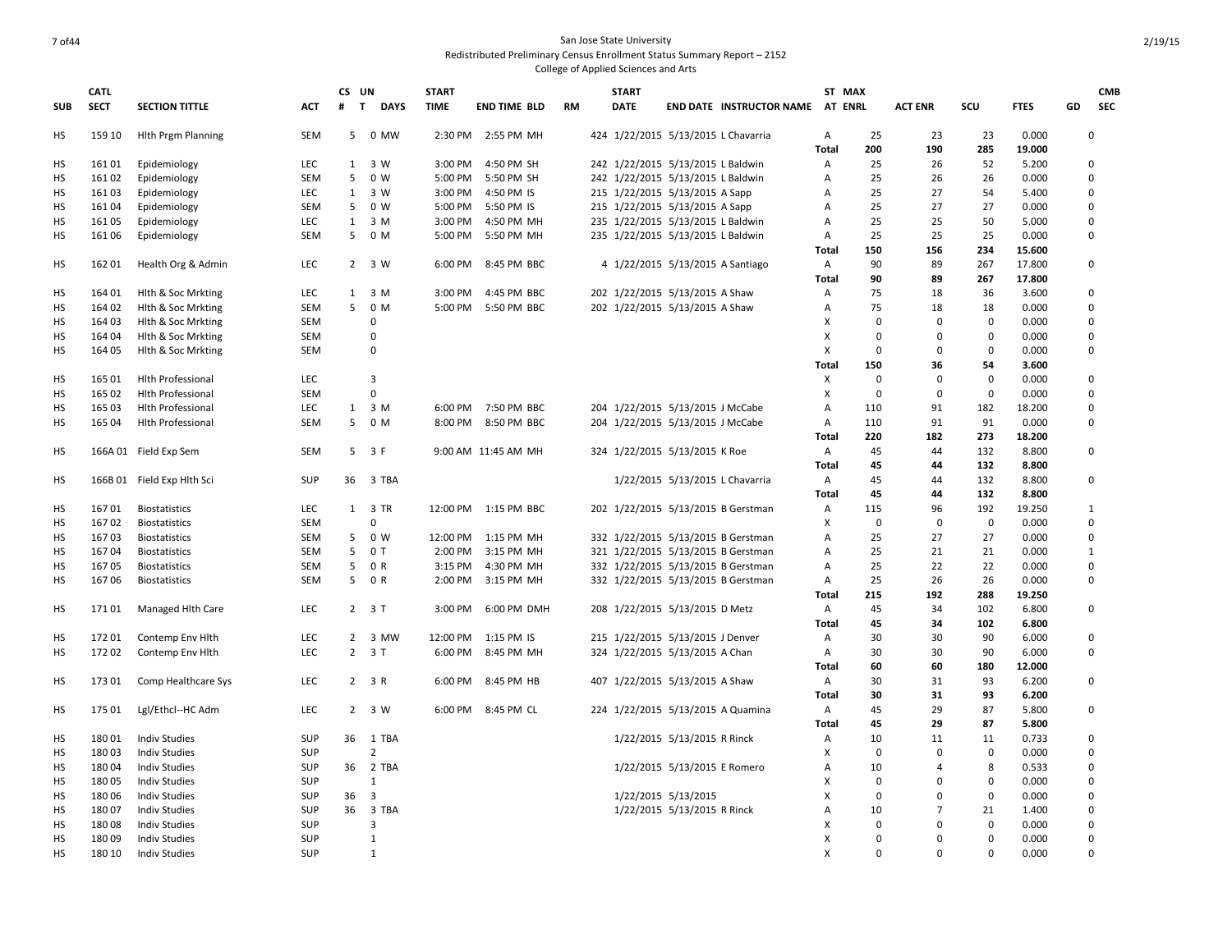|            | <b>CATL</b>      |                                          |            | CS UN          |                             | <b>START</b> |                      |           | <b>START</b>                      |                              |                                     | ST MAX            |                |                |                   |                 | <b>CMB</b>       |
|------------|------------------|------------------------------------------|------------|----------------|-----------------------------|--------------|----------------------|-----------|-----------------------------------|------------------------------|-------------------------------------|-------------------|----------------|----------------|-------------------|-----------------|------------------|
| <b>SUB</b> | <b>SECT</b>      | <b>SECTION TITTLE</b>                    | <b>ACT</b> | #              | $\mathbf{T}$<br><b>DAYS</b> | <b>TIME</b>  | <b>END TIME BLD</b>  | <b>RM</b> | <b>DATE</b>                       |                              | <b>END DATE INSTRUCTOR NAME</b>     | <b>AT ENRL</b>    |                | <b>ACT ENR</b> | SCU               | <b>FTES</b>     | GD<br><b>SEC</b> |
| <b>HS</b>  | 159 10           | <b>Hith Prgm Planning</b>                | <b>SEM</b> | 5 <sup>7</sup> | 0 MW                        |              | 2:30 PM 2:55 PM MH   |           |                                   |                              | 424 1/22/2015 5/13/2015 L Chavarria | Α                 | 25             | 23             | 23                | 0.000           | $\mathbf 0$      |
|            |                  |                                          |            |                |                             |              |                      |           |                                   |                              |                                     | Total             | 200            | 190            | 285               | 19.000          |                  |
| НS         | 16101            | Epidemiology                             | LEC        | 1              | 3 W                         | 3:00 PM      | 4:50 PM SH           |           | 242 1/22/2015 5/13/2015 L Baldwin |                              |                                     | Α                 | 25             | 26             | 52                | 5.200           | 0                |
| <b>HS</b>  | 16102            | Epidemiology                             | <b>SEM</b> | 5              | 0 W                         | 5:00 PM      | 5:50 PM SH           |           | 242 1/22/2015 5/13/2015 L Baldwin |                              |                                     | Α                 | 25             | 26             | 26                | 0.000           | 0                |
| HS         | 16103            | Epidemiology                             | <b>LEC</b> | 1              | 3 W<br>0 W                  | 3:00 PM      | 4:50 PM IS           |           | 215 1/22/2015 5/13/2015 A Sapp    |                              |                                     | A                 | 25<br>25       | 27<br>27       | 54<br>27          | 5.400           | 0<br>$\pmb{0}$   |
| HS         | 16104            | Epidemiology                             | SEM        | 5              |                             | 5:00 PM      | 5:50 PM IS           |           | 215 1/22/2015 5/13/2015 A Sapp    |                              |                                     | Α                 |                |                |                   | 0.000           |                  |
| HS         | 16105            | Epidemiology                             | LEC        | $\mathbf{1}$   | 3 M                         | 3:00 PM      | 4:50 PM MH           |           | 235 1/22/2015 5/13/2015 L Baldwin |                              |                                     | Α                 | 25             | 25             | 50                | 5.000           | 0                |
| HS         | 16106            | Epidemiology                             | <b>SEM</b> | 5              | 0 M                         | 5:00 PM      | 5:50 PM MH           |           | 235 1/22/2015 5/13/2015 L Baldwin |                              |                                     | A<br><b>Total</b> | 25<br>150      | 25<br>156      | 25<br>234         | 0.000<br>15.600 | $\mathbf 0$      |
|            |                  |                                          |            |                |                             |              |                      |           |                                   |                              |                                     |                   |                |                |                   |                 |                  |
| HS         | 16201            | Health Org & Admin                       | LEC        |                | 2 3 W                       | 6:00 PM      | 8:45 PM BBC          |           |                                   |                              | 4 1/22/2015 5/13/2015 A Santiago    | Α                 | 90<br>90       | 89<br>89       | 267               | 17.800          | $\mathbf 0$      |
| HS         | 164 01           |                                          | LEC        |                | $1 \quad 3 \quad M$         | 3:00 PM      | 4:45 PM BBC          |           |                                   |                              |                                     | <b>Total</b>      | 75             | 18             | 267<br>36         | 17.800<br>3.600 | $\mathbf 0$      |
|            | 164 02           | Hith & Soc Mrkting                       | SEM        | 5              | 0 M                         | 5:00 PM      |                      |           | 202 1/22/2015 5/13/2015 A Shaw    |                              |                                     | Α                 | 75             | 18             |                   |                 |                  |
| HS<br>HS   |                  | Hith & Soc Mrkting                       |            |                | $\Omega$                    |              | 5:50 PM BBC          |           | 202 1/22/2015 5/13/2015 A Shaw    |                              |                                     | Α<br>x            | $\Omega$       | $\Omega$       | 18<br>$\mathbf 0$ | 0.000           | 0<br>$\mathbf 0$ |
| HS         | 164 03<br>164 04 | Hith & Soc Mrkting<br>Hith & Soc Mrkting | SEM<br>SEM |                | $\mathbf 0$                 |              |                      |           |                                   |                              |                                     | x                 | $\overline{0}$ | $\Omega$       | $\mathbf 0$       | 0.000<br>0.000  | 0                |
| HS         | 164 05           | Hith & Soc Mrkting                       | <b>SEM</b> |                | $\mathbf 0$                 |              |                      |           |                                   |                              |                                     | X                 | $\Omega$       | $\Omega$       | $\mathbf 0$       | 0.000           | 0                |
|            |                  |                                          |            |                |                             |              |                      |           |                                   |                              |                                     | <b>Total</b>      | 150            | 36             | 54                | 3.600           |                  |
| HS         | 165 01           | <b>Hlth Professional</b>                 | LEC        |                | 3                           |              |                      |           |                                   |                              |                                     | X                 | $\Omega$       | $\mathbf 0$    | $\mathbf 0$       | 0.000           | $\mathbf 0$      |
| HS         | 165 02           | <b>Hith Professional</b>                 | <b>SEM</b> |                | $\mathbf 0$                 |              |                      |           |                                   |                              |                                     | X                 | $\Omega$       | $\Omega$       | $\mathbf 0$       | 0.000           | 0                |
| HS         | 165 03           | <b>Hith Professional</b>                 | LEC        |                | $1 \quad 3 \quad M$         |              | 6:00 PM 7:50 PM BBC  |           | 204 1/22/2015 5/13/2015 J McCabe  |                              |                                     | Α                 | 110            | 91             | 182               | 18.200          | 0                |
| HS         | 165 04           | <b>Hlth Professional</b>                 | SEM        | 5              | 0 M                         |              | 8:00 PM 8:50 PM BBC  |           | 204 1/22/2015 5/13/2015 J McCabe  |                              |                                     | Α                 | 110            | 91             | 91                | 0.000           | 0                |
|            |                  |                                          |            |                |                             |              |                      |           |                                   |                              |                                     | Total             | 220            | 182            | 273               | 18.200          |                  |
| HS         |                  | 166A 01 Field Exp Sem                    | SEM        |                | 5 3 F                       |              | 9:00 AM 11:45 AM MH  |           | 324 1/22/2015 5/13/2015 K Roe     |                              |                                     | A                 | 45             | 44             | 132               | 8.800           | $\mathbf 0$      |
|            |                  |                                          |            |                |                             |              |                      |           |                                   |                              |                                     | Total             | 45             | 44             | 132               | 8.800           |                  |
| HS         |                  | 166B 01 Field Exp Hlth Sci               | <b>SUP</b> |                | 36 3 TBA                    |              |                      |           |                                   |                              | 1/22/2015 5/13/2015 L Chavarria     | Α                 | 45             | 44             | 132               | 8.800           | 0                |
|            |                  |                                          |            |                |                             |              |                      |           |                                   |                              |                                     | Total             | 45             | 44             | 132               | 8.800           |                  |
| HS         | 16701            | Biostatistics                            | LEC        |                | 1 3 TR                      |              | 12:00 PM 1:15 PM BBC |           |                                   |                              | 202 1/22/2015 5/13/2015 B Gerstman  | Α                 | 115            | 96             | 192               | 19.250          | 1                |
| HS         | 16702            | <b>Biostatistics</b>                     | <b>SEM</b> |                | $\Omega$                    |              |                      |           |                                   |                              |                                     | x                 | $\Omega$       | $\mathbf 0$    | $\mathbf 0$       | 0.000           | $\mathbf 0$      |
| HS         | 16703            | <b>Biostatistics</b>                     | SEM        | 5              | 0 W                         | 12:00 PM     | 1:15 PM MH           |           |                                   |                              | 332 1/22/2015 5/13/2015 B Gerstman  | Α                 | 25             | 27             | 27                | 0.000           | $\mathbf 0$      |
| HS         | 16704            | <b>Biostatistics</b>                     | <b>SEM</b> | 5              | 0T                          | 2:00 PM      | 3:15 PM MH           |           |                                   |                              | 321 1/22/2015 5/13/2015 B Gerstman  | Α                 | 25             | 21             | 21                | 0.000           | $\mathbf{1}$     |
| HS         | 16705            | <b>Biostatistics</b>                     | <b>SEM</b> | 5              | 0 R                         | 3:15 PM      | 4:30 PM MH           |           |                                   |                              | 332 1/22/2015 5/13/2015 B Gerstman  | Α                 | 25             | 22             | 22                | 0.000           | 0                |
| HS         | 16706            | Biostatistics                            | <b>SEM</b> | 5              | 0 R                         | 2:00 PM      | 3:15 PM MH           |           |                                   |                              | 332 1/22/2015 5/13/2015 B Gerstman  | Α                 | 25             | 26             | 26                | 0.000           | 0                |
|            |                  |                                          |            |                |                             |              |                      |           |                                   |                              |                                     | Total             | 215            | 192            | 288               | 19.250          |                  |
| HS         | 17101            | Managed Hlth Care                        | LEC        |                | $2 \t3T$                    | 3:00 PM      | 6:00 PM DMH          |           | 208 1/22/2015 5/13/2015 D Metz    |                              |                                     | А                 | 45             | 34             | 102               | 6.800           | $\mathbf 0$      |
|            |                  |                                          |            |                |                             |              |                      |           |                                   |                              |                                     | <b>Total</b>      | 45             | 34             | 102               | 6.800           |                  |
| HS         | 17201            | Contemp Env Hith                         | LEC        |                | 2 3 MW                      | 12:00 PM     | 1:15 PM IS           |           | 215 1/22/2015 5/13/2015 J Denver  |                              |                                     | Α                 | 30             | 30             | 90                | 6.000           | $\mathbf 0$      |
| <b>HS</b>  | 17202            | Contemp Env Hlth                         | LEC        | $2^{\circ}$    | 3T                          | 6:00 PM      | 8:45 PM MH           |           | 324 1/22/2015 5/13/2015 A Chan    |                              |                                     | Α                 | 30             | 30             | 90                | 6.000           | $\mathbf 0$      |
|            |                  |                                          |            |                |                             |              |                      |           |                                   |                              |                                     | Total             | 60             | 60             | 180               | 12.000          |                  |
| HS         | 17301            | Comp Healthcare Sys                      | <b>LEC</b> |                | $2 \t3 R$                   | 6:00 PM      | 8:45 PM HB           |           | 407 1/22/2015 5/13/2015 A Shaw    |                              |                                     | Α                 | 30             | 31             | 93                | 6.200           | 0                |
|            |                  |                                          |            |                |                             |              |                      |           |                                   |                              |                                     | <b>Total</b>      | 30             | 31             | 93                | 6.200           |                  |
| HS         | 175 01           | Lgl/Ethcl--HC Adm                        | LEC        |                | 2 3 W                       |              | 6:00 PM 8:45 PM CL   |           |                                   |                              | 224 1/22/2015 5/13/2015 A Quamina   | Α                 | 45             | 29             | 87                | 5.800           | 0                |
|            |                  |                                          |            |                |                             |              |                      |           |                                   |                              |                                     | Total             | 45             | 29             | 87                | 5.800           |                  |
| HS         | 18001            | <b>Indiv Studies</b>                     | SUP        | 36             | 1 TBA                       |              |                      |           |                                   | 1/22/2015 5/13/2015 R Rinck  |                                     | Α                 | 10             | 11             | 11                | 0.733           | 0                |
| <b>HS</b>  | 18003            | <b>Indiv Studies</b>                     | <b>SUP</b> |                | $\overline{2}$              |              |                      |           |                                   |                              |                                     | X                 | $\Omega$       | $\Omega$       | $\mathbf 0$       | 0.000           | $\mathbf 0$      |
| HS         | 18004            | <b>Indiv Studies</b>                     | <b>SUP</b> | 36             | 2 TBA                       |              |                      |           |                                   | 1/22/2015 5/13/2015 E Romero |                                     | Α                 | 10             | $\overline{A}$ | 8                 | 0.533           | 0                |
| HS         | 18005            | <b>Indiv Studies</b>                     | <b>SUP</b> |                | $\mathbf{1}$                |              |                      |           |                                   |                              |                                     | X                 | $\overline{0}$ | $\mathbf 0$    | 0                 | 0.000           | 0                |
| HS         | 18006            | <b>Indiv Studies</b>                     | <b>SUP</b> | 36             | 3                           |              |                      |           |                                   | 1/22/2015 5/13/2015          |                                     | x                 | $\Omega$       | $\Omega$       | $\mathbf 0$       | 0.000           | 0                |
| HS         | 18007            | <b>Indiv Studies</b>                     | <b>SUP</b> | 36             | 3 TBA                       |              |                      |           |                                   | 1/22/2015 5/13/2015 R Rinck  |                                     | A                 | 10             | $\overline{7}$ | 21                | 1.400           | 0                |
| HS         | 18008            | <b>Indiv Studies</b>                     | <b>SUP</b> |                | 3                           |              |                      |           |                                   |                              |                                     | x                 | $\Omega$       | $\Omega$       | $\mathbf 0$       | 0.000           | 0                |
| HS         | 18009            | <b>Indiv Studies</b>                     | <b>SUP</b> |                | 1                           |              |                      |           |                                   |                              |                                     | x                 | $\Omega$       | $\Omega$       | $\mathbf 0$       | 0.000           | $\Omega$         |
| <b>HS</b>  | 180 10           | <b>Indiv Studies</b>                     | <b>SUP</b> |                | 1                           |              |                      |           |                                   |                              |                                     | X                 | $\Omega$       | $\Omega$       | $\mathbf 0$       | 0.000           | $\Omega$         |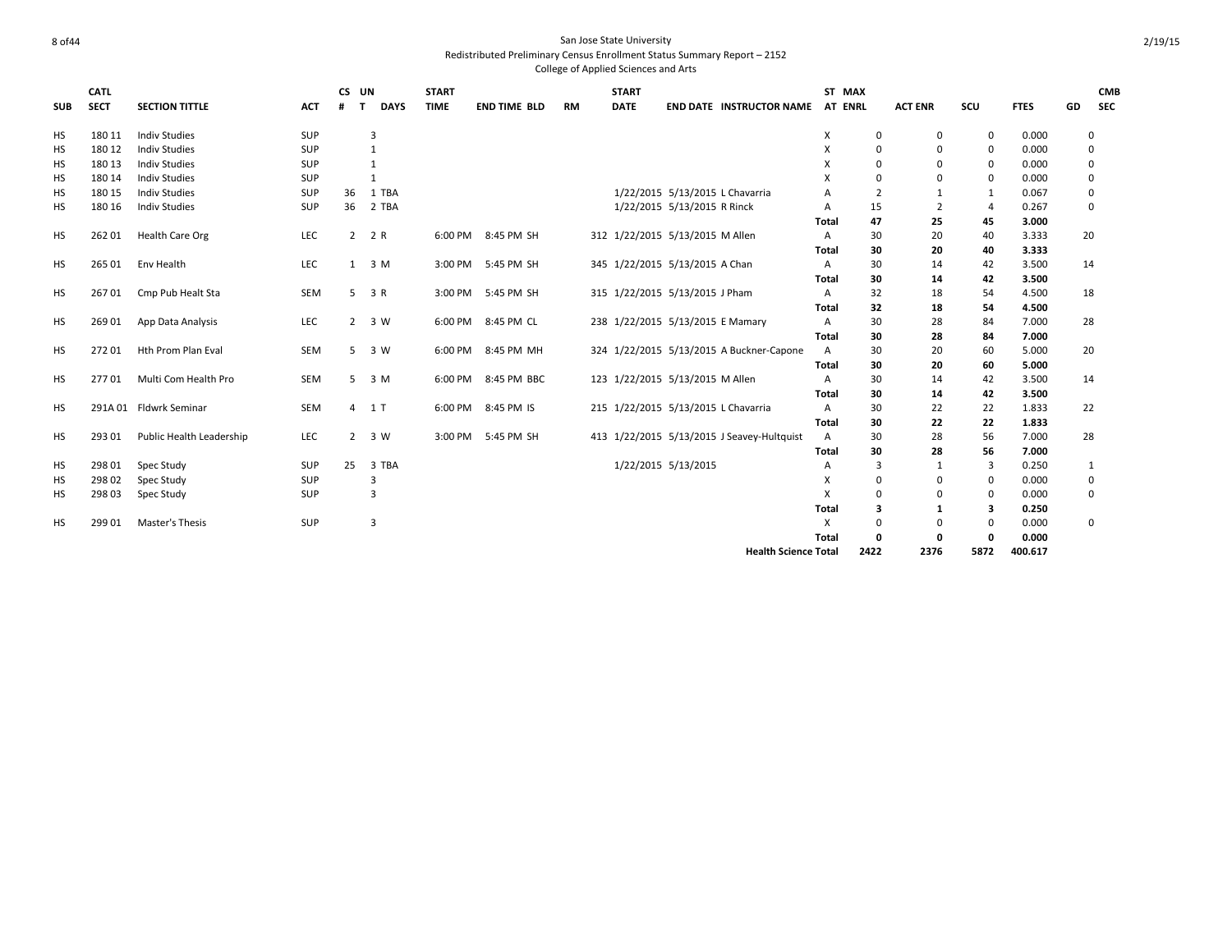|            | <b>CATL</b> |                          |            | CS UN       |                     | <b>START</b> |                     |           | <b>START</b> |                                            | ST MAX                    |                |                |                |             |             | <b>CMB</b> |
|------------|-------------|--------------------------|------------|-------------|---------------------|--------------|---------------------|-----------|--------------|--------------------------------------------|---------------------------|----------------|----------------|----------------|-------------|-------------|------------|
| <b>SUB</b> | <b>SECT</b> | <b>SECTION TITTLE</b>    | <b>ACT</b> | #           | T<br><b>DAYS</b>    | <b>TIME</b>  | <b>END TIME BLD</b> | <b>RM</b> | <b>DATE</b>  | <b>END DATE INSTRUCTOR NAME</b>            | AT ENRL                   |                | <b>ACT ENR</b> | scu            | <b>FTES</b> | GD          | <b>SEC</b> |
| <b>HS</b>  | 180 11      | <b>Indiv Studies</b>     | SUP        |             | 3                   |              |                     |           |              |                                            | X                         | 0              | 0              | 0              | 0.000       | $\mathbf 0$ |            |
| <b>HS</b>  | 180 12      | <b>Indiv Studies</b>     | SUP        |             | 1                   |              |                     |           |              |                                            | X                         | 0              | 0              | $\mathbf 0$    | 0.000       | 0           |            |
| НS         | 180 13      | <b>Indiv Studies</b>     | SUP        |             | 1                   |              |                     |           |              |                                            | X                         | $\Omega$       | $\Omega$       | $\Omega$       | 0.000       | 0           |            |
| НS         | 180 14      | <b>Indiv Studies</b>     | SUP        |             | $\mathbf{1}$        |              |                     |           |              |                                            | X                         | $\Omega$       | 0              | $\mathbf 0$    | 0.000       | $\mathbf 0$ |            |
| НS         | 180 15      | <b>Indiv Studies</b>     | SUP        | 36          | 1 TBA               |              |                     |           |              | 1/22/2015 5/13/2015 L Chavarria            | $\overline{A}$            | $\overline{2}$ | $\mathbf{1}$   | -1             | 0.067       | 0           |            |
| НS         | 180 16      | <b>Indiv Studies</b>     | SUP        | 36          | 2 TBA               |              |                     |           |              | 1/22/2015 5/13/2015 R Rinck                | Α                         | 15             | $\overline{2}$ | $\overline{4}$ | 0.267       | $\mathbf 0$ |            |
|            |             |                          |            |             |                     |              |                     |           |              |                                            | Total                     | 47             | 25             | 45             | 3.000       |             |            |
| <b>HS</b>  | 26201       | Health Care Org          | LEC        |             | 2 2 R               |              | 6:00 PM 8:45 PM SH  |           |              | 312 1/22/2015 5/13/2015 M Allen            | $\overline{A}$            | 30             | 20             | 40             | 3.333       | 20          |            |
|            |             |                          |            |             |                     |              |                     |           |              |                                            | Total                     | 30             | 20             | 40             | 3.333       |             |            |
| HS         | 265 01      | Env Health               | LEC        |             | $1 \quad 3 \quad M$ |              | 3:00 PM 5:45 PM SH  |           |              | 345 1/22/2015 5/13/2015 A Chan             | Α                         | 30             | 14             | 42             | 3.500       | 14          |            |
|            |             |                          |            |             |                     |              |                     |           |              |                                            | Total                     | 30             | 14             | 42             | 3.500       |             |            |
| <b>HS</b>  | 26701       | Cmp Pub Healt Sta        | <b>SEM</b> |             | $5 \t3 R$           |              | 3:00 PM 5:45 PM SH  |           |              | 315 1/22/2015 5/13/2015 J Pham             | $\overline{A}$            | 32             | 18             | 54             | 4.500       | 18          |            |
|            |             |                          |            |             |                     |              |                     |           |              |                                            | Total                     | 32             | 18             | 54             | 4.500       |             |            |
| HS         | 26901       | App Data Analysis        | LEC        |             | $2 \t3 W$           | 6:00 PM      | 8:45 PM CL          |           |              | 238 1/22/2015 5/13/2015 E Mamary           | Α                         | 30             | 28             | 84             | 7.000       | 28          |            |
|            |             |                          |            |             |                     |              |                     |           |              |                                            | Total                     | 30             | 28             | 84             | 7.000       |             |            |
| HS         | 27201       | Hth Prom Plan Eval       | <b>SEM</b> |             | 5 3 W               | 6:00 PM      | 8:45 PM MH          |           |              | 324 1/22/2015 5/13/2015 A Buckner-Capone   | A                         | 30             | 20             | 60             | 5.000       | 20          |            |
|            |             |                          |            |             |                     |              |                     |           |              |                                            | Total                     | 30             | 20             | 60             | 5.000       |             |            |
| <b>HS</b>  | 27701       | Multi Com Health Pro     | <b>SEM</b> |             | 5 <sup>3</sup> M    | 6:00 PM      | 8:45 PM BBC         |           |              | 123 1/22/2015 5/13/2015 M Allen            | A                         | 30             | 14             | 42             | 3.500       | 14          |            |
|            |             |                          |            |             |                     |              |                     |           |              |                                            | Total                     | 30             | 14             | 42             | 3.500       |             |            |
| <b>HS</b>  |             | 291A 01 Fldwrk Seminar   | SEM        |             | 4 1 T               |              | 6:00 PM 8:45 PM IS  |           |              | 215 1/22/2015 5/13/2015 L Chavarria        | Α                         | 30             | 22             | 22             | 1.833       | 22          |            |
|            |             |                          |            |             |                     |              |                     |           |              |                                            | Total                     | 30             | 22             | 22             | 1.833       |             |            |
| <b>HS</b>  | 293 01      | Public Health Leadership | LEC        | $2^{\circ}$ | 3 W                 | 3:00 PM      | 5:45 PM SH          |           |              | 413 1/22/2015 5/13/2015 J Seavey-Hultquist | A                         | 30             | 28             | 56             | 7.000       | 28          |            |
|            |             |                          |            |             |                     |              |                     |           |              |                                            | Total                     | 30             | 28             | 56             | 7.000       |             |            |
| НS         | 298 01      | Spec Study               | SUP        | 25          | 3 TBA               |              |                     |           |              | 1/22/2015 5/13/2015                        | Α                         | $\overline{3}$ | 1              | 3              | 0.250       | 1           |            |
| <b>HS</b>  | 298 02      | Spec Study               | SUP        |             | 3                   |              |                     |           |              |                                            | X                         | 0              | 0              | $\mathbf 0$    | 0.000       | 0           |            |
| НS         | 298 03      | Spec Study               | SUP        |             | 3                   |              |                     |           |              |                                            | $\boldsymbol{\mathsf{x}}$ | 0              | 0              | $\mathbf 0$    | 0.000       | $\Omega$    |            |
|            |             |                          |            |             |                     |              |                     |           |              |                                            | Total                     | 3              | 1              | 3              | 0.250       |             |            |
| <b>HS</b>  | 299 01      | <b>Master's Thesis</b>   | SUP        |             | 3                   |              |                     |           |              |                                            | X                         | $\mathbf 0$    | 0              | $\Omega$       | 0.000       | 0           |            |
|            |             |                          |            |             |                     |              |                     |           |              |                                            | Total                     | 0              | $\Omega$       | $\Omega$       | 0.000       |             |            |
|            |             |                          |            |             |                     |              |                     |           |              | <b>Health Science Total</b>                |                           | 2422           | 2376           | 5872           | 400.617     |             |            |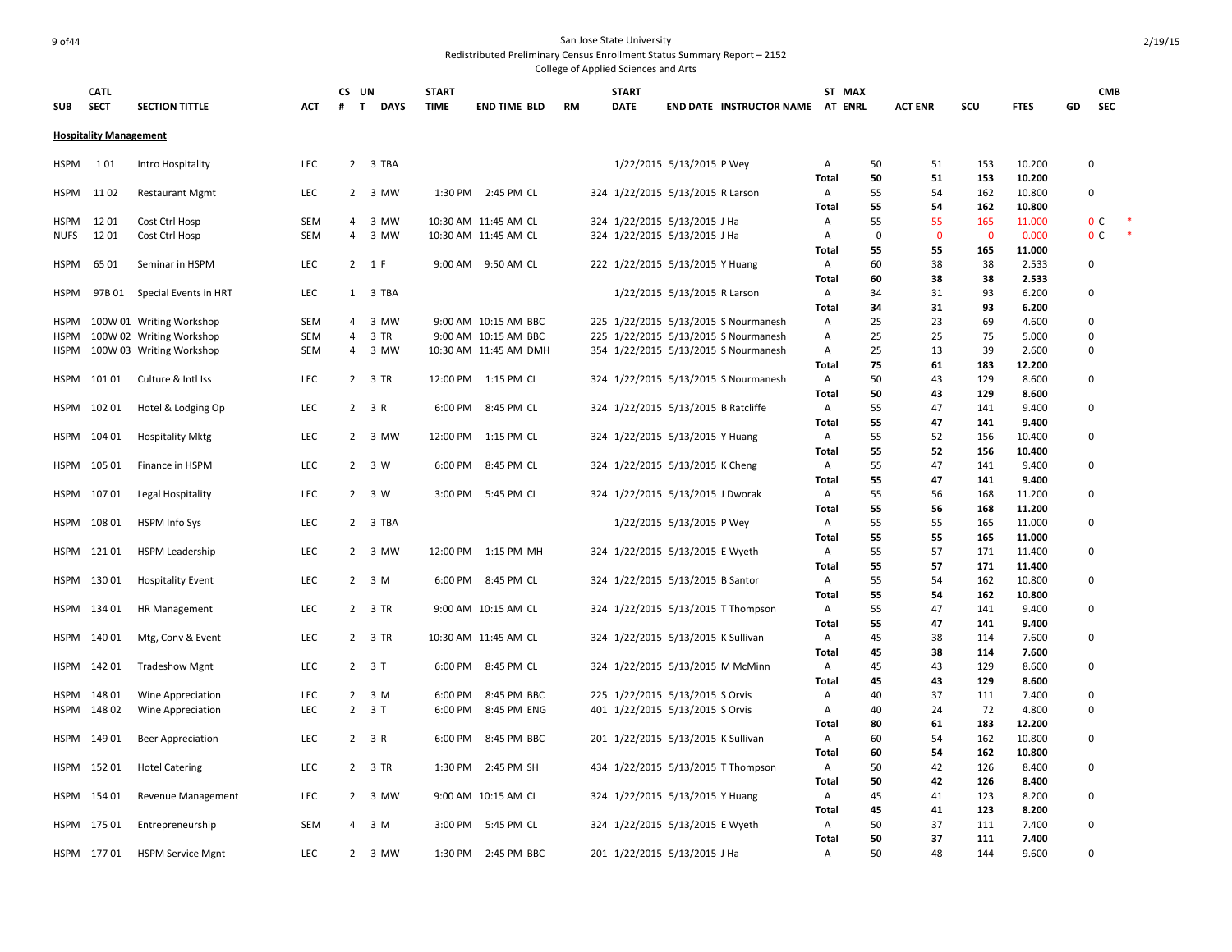## 9 of44 San Jose State University Redistributed Preliminary Census Enrollment Status Summary Report – 2152

|             | <b>CATL</b>                   |                                  |            | CS UN          |                   | <b>START</b> |                       |           | <b>START</b> |                                     |                                      |                   | ST MAX         |                |             |                  |    | <b>CMB</b>     |  |
|-------------|-------------------------------|----------------------------------|------------|----------------|-------------------|--------------|-----------------------|-----------|--------------|-------------------------------------|--------------------------------------|-------------------|----------------|----------------|-------------|------------------|----|----------------|--|
| <b>SUB</b>  | <b>SECT</b>                   | <b>SECTION TITTLE</b>            | ACT        | #              | T.<br><b>DAYS</b> | <b>TIME</b>  | <b>END TIME BLD</b>   | <b>RM</b> | <b>DATE</b>  |                                     | <b>END DATE INSTRUCTOR NAME</b>      |                   | <b>AT ENRL</b> | <b>ACT ENR</b> | scu         | <b>FTES</b>      | GD | <b>SEC</b>     |  |
|             | <b>Hospitality Management</b> |                                  |            |                |                   |              |                       |           |              |                                     |                                      |                   |                |                |             |                  |    |                |  |
| <b>HSPM</b> | 101                           | Intro Hospitality                | LEC        | $\mathbf{2}$   | 3 TBA             |              |                       |           |              | 1/22/2015 5/13/2015 P Wey           |                                      | Α                 | 50             | 51             | 153         | 10.200           |    | 0              |  |
|             |                               |                                  |            |                |                   |              |                       |           |              |                                     |                                      | Total             | 50             | 51             | 153         | 10.200           |    |                |  |
| <b>HSPM</b> | 1102                          | <b>Restaurant Mgmt</b>           | LEC        | $\mathbf{2}$   | 3 MW              |              | 1:30 PM 2:45 PM CL    |           |              | 324 1/22/2015 5/13/2015 R Larson    |                                      | Α                 | 55             | 54             | 162         | 10.800           |    | 0              |  |
| HSPM        | 1201                          |                                  | SEM        | 4              | 3 MW              |              | 10:30 AM 11:45 AM CL  |           |              | 324 1/22/2015 5/13/2015 J Ha        |                                      | <b>Total</b><br>Α | 55<br>55       | 54<br>55       | 162<br>165  | 10.800<br>11.000 |    | 0 <sup>c</sup> |  |
| <b>NUFS</b> | 1201                          | Cost Ctrl Hosp<br>Cost Ctrl Hosp | <b>SEM</b> | 4              | 3 MW              |              | 10:30 AM 11:45 AM CL  |           |              | 324 1/22/2015 5/13/2015 J Ha        |                                      |                   | $\mathbf 0$    | $\mathbf 0$    | $\mathbf 0$ | 0.000            |    | 0 <sup>C</sup> |  |
|             |                               |                                  |            |                |                   |              |                       |           |              |                                     |                                      | Α<br>Total        | 55             | 55             | 165         | 11.000           |    |                |  |
| <b>HSPM</b> | 6501                          | Seminar in HSPM                  | <b>LEC</b> |                | 2 1 F             |              | 9:00 AM 9:50 AM CL    |           |              | 222 1/22/2015 5/13/2015 Y Huang     |                                      | Α                 | 60             | 38             | 38          | 2.533            |    | 0              |  |
|             |                               |                                  |            |                |                   |              |                       |           |              |                                     |                                      | Total             | 60             | 38             | 38          | 2.533            |    |                |  |
| <b>HSPM</b> |                               | 97B 01 Special Events in HRT     | LEC        |                | 1 3 TBA           |              |                       |           |              | 1/22/2015 5/13/2015 R Larson        |                                      | Α                 | 34             | 31             | 93          | 6.200            |    | $\Omega$       |  |
|             |                               |                                  |            |                |                   |              |                       |           |              |                                     |                                      | Total             | 34             | 31             | 93          | 6.200            |    |                |  |
| HSPM        |                               | 100W 01 Writing Workshop         | <b>SEM</b> | 4              | 3 MW              |              | 9:00 AM 10:15 AM BBC  |           |              |                                     | 225 1/22/2015 5/13/2015 S Nourmanesh | Α                 | 25             | 23             | 69          | 4.600            |    | 0              |  |
| <b>HSPM</b> |                               | 100W 02 Writing Workshop         | <b>SEM</b> | 4              | 3 TR              |              | 9:00 AM 10:15 AM BBC  |           |              |                                     | 225 1/22/2015 5/13/2015 S Nourmanesh | Α                 | 25             | 25             | 75          | 5.000            |    | 0              |  |
| <b>HSPM</b> |                               | 100W 03 Writing Workshop         | SEM        | $\overline{4}$ | 3 MW              |              | 10:30 AM 11:45 AM DMH |           |              |                                     | 354 1/22/2015 5/13/2015 S Nourmanesh | Α                 | 25             | 13             | 39          | 2.600            |    | $\Omega$       |  |
|             |                               |                                  |            |                |                   |              |                       |           |              |                                     |                                      | Total             | 75             | 61             | 183         | 12.200           |    |                |  |
| <b>HSPM</b> | 10101                         | Culture & Intl Iss               | <b>LEC</b> |                | 2 3 TR            |              | 12:00 PM 1:15 PM CL   |           |              |                                     | 324 1/22/2015 5/13/2015 S Nourmanesh | Α                 | 50             | 43             | 129         | 8.600            |    | 0              |  |
|             |                               |                                  |            |                |                   |              |                       |           |              |                                     |                                      | <b>Total</b>      | 50             | 43             | 129         | 8.600            |    |                |  |
| HSPM        | 102 01                        | Hotel & Lodging Op               | LEC        |                | $2 \t3 R$         |              | 6:00 PM 8:45 PM CL    |           |              | 324 1/22/2015 5/13/2015 B Ratcliffe |                                      | A                 | 55             | 47             | 141         | 9.400            |    | 0              |  |
|             |                               |                                  |            |                |                   |              |                       |           |              |                                     |                                      | Total             | 55             | 47             | 141         | 9.400            |    |                |  |
| <b>HSPM</b> | 104 01                        | <b>Hospitality Mktg</b>          | LEC        |                | 2 3 MW            |              | 12:00 PM 1:15 PM CL   |           |              | 324 1/22/2015 5/13/2015 Y Huang     |                                      | A                 | 55             | 52             | 156         | 10.400           |    | $\Omega$       |  |
|             |                               |                                  |            |                |                   |              |                       |           |              |                                     |                                      | Total             | 55             | 52             | 156         | 10.400           |    |                |  |
| <b>HSPM</b> | 105 01                        | Finance in HSPM                  | LEC        | $\overline{2}$ | 3 W               | 6:00 PM      | 8:45 PM CL            |           |              | 324 1/22/2015 5/13/2015 K Cheng     |                                      | Α                 | 55             | 47             | 141         | 9.400            |    | $\Omega$       |  |
|             |                               |                                  |            |                |                   |              |                       |           |              |                                     |                                      | <b>Total</b>      | 55             | 47             | 141         | 9.400            |    |                |  |
| HSPM        | 10701                         | Legal Hospitality                | <b>LEC</b> |                | 2 3 W             |              | 3:00 PM 5:45 PM CL    |           |              | 324 1/22/2015 5/13/2015 J Dworak    |                                      | A                 | 55             | 56             | 168         | 11.200           |    | 0              |  |
|             |                               |                                  |            |                |                   |              |                       |           |              |                                     |                                      | Total             | 55             | 56             | 168         | 11.200           |    |                |  |
| <b>HSPM</b> | 108 01                        | <b>HSPM Info Sys</b>             | LEC        |                | 2 3 TBA           |              |                       |           |              | 1/22/2015 5/13/2015 P Wey           |                                      | Α<br>Total        | 55<br>55       | 55<br>55       | 165<br>165  | 11.000<br>11.000 |    | 0              |  |
| HSPM        | 121 01                        | <b>HSPM Leadership</b>           | LEC        |                | 2 3 MW            |              | 12:00 PM 1:15 PM MH   |           |              | 324 1/22/2015 5/13/2015 E Wyeth     |                                      | A                 | 55             | 57             | 171         | 11.400           |    | 0              |  |
|             |                               |                                  |            |                |                   |              |                       |           |              |                                     |                                      | <b>Total</b>      | 55             | 57             | 171         | 11.400           |    |                |  |
| HSPM        | 13001                         | <b>Hospitality Event</b>         | LEC        | $\overline{2}$ | 3 M               | 6:00 PM      | 8:45 PM CL            |           |              | 324 1/22/2015 5/13/2015 B Santor    |                                      | $\mathsf{A}$      | 55             | 54             | 162         | 10.800           |    | 0              |  |
|             |                               |                                  |            |                |                   |              |                       |           |              |                                     |                                      | Total             | 55             | 54             | 162         | 10.800           |    |                |  |
| <b>HSPM</b> | 134 01                        | <b>HR Management</b>             | LEC        |                | 2 3 TR            |              | 9:00 AM 10:15 AM CL   |           |              |                                     | 324 1/22/2015 5/13/2015 T Thompson   | Α                 | 55             | 47             | 141         | 9.400            |    | 0              |  |
|             |                               |                                  |            |                |                   |              |                       |           |              |                                     |                                      | <b>Total</b>      | 55             | 47             | 141         | 9.400            |    |                |  |
| <b>HSPM</b> | 14001                         | Mtg, Conv & Event                | LEC        |                | 2 3 TR            |              | 10:30 AM 11:45 AM CL  |           |              | 324 1/22/2015 5/13/2015 K Sullivan  |                                      | A                 | 45             | 38             | 114         | 7.600            |    | 0              |  |
|             |                               |                                  |            |                |                   |              |                       |           |              |                                     |                                      | Total             | 45             | 38             | 114         | 7.600            |    |                |  |
| <b>HSPM</b> | 14201                         | <b>Tradeshow Mgnt</b>            | <b>LEC</b> |                | $2 \t3 T$         | 6:00 PM      | 8:45 PM CL            |           |              |                                     | 324 1/22/2015 5/13/2015 M McMinn     | Α                 | 45             | 43             | 129         | 8.600            |    | 0              |  |
|             |                               |                                  |            |                |                   |              |                       |           |              |                                     |                                      | Total             | 45             | 43             | 129         | 8.600            |    |                |  |
| <b>HSPM</b> | 14801                         | Wine Appreciation                | LEC        | 2              | 3 M               | 6:00 PM      | 8:45 PM BBC           |           |              | 225 1/22/2015 5/13/2015 S Orvis     |                                      | Α                 | 40             | 37             | 111         | 7.400            |    | 0              |  |
| <b>HSPM</b> | 14802                         | Wine Appreciation                | LEC        | $\overline{2}$ | 3T                | 6:00 PM      | 8:45 PM ENG           |           |              | 401 1/22/2015 5/13/2015 S Orvis     |                                      | Α                 | 40             | 24             | 72          | 4.800            |    | $\Omega$       |  |
|             |                               |                                  |            |                |                   |              |                       |           |              |                                     |                                      | Total             | 80             | 61             | 183         | 12.200           |    |                |  |
| <b>HSPM</b> | 14901                         | <b>Beer Appreciation</b>         | LEC        |                | $2 \t3 R$         |              | 6:00 PM 8:45 PM BBC   |           |              | 201 1/22/2015 5/13/2015 K Sullivan  |                                      | Α                 | 60             | 54             | 162         | 10.800           |    | 0              |  |
|             |                               |                                  |            |                |                   |              |                       |           |              |                                     |                                      | <b>Total</b>      | 60             | 54             | 162         | 10.800           |    |                |  |
| <b>HSPM</b> | 15201                         | <b>Hotel Catering</b>            | LEC        |                | 2 3 TR            |              | 1:30 PM 2:45 PM SH    |           |              |                                     | 434 1/22/2015 5/13/2015 T Thompson   | Α                 | 50             | 42             | 126         | 8.400            |    | 0              |  |
|             |                               |                                  |            |                |                   |              |                       |           |              |                                     |                                      | Total             | 50             | 42             | 126         | 8.400            |    |                |  |
| <b>HSPM</b> | 15401                         | Revenue Management               | LEC        |                | 2 3 MW            |              | 9:00 AM 10:15 AM CL   |           |              | 324 1/22/2015 5/13/2015 Y Huang     |                                      | Α                 | 45<br>45       | 41<br>41       | 123<br>123  | 8.200<br>8.200   |    | 0              |  |
| HSPM        | 175 01                        | Entrepreneurship                 | SEM        | 4              | 3 M               |              | 3:00 PM 5:45 PM CL    |           |              | 324 1/22/2015 5/13/2015 E Wyeth     |                                      | Total<br>Α        | 50             | 37             | 111         | 7.400            |    | 0              |  |
|             |                               |                                  |            |                |                   |              |                       |           |              |                                     |                                      | Total             | 50             | 37             | 111         | 7.400            |    |                |  |
|             | HSPM 17701                    | <b>HSPM Service Mgnt</b>         | LEC.       |                | 2 3 MW            |              | 1:30 PM 2:45 PM BBC   |           |              | 201 1/22/2015 5/13/2015 J Ha        |                                      | $\overline{A}$    | 50             | 48             | 144         | 9.600            |    | $\Omega$       |  |
|             |                               |                                  |            |                |                   |              |                       |           |              |                                     |                                      |                   |                |                |             |                  |    |                |  |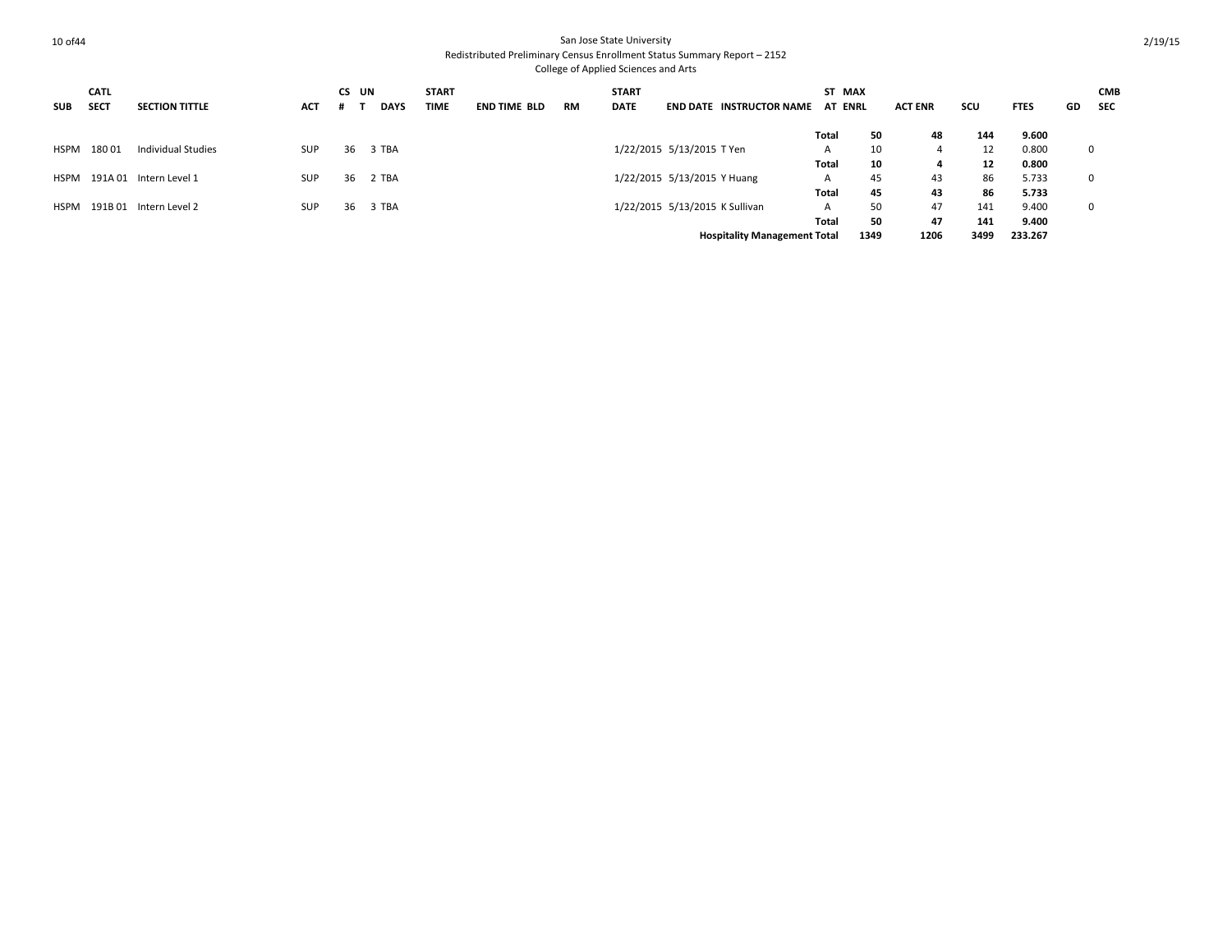| <b>SUB</b>  | <b>CATL</b><br><b>SECT</b> | <b>SECTION TITTLE</b>  | ACT        | CS UN | <b>DAYS</b> | <b>START</b><br><b>TIME</b> | <b>END TIME BLD</b> | RM | <b>START</b><br><b>DATE</b> |                                | <b>END DATE INSTRUCTOR NAME</b>     | ST MAX<br><b>AT ENRL</b> |      | <b>ACT ENR</b> | scu  | <b>FTES</b> | GD          | <b>CMB</b><br><b>SEC</b> |
|-------------|----------------------------|------------------------|------------|-------|-------------|-----------------------------|---------------------|----|-----------------------------|--------------------------------|-------------------------------------|--------------------------|------|----------------|------|-------------|-------------|--------------------------|
|             |                            |                        |            |       |             |                             |                     |    |                             |                                |                                     | Total                    | 50   | 48             | 144  | 9.600       |             |                          |
| HSPM        | 18001                      | Individual Studies     | SUP        | 36    | 3 TBA       |                             |                     |    |                             | 1/22/2015 5/13/2015 T Yen      |                                     | A                        | 10   |                | 12   | 0.800       | 0           |                          |
|             |                            |                        |            |       |             |                             |                     |    |                             |                                |                                     | Total                    | 10   | 4              | 12   | 0.800       |             |                          |
| HSPM        |                            | 191A 01 Intern Level 1 | <b>SUP</b> | 36    | 2 TBA       |                             |                     |    |                             | 1/22/2015 5/13/2015 Y Huang    |                                     | A                        | 45   | 43             | 86   | 5.733       | $\mathbf 0$ |                          |
|             |                            |                        |            |       |             |                             |                     |    |                             |                                |                                     | Total                    | 45   | 43             | 86   | 5.733       |             |                          |
| <b>HSPM</b> | 191B 01                    | Intern Level 2         | <b>SUP</b> | 36    | 3 TBA       |                             |                     |    |                             | 1/22/2015 5/13/2015 K Sullivan |                                     | A                        | 50   | 47             | 141  | 9.400       | $\mathbf 0$ |                          |
|             |                            |                        |            |       |             |                             |                     |    |                             |                                |                                     | Total                    | 50   | 47             | 141  | 9.400       |             |                          |
|             |                            |                        |            |       |             |                             |                     |    |                             |                                | <b>Hospitality Management Total</b> |                          | 1349 | 1206           | 3499 | 233.267     |             |                          |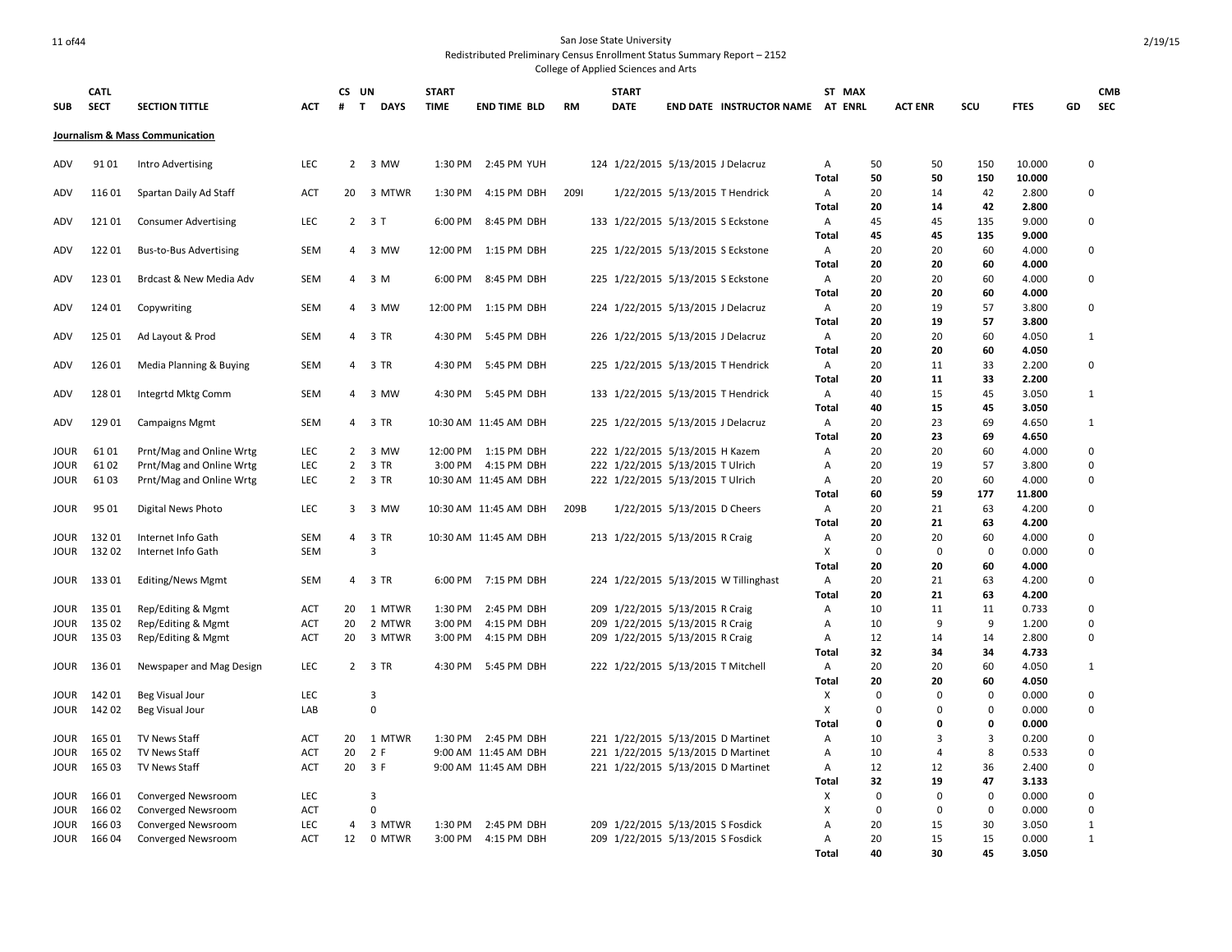| <b>SUB</b>   | <b>CATL</b><br><b>SECT</b> | <b>SECTION TITTLE</b>                        | <b>ACT</b>               | CS UN<br>#     | T<br><b>DAYS</b> | <b>START</b><br><b>TIME</b> | <b>END TIME BLD</b>                          | <b>RM</b> | <b>START</b><br><b>DATE</b> |                                                                          | END DATE INSTRUCTOR NAME AT ENRL      |                   | ST MAX            | <b>ACT ENR</b>       | SCU               | <b>FTES</b>     | GD | <b>CMB</b><br><b>SEC</b> |
|--------------|----------------------------|----------------------------------------------|--------------------------|----------------|------------------|-----------------------------|----------------------------------------------|-----------|-----------------------------|--------------------------------------------------------------------------|---------------------------------------|-------------------|-------------------|----------------------|-------------------|-----------------|----|--------------------------|
|              |                            | Journalism & Mass Communication              |                          |                |                  |                             |                                              |           |                             |                                                                          |                                       |                   |                   |                      |                   |                 |    |                          |
| ADV          | 9101                       | Intro Advertising                            | LEC                      |                | 2 3 MW           |                             | 1:30 PM 2:45 PM YUH                          |           |                             | 124 1/22/2015 5/13/2015 J Delacruz                                       |                                       | Α                 | 50<br>50          | 50                   | 150               | 10.000          |    | $\Omega$                 |
| ADV          | 11601                      | Spartan Daily Ad Staff                       | <b>ACT</b>               | 20             | 3 MTWR           | 1:30 PM                     | 4:15 PM DBH                                  | 2091      |                             | 1/22/2015 5/13/2015 T Hendrick                                           |                                       | Total<br>Α        | 20                | 50<br>14             | 150<br>42         | 10.000<br>2.800 |    | $\mathbf 0$              |
|              |                            |                                              |                          |                |                  |                             |                                              |           |                             |                                                                          |                                       | <b>Total</b>      | 20                | 14                   | 42                | 2.800           |    |                          |
| ADV          | 12101                      | <b>Consumer Advertising</b>                  | LEC                      |                | $2 \t3 T$        | 6:00 PM                     | 8:45 PM DBH                                  |           |                             | 133 1/22/2015 5/13/2015 S Eckstone                                       |                                       | Α                 | 45                | 45                   | 135               | 9.000           |    | $\mathbf 0$              |
|              |                            |                                              |                          |                |                  |                             |                                              |           |                             |                                                                          |                                       | Total             | 45                | 45                   | 135               | 9.000           |    | $\Omega$                 |
| ADV          | 12201                      | <b>Bus-to-Bus Advertising</b>                | <b>SEM</b>               |                | 4 3 MW           |                             | 12:00 PM   1:15 PM DBH                       |           |                             | 225 1/22/2015 5/13/2015 S Eckstone                                       |                                       | Α<br>Total        | 20<br>20          | 20<br>20             | 60<br>60          | 4.000<br>4.000  |    |                          |
| ADV          | 12301                      | Brdcast & New Media Adv                      | <b>SEM</b>               |                | 4 3 M            |                             | 6:00 PM 8:45 PM DBH                          |           |                             | 225 1/22/2015 5/13/2015 S Eckstone                                       |                                       | Α                 | 20                | 20                   | 60                | 4.000           |    | $\mathbf 0$              |
|              |                            |                                              |                          |                |                  |                             |                                              |           |                             |                                                                          |                                       | Total             | 20                | 20                   | 60                | 4.000           |    |                          |
| ADV          | 124 01                     | Copywriting                                  | SEM                      | 4              | 3 MW             | 12:00 PM                    | 1:15 PM DBH                                  |           |                             | 224 1/22/2015 5/13/2015 J Delacruz                                       |                                       | Α                 | 20                | 19                   | 57                | 3.800           |    | $\Omega$                 |
|              |                            |                                              |                          |                |                  |                             |                                              |           |                             |                                                                          |                                       | Total             | 20                | 19                   | 57                | 3.800           |    |                          |
| ADV          | 125 01                     | Ad Layout & Prod                             | <b>SEM</b>               | $\overline{4}$ | 3 TR             | 4:30 PM                     | 5:45 PM DBH                                  |           |                             | 226 1/22/2015 5/13/2015 J Delacruz                                       |                                       | Α<br>Total        | 20<br>20          | 20<br>20             | 60<br>60          | 4.050<br>4.050  |    | $\mathbf{1}$             |
| ADV          | 12601                      | Media Planning & Buying                      | <b>SEM</b>               |                | 4 3 TR           | 4:30 PM                     | 5:45 PM DBH                                  |           |                             | 225 1/22/2015 5/13/2015 T Hendrick                                       |                                       | A                 | 20                | 11                   | 33                | 2.200           |    | $\mathbf 0$              |
|              |                            |                                              |                          |                |                  |                             |                                              |           |                             |                                                                          |                                       | <b>Total</b>      | 20                | 11                   | 33                | 2.200           |    |                          |
| ADV          | 12801                      | Integrtd Mktg Comm                           | <b>SEM</b>               |                | 4 3 MW           | 4:30 PM                     | 5:45 PM DBH                                  |           |                             | 133 1/22/2015 5/13/2015 T Hendrick                                       |                                       | Α                 | 40                | 15                   | 45                | 3.050           |    | $\mathbf{1}$             |
|              |                            |                                              |                          |                |                  |                             |                                              |           |                             |                                                                          |                                       | Total             | 40                | 15                   | 45                | 3.050           |    |                          |
| ADV          | 129 01                     | <b>Campaigns Mgmt</b>                        | <b>SEM</b>               |                | 4 3 TR           |                             | 10:30 AM 11:45 AM DBH                        |           |                             | 225 1/22/2015 5/13/2015 J Delacruz                                       |                                       | A                 | 20                | 23                   | 69                | 4.650           |    | $\mathbf{1}$             |
| <b>JOUR</b>  | 6101                       | Prnt/Mag and Online Wrtg                     | LEC                      | $2^{\circ}$    | 3 MW             |                             | 12:00 PM 1:15 PM DBH                         |           |                             | 222 1/22/2015 5/13/2015 H Kazem                                          |                                       | <b>Total</b><br>Α | 20<br>20          | 23<br>20             | 69<br>60          | 4.650<br>4.000  |    | $\Omega$                 |
| JOUR         | 6102                       | Prnt/Mag and Online Wrtg                     | LEC                      | $\overline{2}$ | 3 TR             |                             | 3:00 PM 4:15 PM DBH                          |           |                             | 222 1/22/2015 5/13/2015 T Ulrich                                         |                                       | A                 | 20                | 19                   | 57                | 3.800           |    | $\mathbf 0$              |
| JOUR         | 6103                       | Prnt/Mag and Online Wrtg                     | LEC                      |                | 2 3 TR           |                             | 10:30 AM 11:45 AM DBH                        |           |                             | 222 1/22/2015 5/13/2015 T Ulrich                                         |                                       | $\overline{A}$    | 20                | 20                   | 60                | 4.000           |    | $\Omega$                 |
|              |                            |                                              |                          |                |                  |                             |                                              |           |                             |                                                                          |                                       | <b>Total</b>      | 60                | 59                   | 177               | 11.800          |    |                          |
| JOUR         | 95 01                      | <b>Digital News Photo</b>                    | LEC                      |                | 3 3 MW           |                             | 10:30 AM 11:45 AM DBH                        | 209B      |                             | 1/22/2015 5/13/2015 D Cheers                                             |                                       | Α                 | 20                | 21                   | 63                | 4.200           |    | $\mathbf 0$              |
|              |                            |                                              |                          |                |                  |                             |                                              |           |                             |                                                                          |                                       | Total             | 20                | 21                   | 63                | 4.200           |    |                          |
| JOUR<br>JOUR | 13201<br>13202             | Internet Info Gath<br>Internet Info Gath     | <b>SEM</b><br><b>SEM</b> | 4              | 3 TR<br>3        |                             | 10:30 AM 11:45 AM DBH                        |           |                             | 213 1/22/2015 5/13/2015 R Craig                                          |                                       | Α<br>X            | 20<br>$\mathbf 0$ | 20<br>$\Omega$       | 60<br>$\mathbf 0$ | 4.000<br>0.000  |    | $\Omega$<br>$\Omega$     |
|              |                            |                                              |                          |                |                  |                             |                                              |           |                             |                                                                          |                                       | Total             | 20                | 20                   | 60                | 4.000           |    |                          |
| <b>JOUR</b>  | 13301                      | <b>Editing/News Mgmt</b>                     | <b>SEM</b>               | 4              | 3 TR             | 6:00 PM                     | 7:15 PM DBH                                  |           |                             |                                                                          | 224 1/22/2015 5/13/2015 W Tillinghast | Α                 | 20                | 21                   | 63                | 4.200           |    | $\Omega$                 |
|              |                            |                                              |                          |                |                  |                             |                                              |           |                             |                                                                          |                                       | Total             | 20                | 21                   | 63                | 4.200           |    |                          |
| JOUR         | 135 01                     | Rep/Editing & Mgmt                           | <b>ACT</b>               | 20             | 1 MTWR           | 1:30 PM                     | 2:45 PM DBH                                  |           |                             | 209 1/22/2015 5/13/2015 R Craig                                          |                                       | Α                 | 10                | 11                   | 11                | 0.733           |    | $\mathbf 0$              |
| JOUR         | 135 02                     | Rep/Editing & Mgmt                           | ACT                      | 20             | 2 MTWR           | 3:00 PM                     | 4:15 PM DBH                                  |           |                             | 209 1/22/2015 5/13/2015 R Craig                                          |                                       | A                 | 10                | 9                    | 9                 | 1.200           |    | $\mathbf 0$              |
| JOUR         | 135 03                     | Rep/Editing & Mgmt                           | <b>ACT</b>               | 20             | 3 MTWR           | 3:00 PM                     | 4:15 PM DBH                                  |           |                             | 209 1/22/2015 5/13/2015 R Craig                                          |                                       | Α<br>Total        | 12<br>32          | 14<br>34             | 14<br>34          | 2.800<br>4.733  |    | $\mathbf 0$              |
| JOUR         | 13601                      | Newspaper and Mag Design                     | LEC                      |                | 2 3 TR           | 4:30 PM                     | 5:45 PM DBH                                  |           |                             | 222 1/22/2015 5/13/2015 T Mitchell                                       |                                       | Α                 | 20                | 20                   | 60                | 4.050           |    | $\mathbf{1}$             |
|              |                            |                                              |                          |                |                  |                             |                                              |           |                             |                                                                          |                                       | Total             | 20                | 20                   | 60                | 4.050           |    |                          |
| JOUR         | 14201                      | <b>Beg Visual Jour</b>                       | LEC                      |                | $\overline{3}$   |                             |                                              |           |                             |                                                                          |                                       | X                 | $\mathbf 0$       | $\Omega$             | $\mathbf 0$       | 0.000           |    | 0                        |
| JOUR         | 14202                      | <b>Beg Visual Jour</b>                       | LAB                      |                | $\mathbf 0$      |                             |                                              |           |                             |                                                                          |                                       | X                 | $\mathbf 0$       | $\mathbf 0$          | $\Omega$          | 0.000           |    | 0                        |
|              |                            |                                              |                          |                |                  |                             |                                              |           |                             |                                                                          |                                       | <b>Total</b>      | 0                 | 0                    | 0                 | 0.000           |    |                          |
| JOUR         | 165 01                     | TV News Staff                                | ACT                      | 20             | 1 MTWR           |                             | 1:30 PM 2:45 PM DBH                          |           |                             | 221 1/22/2015 5/13/2015 D Martinet                                       |                                       | Α                 | 10                | 3                    | 3                 | 0.200           |    | 0                        |
| JOUR<br>JOUR | 16502<br>165 03            | <b>TV News Staff</b><br><b>TV News Staff</b> | <b>ACT</b><br><b>ACT</b> | 20<br>20       | 2 F<br>3 F       |                             | 9:00 AM 11:45 AM DBH<br>9:00 AM 11:45 AM DBH |           |                             | 221 1/22/2015 5/13/2015 D Martinet<br>221 1/22/2015 5/13/2015 D Martinet |                                       | Α<br>A            | 10<br>12          | $\overline{a}$<br>12 | 8<br>36           | 0.533<br>2.400  |    | $\Omega$<br>$\mathbf 0$  |
|              |                            |                                              |                          |                |                  |                             |                                              |           |                             |                                                                          |                                       | Total             | 32                | 19                   | 47                | 3.133           |    |                          |
| JOUR         | 16601                      | Converged Newsroom                           | LEC                      |                | $\overline{3}$   |                             |                                              |           |                             |                                                                          |                                       | X                 | $\mathbf 0$       | $\mathbf 0$          | $\bf{0}$          | 0.000           |    | 0                        |
| JOUR         | 16602                      | Converged Newsroom                           | ACT                      |                | 0                |                             |                                              |           |                             |                                                                          |                                       | X                 | $\mathbf 0$       | $\mathbf 0$          | $\mathbf 0$       | 0.000           |    | $\mathbf 0$              |
| JOUR         | 16603                      | Converged Newsroom                           | LEC                      | $\overline{4}$ | 3 MTWR           | 1:30 PM                     | 2:45 PM DBH                                  |           |                             | 209 1/22/2015 5/13/2015 S Fosdick                                        |                                       | $\overline{A}$    | 20                | 15                   | 30                | 3.050           |    | $\mathbf{1}$             |
| JOUR         | 16604                      | <b>Converged Newsroom</b>                    | <b>ACT</b>               | 12             | 0 MTWR           |                             | 3:00 PM 4:15 PM DBH                          |           |                             | 209 1/22/2015 5/13/2015 S Fosdick                                        |                                       | A                 | 20                | 15                   | 15                | 0.000           |    | $\mathbf{1}$             |
|              |                            |                                              |                          |                |                  |                             |                                              |           |                             |                                                                          |                                       | <b>Total</b>      | 40                | 30                   | 45                | 3.050           |    |                          |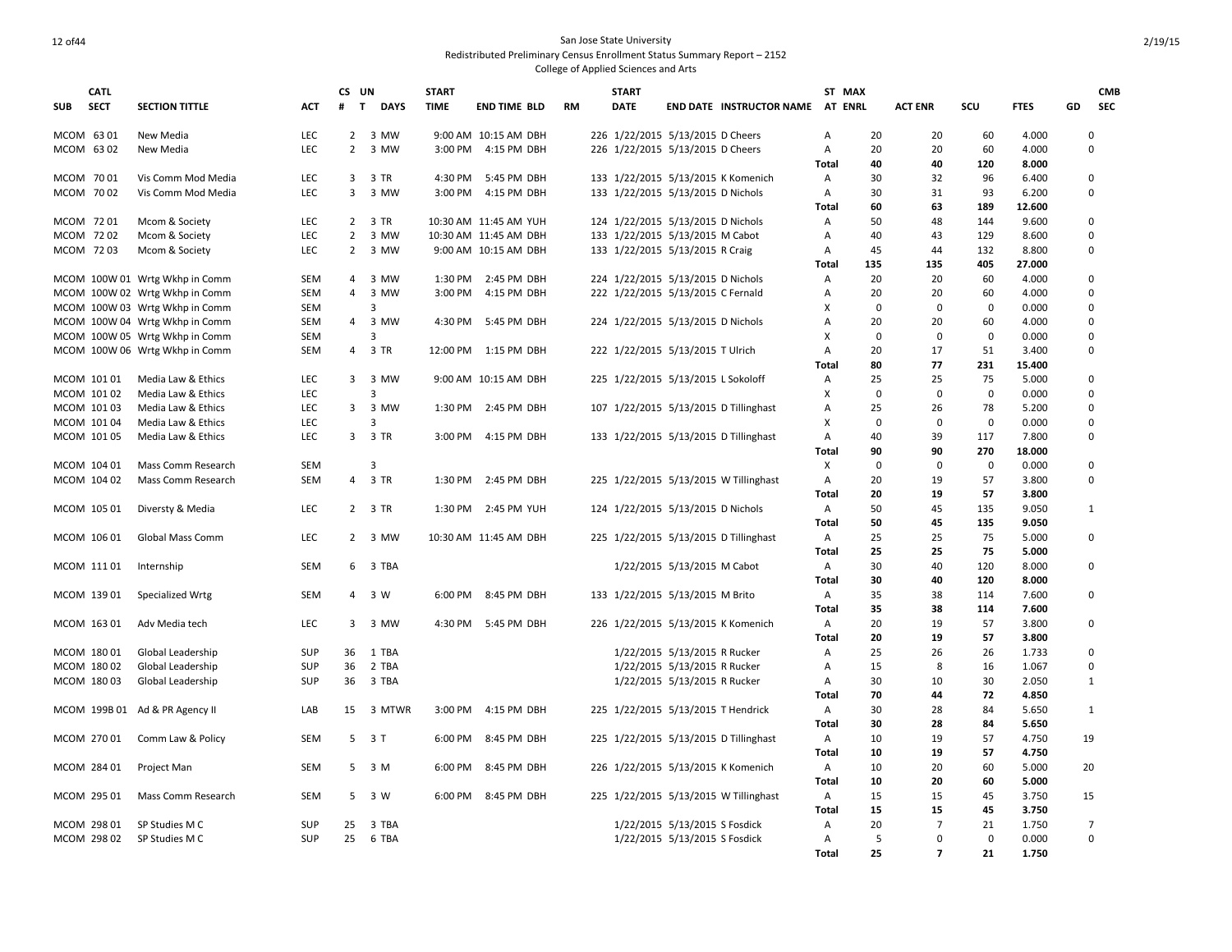|                        | <b>CATL</b> |                                                                  |                   | CS UN             |                  | <b>START</b> |                                               |           | <b>START</b>                                                       |                               |                                       | ST MAX              |              |                |             |                |    | <b>CMB</b>     |
|------------------------|-------------|------------------------------------------------------------------|-------------------|-------------------|------------------|--------------|-----------------------------------------------|-----------|--------------------------------------------------------------------|-------------------------------|---------------------------------------|---------------------|--------------|----------------|-------------|----------------|----|----------------|
| <b>SUB</b>             | <b>SECT</b> | <b>SECTION TITTLE</b>                                            | ACT               | $\mathbf{T}$<br># | <b>DAYS</b>      | <b>TIME</b>  | <b>END TIME BLD</b>                           | <b>RM</b> | <b>DATE</b>                                                        |                               | <b>END DATE INSTRUCTOR NAME</b>       | AT ENRL             |              | <b>ACT ENR</b> | scu         | <b>FTES</b>    | GD | <b>SEC</b>     |
|                        |             |                                                                  |                   |                   |                  |              |                                               |           |                                                                    |                               |                                       |                     |              |                |             |                |    |                |
| MCOM 6301              |             | New Media                                                        | <b>LEC</b>        |                   | 2 3 MW           |              | 9:00 AM 10:15 AM DBH                          |           | 226 1/22/2015 5/13/2015 D Cheers                                   |                               |                                       | Α                   | 20           | 20             | 60          | 4.000          |    | 0              |
| MCOM 6302              |             | New Media                                                        | LEC               | $\overline{2}$    | 3 MW             |              | 3:00 PM 4:15 PM DBH                           |           | 226 1/22/2015 5/13/2015 D Cheers                                   |                               |                                       | Α                   | 20           | 20             | 60          | 4.000          |    | 0              |
|                        |             |                                                                  |                   |                   | 3 TR             |              |                                               |           |                                                                    |                               |                                       | <b>Total</b>        | 40<br>30     | 40             | 120         | 8.000          |    |                |
| MCOM 7001<br>MCOM 7002 |             | Vis Comm Mod Media                                               | LEC<br>LEC        | 3<br>3            | 3 MW             | 3:00 PM      | 4:30 PM 5:45 PM DBH                           |           |                                                                    |                               | 133 1/22/2015 5/13/2015 K Komenich    | Α<br>Α              | 30           | 32<br>31       | 96<br>93    | 6.400          |    | 0<br>0         |
|                        |             | Vis Comm Mod Media                                               |                   |                   |                  |              | 4:15 PM DBH                                   |           | 133 1/22/2015 5/13/2015 D Nichols                                  |                               |                                       | Total               | 60           | 63             | 189         | 6.200          |    |                |
|                        |             |                                                                  |                   | 2                 |                  |              |                                               |           |                                                                    |                               |                                       |                     | 50           | 48             | 144         | 12.600         |    |                |
| MCOM 7201              |             | Mcom & Society                                                   | LEC               | $\overline{2}$    | 3 TR<br>3 MW     |              | 10:30 AM 11:45 AM YUH                         |           | 124 1/22/2015 5/13/2015 D Nichols                                  |                               |                                       | Α                   | 40           | 43             | 129         | 9.600          |    | 0<br>0         |
| MCOM 7202<br>MCOM 7203 |             | Mcom & Society<br>Mcom & Society                                 | LEC<br><b>LEC</b> | $2^{\circ}$       | 3 MW             |              | 10:30 AM 11:45 AM DBH<br>9:00 AM 10:15 AM DBH |           | 133 1/22/2015 5/13/2015 M Cabot<br>133 1/22/2015 5/13/2015 R Craig |                               |                                       | Α<br>$\overline{A}$ | 45           | 44             | 132         | 8.600<br>8.800 |    | 0              |
|                        |             |                                                                  |                   |                   |                  |              |                                               |           |                                                                    |                               |                                       | Total               | 135          | 135            | 405         | 27.000         |    |                |
|                        |             | MCOM 100W 01 Wrtg Wkhp in Comm                                   | <b>SEM</b>        | $\overline{4}$    | 3 MW             |              | 1:30 PM 2:45 PM DBH                           |           | 224 1/22/2015 5/13/2015 D Nichols                                  |                               |                                       | Α                   | 20           | 20             | 60          | 4.000          |    | 0              |
|                        |             | MCOM 100W 02 Wrtg Wkhp in Comm                                   | <b>SEM</b>        | $\overline{4}$    | 3 MW             | 3:00 PM      | 4:15 PM DBH                                   |           |                                                                    |                               |                                       | Α                   | 20           | 20             | 60          | 4.000          |    | 0              |
|                        |             |                                                                  | <b>SEM</b>        |                   | 3                |              |                                               |           | 222 1/22/2015 5/13/2015 C Fernald                                  |                               |                                       | х                   | $\mathbf 0$  | $\mathbf 0$    | $\mathbf 0$ | 0.000          |    | 0              |
|                        |             | MCOM 100W 03 Wrtg Wkhp in Comm<br>MCOM 100W 04 Wrtg Wkhp in Comm | <b>SEM</b>        | $\overline{4}$    | 3 MW             |              | 4:30 PM 5:45 PM DBH                           |           | 224 1/22/2015 5/13/2015 D Nichols                                  |                               |                                       | Α                   | 20           | 20             | 60          | 4.000          |    | 0              |
|                        |             |                                                                  | <b>SEM</b>        |                   | 3                |              |                                               |           |                                                                    |                               |                                       | Χ                   | $\mathbf 0$  | $\mathbf 0$    | $\mathbf 0$ | 0.000          |    | 0              |
|                        |             | MCOM 100W 05 Wrtg Wkhp in Comm<br>MCOM 100W 06 Wrtg Wkhp in Comm | <b>SEM</b>        |                   | 4 3 TR           |              | 12:00 PM 1:15 PM DBH                          |           | 222 1/22/2015 5/13/2015 T Ulrich                                   |                               |                                       | Α                   | 20           | 17             | 51          | 3.400          |    | 0              |
|                        |             |                                                                  |                   |                   |                  |              |                                               |           |                                                                    |                               |                                       | Total               | 80           | 77             | 231         | 15.400         |    |                |
|                        | MCOM 10101  | Media Law & Ethics                                               | <b>LEC</b>        | 3                 | 3 MW             |              | 9:00 AM 10:15 AM DBH                          |           | 225 1/22/2015 5/13/2015 L Sokoloff                                 |                               |                                       | Α                   | 25           | 25             | 75          | 5.000          |    | 0              |
|                        | MCOM 10102  | Media Law & Ethics                                               | LEC               |                   | 3                |              |                                               |           |                                                                    |                               |                                       | X                   | $\mathbf 0$  | $\mathbf 0$    | $\mathbf 0$ | 0.000          |    | 0              |
|                        | MCOM 10103  | Media Law & Ethics                                               | LEC               | $\overline{3}$    | 3 MW             |              | 1:30 PM 2:45 PM DBH                           |           |                                                                    |                               | 107 1/22/2015 5/13/2015 D Tillinghast | Α                   | 25           | 26             | 78          | 5.200          |    | 0              |
|                        | MCOM 101 04 | Media Law & Ethics                                               | LEC               |                   | 3                |              |                                               |           |                                                                    |                               |                                       | Χ                   | $\mathbf 0$  | $\mathbf 0$    | $\mathbf 0$ | 0.000          |    | 0              |
|                        | MCOM 101 05 | Media Law & Ethics                                               | LEC               |                   | 3 3 TR           |              | 3:00 PM 4:15 PM DBH                           |           |                                                                    |                               | 133 1/22/2015 5/13/2015 D Tillinghast | Α                   | 40           | 39             | 117         | 7.800          |    | 0              |
|                        |             |                                                                  |                   |                   |                  |              |                                               |           |                                                                    |                               |                                       | Total               | 90           | 90             | 270         | 18.000         |    |                |
|                        | MCOM 104 01 | Mass Comm Research                                               | SEM               |                   | 3                |              |                                               |           |                                                                    |                               |                                       | X                   | $\mathbf{0}$ | $\mathbf 0$    | $\mathbf 0$ | 0.000          |    | 0              |
|                        | MCOM 104 02 | Mass Comm Research                                               | <b>SEM</b>        | $\overline{4}$    | 3 TR             | 1:30 PM      | 2:45 PM DBH                                   |           |                                                                    |                               | 225 1/22/2015 5/13/2015 W Tillinghast | Α                   | 20           | 19             | 57          | 3.800          |    | 0              |
|                        |             |                                                                  |                   |                   |                  |              |                                               |           |                                                                    |                               |                                       | Total               | 20           | 19             | 57          | 3.800          |    |                |
|                        | MCOM 105 01 | Diversty & Media                                                 | LEC               |                   | 2 3 TR           |              | 1:30 PM 2:45 PM YUH                           |           | 124 1/22/2015 5/13/2015 D Nichols                                  |                               |                                       | Α                   | 50           | 45             | 135         | 9.050          |    | 1              |
|                        |             |                                                                  |                   |                   |                  |              |                                               |           |                                                                    |                               |                                       | Total               | 50           | 45             | 135         | 9.050          |    |                |
|                        | MCOM 106 01 | Global Mass Comm                                                 | LEC               |                   | 2 3 MW           |              | 10:30 AM 11:45 AM DBH                         |           |                                                                    |                               | 225 1/22/2015 5/13/2015 D Tillinghast | Α                   | 25           | 25             | 75          | 5.000          |    | 0              |
|                        |             |                                                                  |                   |                   |                  |              |                                               |           |                                                                    |                               |                                       | Total               | 25           | 25             | 75          | 5.000          |    |                |
|                        | MCOM 11101  | Internship                                                       | <b>SEM</b>        | 6                 | 3 TBA            |              |                                               |           |                                                                    | 1/22/2015 5/13/2015 M Cabot   |                                       | A                   | 30           | 40             | 120         | 8.000          |    | 0              |
|                        |             |                                                                  |                   |                   |                  |              |                                               |           |                                                                    |                               |                                       | Total               | 30           | 40             | 120         | 8.000          |    |                |
|                        | MCOM 139 01 | Specialized Wrtg                                                 | <b>SEM</b>        |                   | 4 3 W            |              | 6:00 PM 8:45 PM DBH                           |           | 133 1/22/2015 5/13/2015 M Brito                                    |                               |                                       | Α                   | 35           | 38             | 114         | 7.600          |    | 0              |
|                        |             |                                                                  |                   |                   |                  |              |                                               |           |                                                                    |                               |                                       | <b>Total</b>        | 35           | 38             | 114         | 7.600          |    |                |
|                        | MCOM 163 01 | Adv Media tech                                                   | LEC               |                   | 3 3 MW           |              | 4:30 PM 5:45 PM DBH                           |           |                                                                    |                               | 226 1/22/2015 5/13/2015 K Komenich    | Α                   | 20           | 19             | 57          | 3.800          |    | 0              |
|                        |             |                                                                  |                   |                   |                  |              |                                               |           |                                                                    |                               |                                       | Total               | 20           | 19             | 57          | 3.800          |    |                |
|                        | MCOM 180 01 | Global Leadership                                                | SUP               | 36                | 1 TBA            |              |                                               |           |                                                                    | 1/22/2015 5/13/2015 R Rucker  |                                       | Α                   | 25           | 26             | 26          | 1.733          |    | 0              |
|                        | MCOM 180 02 | Global Leadership                                                | SUP               | 36                | 2 TBA            |              |                                               |           |                                                                    | 1/22/2015 5/13/2015 R Rucker  |                                       | Α                   | 15           | 8              | 16          | 1.067          |    | 0              |
|                        | MCOM 180 03 | Global Leadership                                                | <b>SUP</b>        | 36                | 3 TBA            |              |                                               |           |                                                                    | 1/22/2015 5/13/2015 R Rucker  |                                       | Α                   | 30           | 10             | 30          | 2.050          |    | $\mathbf{1}$   |
|                        |             |                                                                  |                   |                   |                  |              |                                               |           |                                                                    |                               |                                       | Total               | 70           | 44             | 72          | 4.850          |    |                |
|                        |             | MCOM 199B 01 Ad & PR Agency II                                   | LAB               |                   | 15 3 MTWR        |              | 3:00 PM 4:15 PM DBH                           |           | 225 1/22/2015 5/13/2015 T Hendrick                                 |                               |                                       | Α                   | 30           | 28             | 84          | 5.650          |    | 1              |
|                        |             |                                                                  |                   |                   |                  |              |                                               |           |                                                                    |                               |                                       | <b>Total</b>        | 30           | 28             | 84          | 5.650          |    |                |
|                        | MCOM 27001  | Comm Law & Policy                                                | <b>SEM</b>        |                   | 5 3 T            |              | 6:00 PM 8:45 PM DBH                           |           |                                                                    |                               | 225 1/22/2015 5/13/2015 D Tillinghast | Α                   | 10           | 19             | 57          | 4.750          |    | 19             |
|                        |             |                                                                  |                   |                   |                  |              |                                               |           |                                                                    |                               |                                       | Total               | 10           | 19             | 57          | 4.750          |    |                |
|                        | MCOM 284 01 | Project Man                                                      | <b>SEM</b>        |                   | 5 <sup>3</sup> M | 6:00 PM      | 8:45 PM DBH                                   |           |                                                                    |                               | 226 1/22/2015 5/13/2015 K Komenich    | Α                   | 10           | 20             | 60          | 5.000          |    | 20             |
|                        |             |                                                                  |                   |                   |                  |              |                                               |           |                                                                    |                               |                                       | Total               | 10           | 20             | 60          | 5.000          |    |                |
|                        | MCOM 295 01 | Mass Comm Research                                               | <b>SEM</b>        | 5                 | 3 W              |              | 6:00 PM 8:45 PM DBH                           |           |                                                                    |                               | 225 1/22/2015 5/13/2015 W Tillinghast | Α                   | 15           | 15             | 45          | 3.750          |    | 15             |
|                        |             |                                                                  |                   |                   |                  |              |                                               |           |                                                                    |                               |                                       | <b>Total</b>        | 15           | 15             | 45          | 3.750          |    |                |
|                        | MCOM 298 01 | SP Studies M C                                                   | <b>SUP</b>        | 25                | 3 TBA            |              |                                               |           |                                                                    | 1/22/2015 5/13/2015 S Fosdick |                                       | A                   | 20           | $\overline{7}$ | 21          | 1.750          |    | $\overline{7}$ |
|                        | MCOM 298 02 | SP Studies M C                                                   | <b>SUP</b>        | 25                | 6 TBA            |              |                                               |           |                                                                    | 1/22/2015 5/13/2015 S Fosdick |                                       | A                   | 5            | $\Omega$       | $\Omega$    | 0.000          |    | 0              |
|                        |             |                                                                  |                   |                   |                  |              |                                               |           |                                                                    |                               |                                       | <b>Total</b>        | 25           | $\overline{7}$ | 21          | 1.750          |    |                |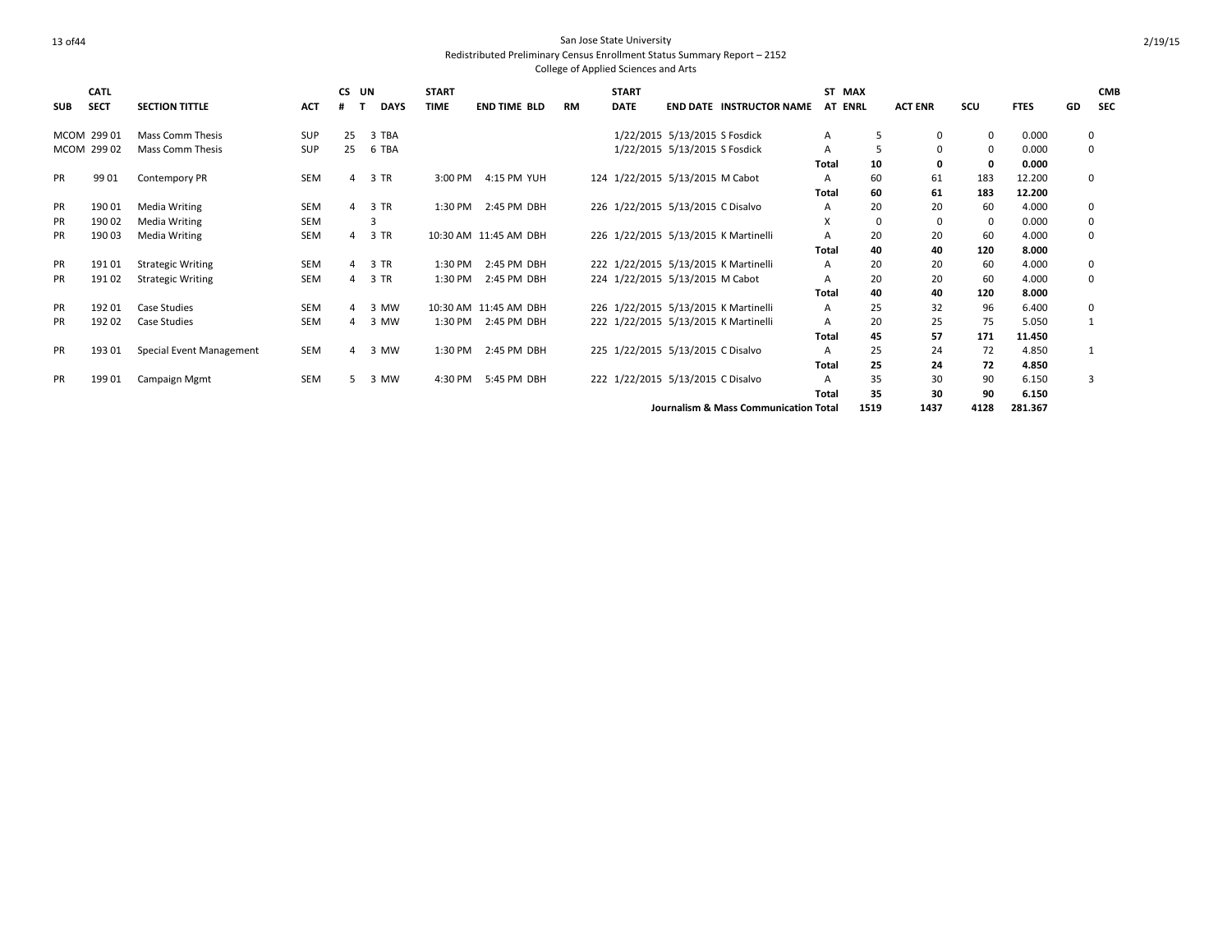| <b>SUB</b> | <b>CATL</b><br><b>SECT</b> | <b>SECTION TITTLE</b>    | ACT        | <b>CS</b><br># | UN<br><b>DAYS</b> | <b>START</b><br><b>TIME</b> | <b>END TIME BLD</b>   | <b>RM</b> | <b>START</b><br><b>DATE</b> | <b>END DATE INSTRUCTOR NAME</b>       | AT ENRL      | ST MAX | <b>ACT ENR</b> | SCU         | <b>FTES</b> | GD | <b>CMB</b><br><b>SEC</b> |
|------------|----------------------------|--------------------------|------------|----------------|-------------------|-----------------------------|-----------------------|-----------|-----------------------------|---------------------------------------|--------------|--------|----------------|-------------|-------------|----|--------------------------|
|            | MCOM 299 01                | <b>Mass Comm Thesis</b>  | <b>SUP</b> | 25             | 3 TBA             |                             |                       |           |                             | 1/22/2015 5/13/2015 S Fosdick         | A            | 5      | $\mathbf{0}$   | $\mathbf 0$ | 0.000       |    | 0                        |
|            | MCOM 299 02                | <b>Mass Comm Thesis</b>  | <b>SUP</b> | 25             | 6 TBA             |                             |                       |           |                             | 1/22/2015 5/13/2015 S Fosdick         | А            | 5      | 0              | 0           | 0.000       |    | 0                        |
|            |                            |                          |            |                |                   |                             |                       |           |                             |                                       | Total        | 10     | 0              | 0           | 0.000       |    |                          |
| <b>PR</b>  | 9901                       | <b>Contempory PR</b>     | SEM        | 4              | 3 TR              |                             | 3:00 PM 4:15 PM YUH   |           |                             | 124 1/22/2015 5/13/2015 M Cabot       | Α            | 60     | 61             | 183         | 12.200      |    | 0                        |
|            |                            |                          |            |                |                   |                             |                       |           |                             |                                       | Total        | 60     | 61             | 183         | 12.200      |    |                          |
| PR         | 19001                      | <b>Media Writing</b>     | SEM        |                | 3 TR              | 1:30 PM                     | 2:45 PM DBH           |           |                             | 226 1/22/2015 5/13/2015 C Disalvo     | Α            | 20     | 20             | 60          | 4.000       |    | 0                        |
| <b>PR</b>  | 19002                      | <b>Media Writing</b>     | <b>SEM</b> |                |                   |                             |                       |           |                             |                                       | X            | 0      | 0              | 0           | 0.000       |    | 0                        |
| <b>PR</b>  | 19003                      | Media Writing            | <b>SEM</b> |                | 3 TR              |                             | 10:30 AM 11:45 AM DBH |           |                             | 226 1/22/2015 5/13/2015 K Martinelli  | A            | 20     | 20             | 60          | 4.000       |    | 0                        |
|            |                            |                          |            |                |                   |                             |                       |           |                             |                                       | Total        | 40     | 40             | 120         | 8.000       |    |                          |
| PR         | 19101                      | <b>Strategic Writing</b> | <b>SEM</b> |                | 3 TR              | 1:30 PM                     | 2:45 PM DBH           |           |                             | 222 1/22/2015 5/13/2015 K Martinelli  | Α            | 20     | 20             | 60          | 4.000       |    | 0                        |
| <b>PR</b>  | 19102                      | <b>Strategic Writing</b> | <b>SEM</b> |                | 3 TR              | 1:30 PM                     | 2:45 PM DBH           |           |                             | 224 1/22/2015 5/13/2015 M Cabot       | Α            | 20     | 20             | 60          | 4.000       |    | $\mathbf 0$              |
|            |                            |                          |            |                |                   |                             |                       |           |                             |                                       | Total        | 40     | 40             | 120         | 8.000       |    |                          |
| <b>PR</b>  | 19201                      | <b>Case Studies</b>      | <b>SEM</b> |                | 3 MW              |                             | 10:30 AM 11:45 AM DBH |           |                             | 226 1/22/2015 5/13/2015 K Martinelli  | A            | 25     | 32             | 96          | 6.400       |    | 0                        |
| <b>PR</b>  | 19202                      | <b>Case Studies</b>      | <b>SEM</b> |                | 3 MW              |                             | 1:30 PM 2:45 PM DBH   |           |                             | 222 1/22/2015 5/13/2015 K Martinelli  | A            | 20     | 25             | 75          | 5.050       |    |                          |
|            |                            |                          |            |                |                   |                             |                       |           |                             |                                       | <b>Total</b> | 45     | 57             | 171         | 11.450      |    |                          |
| <b>PR</b>  | 19301                      | Special Event Management | <b>SEM</b> | 4              | 3 MW              | 1:30 PM                     | 2:45 PM DBH           |           |                             | 225 1/22/2015 5/13/2015 C Disalvo     | Α            | 25     | 24             | 72          | 4.850       |    |                          |
|            |                            |                          |            |                |                   |                             |                       |           |                             |                                       | Total        | 25     | 24             | 72          | 4.850       |    |                          |
| <b>PR</b>  | 19901                      | <b>Campaign Mgmt</b>     | SEM        | 5.             | 3 MW              | 4:30 PM                     | 5:45 PM DBH           |           |                             | 222 1/22/2015 5/13/2015 C Disalvo     | A            | 35     | 30             | 90          | 6.150       |    | 3                        |
|            |                            |                          |            |                |                   |                             |                       |           |                             |                                       | Total        | 35     | 30             | 90          | 6.150       |    |                          |
|            |                            |                          |            |                |                   |                             |                       |           |                             | Journalism & Mass Communication Total |              | 1519   | 1437           | 4128        | 281.367     |    |                          |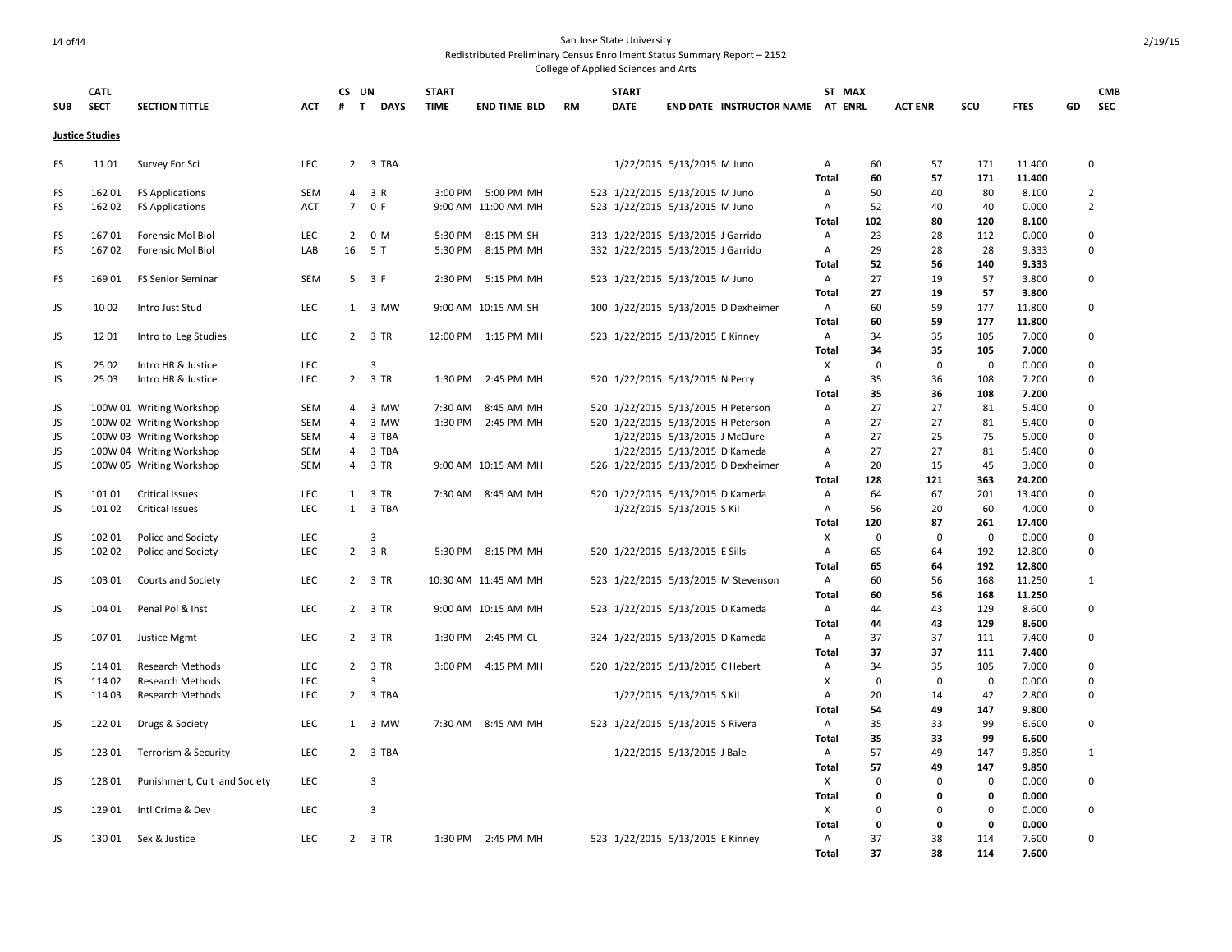## 14 of44 San Jose State University Redistributed Preliminary Census Enrollment Status Summary Report – 2152

|            | <b>CATL</b>            |                              |            | CS UN          |                | <b>START</b> |                      |           | <b>START</b>                      |                               |                                     | ST MAX            |             |                |             |                  |    | <b>CMB</b>     |
|------------|------------------------|------------------------------|------------|----------------|----------------|--------------|----------------------|-----------|-----------------------------------|-------------------------------|-------------------------------------|-------------------|-------------|----------------|-------------|------------------|----|----------------|
| <b>SUB</b> | <b>SECT</b>            | <b>SECTION TITTLE</b>        | <b>ACT</b> | T<br>#         | <b>DAYS</b>    | <b>TIME</b>  | <b>END TIME BLD</b>  | <b>RM</b> | <b>DATE</b>                       |                               | END DATE INSTRUCTOR NAME AT ENRL    |                   |             | <b>ACT ENR</b> | SCU         | <b>FTES</b>      | GD | <b>SEC</b>     |
|            | <b>Justice Studies</b> |                              |            |                |                |              |                      |           |                                   |                               |                                     |                   |             |                |             |                  |    |                |
|            |                        |                              |            |                |                |              |                      |           |                                   |                               |                                     |                   |             |                |             |                  |    |                |
| FS         | 1101                   | Survey For Sci               | <b>LEC</b> |                | 2 3 TBA        |              |                      |           |                                   | 1/22/2015 5/13/2015 M Juno    |                                     | Α<br><b>Total</b> | 60<br>60    | 57<br>57       | 171<br>171  | 11.400<br>11.400 |    | 0              |
| FS         | 16201                  | <b>FS Applications</b>       | <b>SEM</b> | $\overline{4}$ | 3 R            |              | 3:00 PM 5:00 PM MH   |           | 523 1/22/2015 5/13/2015 M Juno    |                               |                                     | A                 | 50          | 40             | 80          | 8.100            |    | $\overline{2}$ |
| FS         | 16202                  | <b>FS Applications</b>       | ACT        | $7^{\circ}$    | 0 F            |              | 9:00 AM 11:00 AM MH  |           | 523 1/22/2015 5/13/2015 M Juno    |                               |                                     | A                 | 52          | 40             | 40          | 0.000            |    | $\overline{2}$ |
|            |                        |                              |            |                |                |              |                      |           |                                   |                               |                                     | Total             | 102         | 80             | 120         | 8.100            |    |                |
| FS         | 16701                  | Forensic Mol Biol            | <b>LEC</b> | $\overline{2}$ | 0 M            |              | 5:30 PM 8:15 PM SH   |           | 313 1/22/2015 5/13/2015 J Garrido |                               |                                     | Α                 | 23          | 28             | 112         | 0.000            |    | 0              |
| FS         | 16702                  | Forensic Mol Biol            | LAB        | 16             | 5 T            |              | 5:30 PM 8:15 PM MH   |           | 332 1/22/2015 5/13/2015 J Garrido |                               |                                     | A                 | 29          | 28             | 28          | 9.333            |    | 0              |
|            |                        |                              |            |                |                |              |                      |           |                                   |                               |                                     | <b>Total</b>      | 52          | 56             | 140         | 9.333            |    |                |
| FS         | 16901                  | <b>FS Senior Seminar</b>     | <b>SEM</b> |                | $5 \t3F$       |              | 2:30 PM 5:15 PM MH   |           | 523 1/22/2015 5/13/2015 M Juno    |                               |                                     | A                 | 27          | 19             | 57          | 3.800            |    | 0              |
|            |                        |                              |            |                |                |              |                      |           |                                   |                               |                                     | <b>Total</b>      | 27          | 19             | 57          | 3.800            |    |                |
| JS         | 1002                   | Intro Just Stud              | <b>LEC</b> | 1              | 3 MW           |              | 9:00 AM 10:15 AM SH  |           |                                   |                               | 100 1/22/2015 5/13/2015 D Dexheimer | A                 | 60          | 59             | 177         | 11.800           |    | 0              |
|            |                        |                              |            |                |                |              |                      |           |                                   |                               |                                     | Total             | 60          | 59             | 177         | 11.800           |    |                |
| JS         | 1201                   | Intro to Leg Studies         | LEC        |                | 2 3 TR         |              | 12:00 PM 1:15 PM MH  |           | 523 1/22/2015 5/13/2015 E Kinney  |                               |                                     | A                 | 34          | 35             | 105         | 7.000            |    | 0              |
|            |                        |                              |            |                |                |              |                      |           |                                   |                               |                                     | Total             | 34          | 35             | 105         | 7.000            |    |                |
| JS         | 25 02                  | Intro HR & Justice           | LEC        |                | $\overline{3}$ |              |                      |           |                                   |                               |                                     | X                 | $\mathbf 0$ | $\mathbf 0$    | $\mathbf 0$ | 0.000            |    | 0              |
| JS         | 2503                   | Intro HR & Justice           | <b>LEC</b> | $\overline{2}$ | 3 TR           | 1:30 PM      | 2:45 PM MH           |           | 520 1/22/2015 5/13/2015 N Perry   |                               |                                     | Α                 | 35          | 36             | 108         | 7.200            |    | $\mathbf 0$    |
|            |                        |                              |            |                |                |              |                      |           |                                   |                               |                                     | Total             | 35          | 36             | 108         | 7.200            |    |                |
| JS         |                        | 100W 01 Writing Workshop     | <b>SEM</b> |                | 4 3 MW         | 7:30 AM      | 8:45 AM MH           |           |                                   |                               | 520 1/22/2015 5/13/2015 H Peterson  | Α                 | 27          | 27             | 81          | 5.400            |    | 0              |
| JS         |                        | 100W 02 Writing Workshop     | <b>SEM</b> | $\overline{4}$ | 3 MW           |              | 1:30 PM 2:45 PM MH   |           |                                   |                               | 520 1/22/2015 5/13/2015 H Peterson  | Α                 | 27          | 27             | 81          | 5.400            |    | 0              |
| JS         |                        | 100W 03 Writing Workshop     | SEM        | $\overline{4}$ | 3 TBA          |              |                      |           |                                   | 1/22/2015 5/13/2015 J McClure |                                     | А                 | 27          | 25             | 75          | 5.000            |    | $\mathbf 0$    |
| JS         |                        | 100W 04 Writing Workshop     | <b>SEM</b> | $\overline{4}$ | 3 TBA          |              |                      |           |                                   | 1/22/2015 5/13/2015 D Kameda  |                                     | Α                 | 27          | 27             | 81          | 5.400            |    | 0              |
| JS         |                        | 100W 05 Writing Workshop     | <b>SEM</b> | $\overline{4}$ | 3 TR           |              | 9:00 AM 10:15 AM MH  |           |                                   |                               | 526 1/22/2015 5/13/2015 D Dexheimer | Α                 | 20          | 15             | 45          | 3.000            |    | 0              |
|            |                        |                              |            |                |                |              |                      |           |                                   |                               |                                     | <b>Total</b>      | 128         | 121            | 363         | 24.200           |    |                |
| JS         | 10101                  | <b>Critical Issues</b>       | <b>LEC</b> | $\mathbf{1}$   | 3 TR           |              | 7:30 AM 8:45 AM MH   |           | 520 1/22/2015 5/13/2015 D Kameda  |                               |                                     | Α                 | 64          | 67             | 201         | 13.400           |    | 0              |
| JS         | 10102                  | <b>Critical Issues</b>       | <b>LEC</b> |                | 1 3 TBA        |              |                      |           |                                   | 1/22/2015 5/13/2015 S Kil     |                                     | Α                 | 56          | 20             | 60          | 4.000            |    | 0              |
|            |                        |                              |            |                |                |              |                      |           |                                   |                               |                                     | Total             | 120         | 87             | 261         | 17.400           |    |                |
| JS         | 102 01                 | Police and Society           | <b>LEC</b> |                | 3              |              |                      |           |                                   |                               |                                     | х                 | $\mathbf 0$ | $\mathbf 0$    | $\mathbf 0$ | 0.000            |    | 0              |
| JS         | 102 02                 | Police and Society           | LEC        |                | $2 \t3 R$      |              | 5:30 PM 8:15 PM MH   |           | 520 1/22/2015 5/13/2015 E Sills   |                               |                                     | A                 | 65          | 64             | 192         | 12.800           |    | $\mathbf 0$    |
|            |                        |                              |            |                |                |              |                      |           |                                   |                               |                                     | <b>Total</b>      | 65          | 64             | 192         | 12.800           |    |                |
| JS         | 103 01                 | Courts and Society           | LEC        |                | 2 3 TR         |              | 10:30 AM 11:45 AM MH |           |                                   |                               | 523 1/22/2015 5/13/2015 M Stevenson | Α                 | 60          | 56             | 168         | 11.250           |    | 1              |
|            |                        |                              |            |                |                |              |                      |           |                                   |                               |                                     | <b>Total</b>      | 60          | 56             | 168         | 11.250           |    |                |
| JS         | 104 01                 | Penal Pol & Inst             | <b>LEC</b> |                | 2 3 TR         |              | 9:00 AM 10:15 AM MH  |           | 523 1/22/2015 5/13/2015 D Kameda  |                               |                                     | A                 | 44          | 43             | 129         | 8.600            |    | 0              |
|            |                        |                              |            |                |                |              |                      |           |                                   |                               |                                     | Total             | 44          | 43             | 129         | 8.600            |    |                |
| JS         | 10701                  | Justice Mgmt                 | LEC        |                | 2 3 TR         |              | 1:30 PM 2:45 PM CL   |           | 324 1/22/2015 5/13/2015 D Kameda  |                               |                                     | Α                 | 37          | 37             | 111         | 7.400            |    | 0              |
|            |                        |                              |            |                |                |              |                      |           |                                   |                               |                                     | Total             | 37          | 37             | 111         | 7.400            |    |                |
| JS         | 11401                  | Research Methods             | LEC        |                | 2 3 TR         |              | 3:00 PM 4:15 PM MH   |           | 520 1/22/2015 5/13/2015 C Hebert  |                               |                                     | Α                 | 34          | 35             | 105         | 7.000            |    | 0              |
| JS         | 11402                  | <b>Research Methods</b>      | LEC        |                | 3              |              |                      |           |                                   |                               |                                     | X                 | $\mathbf 0$ | $\mathbf 0$    | $\mathbf 0$ | 0.000            |    | 0              |
| JS         | 11403                  | Research Methods             | <b>LEC</b> |                | 2 3 TBA        |              |                      |           |                                   | 1/22/2015 5/13/2015 S Kil     |                                     | Α                 | 20          | 14             | 42          | 2.800            |    | 0              |
|            |                        |                              |            |                |                |              |                      |           |                                   |                               |                                     | <b>Total</b>      | 54          | 49             | 147         | 9.800            |    |                |
| JS         | 12201                  | Drugs & Society              | <b>LEC</b> | 1              | 3 MW           | 7:30 AM      | 8:45 AM MH           |           | 523 1/22/2015 5/13/2015 S Rivera  |                               |                                     | $\mathsf{A}$      | 35          | 33             | 99          | 6.600            |    | 0              |
|            |                        |                              |            |                |                |              |                      |           |                                   |                               |                                     | Total             | 35          | 33             | 99          | 6.600            |    |                |
| JS         | 12301                  | Terrorism & Security         | LEC        |                | 2 3 TBA        |              |                      |           |                                   | 1/22/2015 5/13/2015 J Bale    |                                     | Α                 | 57          | 49             | 147         | 9.850            |    | 1              |
|            |                        |                              |            |                |                |              |                      |           |                                   |                               |                                     | Total             | 57          | 49             | 147         | 9.850            |    |                |
| JS         | 12801                  | Punishment, Cult and Society | LEC        |                | 3              |              |                      |           |                                   |                               |                                     | X                 | $\mathbf 0$ | $\mathbf 0$    | $\mathbf 0$ | 0.000            |    | 0              |
|            |                        |                              |            |                |                |              |                      |           |                                   |                               |                                     | <b>Total</b>      | $\mathbf 0$ | 0              | 0           | 0.000            |    |                |
| JS         | 129 01                 | Intl Crime & Dev             | <b>LEC</b> |                | 3              |              |                      |           |                                   |                               |                                     | Χ                 | $\mathbf 0$ | $\mathbf 0$    | $\mathbf 0$ | 0.000            |    | 0              |
|            |                        |                              |            |                |                |              |                      |           |                                   |                               |                                     | <b>Total</b>      | $\mathbf 0$ | $\mathbf 0$    | $\mathbf 0$ | 0.000            |    |                |
| JS         | 130 01                 | Sex & Justice                | <b>LEC</b> |                | 2 3 TR         |              | 1:30 PM 2:45 PM MH   |           | 523 1/22/2015 5/13/2015 E Kinney  |                               |                                     | $\mathsf{A}$      | 37          | 38             | 114         | 7.600            |    | $\mathbf 0$    |
|            |                        |                              |            |                |                |              |                      |           |                                   |                               |                                     | <b>Total</b>      | 37          | 38             | 114         | 7.600            |    |                |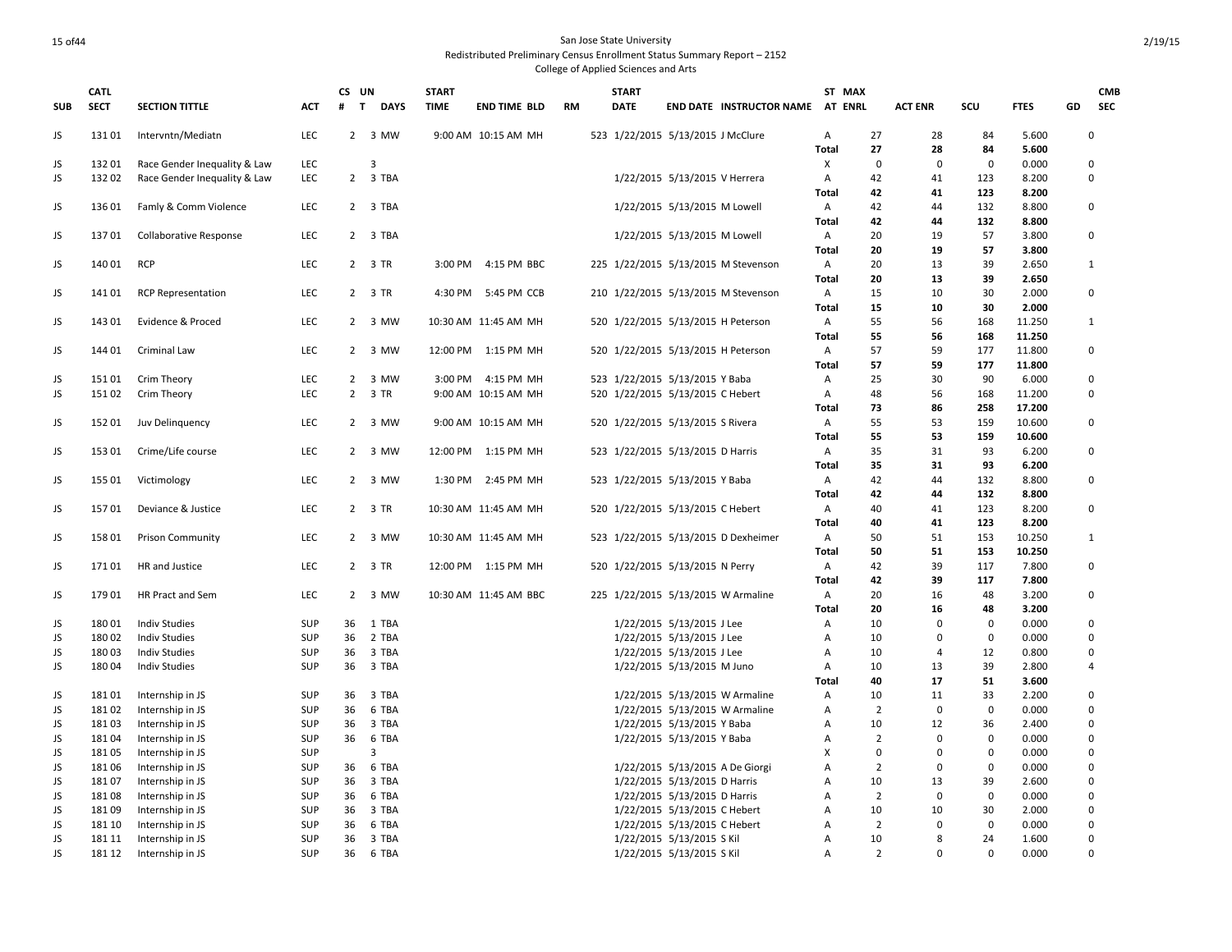|            | <b>CATL</b>    |                                                              |            | CS UN        |                             | <b>START</b> |                       |           | <b>START</b>                        |                                                        |                                 | ST MAX         |                      |                |                   |                |    | <b>CMB</b>   |
|------------|----------------|--------------------------------------------------------------|------------|--------------|-----------------------------|--------------|-----------------------|-----------|-------------------------------------|--------------------------------------------------------|---------------------------------|----------------|----------------------|----------------|-------------------|----------------|----|--------------|
| <b>SUB</b> | <b>SECT</b>    | <b>SECTION TITTLE</b>                                        | <b>ACT</b> | #            | $\mathbf{T}$<br><b>DAYS</b> | <b>TIME</b>  | <b>END TIME BLD</b>   | <b>RM</b> | <b>DATE</b>                         |                                                        | <b>END DATE INSTRUCTOR NAME</b> | <b>AT ENRL</b> |                      | <b>ACT ENR</b> | SCU               | <b>FTES</b>    | GD | <b>SEC</b>   |
|            |                |                                                              |            |              |                             |              |                       |           |                                     |                                                        |                                 |                |                      |                |                   |                |    |              |
| JS         | 13101          | Intervntn/Mediatn                                            | LEC        |              | 2 3 MW                      |              | 9:00 AM 10:15 AM MH   |           | 523 1/22/2015 5/13/2015 J McClure   |                                                        |                                 | Α              | 27                   | 28             | 84                | 5.600          |    | 0            |
|            |                |                                                              |            |              |                             |              |                       |           |                                     |                                                        |                                 | <b>Total</b>   | 27<br>$\overline{0}$ | 28<br>$\Omega$ | 84<br>$\mathbf 0$ | 5.600          |    | 0            |
| JS<br>JS   | 13201<br>13202 | Race Gender Inequality & Law<br>Race Gender Inequality & Law | LEC<br>LEC |              | 3<br>2 3 TBA                |              |                       |           |                                     | 1/22/2015 5/13/2015 V Herrera                          |                                 | Χ<br>Α         | 42                   | 41             | 123               | 0.000<br>8.200 |    | 0            |
|            |                |                                                              |            |              |                             |              |                       |           |                                     |                                                        |                                 | Total          | 42                   | 41             | 123               | 8.200          |    |              |
| JS         | 13601          | Famly & Comm Violence                                        | LEC        |              | 2 3 TBA                     |              |                       |           |                                     | 1/22/2015 5/13/2015 M Lowell                           |                                 | Α              | 42                   | 44             | 132               | 8.800          |    | 0            |
|            |                |                                                              |            |              |                             |              |                       |           |                                     |                                                        |                                 | Total          | 42                   | 44             | 132               | 8.800          |    |              |
| JS         | 13701          | Collaborative Response                                       | LEC        |              | 2 3 TBA                     |              |                       |           |                                     | 1/22/2015 5/13/2015 M Lowell                           |                                 | Α              | 20                   | 19             | 57                | 3.800          |    | 0            |
|            |                |                                                              |            |              |                             |              |                       |           |                                     |                                                        |                                 | Total          | 20                   | 19             | 57                | 3.800          |    |              |
| JS         | 14001          | <b>RCP</b>                                                   | <b>LEC</b> |              | 2 3 TR                      |              | 3:00 PM 4:15 PM BBC   |           | 225 1/22/2015 5/13/2015 M Stevenson |                                                        |                                 | A              | 20                   | 13             | 39                | 2.650          |    | $\mathbf{1}$ |
|            |                |                                                              |            |              |                             |              |                       |           |                                     |                                                        |                                 | Total          | 20                   | 13             | 39                | 2.650          |    |              |
| JS         | 14101          | <b>RCP Representation</b>                                    | LEC        |              | 2 3 TR                      |              | 4:30 PM 5:45 PM CCB   |           | 210 1/22/2015 5/13/2015 M Stevenson |                                                        |                                 | Α              | 15                   | 10             | 30                | 2.000          |    | 0            |
|            |                |                                                              |            |              |                             |              |                       |           |                                     |                                                        |                                 | Total          | 15                   | 10             | 30                | 2.000          |    |              |
| JS         | 14301          | Evidence & Proced                                            | <b>LEC</b> |              | 2 3 MW                      |              | 10:30 AM 11:45 AM MH  |           | 520 1/22/2015 5/13/2015 H Peterson  |                                                        |                                 | A              | 55                   | 56             | 168               | 11.250         |    | $\mathbf{1}$ |
|            |                |                                                              |            |              |                             |              |                       |           |                                     |                                                        |                                 | Total          | 55                   | 56             | 168               | 11.250         |    |              |
| JS         | 144 01         | <b>Criminal Law</b>                                          | LEC        |              | 2 3 MW                      |              | 12:00 PM 1:15 PM MH   |           | 520 1/22/2015 5/13/2015 H Peterson  |                                                        |                                 | Α              | 57                   | 59             | 177               | 11.800         |    | 0            |
|            |                |                                                              |            |              |                             |              |                       |           |                                     |                                                        |                                 | <b>Total</b>   | 57                   | 59             | 177               | 11.800         |    |              |
| JS         | 15101          | Crim Theory                                                  | LEC        | $\mathbf{2}$ | 3 MW                        |              | 3:00 PM 4:15 PM MH    |           | 523 1/22/2015 5/13/2015 Y Baba      |                                                        |                                 | Α              | 25                   | 30             | 90                | 6.000          |    | 0            |
| JS         | 15102          | Crim Theory                                                  | LEC        |              | 2 3 TR                      |              | 9:00 AM 10:15 AM MH   |           | 520 1/22/2015 5/13/2015 C Hebert    |                                                        |                                 | Α              | 48                   | 56             | 168               | 11.200         |    | 0            |
|            |                |                                                              |            |              |                             |              |                       |           |                                     |                                                        |                                 | Total          | 73                   | 86             | 258               | 17.200         |    |              |
| JS         | 15201          | Juv Delinquency                                              | LEC        |              | 2 3 MW                      |              | 9:00 AM 10:15 AM MH   |           | 520 1/22/2015 5/13/2015 S Rivera    |                                                        |                                 | Α              | 55                   | 53             | 159               | 10.600         |    | 0            |
|            |                |                                                              |            |              |                             |              |                       |           |                                     |                                                        |                                 | Total          | 55                   | 53             | 159               | 10.600         |    |              |
| JS         | 15301          | Crime/Life course                                            | LEC        |              | 2 3 MW                      |              | 12:00 PM 1:15 PM MH   |           | 523 1/22/2015 5/13/2015 D Harris    |                                                        |                                 | A              | 35                   | 31             | 93                | 6.200          |    | 0            |
|            |                |                                                              |            |              |                             |              |                       |           |                                     |                                                        |                                 | Total          | 35                   | 31             | 93                | 6.200          |    |              |
| JS         | 155 01         | Victimology                                                  | LEC        |              | 2 3 MW                      |              | 1:30 PM 2:45 PM MH    |           | 523 1/22/2015 5/13/2015 Y Baba      |                                                        |                                 | Α              | 42                   | 44             | 132               | 8.800          |    | 0            |
|            |                |                                                              |            |              |                             |              |                       |           |                                     |                                                        |                                 | Total          | 42                   | 44             | 132               | 8.800          |    |              |
| JS         | 15701          | Deviance & Justice                                           | LEC        |              | 2 3 TR                      |              | 10:30 AM 11:45 AM MH  |           | 520 1/22/2015 5/13/2015 C Hebert    |                                                        |                                 | Α              | 40                   | 41             | 123               | 8.200          |    | 0            |
|            |                |                                                              |            |              |                             |              |                       |           |                                     |                                                        |                                 | Total          | 40                   | 41             | 123               | 8.200          |    |              |
| JS         | 15801          | <b>Prison Community</b>                                      | <b>LEC</b> |              | 2 3 MW                      |              | 10:30 AM 11:45 AM MH  |           | 523 1/22/2015 5/13/2015 D Dexheimer |                                                        |                                 | Α              | 50                   | 51             | 153               | 10.250         |    | $\mathbf{1}$ |
|            |                |                                                              |            |              |                             |              |                       |           |                                     |                                                        |                                 | Total          | 50                   | 51             | 153               | 10.250         |    |              |
| JS         | 17101          | HR and Justice                                               | LEC        |              | 2 3 TR                      |              | 12:00 PM 1:15 PM MH   |           | 520 1/22/2015 5/13/2015 N Perry     |                                                        |                                 | Α              | 42                   | 39             | 117               | 7.800          |    | 0            |
|            |                |                                                              |            |              |                             |              |                       |           |                                     |                                                        |                                 | <b>Total</b>   | 42                   | 39             | 117               | 7.800          |    |              |
| JS         | 17901          | HR Pract and Sem                                             | <b>LEC</b> |              | 2 3 MW                      |              | 10:30 AM 11:45 AM BBC |           | 225 1/22/2015 5/13/2015 W Armaline  |                                                        |                                 | Α              | 20                   | 16             | 48                | 3.200          |    | 0            |
|            | 18001          |                                                              | SUP        | 36           | 1 TBA                       |              |                       |           |                                     |                                                        |                                 | Total          | 20<br>10             | 16<br>$\Omega$ | 48<br>$\mathbf 0$ | 3.200<br>0.000 |    |              |
| JS<br>JS   | 18002          | <b>Indiv Studies</b><br><b>Indiv Studies</b>                 | SUP        | 36           | 2 TBA                       |              |                       |           |                                     | 1/22/2015 5/13/2015 J Lee<br>1/22/2015 5/13/2015 J Lee |                                 | Α<br>Α         | 10                   | 0              | $\mathbf 0$       | 0.000          |    | 0<br>0       |
| JS         | 18003          | <b>Indiv Studies</b>                                         | SUP        | 36           | 3 TBA                       |              |                       |           |                                     | 1/22/2015 5/13/2015 J Lee                              |                                 | A              | 10                   | $\overline{4}$ | 12                | 0.800          |    | $\Omega$     |
| JS         | 18004          | <b>Indiv Studies</b>                                         | SUP        | 36           | 3 TBA                       |              |                       |           |                                     | 1/22/2015 5/13/2015 M Juno                             |                                 | Α              | 10                   | 13             | 39                | 2.800          |    | 4            |
|            |                |                                                              |            |              |                             |              |                       |           |                                     |                                                        |                                 | Total          | 40                   | 17             | 51                | 3.600          |    |              |
| JS         | 18101          | Internship in JS                                             | SUP        | 36           | 3 TBA                       |              |                       |           |                                     | 1/22/2015 5/13/2015 W Armaline                         |                                 | Α              | 10                   | 11             | 33                | 2.200          |    | 0            |
| JS         | 18102          | Internship in JS                                             | <b>SUP</b> | 36           | 6 TBA                       |              |                       |           |                                     | 1/22/2015 5/13/2015 W Armaline                         |                                 | A              | $\overline{2}$       | $\mathbf 0$    | $\mathbf 0$       | 0.000          |    | $\Omega$     |
| JS         | 18103          | Internship in JS                                             | SUP        | 36           | 3 TBA                       |              |                       |           |                                     | 1/22/2015 5/13/2015 Y Baba                             |                                 | Α              | 10                   | 12             | 36                | 2.400          |    | 0            |
| JS         | 18104          | Internship in JS                                             | <b>SUP</b> | 36           | 6 TBA                       |              |                       |           |                                     | 1/22/2015 5/13/2015 Y Baba                             |                                 | Α              | $\overline{2}$       | 0              | 0                 | 0.000          |    | 0            |
| JS         | 18105          | Internship in JS                                             | SUP        |              | 3                           |              |                       |           |                                     |                                                        |                                 | х              | $\Omega$             | 0              | $\mathbf 0$       | 0.000          |    | 0            |
| JS         | 18106          | Internship in JS                                             | SUP        | 36           | 6 TBA                       |              |                       |           |                                     | 1/22/2015 5/13/2015 A De Giorgi                        |                                 | Α              | $\overline{2}$       | $\mathbf 0$    | $\mathbf 0$       | 0.000          |    | 0            |
| JS         | 18107          | Internship in JS                                             | SUP        | 36           | 3 TBA                       |              |                       |           |                                     | 1/22/2015 5/13/2015 D Harris                           |                                 | A              | 10                   | 13             | 39                | 2.600          |    | 0            |
| JS         | 18108          | Internship in JS                                             | <b>SUP</b> | 36           | 6 TBA                       |              |                       |           |                                     | 1/22/2015 5/13/2015 D Harris                           |                                 | Α              | $\overline{2}$       | $\mathbf 0$    | $\mathbf 0$       | 0.000          |    | 0            |
| JS         | 18109          | Internship in JS                                             | SUP        | 36           | 3 TBA                       |              |                       |           |                                     | 1/22/2015 5/13/2015 C Hebert                           |                                 | A              | 10                   | 10             | 30                | 2.000          |    | 0            |
| JS         | 181 10         | Internship in JS                                             | SUP        | 36           | 6 TBA                       |              |                       |           |                                     | 1/22/2015 5/13/2015 C Hebert                           |                                 | Α              | $\overline{2}$       | $\Omega$       | $\mathbf 0$       | 0.000          |    | 0            |
| JS         | 181 11         | Internship in JS                                             | SUP        | 36           | 3 TBA                       |              |                       |           |                                     | 1/22/2015 5/13/2015 S Kil                              |                                 | Α              | 10                   | 8              | 24                | 1.600          |    | 0            |
| JS         | 181 12         | Internship in JS                                             | SUP        | 36           | 6 TBA                       |              |                       |           |                                     | 1/22/2015 5/13/2015 S Kil                              |                                 | A              | $\overline{2}$       | $\mathbf 0$    | $\mathbf 0$       | 0.000          |    | 0            |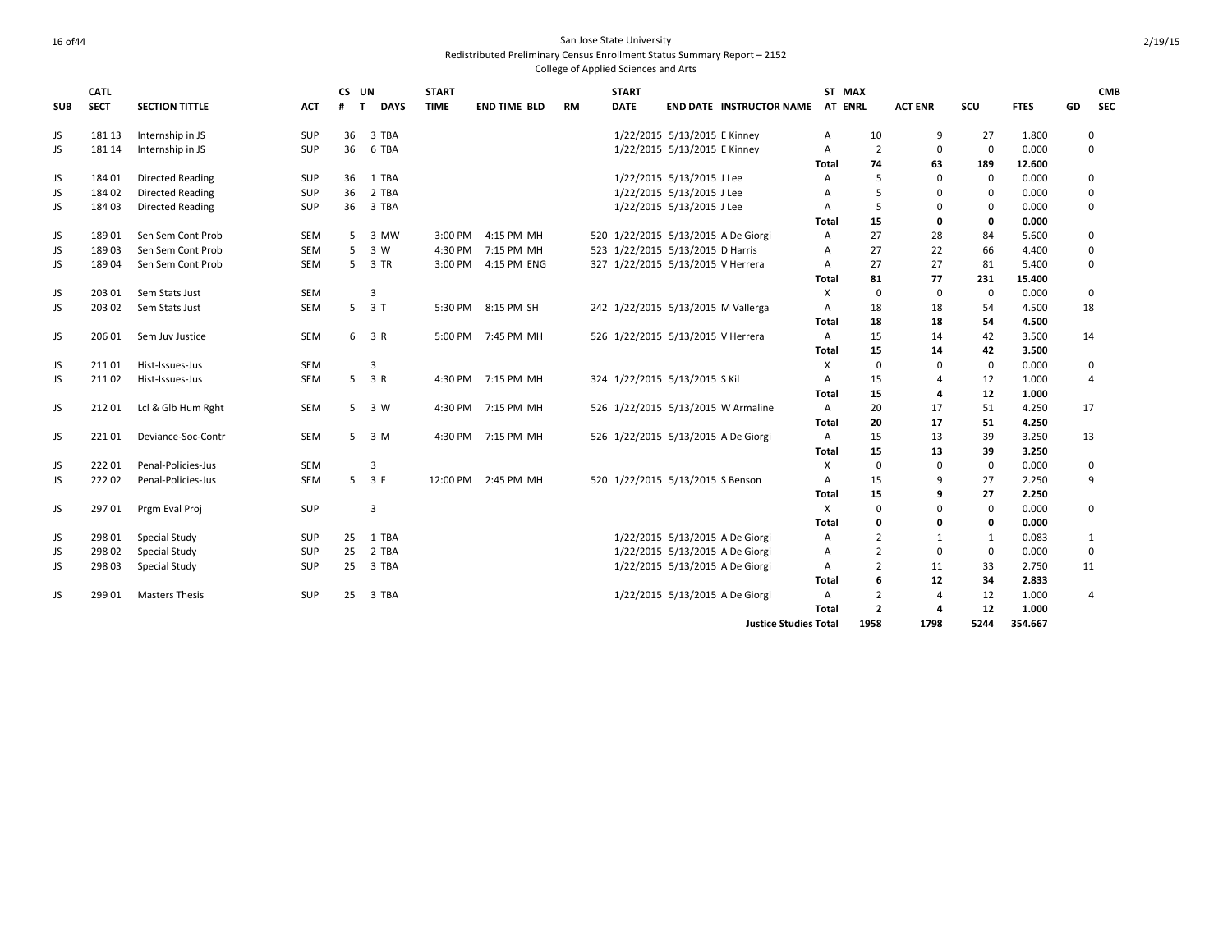|            | <b>CATL</b> |                         |            | CS UN             |                | <b>START</b> |                     |           | <b>START</b>                        |                                 |                                    | ST MAX         |                |                |             |             |    | <b>CMB</b>     |
|------------|-------------|-------------------------|------------|-------------------|----------------|--------------|---------------------|-----------|-------------------------------------|---------------------------------|------------------------------------|----------------|----------------|----------------|-------------|-------------|----|----------------|
| <b>SUB</b> | <b>SECT</b> | <b>SECTION TITTLE</b>   | <b>ACT</b> | #<br>$\mathbf{T}$ | <b>DAYS</b>    | <b>TIME</b>  | <b>END TIME BLD</b> | <b>RM</b> | <b>DATE</b>                         |                                 | <b>END DATE INSTRUCTOR NAME</b>    | <b>AT ENRL</b> |                | <b>ACT ENR</b> | SCU         | <b>FTES</b> | GD | <b>SEC</b>     |
| JS         | 181 13      | Internship in JS        | <b>SUP</b> | 36                | 3 TBA          |              |                     |           |                                     | 1/22/2015 5/13/2015 E Kinney    |                                    | А              | 10             | 9              | 27          | 1.800       |    | 0              |
| JS         | 181 14      | Internship in JS        | <b>SUP</b> | 36                | 6 TBA          |              |                     |           |                                     | 1/22/2015 5/13/2015 E Kinney    |                                    | A              | $\overline{2}$ | $\mathbf 0$    | $\mathbf 0$ | 0.000       |    | 0              |
|            |             |                         |            |                   |                |              |                     |           |                                     |                                 |                                    | Total          | 74             | 63             | 189         | 12.600      |    |                |
| JS         | 18401       | <b>Directed Reading</b> | <b>SUP</b> | 36                | 1 TBA          |              |                     |           |                                     | 1/22/2015 5/13/2015 J Lee       |                                    | A              | 5              | $\Omega$       | $\mathbf 0$ | 0.000       |    | 0              |
| JS         | 18402       | <b>Directed Reading</b> | SUP        | 36                | 2 TBA          |              |                     |           |                                     | 1/22/2015 5/13/2015 J Lee       |                                    | A              | 5              | $\Omega$       | $\mathbf 0$ | 0.000       |    | 0              |
| JS         | 18403       | <b>Directed Reading</b> | <b>SUP</b> | 36                | 3 TBA          |              |                     |           |                                     | 1/22/2015 5/13/2015 J Lee       |                                    | A              | 5              | $\Omega$       | $\Omega$    | 0.000       |    | $\mathbf 0$    |
|            |             |                         |            |                   |                |              |                     |           |                                     |                                 |                                    | <b>Total</b>   | 15             | 0              | 0           | 0.000       |    |                |
| JS         | 18901       | Sen Sem Cont Prob       | <b>SEM</b> | 5                 | 3 MW           | 3:00 PM      | 4:15 PM MH          |           | 520 1/22/2015 5/13/2015 A De Giorgi |                                 |                                    | A              | 27             | 28             | 84          | 5.600       |    | $\mathbf 0$    |
| JS.        | 18903       | Sen Sem Cont Prob       | <b>SEM</b> | 5                 | 3 W            | 4:30 PM      | 7:15 PM MH          |           | 523 1/22/2015 5/13/2015 D Harris    |                                 |                                    | A              | 27             | 22             | 66          | 4.400       |    | 0              |
| JS         | 18904       | Sen Sem Cont Prob       | SEM        | 5                 | 3 TR           | 3:00 PM      | 4:15 PM ENG         |           | 327 1/22/2015 5/13/2015 V Herrera   |                                 |                                    | Α              | 27             | 27             | 81          | 5.400       |    | 0              |
|            |             |                         |            |                   |                |              |                     |           |                                     |                                 |                                    | <b>Total</b>   | 81             | 77             | 231         | 15.400      |    |                |
| JS         | 203 01      | Sem Stats Just          | <b>SEM</b> |                   | 3              |              |                     |           |                                     |                                 |                                    | X              | $\mathbf 0$    | $\Omega$       | $\mathbf 0$ | 0.000       |    | 0              |
| JS         | 203 02      | Sem Stats Just          | <b>SEM</b> | $5 -$             | 3T             |              | 5:30 PM 8:15 PM SH  |           | 242 1/22/2015 5/13/2015 M Vallerga  |                                 |                                    | A              | 18             | 18             | 54          | 4.500       | 18 |                |
|            |             |                         |            |                   |                |              |                     |           |                                     |                                 |                                    | <b>Total</b>   | 18             | 18             | 54          | 4.500       |    |                |
| JS         | 206 01      | Sem Juv Justice         | <b>SEM</b> |                   | 6 3 R          |              | 5:00 PM 7:45 PM MH  |           | 526 1/22/2015 5/13/2015 V Herrera   |                                 |                                    | A              | 15             | 14             | 42          | 3.500       | 14 |                |
|            |             |                         |            |                   |                |              |                     |           |                                     |                                 |                                    | <b>Total</b>   | 15             | 14             | 42          | 3.500       |    |                |
| JS         | 21101       | Hist-Issues-Jus         | <b>SEM</b> |                   | 3              |              |                     |           |                                     |                                 |                                    | Χ              | $\mathbf 0$    | $\Omega$       | $\mathbf 0$ | 0.000       |    | 0              |
| JS.        | 21102       | Hist-Issues-Jus         | <b>SEM</b> | 5                 | 3 R            |              | 4:30 PM 7:15 PM MH  |           | 324 1/22/2015 5/13/2015 S Kil       |                                 |                                    | A              | 15             | $\overline{a}$ | 12          | 1.000       |    | $\overline{4}$ |
|            |             |                         |            |                   |                |              |                     |           |                                     |                                 |                                    | <b>Total</b>   | 15             | 4              | 12          | 1.000       |    |                |
| JS         | 21201       | Lcl & Glb Hum Rght      | SEM        |                   | 5 3 W          |              | 4:30 PM 7:15 PM MH  |           |                                     |                                 | 526 1/22/2015 5/13/2015 W Armaline | Α              | 20             | 17             | 51          | 4.250       | 17 |                |
|            |             |                         |            |                   |                |              |                     |           |                                     |                                 |                                    | <b>Total</b>   | 20             | 17             | 51          | 4.250       |    |                |
| JS         | 22101       | Deviance-Soc-Contr      | <b>SEM</b> | 5                 | 3 M            |              | 4:30 PM 7:15 PM MH  |           | 526 1/22/2015 5/13/2015 A De Giorgi |                                 |                                    | A              | 15             | 13             | 39          | 3.250       | 13 |                |
|            |             |                         |            |                   |                |              |                     |           |                                     |                                 |                                    | Total          | 15             | 13             | 39          | 3.250       |    |                |
| JS         | 22201       | Penal-Policies-Jus      | <b>SEM</b> |                   | 3              |              |                     |           |                                     |                                 |                                    | X              | $\mathbf 0$    | $\mathbf 0$    | $\mathbf 0$ | 0.000       |    | $\mathbf 0$    |
| JS         | 22202       | Penal-Policies-Jus      | SEM        |                   | $5 \t3F$       | 12:00 PM     | 2:45 PM MH          |           | 520 1/22/2015 5/13/2015 S Benson    |                                 |                                    | A              | 15             | $\mathbf{q}$   | 27          | 2.250       |    | 9              |
|            |             |                         |            |                   |                |              |                     |           |                                     |                                 |                                    | <b>Total</b>   | 15             | 9              | 27          | 2.250       |    |                |
| JS         | 29701       | Prgm Eval Proj          | SUP        |                   | $\overline{3}$ |              |                     |           |                                     |                                 |                                    | X              | $\Omega$       | $\Omega$       | $\mathbf 0$ | 0.000       |    | 0              |
|            |             |                         |            |                   |                |              |                     |           |                                     |                                 |                                    | <b>Total</b>   | 0              | 0              | 0           | 0.000       |    |                |
| JS         | 298 01      | <b>Special Study</b>    | SUP        | 25                | 1 TBA          |              |                     |           |                                     | 1/22/2015 5/13/2015 A De Giorgi |                                    | Α              | $\overline{2}$ | 1              | 1           | 0.083       |    | $\mathbf{1}$   |
| JS         | 298 02      | Special Study           | SUP        | 25                | 2 TBA          |              |                     |           |                                     | 1/22/2015 5/13/2015 A De Giorgi |                                    | Α              | $\overline{2}$ | $\mathbf 0$    | $\mathbf 0$ | 0.000       |    | $\mathbf 0$    |
| JS         | 298 03      | <b>Special Study</b>    | SUP        | 25                | 3 TBA          |              |                     |           |                                     | 1/22/2015 5/13/2015 A De Giorgi |                                    | A              | $\overline{2}$ | 11             | 33          | 2.750       | 11 |                |
|            |             |                         |            |                   |                |              |                     |           |                                     |                                 |                                    | Total          | 6              | 12             | 34          | 2.833       |    |                |
| JS         | 29901       | <b>Masters Thesis</b>   | <b>SUP</b> | 25                | 3 TBA          |              |                     |           |                                     | 1/22/2015 5/13/2015 A De Giorgi |                                    | A              | $\overline{2}$ | 4              | 12          | 1.000       |    | $\overline{4}$ |
|            |             |                         |            |                   |                |              |                     |           |                                     |                                 |                                    | <b>Total</b>   | $\overline{2}$ | 4              | 12          | 1.000       |    |                |
|            |             |                         |            |                   |                |              |                     |           |                                     |                                 | <b>Justice Studies Total</b>       |                | 1958           | 1798           | 5244        | 354.667     |    |                |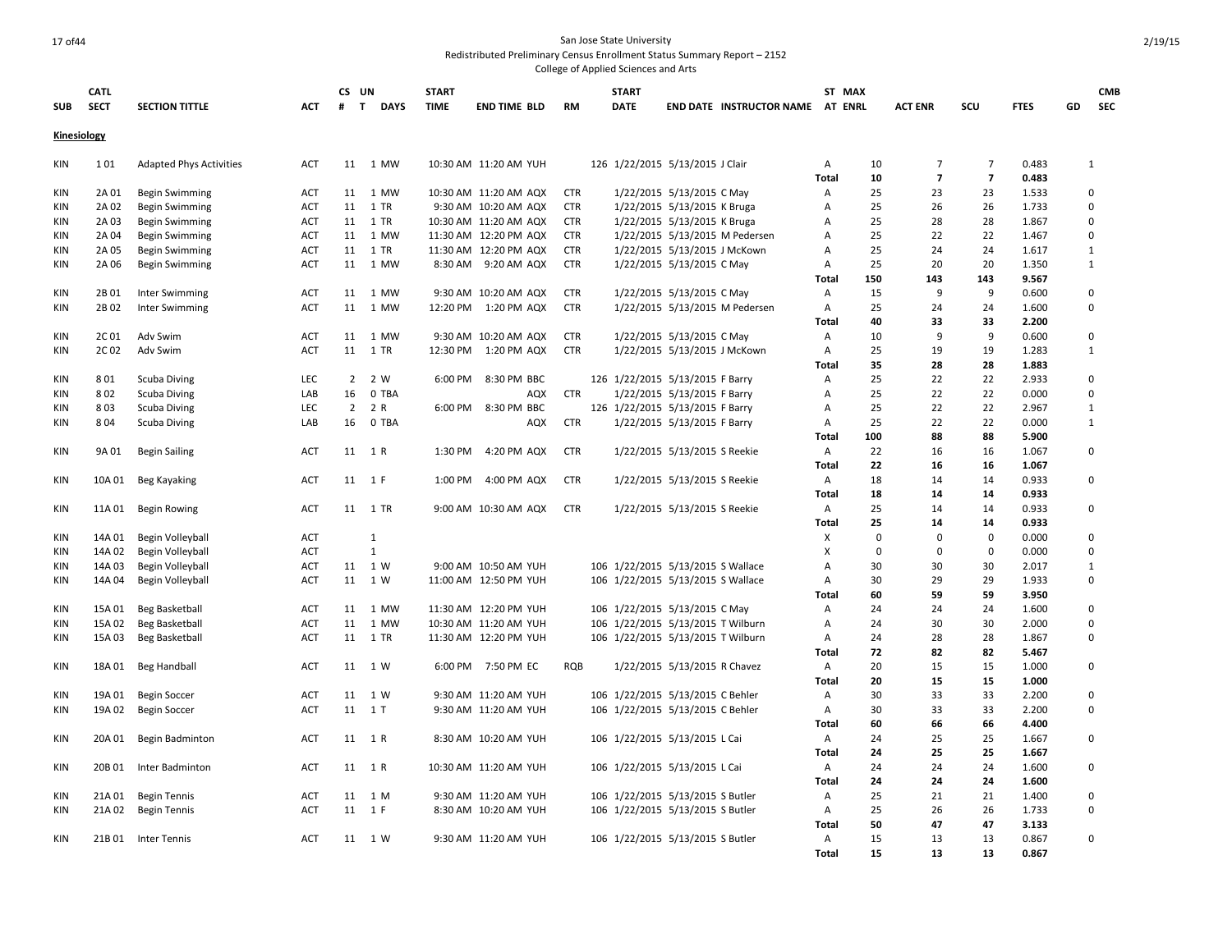## 17 of44 San Jose State University Redistributed Preliminary Census Enrollment Status Summary Report – 2152

| <b>SUB</b>  | <b>CATL</b><br><b>SECT</b> | <b>SECTION TITTLE</b>                | <b>ACT</b> | CS UN<br>$\mathbf{T}$<br># | <b>DAYS</b>                  | <b>START</b><br><b>TIME</b> | <b>END TIME BLD</b>   | <b>RM</b>  | <b>START</b><br><b>DATE</b> |                                   | END DATE INSTRUCTOR NAME AT ENRL |              | ST MAX         | <b>ACT ENR</b>          | scu                              | <b>FTES</b>    | GD | <b>CMB</b><br><b>SEC</b> |
|-------------|----------------------------|--------------------------------------|------------|----------------------------|------------------------------|-----------------------------|-----------------------|------------|-----------------------------|-----------------------------------|----------------------------------|--------------|----------------|-------------------------|----------------------------------|----------------|----|--------------------------|
|             |                            |                                      |            |                            |                              |                             |                       |            |                             |                                   |                                  |              |                |                         |                                  |                |    |                          |
| Kinesiology |                            |                                      |            |                            |                              |                             |                       |            |                             |                                   |                                  |              |                |                         |                                  |                |    |                          |
| KIN         | 101                        | <b>Adapted Phys Activities</b>       | <b>ACT</b> | 11                         | 1 MW                         |                             | 10:30 AM 11:20 AM YUH |            |                             | 126 1/22/2015 5/13/2015 J Clair   |                                  | Α<br>Total   | 10<br>10       | 7<br>$\overline{7}$     | $\overline{7}$<br>$\overline{7}$ | 0.483<br>0.483 |    | 1                        |
| KIN         | 2A 01                      | <b>Begin Swimming</b>                | <b>ACT</b> |                            | 11 1 MW                      |                             | 10:30 AM 11:20 AM AQX | <b>CTR</b> |                             | 1/22/2015 5/13/2015 C May         |                                  | A            | 25             | 23                      | 23                               | 1.533          |    | $\Omega$                 |
| <b>KIN</b>  | 2A 02                      | <b>Begin Swimming</b>                | <b>ACT</b> | 11                         | 1 TR                         |                             | 9:30 AM 10:20 AM AQX  | <b>CTR</b> |                             | 1/22/2015 5/13/2015 K Bruga       |                                  | A            | 25             | 26                      | 26                               | 1.733          |    | 0                        |
| KIN         | 2A 03                      | <b>Begin Swimming</b>                | <b>ACT</b> | 11                         | 1 TR                         |                             | 10:30 AM 11:20 AM AQX | <b>CTR</b> |                             | 1/22/2015 5/13/2015 K Bruga       |                                  | Α            | 25             | 28                      | 28                               | 1.867          |    | $\Omega$                 |
| KIN         | 2A 04                      | <b>Begin Swimming</b>                | ACT        | 11                         | 1 MW                         |                             | 11:30 AM 12:20 PM AQX | <b>CTR</b> |                             |                                   | 1/22/2015 5/13/2015 M Pedersen   | Α            | 25             | 22                      | 22                               | 1.467          |    | 0                        |
| <b>KIN</b>  | 2A 05                      | <b>Begin Swimming</b>                | ACT        | 11                         | 1 TR                         |                             | 11:30 AM 12:20 PM AQX | <b>CTR</b> |                             | 1/22/2015 5/13/2015 J McKown      |                                  | Α            | 25             | 24                      | 24                               | 1.617          |    | 1                        |
| <b>KIN</b>  | 2A 06                      | <b>Begin Swimming</b>                | ACT        | 11                         | 1 MW                         | 8:30 AM                     | 9:20 AM AQX           | <b>CTR</b> |                             | 1/22/2015 5/13/2015 C May         |                                  | Α            | 25             | 20                      | 20                               | 1.350          |    | 1                        |
|             |                            |                                      |            |                            |                              |                             |                       |            |                             |                                   |                                  | Total        | 150            | 143                     | 143                              | 9.567          |    |                          |
| <b>KIN</b>  | 2B01                       | Inter Swimming                       | <b>ACT</b> | 11                         | 1 MW                         |                             | 9:30 AM 10:20 AM AQX  | <b>CTR</b> |                             | 1/22/2015 5/13/2015 C May         |                                  | Α            | 15             | 9                       | 9                                | 0.600          |    | 0                        |
| KIN         | 2B02                       | <b>Inter Swimming</b>                | <b>ACT</b> | 11                         | 1 MW                         | 12:20 PM                    | 1:20 PM AQX           | <b>CTR</b> |                             |                                   | 1/22/2015 5/13/2015 M Pedersen   | Α            | 25             | 24                      | 24                               | 1.600          |    | $\mathbf 0$              |
|             |                            |                                      |            |                            |                              |                             |                       |            |                             |                                   |                                  | Total        | 40             | 33                      | 33                               | 2.200          |    |                          |
| <b>KIN</b>  | 2C01                       | Adv Swim                             | <b>ACT</b> | 11                         | 1 MW                         |                             | 9:30 AM 10:20 AM AQX  | <b>CTR</b> |                             | 1/22/2015 5/13/2015 C May         |                                  | Α            | 10             | 9                       | 9                                | 0.600          |    | 0                        |
| KIN         | 2C <sub>02</sub>           | Adv Swim                             | ACT        | 11                         | 1 TR                         | 12:30 PM                    | 1:20 PM AQX           | <b>CTR</b> |                             | 1/22/2015 5/13/2015 J McKown      |                                  | Α            | 25             | 19                      | 19                               | 1.283          |    | $\mathbf{1}$             |
|             |                            |                                      |            |                            |                              |                             |                       |            |                             |                                   |                                  | <b>Total</b> | 35             | 28                      | 28                               | 1.883          |    |                          |
| <b>KIN</b>  | 801                        | <b>Scuba Diving</b>                  | <b>LEC</b> | $\overline{2}$             | 2 W                          | 6:00 PM                     | 8:30 PM BBC           |            |                             | 126 1/22/2015 5/13/2015 F Barry   |                                  | Α            | 25             | 22                      | 22                               | 2.933          |    | $\mathbf 0$              |
| <b>KIN</b>  | 802                        | <b>Scuba Diving</b>                  | LAB        | 16                         | 0 TBA                        |                             | AQX                   | <b>CTR</b> |                             | 1/22/2015 5/13/2015 F Barry       |                                  | Α            | 25             | 22                      | 22                               | 0.000          |    | 0                        |
| KIN         | 803                        | <b>Scuba Diving</b>                  | LEC        | $\overline{2}$             | 2 R                          | 6:00 PM                     | 8:30 PM BBC           |            |                             | 126 1/22/2015 5/13/2015 F Barry   |                                  | Α            | 25             | 22                      | 22                               | 2.967          |    | $\mathbf{1}$             |
| KIN         | 804                        | <b>Scuba Diving</b>                  | LAB        | 16                         | 0 TBA                        |                             | AQX                   | <b>CTR</b> |                             | 1/22/2015 5/13/2015 F Barry       |                                  | Α            | 25             | 22                      | 22                               | 0.000          |    | 1                        |
|             |                            |                                      |            |                            |                              |                             |                       |            |                             |                                   |                                  | Total        | 100            | 88                      | 88                               | 5.900          |    |                          |
| KIN         | 9A 01                      | <b>Begin Sailing</b>                 | <b>ACT</b> |                            | 11 1 R                       | 1:30 PM                     | 4:20 PM AQX           | <b>CTR</b> |                             | 1/22/2015 5/13/2015 S Reekie      |                                  | Α            | 22             | 16                      | 16                               | 1.067          |    | $\mathbf 0$              |
|             |                            |                                      |            |                            |                              |                             |                       |            |                             |                                   |                                  | Total        | 22             | 16                      | 16                               | 1.067          |    |                          |
| KIN         | 10A01                      | <b>Beg Kayaking</b>                  | ACT        |                            | 11 1 F                       | 1:00 PM                     | 4:00 PM AQX           | <b>CTR</b> |                             | 1/22/2015 5/13/2015 S Reekie      |                                  | Α            | 18             | 14                      | 14                               | 0.933          |    | 0                        |
|             |                            |                                      |            |                            |                              |                             |                       |            |                             |                                   |                                  | Total        | 18             | 14                      | 14                               | 0.933          |    |                          |
| KIN         | 11A 01                     | Begin Rowing                         | <b>ACT</b> |                            | 11 1 TR                      |                             | 9:00 AM 10:30 AM AQX  | CTR        |                             | 1/22/2015 5/13/2015 S Reekie      |                                  | Α            | 25             | 14                      | 14                               | 0.933          |    | 0                        |
|             |                            |                                      |            |                            |                              |                             |                       |            |                             |                                   |                                  | Total        | 25<br>$\Omega$ | 14                      | 14                               | 0.933          |    |                          |
| KIN         | 14A 01                     | Begin Volleyball                     | <b>ACT</b> |                            | $\mathbf{1}$<br>$\mathbf{1}$ |                             |                       |            |                             |                                   |                                  | х<br>X       | $\mathbf 0$    | $\Omega$<br>$\mathbf 0$ | $\mathbf 0$                      | 0.000          |    | $\Omega$<br>$\mathbf 0$  |
| KIN         | 14A 02                     | Begin Volleyball                     | ACT<br>ACT | 11                         | 1 W                          |                             | 9:00 AM 10:50 AM YUH  |            |                             | 106 1/22/2015 5/13/2015 S Wallace |                                  | Α            | 30             | 30                      | $\mathbf 0$<br>30                | 0.000<br>2.017 |    | 1                        |
| KIN<br>KIN  | 14A 03<br>14A 04           | Begin Volleyball<br>Begin Volleyball | ACT        | 11                         | 1 W                          |                             | 11:00 AM 12:50 PM YUH |            |                             | 106 1/22/2015 5/13/2015 S Wallace |                                  | Α            | 30             | 29                      | 29                               | 1.933          |    | 0                        |
|             |                            |                                      |            |                            |                              |                             |                       |            |                             |                                   |                                  | Total        | 60             | 59                      | 59                               | 3.950          |    |                          |
| KIN         | 15A 01                     | Beg Basketball                       | ACT        | 11                         | 1 MW                         |                             | 11:30 AM 12:20 PM YUH |            |                             | 106 1/22/2015 5/13/2015 C May     |                                  | Α            | 24             | 24                      | 24                               | 1.600          |    | $\mathbf 0$              |
| <b>KIN</b>  | 15A 02                     | Beg Basketball                       | <b>ACT</b> | 11                         | 1 MW                         |                             | 10:30 AM 11:20 AM YUH |            |                             | 106 1/22/2015 5/13/2015 T Wilburn |                                  | Α            | 24             | 30                      | 30                               | 2.000          |    | 0                        |
| <b>KIN</b>  | 15A 03                     | Beg Basketball                       | <b>ACT</b> | 11                         | 1 TR                         |                             | 11:30 AM 12:20 PM YUH |            |                             | 106 1/22/2015 5/13/2015 T Wilburn |                                  | Α            | 24             | 28                      | 28                               | 1.867          |    | 0                        |
|             |                            |                                      |            |                            |                              |                             |                       |            |                             |                                   |                                  | Total        | 72             | 82                      | 82                               | 5.467          |    |                          |
| KIN         | 18A 01                     | Beg Handball                         | ACT        |                            | 11 1 W                       |                             | 6:00 PM 7:50 PM EC    | <b>RQB</b> |                             | 1/22/2015 5/13/2015 R Chavez      |                                  | Α            | 20             | 15                      | 15                               | 1.000          |    | 0                        |
|             |                            |                                      |            |                            |                              |                             |                       |            |                             |                                   |                                  | <b>Total</b> | 20             | 15                      | 15                               | 1.000          |    |                          |
| KIN         | 19A 01                     | <b>Begin Soccer</b>                  | ACT        | 11                         | 1 W                          |                             | 9:30 AM 11:20 AM YUH  |            |                             | 106 1/22/2015 5/13/2015 C Behler  |                                  | Α            | 30             | 33                      | 33                               | 2.200          |    | 0                        |
| <b>KIN</b>  | 19A 02                     | <b>Begin Soccer</b>                  | <b>ACT</b> |                            | 11 1 T                       |                             | 9:30 AM 11:20 AM YUH  |            |                             | 106 1/22/2015 5/13/2015 C Behler  |                                  | A            | 30             | 33                      | 33                               | 2.200          |    | $\mathbf 0$              |
|             |                            |                                      |            |                            |                              |                             |                       |            |                             |                                   |                                  | Total        | 60             | 66                      | 66                               | 4.400          |    |                          |
| KIN         | 20A 01                     | Begin Badminton                      | <b>ACT</b> |                            | 11 1 R                       |                             | 8:30 AM 10:20 AM YUH  |            |                             | 106 1/22/2015 5/13/2015 L Cai     |                                  | Α            | 24             | 25                      | 25                               | 1.667          |    | 0                        |
|             |                            |                                      |            |                            |                              |                             |                       |            |                             |                                   |                                  | Total        | 24             | 25                      | 25                               | 1.667          |    |                          |
| KIN         | 20B 01                     | Inter Badminton                      | <b>ACT</b> |                            | 11 1 R                       |                             | 10:30 AM 11:20 AM YUH |            |                             | 106 1/22/2015 5/13/2015 L Cai     |                                  | Α            | 24             | 24                      | 24                               | 1.600          |    | 0                        |
|             |                            |                                      |            |                            |                              |                             |                       |            |                             |                                   |                                  | Total        | 24             | 24                      | 24                               | 1.600          |    |                          |
| <b>KIN</b>  | 21A01                      | <b>Begin Tennis</b>                  | ACT        | 11                         | 1 M                          |                             | 9:30 AM 11:20 AM YUH  |            |                             | 106 1/22/2015 5/13/2015 S Butler  |                                  | Α            | 25             | 21                      | 21                               | 1.400          |    | 0                        |
| KIN         | 21A 02                     | <b>Begin Tennis</b>                  | ACT        | 11                         | 1 F                          |                             | 8:30 AM 10:20 AM YUH  |            |                             | 106 1/22/2015 5/13/2015 S Butler  |                                  | Α            | 25             | 26                      | 26                               | 1.733          |    | $\mathbf 0$              |
|             |                            |                                      |            |                            |                              |                             |                       |            |                             |                                   |                                  | Total        | 50             | 47                      | 47                               | 3.133          |    |                          |
| <b>KIN</b>  | 21B 01                     | Inter Tennis                         | <b>ACT</b> |                            | 11 1 W                       |                             | 9:30 AM 11:20 AM YUH  |            |                             | 106 1/22/2015 5/13/2015 S Butler  |                                  | A            | 15             | 13                      | 13                               | 0.867          |    | $\Omega$                 |
|             |                            |                                      |            |                            |                              |                             |                       |            |                             |                                   |                                  | <b>Total</b> | 15             | 13                      | 13                               | 0.867          |    |                          |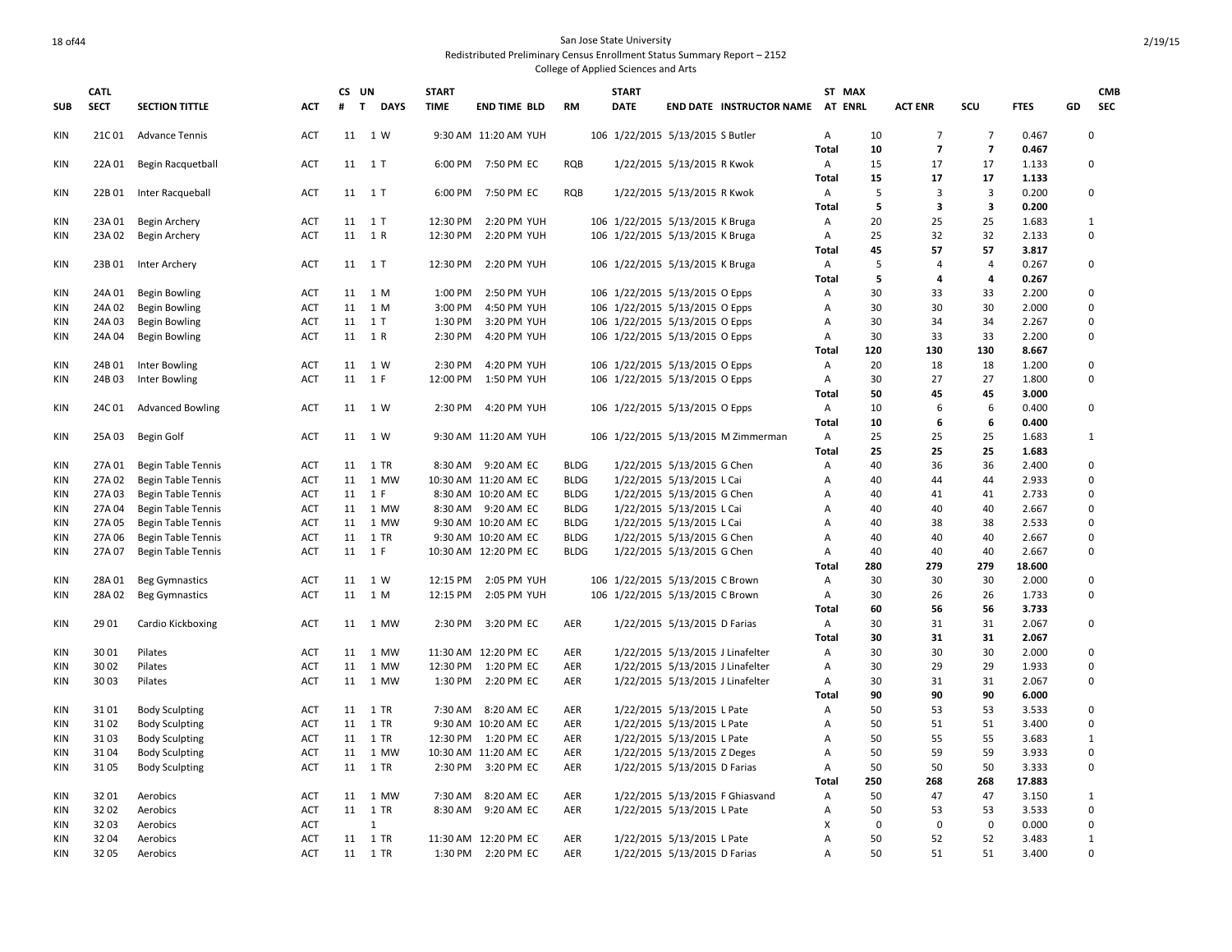|            | <b>CATL</b> |                           |            | CS UN |                  | <b>START</b> |                      |             | <b>START</b>                     |                              |                                     |                | ST MAX      |                |                          |             |              | <b>CMB</b> |
|------------|-------------|---------------------------|------------|-------|------------------|--------------|----------------------|-------------|----------------------------------|------------------------------|-------------------------------------|----------------|-------------|----------------|--------------------------|-------------|--------------|------------|
| <b>SUB</b> | <b>SECT</b> | <b>SECTION TITTLE</b>     | <b>ACT</b> | #     | <b>DAYS</b><br>T | <b>TIME</b>  | <b>END TIME BLD</b>  | <b>RM</b>   | <b>DATE</b>                      |                              | END DATE INSTRUCTOR NAME AT ENRL    |                |             | <b>ACT ENR</b> | SCU                      | <b>FTES</b> | GD           | <b>SEC</b> |
| KIN        |             | 21C 01 Advance Tennis     | <b>ACT</b> |       | 11 1 W           |              | 9:30 AM 11:20 AM YUH |             | 106 1/22/2015 5/13/2015 S Butler |                              |                                     | Α              | 10          | $\overline{7}$ | $\overline{7}$           | 0.467       | $\Omega$     |            |
|            |             |                           |            |       |                  |              |                      |             |                                  |                              |                                     | Total          | 10          | $\overline{7}$ | $\overline{\phantom{a}}$ | 0.467       |              |            |
| KIN        | 22A 01      | Begin Racquetball         | <b>ACT</b> |       | 11 1 T           |              | 6:00 PM 7:50 PM EC   | <b>RQB</b>  |                                  | 1/22/2015 5/13/2015 R Kwok   |                                     | Α              | 15          | 17             | 17                       | 1.133       | 0            |            |
|            |             |                           |            |       |                  |              |                      |             |                                  |                              |                                     | Total          | 15          | 17             | 17                       | 1.133       |              |            |
| KIN        | 22B 01      | Inter Racqueball          | ACT        |       | 11 1 T           | 6:00 PM      | 7:50 PM EC           | <b>RQB</b>  |                                  | 1/22/2015 5/13/2015 R Kwok   |                                     | А              | 5           | 3              | 3                        | 0.200       | $\Omega$     |            |
|            |             |                           |            |       |                  |              |                      |             |                                  |                              |                                     | Total          | 5           | 3              | 3                        | 0.200       |              |            |
| <b>KIN</b> | 23A 01      | Begin Archery             | ACT        |       | 11 1 T           |              | 12:30 PM 2:20 PM YUH |             | 106 1/22/2015 5/13/2015 K Bruga  |                              |                                     | Α              | 20          | 25             | 25                       | 1.683       | 1            |            |
| KIN        | 23A02       | Begin Archery             | <b>ACT</b> |       | 11 1 R           |              | 12:30 PM 2:20 PM YUH |             | 106 1/22/2015 5/13/2015 K Bruga  |                              |                                     | А              | 25          | 32             | 32                       | 2.133       | $\Omega$     |            |
|            |             |                           |            |       |                  |              |                      |             |                                  |                              |                                     | Total          | 45          | 57             | 57                       | 3.817       |              |            |
| <b>KIN</b> | 23B 01      | Inter Archery             | <b>ACT</b> |       | 11 1 T           |              | 12:30 PM 2:20 PM YUH |             | 106 1/22/2015 5/13/2015 K Bruga  |                              |                                     | Α              | 5           | 4              | $\overline{4}$           | 0.267       | 0            |            |
|            |             |                           |            |       |                  |              |                      |             |                                  |                              |                                     | Total          | 5           | 4              | 4                        | 0.267       |              |            |
| <b>KIN</b> | 24A 01      | <b>Begin Bowling</b>      | <b>ACT</b> |       | 11 1 M           |              | 1:00 PM 2:50 PM YUH  |             | 106 1/22/2015 5/13/2015 O Epps   |                              |                                     | Α              | 30          | 33             | 33                       | 2.200       | $\Omega$     |            |
| KIN        | 24A02       | <b>Begin Bowling</b>      | <b>ACT</b> | 11    | 1 M              | 3:00 PM      | 4:50 PM YUH          |             | 106 1/22/2015 5/13/2015 O Epps   |                              |                                     | Α              | 30          | 30             | 30                       | 2.000       | $\mathbf 0$  |            |
| KIN        | 24A03       | <b>Begin Bowling</b>      | ACT        |       | 11 1 T           |              | 1:30 PM 3:20 PM YUH  |             | 106 1/22/2015 5/13/2015 O Epps   |                              |                                     | Α              | 30          | 34             | 34                       | 2.267       | $\mathbf 0$  |            |
| <b>KIN</b> | 24A 04      | Begin Bowling             | ACT        |       | 11 1 R           | 2:30 PM      | 4:20 PM YUH          |             | 106 1/22/2015 5/13/2015 O Epps   |                              |                                     | Α              | 30          | 33             | 33                       | 2.200       | $\mathbf 0$  |            |
|            |             |                           |            |       |                  |              |                      |             |                                  |                              |                                     | Total          | 120         | 130            | 130                      | 8.667       |              |            |
| <b>KIN</b> | 24B01       | Inter Bowling             | <b>ACT</b> |       | 11 1 W           |              | 2:30 PM 4:20 PM YUH  |             | 106 1/22/2015 5/13/2015 O Epps   |                              |                                     | Α              | 20          | 18             | 18                       | 1.200       | $\Omega$     |            |
| KIN        | 24B03       | Inter Bowling             | <b>ACT</b> | 11    | 1 F              |              | 12:00 PM 1:50 PM YUH |             | 106 1/22/2015 5/13/2015 O Epps   |                              |                                     | Α              | 30          | 27             | 27                       | 1.800       | $\mathbf 0$  |            |
|            |             |                           |            |       |                  |              |                      |             |                                  |                              |                                     | Total          | 50          | 45             | 45                       | 3.000       |              |            |
| KIN        |             | 24C 01 Advanced Bowling   | <b>ACT</b> |       | 11 1 W           |              | 2:30 PM 4:20 PM YUH  |             | 106 1/22/2015 5/13/2015 O Epps   |                              |                                     | Α              | 10          | 6              | 6                        | 0.400       | 0            |            |
|            |             |                           |            |       |                  |              |                      |             |                                  |                              |                                     | <b>Total</b>   | 10          | 6              | 6                        | 0.400       |              |            |
| <b>KIN</b> | 25A03       | Begin Golf                | <b>ACT</b> |       | 11 1 W           |              | 9:30 AM 11:20 AM YUH |             |                                  |                              | 106 1/22/2015 5/13/2015 M Zimmerman | Α              | 25          | 25             | 25                       | 1.683       | $\mathbf{1}$ |            |
|            |             |                           |            |       |                  |              |                      |             |                                  |                              |                                     | Total          | 25          | 25             | 25                       | 1.683       |              |            |
| KIN        | 27A 01      | <b>Begin Table Tennis</b> | <b>ACT</b> |       | 11 1 TR          |              | 8:30 AM 9:20 AM EC   | <b>BLDG</b> |                                  | 1/22/2015 5/13/2015 G Chen   |                                     | Α              | 40          | 36             | 36                       | 2.400       | $\Omega$     |            |
| <b>KIN</b> | 27A 02      | <b>Begin Table Tennis</b> | <b>ACT</b> |       | 11 1 MW          |              | 10:30 AM 11:20 AM EC | <b>BLDG</b> |                                  | 1/22/2015 5/13/2015 L Cai    |                                     | A              | 40          | 44             | 44                       | 2.933       | $\Omega$     |            |
| KIN        | 27A03       | <b>Begin Table Tennis</b> | ACT        |       | 11 1 F           |              | 8:30 AM 10:20 AM EC  | <b>BLDG</b> |                                  | 1/22/2015 5/13/2015 G Chen   |                                     | Α              | 40          | 41             | 41                       | 2.733       | $\mathbf 0$  |            |
| <b>KIN</b> | 27A04       | <b>Begin Table Tennis</b> | <b>ACT</b> |       | 11 1 MW          |              | 8:30 AM 9:20 AM EC   | <b>BLDG</b> |                                  | 1/22/2015 5/13/2015 L Cai    |                                     | A              | 40          | 40             | 40                       | 2.667       | $\mathbf 0$  |            |
| <b>KIN</b> | 27A 05      | <b>Begin Table Tennis</b> | <b>ACT</b> |       | 11 1 MW          |              | 9:30 AM 10:20 AM EC  | <b>BLDG</b> |                                  | 1/22/2015 5/13/2015 L Cai    |                                     | A              | 40          | 38             | 38                       | 2.533       | $\mathbf 0$  |            |
| KIN        | 27A 06      | <b>Begin Table Tennis</b> | <b>ACT</b> |       | 11 1 TR          |              | 9:30 AM 10:20 AM EC  | <b>BLDG</b> |                                  | 1/22/2015 5/13/2015 G Chen   |                                     | Α              | 40          | 40             | 40                       | 2.667       | $\Omega$     |            |
| <b>KIN</b> | 27A 07      | <b>Begin Table Tennis</b> | <b>ACT</b> |       | 11 1 F           |              | 10:30 AM 12:20 PM EC | <b>BLDG</b> |                                  | 1/22/2015 5/13/2015 G Chen   |                                     | Α              | 40          | 40             | 40                       | 2.667       | $\mathbf 0$  |            |
|            |             |                           |            |       |                  |              |                      |             |                                  |                              |                                     | Total          | 280         | 279            | 279                      | 18.600      |              |            |
| <b>KIN</b> | 28A01       | <b>Beg Gymnastics</b>     | <b>ACT</b> |       | 11 1 W           |              | 12:15 PM 2:05 PM YUH |             | 106 1/22/2015 5/13/2015 C Brown  |                              |                                     | Α              | 30          | 30             | 30                       | 2.000       | $\mathbf 0$  |            |
| <b>KIN</b> | 28A 02      | <b>Beg Gymnastics</b>     | <b>ACT</b> |       | 11 1 M           |              | 12:15 PM 2:05 PM YUH |             | 106 1/22/2015 5/13/2015 C Brown  |                              |                                     | Α              | 30          | 26             | 26                       | 1.733       | $\Omega$     |            |
|            |             |                           |            |       |                  |              |                      |             |                                  |                              |                                     | <b>Total</b>   | 60          | 56             | 56                       | 3.733       |              |            |
| KIN        | 29 01       | Cardio Kickboxing         | <b>ACT</b> |       | 11 1 MW          |              | 2:30 PM 3:20 PM EC   | AER         |                                  | 1/22/2015 5/13/2015 D Farias |                                     | Α              | 30          | 31             | 31                       | 2.067       | 0            |            |
|            |             |                           |            |       |                  |              |                      |             |                                  |                              |                                     | Total          | 30          | 31             | 31                       | 2.067       |              |            |
| <b>KIN</b> | 3001        | Pilates                   | <b>ACT</b> | 11    | 1 MW             |              | 11:30 AM 12:20 PM EC | AER         |                                  |                              | 1/22/2015 5/13/2015 J Linafelter    | A              | 30          | 30             | 30                       | 2.000       | $\Omega$     |            |
| <b>KIN</b> | 3002        | Pilates                   | <b>ACT</b> | 11    | 1 MW             |              | 12:30 PM 1:20 PM EC  | AER         |                                  |                              | 1/22/2015 5/13/2015 J Linafelter    | A              | 30          | 29             | 29                       | 1.933       | $\mathbf 0$  |            |
| KIN        | 3003        | Pilates                   | <b>ACT</b> | 11    | 1 MW             |              | 1:30 PM 2:20 PM EC   | AER         |                                  |                              | 1/22/2015 5/13/2015 J Linafelter    | Α              | 30          | 31             | 31                       | 2.067       | $\mathbf 0$  |            |
|            |             |                           |            |       |                  |              |                      |             |                                  |                              |                                     | Total          | 90          | 90             | 90                       | 6.000       |              |            |
| <b>KIN</b> | 3101        | <b>Body Sculpting</b>     | <b>ACT</b> |       | 11 1 TR          |              | 7:30 AM 8:20 AM EC   | AER         |                                  | 1/22/2015 5/13/2015 L Pate   |                                     | Α              | 50          | 53             | 53                       | 3.533       | $\mathbf 0$  |            |
| <b>KIN</b> | 3102        | <b>Body Sculpting</b>     | ACT        | 11    | 1 TR             |              | 9:30 AM 10:20 AM EC  | AER         |                                  | 1/22/2015 5/13/2015 L Pate   |                                     | A              | 50          | 51             | 51                       | 3.400       | $\Omega$     |            |
| <b>KIN</b> | 3103        | <b>Body Sculpting</b>     | <b>ACT</b> |       | 11 1 TR          |              | 12:30 PM 1:20 PM EC  | AER         |                                  | 1/22/2015 5/13/2015 L Pate   |                                     | Α              | 50          | 55             | 55                       | 3.683       | $\mathbf{1}$ |            |
| <b>KIN</b> | 3104        | <b>Body Sculpting</b>     | <b>ACT</b> |       | 11 1 MW          |              | 10:30 AM 11:20 AM EC | AER         |                                  | 1/22/2015 5/13/2015 Z Deges  |                                     | A              | 50          | 59             | 59                       | 3.933       | $\mathbf 0$  |            |
| KIN        | 3105        | <b>Body Sculpting</b>     | <b>ACT</b> |       | 11 1 TR          |              | 2:30 PM 3:20 PM EC   | AER         |                                  | 1/22/2015 5/13/2015 D Farias |                                     | A              | 50          | 50             | 50                       | 3.333       | $\Omega$     |            |
|            |             |                           |            |       |                  |              |                      |             |                                  |                              |                                     | Total          | 250         | 268            | 268                      | 17.883      |              |            |
| KIN        | 3201        | Aerobics                  | <b>ACT</b> |       | 11 1 MW          |              | 7:30 AM 8:20 AM EC   | AER         |                                  |                              | 1/22/2015 5/13/2015 F Ghiasvand     | Α              | 50          | 47             | 47                       | 3.150       | $\mathbf{1}$ |            |
| <b>KIN</b> | 3202        | Aerobics                  | <b>ACT</b> |       | 11 1 TR          |              | 8:30 AM 9:20 AM EC   | AER         |                                  | 1/22/2015 5/13/2015 L Pate   |                                     | Α              | 50          | 53             | 53                       | 3.533       | 0            |            |
| <b>KIN</b> | 3203        | Aerobics                  | <b>ACT</b> |       | $\mathbf{1}$     |              |                      |             |                                  |                              |                                     | X              | $\mathbf 0$ | 0              | $\mathbf 0$              | 0.000       | $\mathbf 0$  |            |
| <b>KIN</b> | 3204        | Aerobics                  | <b>ACT</b> | 11    | 1 TR             |              | 11:30 AM 12:20 PM EC | AER         |                                  | 1/22/2015 5/13/2015 L Pate   |                                     | A              | 50          | 52             | 52                       | 3.483       | $\mathbf{1}$ |            |
| KIN        | 3205        | Aerobics                  | <b>ACT</b> | 11    | 1 TR             |              | 1:30 PM 2:20 PM EC   | <b>AER</b>  |                                  | 1/22/2015 5/13/2015 D Farias |                                     | $\overline{A}$ | 50          | 51             | 51                       | 3.400       | $\Omega$     |            |
|            |             |                           |            |       |                  |              |                      |             |                                  |                              |                                     |                |             |                |                          |             |              |            |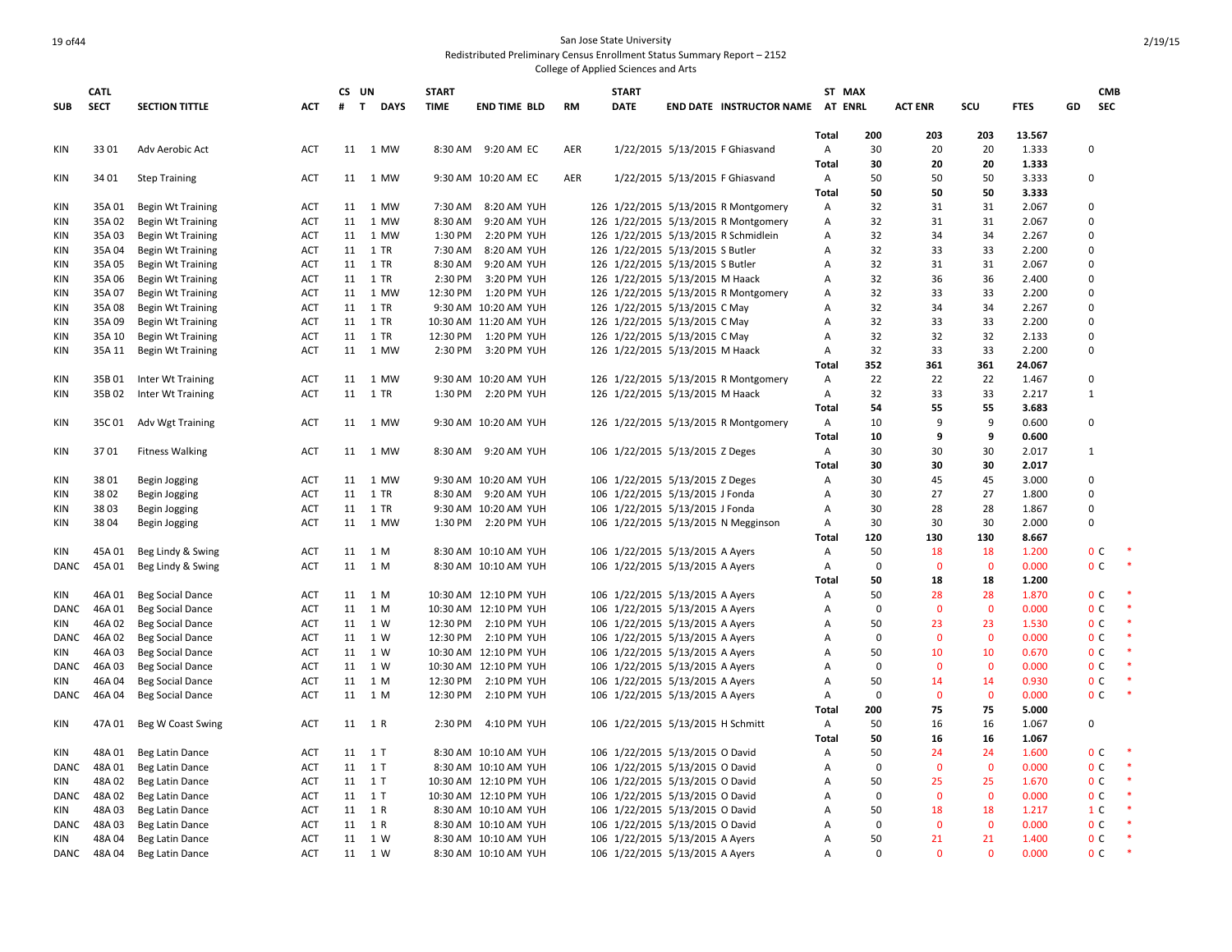### 19 of44 San Jose State University Redistributed Preliminary Census Enrollment Status Summary Report – 2152

|             | <b>CATL</b> |                          |            | CS UN |                             | <b>START</b> |                       |           | <b>START</b> |                                   |                                      |                | ST MAX      |                |                |             |              | <b>CMB</b>     |           |
|-------------|-------------|--------------------------|------------|-------|-----------------------------|--------------|-----------------------|-----------|--------------|-----------------------------------|--------------------------------------|----------------|-------------|----------------|----------------|-------------|--------------|----------------|-----------|
| <b>SUB</b>  | <b>SECT</b> | <b>SECTION TITTLE</b>    | <b>ACT</b> | #     | $\mathbf{T}$<br><b>DAYS</b> | <b>TIME</b>  | <b>END TIME BLD</b>   | <b>RM</b> | <b>DATE</b>  |                                   | END DATE INSTRUCTOR NAME AT ENRL     |                |             | <b>ACT ENR</b> | scu            | <b>FTES</b> | GD           | <b>SEC</b>     |           |
|             |             |                          |            |       |                             |              |                       |           |              |                                   |                                      | Total          | 200         | 203            | 203            | 13.567      |              |                |           |
| KIN         | 3301        | Adv Aerobic Act          | ACT        |       | 11 1 MW                     |              | 8:30 AM 9:20 AM EC    | AER       |              |                                   | 1/22/2015 5/13/2015 F Ghiasvand      | Α              | 30          | 20             | 20             | 1.333       |              | $\Omega$       |           |
|             |             |                          |            |       |                             |              |                       |           |              |                                   |                                      | Total          | 30          | 20             | 20             | 1.333       |              |                |           |
| KIN         | 34 01       | <b>Step Training</b>     | ACT        |       | 11 1 MW                     |              | 9:30 AM 10:20 AM EC   | AER       |              |                                   | 1/22/2015 5/13/2015 F Ghiasvand      | A              | 50          | 50             | 50             | 3.333       |              | $\Omega$       |           |
|             |             |                          |            |       |                             |              |                       |           |              |                                   |                                      | Total          | 50          | 50             | 50             | 3.333       |              |                |           |
| KIN         | 35A 01      | Begin Wt Training        | ACT        | 11    | 1 MW                        | 7:30 AM      | 8:20 AM YUH           |           |              |                                   | 126 1/22/2015 5/13/2015 R Montgomery | Α              | 32          | 31             | 31             | 2.067       | $\Omega$     |                |           |
| KIN         | 35A02       | <b>Begin Wt Training</b> | <b>ACT</b> |       | 11 1 MW                     | 8:30 AM      | 9:20 AM YUH           |           |              |                                   | 126 1/22/2015 5/13/2015 R Montgomery | Α              | 32          | 31             | 31             | 2.067       |              | $\Omega$       |           |
| KIN         | 35A 03      | <b>Begin Wt Training</b> | <b>ACT</b> |       | 11 1 MW                     | 1:30 PM      | 2:20 PM YUH           |           |              |                                   | 126 1/22/2015 5/13/2015 R Schmidlein | $\overline{A}$ | 32          | 34             | 34             | 2.267       | $\Omega$     |                |           |
| KIN         | 35A 04      | <b>Begin Wt Training</b> | ACT        |       | 11 1 TR                     | 7:30 AM      | 8:20 AM YUH           |           |              | 126 1/22/2015 5/13/2015 S Butler  |                                      | Α              | 32          | 33             | 33             | 2.200       |              | 0              |           |
| KIN         | 35A 05      | <b>Begin Wt Training</b> | <b>ACT</b> |       | 11 1 TR                     | 8:30 AM      | 9:20 AM YUH           |           |              | 126 1/22/2015 5/13/2015 S Butler  |                                      | $\overline{A}$ | 32          | 31             | 31             | 2.067       | $\Omega$     |                |           |
| KIN         | 35A 06      | Begin Wt Training        | <b>ACT</b> |       | 11 1 TR                     | 2:30 PM      | 3:20 PM YUH           |           |              | 126 1/22/2015 5/13/2015 M Haack   |                                      | Α              | 32          | 36             | 36             | 2.400       |              | $\Omega$       |           |
| KIN         | 35A 07      | <b>Begin Wt Training</b> | ACT        |       | 11 1 MW                     |              | 12:30 PM 1:20 PM YUH  |           |              |                                   | 126 1/22/2015 5/13/2015 R Montgomery | $\overline{A}$ | 32          | 33             | 33             | 2.200       |              | $\Omega$       |           |
| KIN         | 35A 08      | Begin Wt Training        | <b>ACT</b> |       | 11 1 TR                     |              | 9:30 AM 10:20 AM YUH  |           |              | 126 1/22/2015 5/13/2015 C May     |                                      | Α              | 32          | 34             | 34             | 2.267       |              | $\Omega$       |           |
| KIN         | 35A09       | <b>Begin Wt Training</b> | <b>ACT</b> | 11    | 1 TR                        |              | 10:30 AM 11:20 AM YUH |           |              | 126 1/22/2015 5/13/2015 C May     |                                      | Α              | 32          | 33             | 33             | 2.200       |              | 0              |           |
| KIN         | 35A 10      | Begin Wt Training        | ACT        |       | 11 1 TR                     |              | 12:30 PM 1:20 PM YUH  |           |              | 126 1/22/2015 5/13/2015 C May     |                                      | Α              | 32          | 32             | 32             | 2.133       |              | $\Omega$       |           |
| KIN         | 35A 11      | <b>Begin Wt Training</b> | <b>ACT</b> |       | 11 1 MW                     |              | 2:30 PM 3:20 PM YUH   |           |              | 126 1/22/2015 5/13/2015 M Haack   |                                      | Α              | 32          | 33             | 33             | 2.200       |              | $\Omega$       |           |
|             |             |                          |            |       |                             |              |                       |           |              |                                   |                                      | Total          | 352         | 361            | 361            | 24.067      |              |                |           |
| KIN         | 35B01       | Inter Wt Training        | <b>ACT</b> |       | 11 1 MW                     |              | 9:30 AM 10:20 AM YUH  |           |              |                                   | 126 1/22/2015 5/13/2015 R Montgomery | A              | 22          | 22             | 22             | 1.467       |              | $\Omega$       |           |
| KIN         | 35B02       | Inter Wt Training        | ACT        | 11    | 1 TR                        |              | 1:30 PM 2:20 PM YUH   |           |              | 126 1/22/2015 5/13/2015 M Haack   |                                      | Α              | 32          | 33             | 33             | 2.217       | $\mathbf{1}$ |                |           |
|             |             |                          |            |       |                             |              |                       |           |              |                                   |                                      | <b>Total</b>   | 54          | 55             | 55             | 3.683       |              |                |           |
| KIN         | 35C01       | Adv Wgt Training         | ACT        |       | 11 1 MW                     |              | 9:30 AM 10:20 AM YUH  |           |              |                                   | 126 1/22/2015 5/13/2015 R Montgomery | Α              | 10          | 9              | 9              | 0.600       |              | 0              |           |
|             |             |                          |            |       |                             |              |                       |           |              |                                   |                                      | Total          | 10          | 9              | 9              | 0.600       |              |                |           |
| KIN         | 3701        | <b>Fitness Walking</b>   | <b>ACT</b> |       | 11 1 MW                     |              | 8:30 AM 9:20 AM YUH   |           |              | 106 1/22/2015 5/13/2015 Z Deges   |                                      | Α              | 30          | 30             | 30             | 2.017       | 1            |                |           |
|             |             |                          |            |       |                             |              |                       |           |              |                                   |                                      | Total          | 30          | 30             | 30             | 2.017       |              |                |           |
| KIN         | 3801        | Begin Jogging            | ACT        |       | 11 1 MW                     |              | 9:30 AM 10:20 AM YUH  |           |              | 106 1/22/2015 5/13/2015 Z Deges   |                                      | A              | 30          | 45             | 45             | 3.000       |              | $\Omega$       |           |
| KIN         | 3802        | Begin Jogging            | ACT        |       | 11 1 TR                     |              | 8:30 AM 9:20 AM YUH   |           |              | 106 1/22/2015 5/13/2015 J Fonda   |                                      | Α              | 30          | 27             | 27             | 1.800       |              | $\Omega$       |           |
| KIN         | 3803        | Begin Jogging            | ACT        | 11    | 1 TR                        |              | 9:30 AM 10:20 AM YUH  |           |              | 106 1/22/2015 5/13/2015 J Fonda   |                                      | Α              | 30          | 28             | 28             | 1.867       |              | 0              |           |
| KIN         | 3804        | Begin Jogging            | <b>ACT</b> |       | 11 1 MW                     |              | 1:30 PM 2:20 PM YUH   |           |              |                                   | 106 1/22/2015 5/13/2015 N Megginson  | Α              | 30          | 30             | 30             | 2.000       |              | $\Omega$       |           |
|             |             |                          |            |       |                             |              |                       |           |              |                                   |                                      | Total          | 120         | 130            | 130            | 8.667       |              |                |           |
| KIN         | 45A01       | Beg Lindy & Swing        | ACT        |       | 11 1 M                      |              | 8:30 AM 10:10 AM YUH  |           |              | 106 1/22/2015 5/13/2015 A Ayers   |                                      | Α              | 50          | 18             | 18             | 1.200       |              | 0 <sup>C</sup> | $\ast$    |
| <b>DANC</b> | 45A01       | Beg Lindy & Swing        | ACT        |       | 11 1 M                      |              | 8:30 AM 10:10 AM YUH  |           |              | 106 1/22/2015 5/13/2015 A Ayers   |                                      | Α              | $\mathbf 0$ | $\mathbf{0}$   | $\mathbf{0}$   | 0.000       |              | 0 <sup>C</sup> | $\ast$    |
|             |             |                          |            |       |                             |              |                       |           |              |                                   |                                      | Total          | 50          | 18             | 18             | 1.200       |              |                |           |
| KIN         | 46A01       | <b>Beg Social Dance</b>  | <b>ACT</b> |       | 11 1 M                      |              | 10:30 AM 12:10 PM YUH |           |              | 106 1/22/2015 5/13/2015 A Ayers   |                                      | Α              | 50          | 28             | 28             | 1.870       |              | 0 <sup>C</sup> |           |
| <b>DANC</b> | 46A01       | <b>Beg Social Dance</b>  | <b>ACT</b> |       | 11 1 M                      |              | 10:30 AM 12:10 PM YUH |           |              | 106 1/22/2015 5/13/2015 A Ayers   |                                      | Α              | $\mathbf 0$ | $\mathbf{0}$   | $\mathbf{0}$   | 0.000       |              | 0 <sup>c</sup> | $\ast$    |
| KIN         | 46A02       | <b>Beg Social Dance</b>  | <b>ACT</b> |       | 11 1 W                      |              | 12:30 PM 2:10 PM YUH  |           |              | 106 1/22/2015 5/13/2015 A Ayers   |                                      | Α              | 50          | 23             | 23             | 1.530       |              | 0 <sup>C</sup> | $\;$ $\;$ |
| <b>DANC</b> | 46A 02      | <b>Beg Social Dance</b>  | <b>ACT</b> |       | 11 1 W                      |              | 12:30 PM 2:10 PM YUH  |           |              | 106 1/22/2015 5/13/2015 A Ayers   |                                      | Α              | $\Omega$    | $\Omega$       | $\mathbf{0}$   | 0.000       |              | 0 <sup>C</sup> | $\ast$    |
| KIN         | 46A03       | <b>Beg Social Dance</b>  | <b>ACT</b> | 11    | 1 W                         |              | 10:30 AM 12:10 PM YUH |           |              | 106 1/22/2015 5/13/2015 A Ayers   |                                      | Α              | 50          | 10             | 10             | 0.670       |              | 0 <sup>C</sup> | $\ast$    |
| DANC        | 46A03       | <b>Beg Social Dance</b>  | ACT        |       | 11 1 W                      |              | 10:30 AM 12:10 PM YUH |           |              | 106 1/22/2015 5/13/2015 A Ayers   |                                      | Α              | $\mathbf 0$ | $\mathbf{0}$   | $\mathbf{0}$   | 0.000       |              | 0 <sup>C</sup> | $\ast$    |
| KIN         | 46A04       | <b>Beg Social Dance</b>  | <b>ACT</b> | 11    | 1 M                         | 12:30 PM     | 2:10 PM YUH           |           |              | 106 1/22/2015 5/13/2015 A Ayers   |                                      | Α              | 50          | 14             | 14             | 0.930       |              | 0 <sup>c</sup> | $\ast$    |
| DANC        | 46A04       | <b>Beg Social Dance</b>  | <b>ACT</b> |       | 11 1 M                      | 12:30 PM     | 2:10 PM YUH           |           |              | 106 1/22/2015 5/13/2015 A Ayers   |                                      | Α              | $\Omega$    | $\mathbf 0$    | $\mathbf 0$    | 0.000       |              | 0 <sup>C</sup> | $\ast$    |
|             |             |                          |            |       |                             |              |                       |           |              |                                   |                                      | <b>Total</b>   | 200         | 75             | 75             | 5.000       |              |                |           |
| KIN         | 47A 01      | Beg W Coast Swing        | <b>ACT</b> |       | 11 1 R                      | 2:30 PM      | 4:10 PM YUH           |           |              | 106 1/22/2015 5/13/2015 H Schmitt |                                      | Α              | 50          | 16             | 16             | 1.067       |              | $\Omega$       |           |
|             |             |                          |            |       |                             |              |                       |           |              |                                   |                                      | Total          | 50          | 16             | 16             | 1.067       |              |                |           |
| KIN         | 48A01       | Beg Latin Dance          | ACT        |       | 11 1 T                      |              | 8:30 AM 10:10 AM YUH  |           |              | 106 1/22/2015 5/13/2015 O David   |                                      | Α              | 50          | 24             | 24             | 1.600       |              | 0 <sup>c</sup> | $\ast$    |
| <b>DANC</b> | 48A 01      | Beg Latin Dance          | ACT        |       | 11 1 T                      |              | 8:30 AM 10:10 AM YUH  |           |              | 106 1/22/2015 5/13/2015 O David   |                                      | A              | $\mathbf 0$ | $\mathbf{0}$   | $\mathbf{0}$   | 0.000       |              | 0 <sup>c</sup> | $\;$ $\;$ |
| KIN         | 48A02       | Beg Latin Dance          | <b>ACT</b> |       | 11 1 T                      |              | 10:30 AM 12:10 PM YUH |           |              | 106 1/22/2015 5/13/2015 O David   |                                      | Α              | 50          | 25             | 25             | 1.670       |              | 0 <sup>c</sup> | $\ast$    |
| <b>DANC</b> | 48A 02      | <b>Beg Latin Dance</b>   | ACT        |       | 11 1 T                      |              | 10:30 AM 12:10 PM YUH |           |              | 106 1/22/2015 5/13/2015 O David   |                                      | Α              | 0           | $\mathbf{0}$   | $\mathbf 0$    | 0.000       |              | 0 <sup>C</sup> | $\ast$    |
| KIN         | 48A03       | Beg Latin Dance          | <b>ACT</b> |       | 11 1 R                      |              | 8:30 AM 10:10 AM YUH  |           |              | 106 1/22/2015 5/13/2015 O David   |                                      | Α              | 50          | 18             | 18             | 1.217       |              | 1 <sup>C</sup> | $\ast$    |
| <b>DANC</b> | 48A03       | <b>Beg Latin Dance</b>   | <b>ACT</b> |       | 11 1 R                      |              | 8:30 AM 10:10 AM YUH  |           |              | 106 1/22/2015 5/13/2015 O David   |                                      | Α              | $\mathbf 0$ | $\mathbf{0}$   | $\overline{0}$ | 0.000       |              | 0 <sup>C</sup> | $\ast$    |
| <b>KIN</b>  | 48A04       | Beg Latin Dance          | ACT        |       | 11 1 W                      |              | 8:30 AM 10:10 AM YUH  |           |              | 106 1/22/2015 5/13/2015 A Ayers   |                                      | A              | 50          | 21             | 21             | 1.400       |              | 0 <sup>C</sup> | $\ast$    |
| DANC        | 48A04       | Beg Latin Dance          | <b>ACT</b> |       | 11 1 W                      |              | 8:30 AM 10:10 AM YUH  |           |              | 106 1/22/2015 5/13/2015 A Ayers   |                                      | $\overline{A}$ | $\Omega$    | $\Omega$       | $\Omega$       | 0.000       |              | 0 <sup>C</sup> |           |
|             |             |                          |            |       |                             |              |                       |           |              |                                   |                                      |                |             |                |                |             |              |                |           |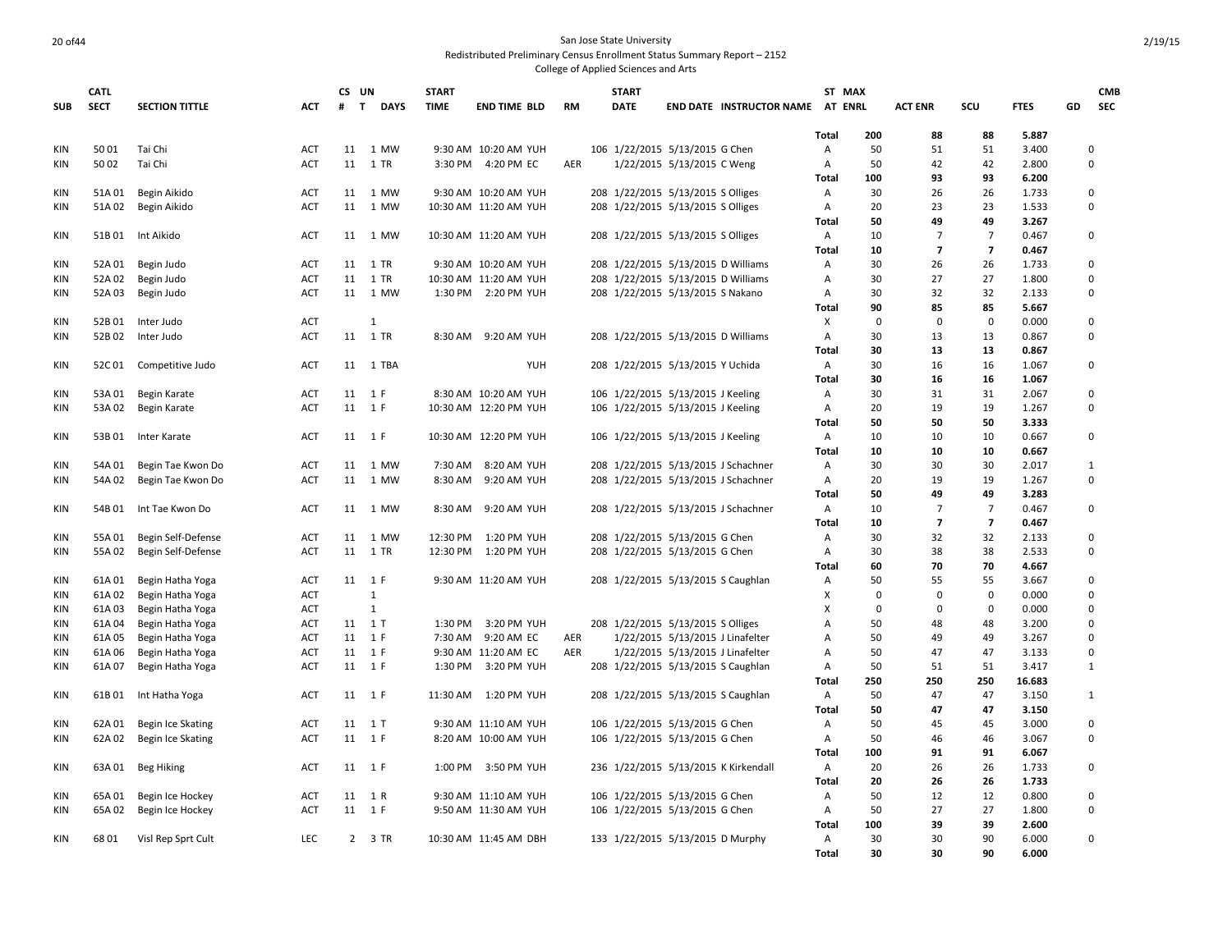### 20 of 44 San Jose State University Redistributed Preliminary Census Enrollment Status Summary Report – 2152

|            | <b>CATL</b> |                          |            | CS UN             |                  | <b>START</b> |                       |           | <b>START</b> |                                      |                                  |                | ST MAX      |                          |                         |                |    | <b>CMB</b>              |
|------------|-------------|--------------------------|------------|-------------------|------------------|--------------|-----------------------|-----------|--------------|--------------------------------------|----------------------------------|----------------|-------------|--------------------------|-------------------------|----------------|----|-------------------------|
| <b>SUB</b> | <b>SECT</b> | <b>SECTION TITTLE</b>    | <b>ACT</b> | #<br>$\mathbf{T}$ | <b>DAYS</b>      | <b>TIME</b>  | <b>END TIME BLD</b>   | <b>RM</b> | <b>DATE</b>  |                                      | END DATE INSTRUCTOR NAME AT ENRL |                |             | <b>ACT ENR</b>           | SCU                     | <b>FTES</b>    | GD | <b>SEC</b>              |
|            |             |                          |            |                   |                  |              |                       |           |              |                                      |                                  | <b>Total</b>   | 200         | 88                       | 88                      | 5.887          |    |                         |
| <b>KIN</b> | 5001        | Tai Chi                  | <b>ACT</b> | 11                | 1 MW             |              | 9:30 AM 10:20 AM YUH  |           |              | 106 1/22/2015 5/13/2015 G Chen       |                                  | A              | 50          | 51                       | 51                      | 3.400          |    | 0                       |
| KIN        | 5002        | Tai Chi                  | ACT        | 11                | 1 TR             |              | 3:30 PM 4:20 PM EC    | AER       |              | 1/22/2015 5/13/2015 C Weng           |                                  | A              | 50          | 42                       | 42                      | 2.800          |    | $\mathbf 0$             |
|            |             |                          |            |                   |                  |              |                       |           |              |                                      |                                  | <b>Total</b>   | 100         | 93                       | 93                      | 6.200          |    |                         |
| <b>KIN</b> | 51A 01      | Begin Aikido             | ACT        | 11                | 1 MW             |              | 9:30 AM 10:20 AM YUH  |           |              | 208 1/22/2015 5/13/2015 S Olliges    |                                  | $\mathsf{A}$   | 30          | 26                       | 26                      | 1.733          |    | $\mathbf 0$             |
| KIN        | 51A 02      | Begin Aikido             | ACT        | 11                | 1 MW             |              | 10:30 AM 11:20 AM YUH |           |              | 208 1/22/2015 5/13/2015 S Olliges    |                                  | Α              | 20          | 23                       | 23                      | 1.533          |    | $\mathbf 0$             |
|            |             |                          |            |                   |                  |              |                       |           |              |                                      |                                  | Total          | 50          | 49                       | 49                      | 3.267          |    |                         |
| <b>KIN</b> |             | 51B 01 Int Aikido        | <b>ACT</b> |                   | 11 1 MW          |              | 10:30 AM 11:20 AM YUH |           |              | 208 1/22/2015 5/13/2015 S Olliges    |                                  | A              | 10          | 7                        | 7                       | 0.467          |    | $\mathbf 0$             |
|            |             |                          |            |                   |                  |              |                       |           |              |                                      |                                  | <b>Total</b>   | 10          | $\overline{\phantom{a}}$ | $\overline{\mathbf{z}}$ | 0.467          |    |                         |
| KIN        | 52A 01      | Begin Judo               | <b>ACT</b> | 11                | 1 TR             |              | 9:30 AM 10:20 AM YUH  |           |              | 208 1/22/2015 5/13/2015 D Williams   |                                  | A              | 30          | 26                       | 26                      | 1.733          |    | $\mathbf 0$             |
| <b>KIN</b> | 52A 02      | Begin Judo               | <b>ACT</b> | 11                | 1 TR             |              | 10:30 AM 11:20 AM YUH |           |              | 208 1/22/2015 5/13/2015 D Williams   |                                  | Α              | 30          | 27                       | 27                      | 1.800          |    | $\mathbf 0$             |
| <b>KIN</b> | 52A 03      | Begin Judo               | ACT        |                   | 11 1 MW          |              | 1:30 PM 2:20 PM YUH   |           |              | 208 1/22/2015 5/13/2015 S Nakano     |                                  | $\overline{A}$ | 30          | 32                       | 32                      | 2.133          |    | $\Omega$                |
|            |             |                          |            |                   |                  |              |                       |           |              |                                      |                                  | Total          | 90          | 85                       | 85                      | 5.667          |    |                         |
| KIN        | 52B01       | Inter Judo               | ACT        |                   | 1                |              |                       |           |              |                                      |                                  | X              | $\mathbf 0$ | $\mathbf 0$              | $\mathbf 0$             | 0.000          |    | $\mathbf 0$             |
| <b>KIN</b> | 52B02       | Inter Judo               | <b>ACT</b> | 11                | 1 TR             |              | 8:30 AM 9:20 AM YUH   |           |              | 208 1/22/2015 5/13/2015 D Williams   |                                  | $\overline{A}$ | 30          | 13                       | 13                      | 0.867          |    | $\Omega$                |
|            |             |                          |            |                   |                  |              |                       |           |              |                                      |                                  | <b>Total</b>   | 30          | 13                       | 13                      | 0.867          |    |                         |
| KIN        |             | 52C 01 Competitive Judo  | <b>ACT</b> |                   | 11 1 TBA         |              | YUH                   |           |              | 208 1/22/2015 5/13/2015 Y Uchida     |                                  | $\mathsf{A}$   | 30          | 16                       | 16                      | 1.067          |    | $\mathbf 0$             |
|            |             |                          |            |                   |                  |              |                       |           |              |                                      |                                  | <b>Total</b>   | 30          | 16                       | 16                      | 1.067          |    |                         |
| KIN        | 53A 01      | Begin Karate             | <b>ACT</b> |                   | 11 1 F<br>11 1 F |              | 8:30 AM 10:20 AM YUH  |           |              | 106 1/22/2015 5/13/2015 J Keeling    |                                  | Α              | 30          | 31<br>19                 | 31<br>19                | 2.067          |    | $\mathbf 0$<br>$\Omega$ |
| KIN        |             | 53A 02 Begin Karate      | <b>ACT</b> |                   |                  |              | 10:30 AM 12:20 PM YUH |           |              | 106 1/22/2015 5/13/2015 J Keeling    |                                  | Α              | 20          |                          |                         | 1.267          |    |                         |
| KIN        | 53B01       |                          |            |                   | 11 1 F           |              | 10:30 AM 12:20 PM YUH |           |              |                                      |                                  | Total          | 50<br>10    | 50<br>10                 | 50<br>10                | 3.333<br>0.667 |    | $\mathbf 0$             |
|            |             | Inter Karate             | ACT        |                   |                  |              |                       |           |              | 106 1/22/2015 5/13/2015 J Keeling    |                                  | Α<br>Total     | 10          | 10                       | 10                      | 0.667          |    |                         |
| KIN        | 54A 01      | Begin Tae Kwon Do        | ACT        |                   | 11 1 MW          |              | 7:30 AM 8:20 AM YUH   |           |              | 208 1/22/2015 5/13/2015 J Schachner  |                                  | A              | 30          | 30                       | 30                      | 2.017          |    | 1                       |
| KIN        | 54A 02      | Begin Tae Kwon Do        | <b>ACT</b> |                   | 11 1 MW          | 8:30 AM      | 9:20 AM YUH           |           |              | 208 1/22/2015 5/13/2015 J Schachner  |                                  | Α              | 20          | 19                       | 19                      | 1.267          |    | $\mathbf 0$             |
|            |             |                          |            |                   |                  |              |                       |           |              |                                      |                                  | <b>Total</b>   | 50          | 49                       | 49                      | 3.283          |    |                         |
| <b>KIN</b> |             | 54B 01 Int Tae Kwon Do   | <b>ACT</b> |                   | 11 1 MW          | 8:30 AM      | 9:20 AM YUH           |           |              | 208 1/22/2015 5/13/2015 J Schachner  |                                  | A              | 10          | $\overline{7}$           | $\overline{7}$          | 0.467          |    | $\mathbf 0$             |
|            |             |                          |            |                   |                  |              |                       |           |              |                                      |                                  | <b>Total</b>   | 10          | $\overline{7}$           | $\overline{7}$          | 0.467          |    |                         |
| <b>KIN</b> | 55A 01      | Begin Self-Defense       | ACT        | 11                | 1 MW             | 12:30 PM     | 1:20 PM YUH           |           |              | 208 1/22/2015 5/13/2015 G Chen       |                                  | A              | 30          | 32                       | 32                      | 2.133          |    | $\mathbf 0$             |
| <b>KIN</b> | 55A 02      | Begin Self-Defense       | ACT        |                   | 11 1 TR          |              | 12:30 PM 1:20 PM YUH  |           |              | 208 1/22/2015 5/13/2015 G Chen       |                                  | Α              | 30          | 38                       | 38                      | 2.533          |    | $\mathbf 0$             |
|            |             |                          |            |                   |                  |              |                       |           |              |                                      |                                  | Total          | 60          | 70                       | 70                      | 4.667          |    |                         |
| <b>KIN</b> | 61A01       | Begin Hatha Yoga         | ACT        |                   | 11 1 F           |              | 9:30 AM 11:20 AM YUH  |           |              | 208 1/22/2015 5/13/2015 S Caughlan   |                                  | A              | 50          | 55                       | 55                      | 3.667          |    | $\mathbf 0$             |
| KIN        | 61A 02      | Begin Hatha Yoga         | <b>ACT</b> |                   | $\mathbf{1}$     |              |                       |           |              |                                      |                                  | Χ              | $\Omega$    | $\mathbf 0$              | $\Omega$                | 0.000          |    | $\Omega$                |
| <b>KIN</b> | 61A 03      | Begin Hatha Yoga         | <b>ACT</b> |                   | 1                |              |                       |           |              |                                      |                                  | X              | 0           | 0                        | $\mathbf 0$             | 0.000          |    | $\mathbf 0$             |
| <b>KIN</b> | 61A04       | Begin Hatha Yoga         | <b>ACT</b> | 11 1 T            |                  | 1:30 PM      | 3:20 PM YUH           |           |              | 208 1/22/2015 5/13/2015 S Olliges    |                                  | Α              | 50          | 48                       | 48                      | 3.200          |    | $\mathbf 0$             |
| <b>KIN</b> | 61A05       | Begin Hatha Yoga         | ACT        |                   | 11 1 F           |              | 7:30 AM 9:20 AM EC    | AER       |              | 1/22/2015 5/13/2015 J Linafelter     |                                  | Α              | 50          | 49                       | 49                      | 3.267          |    | $\mathbf 0$             |
| <b>KIN</b> | 61A 06      | Begin Hatha Yoga         | ACT        |                   | 11 1 F           |              | 9:30 AM 11:20 AM EC   | AER       |              | 1/22/2015 5/13/2015 J Linafelter     |                                  | A              | 50          | 47                       | 47                      | 3.133          |    | $\mathbf 0$             |
| <b>KIN</b> | 61A07       | Begin Hatha Yoga         | ACT        |                   | 11 1 F           |              | 1:30 PM 3:20 PM YUH   |           |              | 208 1/22/2015 5/13/2015 S Caughlan   |                                  | Α              | 50          | 51                       | 51                      | 3.417          |    | $\mathbf{1}$            |
|            |             |                          |            |                   |                  |              |                       |           |              |                                      |                                  | Total          | 250         | 250                      | 250                     | 16.683         |    |                         |
| KIN        |             | 61B 01 Int Hatha Yoga    | ACT        |                   | 11 1 F           |              | 11:30 AM  1:20 PM YUH |           |              | 208 1/22/2015 5/13/2015 S Caughlan   |                                  | A              | 50          | 47                       | 47                      | 3.150          |    | 1                       |
|            |             |                          |            |                   |                  |              |                       |           |              |                                      |                                  | <b>Total</b>   | 50          | 47                       | 47                      | 3.150          |    |                         |
| <b>KIN</b> | 62A 01      | Begin Ice Skating        | ACT        | 11                | 1T               |              | 9:30 AM 11:10 AM YUH  |           |              | 106 1/22/2015 5/13/2015 G Chen       |                                  | A              | 50          | 45                       | 45                      | 3.000          |    | $\mathbf 0$             |
| KIN        |             | 62A 02 Begin Ice Skating | <b>ACT</b> |                   | 11 1 F           |              | 8:20 AM 10:00 AM YUH  |           |              | 106 1/22/2015 5/13/2015 G Chen       |                                  | Α              | 50          | 46                       | 46                      | 3.067          |    | $\mathbf 0$             |
|            |             |                          |            |                   |                  |              |                       |           |              |                                      |                                  | <b>Total</b>   | 100         | 91                       | 91                      | 6.067          |    |                         |
| KIN        | 63A 01      | Beg Hiking               | ACT        |                   | 11 1 F           | 1:00 PM      | 3:50 PM YUH           |           |              | 236 1/22/2015 5/13/2015 K Kirkendall |                                  | A              | 20          | 26                       | 26                      | 1.733          |    | $\mathbf 0$             |
|            |             |                          |            |                   |                  |              |                       |           |              |                                      |                                  | <b>Total</b>   | 20          | 26                       | 26                      | 1.733          |    |                         |
| KIN        | 65A 01      | Begin Ice Hockey         | <b>ACT</b> |                   | 11 1 R           |              | 9:30 AM 11:10 AM YUH  |           |              | 106 1/22/2015 5/13/2015 G Chen       |                                  | A              | 50          | 12                       | 12                      | 0.800          |    | 0                       |
| KIN        | 65A 02      | Begin Ice Hockey         | ACT        |                   | 11 1 F           |              | 9:50 AM 11:30 AM YUH  |           |              | 106 1/22/2015 5/13/2015 G Chen       |                                  | Α              | 50          | 27                       | 27                      | 1.800          |    | $\mathbf 0$             |
|            |             |                          |            |                   |                  |              |                       |           |              |                                      |                                  | <b>Total</b>   | 100         | 39                       | 39                      | 2.600          |    |                         |
| KIN        | 6801        | Visl Rep Sprt Cult       | LEC        |                   | 2 3 TR           |              | 10:30 AM 11:45 AM DBH |           |              | 133 1/22/2015 5/13/2015 D Murphy     |                                  | $\mathsf{A}$   | 30<br>30    | 30<br>30                 | 90<br>90                | 6.000<br>6.000 |    | $\Omega$                |
|            |             |                          |            |                   |                  |              |                       |           |              |                                      |                                  | Total          |             |                          |                         |                |    |                         |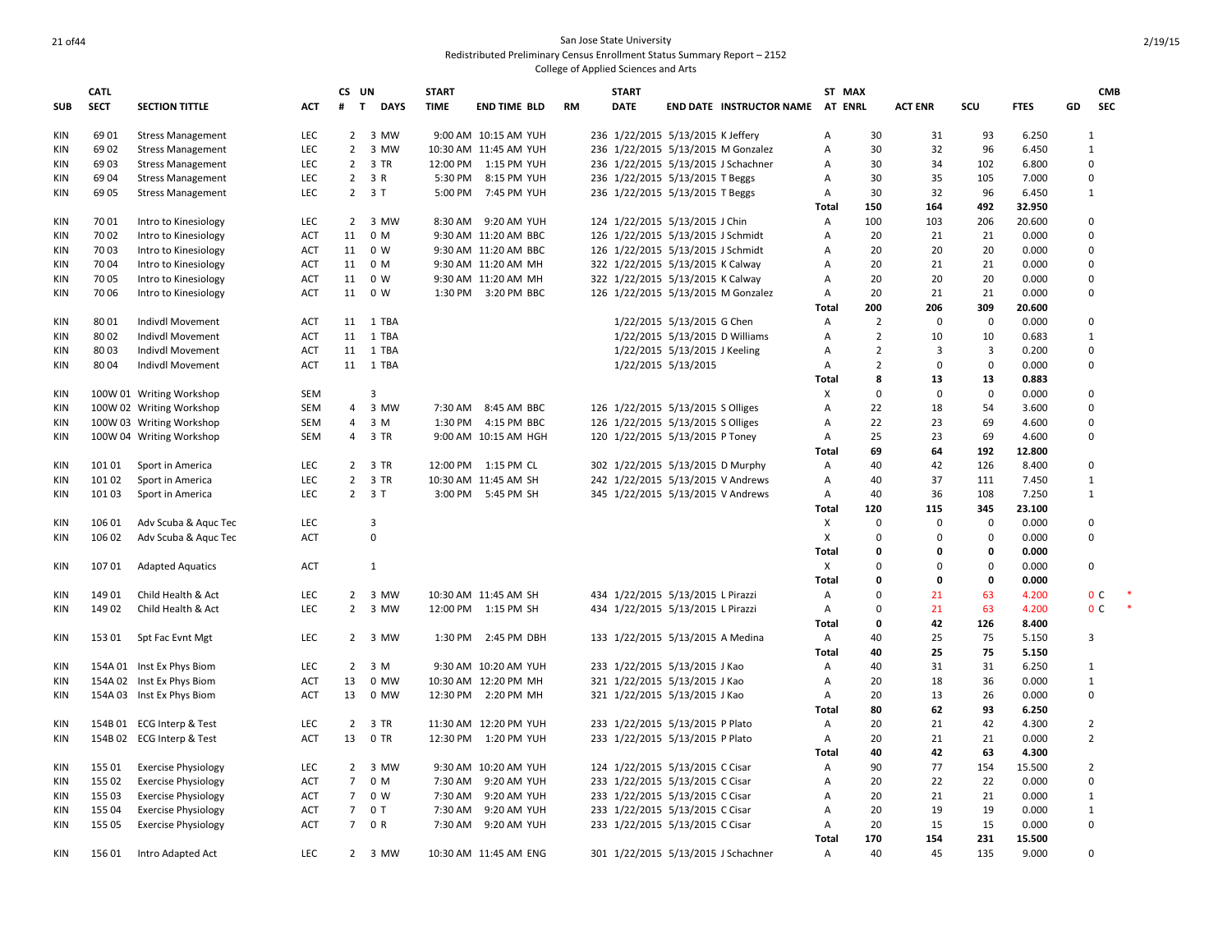## 21 of 44 San Jose State University Redistributed Preliminary Census Enrollment Status Summary Report – 2152

|            | <b>CATL</b> |                            |            | CS UN          |                             | <b>START</b> |                       |    | <b>START</b> |                                   |                                     |                | ST MAX         |                |             |             |    | <b>CMB</b>     |        |
|------------|-------------|----------------------------|------------|----------------|-----------------------------|--------------|-----------------------|----|--------------|-----------------------------------|-------------------------------------|----------------|----------------|----------------|-------------|-------------|----|----------------|--------|
| <b>SUB</b> | <b>SECT</b> | <b>SECTION TITTLE</b>      | <b>ACT</b> | #              | $\mathbf{T}$<br><b>DAYS</b> | <b>TIME</b>  | <b>END TIME BLD</b>   | RM | <b>DATE</b>  |                                   | END DATE INSTRUCTOR NAME AT ENRL    |                |                | <b>ACT ENR</b> | scu         | <b>FTES</b> | GD | <b>SEC</b>     |        |
| <b>KIN</b> | 6901        | <b>Stress Management</b>   | LEC        |                | 2 3 MW                      |              | 9:00 AM 10:15 AM YUH  |    |              | 236 1/22/2015 5/13/2015 K Jeffery |                                     | A              | 30             | 31             | 93          | 6.250       |    | 1              |        |
| <b>KIN</b> | 6902        | <b>Stress Management</b>   | <b>LEC</b> |                | 2 3 MW                      |              | 10:30 AM 11:45 AM YUH |    |              |                                   | 236 1/22/2015 5/13/2015 M Gonzalez  | $\overline{A}$ | 30             | 32             | 96          | 6.450       |    | $\mathbf{1}$   |        |
| <b>KIN</b> | 6903        | <b>Stress Management</b>   | <b>LEC</b> | $\overline{2}$ | 3 TR                        |              | 12:00 PM 1:15 PM YUH  |    |              |                                   | 236 1/22/2015 5/13/2015 J Schachner | $\overline{A}$ | 30             | 34             | 102         | 6.800       |    | $\Omega$       |        |
| <b>KIN</b> | 6904        | <b>Stress Management</b>   | LEC        |                | $2 \t3 R$                   | 5:30 PM      | 8:15 PM YUH           |    |              | 236 1/22/2015 5/13/2015 T Beggs   |                                     | Α              | 30             | 35             | 105         | 7.000       |    | $\Omega$       |        |
| <b>KIN</b> | 6905        | <b>Stress Management</b>   | <b>LEC</b> |                | $2 \t3T$                    |              | 5:00 PM 7:45 PM YUH   |    |              | 236 1/22/2015 5/13/2015 T Beggs   |                                     | $\overline{A}$ | 30             | 32             | 96          | 6.450       |    | 1              |        |
|            |             |                            |            |                |                             |              |                       |    |              |                                   |                                     | Total          | 150            | 164            | 492         | 32.950      |    |                |        |
| <b>KIN</b> | 7001        | Intro to Kinesiology       | <b>LEC</b> |                | 2 3 MW                      |              | 8:30 AM 9:20 AM YUH   |    |              | 124 1/22/2015 5/13/2015 J Chin    |                                     | A              | 100            | 103            | 206         | 20.600      |    | $\Omega$       |        |
| KIN        | 7002        | Intro to Kinesiology       | <b>ACT</b> | 11             | 0 M                         |              | 9:30 AM 11:20 AM BBC  |    |              | 126 1/22/2015 5/13/2015 J Schmidt |                                     | A              | 20             | 21             | 21          | 0.000       |    | $\mathbf 0$    |        |
| <b>KIN</b> | 7003        | Intro to Kinesiology       | <b>ACT</b> | 11             | 0 W                         |              | 9:30 AM 11:20 AM BBC  |    |              | 126 1/22/2015 5/13/2015 J Schmidt |                                     | A              | 20             | 20             | 20          | 0.000       |    | $\Omega$       |        |
| <b>KIN</b> | 7004        | Intro to Kinesiology       | <b>ACT</b> | 11             | 0 M                         |              | 9:30 AM 11:20 AM MH   |    |              | 322 1/22/2015 5/13/2015 K Calway  |                                     | A              | 20             | 21             | 21          | 0.000       |    | $\mathbf 0$    |        |
| <b>KIN</b> | 7005        | Intro to Kinesiology       | <b>ACT</b> | 11             | 0 W                         |              | 9:30 AM 11:20 AM MH   |    |              | 322 1/22/2015 5/13/2015 K Calway  |                                     | $\overline{A}$ | 20             | 20             | 20          | 0.000       |    | $\Omega$       |        |
| <b>KIN</b> | 7006        | Intro to Kinesiology       | <b>ACT</b> | 11             | 0 W                         |              | 1:30 PM 3:20 PM BBC   |    |              |                                   | 126 1/22/2015 5/13/2015 M Gonzalez  | $\overline{A}$ | 20             | 21             | 21          | 0.000       |    | $\mathbf 0$    |        |
|            |             |                            |            |                |                             |              |                       |    |              |                                   |                                     | Total          | 200            | 206            | 309         | 20.600      |    |                |        |
| KIN        | 8001        | Indivdl Movement           | ACT        | 11             | 1 TBA                       |              |                       |    |              | 1/22/2015 5/13/2015 G Chen        |                                     | Α              | $\overline{2}$ | $\mathbf 0$    | $\mathbf 0$ | 0.000       |    | 0              |        |
| <b>KIN</b> | 8002        | Indivdl Movement           | ACT        |                | 11 1 TBA                    |              |                       |    |              | 1/22/2015 5/13/2015 D Williams    |                                     | A              | 2              | 10             | 10          | 0.683       |    | 1              |        |
| <b>KIN</b> | 8003        | Indivdl Movement           | ACT        | 11             | 1 TBA                       |              |                       |    |              | 1/22/2015 5/13/2015 J Keeling     |                                     | A              | $\overline{2}$ | 3              | 3           | 0.200       |    | $\Omega$       |        |
| <b>KIN</b> | 8004        | Indivdl Movement           | <b>ACT</b> |                | 11 1 TBA                    |              |                       |    |              | 1/22/2015 5/13/2015               |                                     | Α              | $\overline{2}$ | $\mathbf 0$    | $\mathbf 0$ | 0.000       |    | $\Omega$       |        |
|            |             |                            |            |                |                             |              |                       |    |              |                                   |                                     | Total          | 8              | 13             | 13          | 0.883       |    |                |        |
| KIN        |             | 100W 01 Writing Workshop   | SEM        |                | 3                           |              |                       |    |              |                                   |                                     | X              | $\mathbf 0$    | $\mathbf 0$    | $\mathbf 0$ | 0.000       |    | $\mathbf 0$    |        |
| <b>KIN</b> |             | 100W 02 Writing Workshop   | SEM        | $\overline{4}$ | 3 MW                        |              | 7:30 AM 8:45 AM BBC   |    |              | 126 1/22/2015 5/13/2015 S Olliges |                                     | A              | 22             | 18             | 54          | 3.600       |    | $\Omega$       |        |
| <b>KIN</b> |             | 100W 03 Writing Workshop   | SEM        | $\overline{4}$ | 3 M                         |              | 1:30 PM 4:15 PM BBC   |    |              | 126 1/22/2015 5/13/2015 S Olliges |                                     | A              | 22             | 23             | 69          | 4.600       |    | $\mathbf 0$    |        |
| <b>KIN</b> |             | 100W 04 Writing Workshop   | SEM        | 4              | 3 TR                        |              | 9:00 AM 10:15 AM HGH  |    |              | 120 1/22/2015 5/13/2015 P Toney   |                                     | $\overline{A}$ | 25             | 23             | 69          | 4.600       |    | $\Omega$       |        |
|            |             |                            |            |                |                             |              |                       |    |              |                                   |                                     | Total          | 69             | 64             | 192         | 12.800      |    |                |        |
| <b>KIN</b> | 101 01      | Sport in America           | <b>LEC</b> | $\overline{2}$ | 3 TR                        |              | 12:00 PM 1:15 PM CL   |    |              | 302 1/22/2015 5/13/2015 D Murphy  |                                     | A              | 40             | 42             | 126         | 8.400       |    | $\Omega$       |        |
| <b>KIN</b> | 101 02      | Sport in America           | LEC        | $\overline{2}$ | 3 TR                        |              | 10:30 AM 11:45 AM SH  |    |              | 242 1/22/2015 5/13/2015 V Andrews |                                     | $\overline{A}$ | 40             | 37             | 111         | 7.450       |    | 1              |        |
| <b>KIN</b> | 10103       | Sport in America           | <b>LEC</b> |                | $2 \t3T$                    |              | 3:00 PM 5:45 PM SH    |    |              | 345 1/22/2015 5/13/2015 V Andrews |                                     | A              | 40             | 36             | 108         | 7.250       |    | 1              |        |
|            |             |                            |            |                |                             |              |                       |    |              |                                   |                                     | Total          | 120            | 115            | 345         | 23.100      |    |                |        |
| KIN        | 106 01      | Adv Scuba & Aquc Tec       | LEC        |                | 3                           |              |                       |    |              |                                   |                                     | X              | $\Omega$       | 0              | $\Omega$    | 0.000       |    | $\Omega$       |        |
| <b>KIN</b> | 106 02      | Adv Scuba & Aquc Tec       | <b>ACT</b> |                | $\pmb{0}$                   |              |                       |    |              |                                   |                                     | X              | $\Omega$       | 0              | 0           | 0.000       |    | $\Omega$       |        |
|            |             |                            |            |                |                             |              |                       |    |              |                                   |                                     | Total          | $\mathbf 0$    | $\Omega$       | 0           | 0.000       |    |                |        |
| <b>KIN</b> | 10701       | <b>Adapted Aquatics</b>    | ACT        |                | 1                           |              |                       |    |              |                                   |                                     | Χ              | $\Omega$       | $\Omega$       | $\pmb{0}$   | 0.000       |    | $\Omega$       |        |
|            |             |                            |            |                |                             |              |                       |    |              |                                   |                                     | <b>Total</b>   | $\Omega$       | 0              | 0           | 0.000       |    |                |        |
| KIN        | 14901       | Child Health & Act         | LEC        |                | 2 3 MW                      |              | 10:30 AM 11:45 AM SH  |    |              | 434 1/22/2015 5/13/2015 L Pirazzi |                                     | A              | $\Omega$       | 21             | 63          | 4.200       |    | 0 <sup>c</sup> |        |
| <b>KIN</b> | 14902       | Child Health & Act         | LEC        | $\overline{2}$ | 3 MW                        |              | 12:00 PM 1:15 PM SH   |    |              | 434 1/22/2015 5/13/2015 L Pirazzi |                                     | Α              | $\Omega$       | 21             | 63          | 4.200       |    | 0 <sup>C</sup> | $\ast$ |
|            |             |                            |            |                |                             |              |                       |    |              |                                   |                                     | Total          | $\mathbf 0$    | 42             | 126         | 8.400       |    |                |        |
| KIN        |             | 153 01 Spt Fac Evnt Mgt    | LEC        |                | 2 3 MW                      |              | 1:30 PM 2:45 PM DBH   |    |              | 133 1/22/2015 5/13/2015 A Medina  |                                     | A              | 40             | 25             | 75          | 5.150       |    | 3              |        |
|            |             |                            |            |                |                             |              |                       |    |              |                                   |                                     | Total          | 40             | 25             | 75          | 5.150       |    |                |        |
| KIN        |             | 154A 01 Inst Ex Phys Biom  | LEC        |                | $2 \quad 3 \quad M$         |              | 9:30 AM 10:20 AM YUH  |    |              | 233 1/22/2015 5/13/2015 J Kao     |                                     | Α              | 40             | 31             | 31          | 6.250       |    | 1              |        |
| <b>KIN</b> |             | 154A 02 Inst Ex Phys Biom  | ACT        | 13             | 0 MW                        |              | 10:30 AM 12:20 PM MH  |    |              | 321 1/22/2015 5/13/2015 J Kao     |                                     | Α              | 20             | 18             | 36          | 0.000       |    | 1              |        |
| <b>KIN</b> |             | 154A 03 Inst Ex Phys Biom  | <b>ACT</b> | 13             | 0 MW                        |              | 12:30 PM 2:20 PM MH   |    |              | 321 1/22/2015 5/13/2015 J Kao     |                                     | A              | 20             | 13             | 26          | 0.000       |    | $\Omega$       |        |
|            |             |                            |            |                |                             |              |                       |    |              |                                   |                                     | Total          | 80             | 62             | 93          | 6.250       |    |                |        |
| <b>KIN</b> |             | 154B 01 ECG Interp & Test  | LEC        | $\overline{2}$ | 3 TR                        |              | 11:30 AM 12:20 PM YUH |    |              | 233 1/22/2015 5/13/2015 P Plato   |                                     | A              | 20             | 21             | 42          | 4.300       |    | $\overline{2}$ |        |
| <b>KIN</b> |             | 154B 02 ECG Interp & Test  | <b>ACT</b> | 13             | 0 TR                        |              | 12:30 PM 1:20 PM YUH  |    |              | 233 1/22/2015 5/13/2015 P Plato   |                                     | Α              | 20             | 21             | 21          | 0.000       |    | $\overline{2}$ |        |
|            |             |                            |            |                |                             |              |                       |    |              |                                   |                                     | Total          | 40             | 42             | 63          | 4.300       |    |                |        |
| KIN        | 155 01      | <b>Exercise Physiology</b> | <b>LEC</b> | $\overline{2}$ | 3 MW                        |              | 9:30 AM 10:20 AM YUH  |    |              | 124 1/22/2015 5/13/2015 C Cisar   |                                     | Α              | 90             | 77             | 154         | 15.500      |    | $\overline{2}$ |        |
| <b>KIN</b> | 155 02      | <b>Exercise Physiology</b> | <b>ACT</b> | $\overline{7}$ | 0 M                         | 7:30 AM      | 9:20 AM YUH           |    |              | 233 1/22/2015 5/13/2015 C Cisar   |                                     | Α              | 20             | 22             | 22          | 0.000       |    | $\mathbf 0$    |        |
| <b>KIN</b> | 155 03      | <b>Exercise Physiology</b> | <b>ACT</b> | $\overline{7}$ | 0 W                         | 7:30 AM      | 9:20 AM YUH           |    |              | 233 1/22/2015 5/13/2015 C Cisar   |                                     | A              | 20             | 21             | 21          | 0.000       |    | 1              |        |
| <b>KIN</b> | 155 04      | <b>Exercise Physiology</b> | <b>ACT</b> | $\overline{7}$ | 0 T                         | 7:30 AM      | 9:20 AM YUH           |    |              | 233 1/22/2015 5/13/2015 C Cisar   |                                     | A              | 20             | 19             | 19          | 0.000       |    | 1              |        |
| <b>KIN</b> | 155 05      | <b>Exercise Physiology</b> | <b>ACT</b> | $7^{\circ}$    | 0 R                         |              | 7:30 AM 9:20 AM YUH   |    |              | 233 1/22/2015 5/13/2015 C Cisar   |                                     | $\overline{A}$ | 20             | 15             | 15          | 0.000       |    | $\Omega$       |        |
|            |             |                            |            |                |                             |              |                       |    |              |                                   |                                     | Total          | 170            | 154            | 231         | 15.500      |    |                |        |
| <b>KIN</b> | 15601       | Intro Adapted Act          | <b>LEC</b> |                | 2 3 MW                      |              | 10:30 AM 11:45 AM ENG |    |              |                                   | 301 1/22/2015 5/13/2015 J Schachner | $\overline{A}$ | 40             | 45             | 135         | 9.000       |    | $\Omega$       |        |
|            |             |                            |            |                |                             |              |                       |    |              |                                   |                                     |                |                |                |             |             |    |                |        |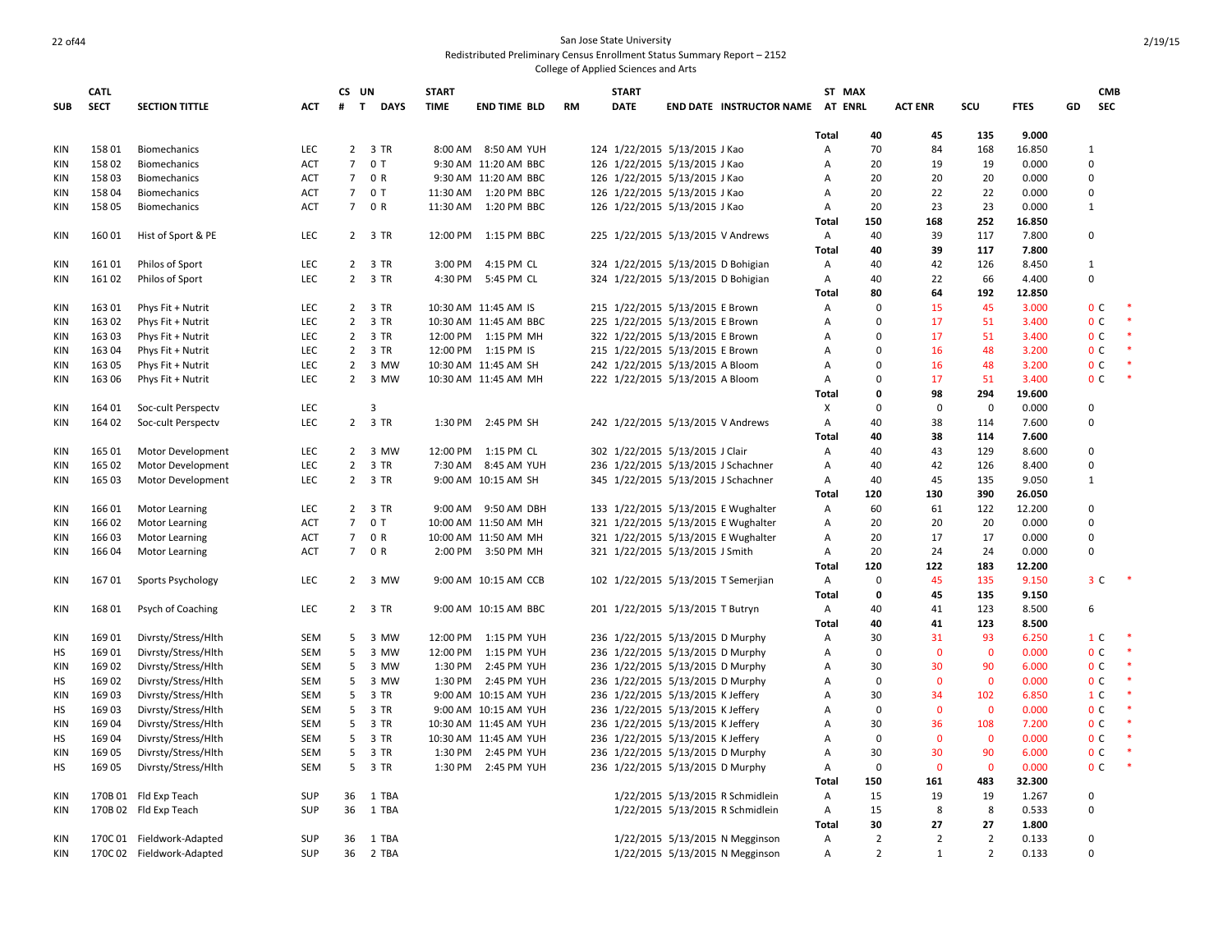|            | <b>CATL</b> |                           |            | CS UN           |             | <b>START</b> |                       |           | <b>START</b>                        |                                     |              | ST MAX         |                |                |             |    | <b>CMB</b>     |        |
|------------|-------------|---------------------------|------------|-----------------|-------------|--------------|-----------------------|-----------|-------------------------------------|-------------------------------------|--------------|----------------|----------------|----------------|-------------|----|----------------|--------|
| <b>SUB</b> | <b>SECT</b> | <b>SECTION TITTLE</b>     | <b>ACT</b> | #<br>T          | <b>DAYS</b> | <b>TIME</b>  | <b>END TIME BLD</b>   | <b>RM</b> | <b>DATE</b>                         | END DATE INSTRUCTOR NAME AT         |              | <b>ENRL</b>    | <b>ACT ENR</b> | scu            | <b>FTES</b> | GD | SEC            |        |
|            |             |                           |            |                 |             |              |                       |           |                                     |                                     | Total        | 40             | 45             | 135            | 9.000       |    |                |        |
| KIN        | 15801       | <b>Biomechanics</b>       | <b>LEC</b> |                 | 2 3 TR      |              | 8:00 AM 8:50 AM YUH   |           | 124 1/22/2015 5/13/2015 J Kao       |                                     | Α            | 70             | 84             | 168            | 16.850      |    | 1              |        |
| <b>KIN</b> | 15802       | Biomechanics              | <b>ACT</b> |                 | 7 0 T       |              | 9:30 AM 11:20 AM BBC  |           | 126 1/22/2015 5/13/2015 J Kao       |                                     | Α            | 20             | 19             | 19             | 0.000       |    | 0              |        |
| KIN        | 15803       | <b>Biomechanics</b>       | <b>ACT</b> |                 | 7 0 R       |              | 9:30 AM 11:20 AM BBC  |           | 126 1/22/2015 5/13/2015 J Kao       |                                     | A            | 20             | 20             | 20             | 0.000       |    | $\Omega$       |        |
| KIN        | 15804       | Biomechanics              | <b>ACT</b> |                 | 7 0 T       |              | 11:30 AM  1:20 PM BBC |           | 126 1/22/2015 5/13/2015 J Kao       |                                     | Α            | 20             | 22             | 22             | 0.000       |    | 0              |        |
| <b>KIN</b> | 15805       | Biomechanics              | <b>ACT</b> |                 | 7 0 R       |              | 11:30 AM  1:20 PM BBC |           | 126 1/22/2015 5/13/2015 J Kao       |                                     | Α            | 20             | 23             | 23             | 0.000       |    | $\mathbf{1}$   |        |
|            |             |                           |            |                 |             |              |                       |           |                                     |                                     | Total        | 150            | 168            | 252            | 16.850      |    |                |        |
| KIN        | 16001       | Hist of Sport & PE        | LEC        |                 | 2 3 TR      |              | 12:00 PM 1:15 PM BBC  |           | 225 1/22/2015 5/13/2015 V Andrews   |                                     | Α            | 40             | 39             | 117            | 7.800       |    | $\mathbf 0$    |        |
|            |             |                           |            |                 |             |              |                       |           |                                     |                                     | Total        | 40             | 39             | 117            | 7.800       |    |                |        |
| <b>KIN</b> | 16101       | Philos of Sport           | LEC        |                 | 2 3 TR      | 3:00 PM      | 4:15 PM CL            |           | 324 1/22/2015 5/13/2015 D Bohigian  |                                     | Α            | 40             | 42             | 126            | 8.450       |    | $\mathbf{1}$   |        |
| <b>KIN</b> | 16102       | Philos of Sport           | LEC        |                 | 2 3 TR      |              | 4:30 PM 5:45 PM CL    |           | 324 1/22/2015 5/13/2015 D Bohigian  |                                     | Α            | 40             | 22             | 66             | 4.400       |    | $\Omega$       |        |
|            |             |                           |            |                 |             |              |                       |           |                                     |                                     | Total        | 80             | 64             | 192            | 12.850      |    |                |        |
| KIN        | 16301       | Phys Fit + Nutrit         | LEC        | $\overline{2}$  | 3 TR        |              | 10:30 AM 11:45 AM IS  |           | 215 1/22/2015 5/13/2015 E Brown     |                                     | A            | 0              | 15             | 45             | 3.000       |    | 0 <sup>c</sup> |        |
| <b>KIN</b> | 16302       | Phys Fit + Nutrit         | LEC        |                 | 2 3 TR      |              | 10:30 AM 11:45 AM BBC |           | 225 1/22/2015 5/13/2015 E Brown     |                                     | Α            | $\Omega$       | 17             | 51             | 3.400       |    | 0 <sup>C</sup> | $\ast$ |
| KIN        | 16303       | Phys Fit + Nutrit         | <b>LEC</b> |                 | 2 3 TR      |              | 12:00 PM 1:15 PM MH   |           | 322 1/22/2015 5/13/2015 E Brown     |                                     | A            | $\Omega$       | 17             | 51             | 3.400       |    | 0 <sup>c</sup> |        |
| KIN        | 16304       | Phys Fit + Nutrit         | LEC        | $\overline{2}$  | 3 TR        |              | 12:00 PM 1:15 PM IS   |           | 215 1/22/2015 5/13/2015 E Brown     |                                     | A            | $\Omega$       | 16             | 48             | 3.200       |    | 0 <sup>c</sup> |        |
| KIN        | 16305       | Phys Fit + Nutrit         | LEC        |                 | 2 3 MW      |              | 10:30 AM 11:45 AM SH  |           | 242 1/22/2015 5/13/2015 A Bloom     |                                     | A            | $\Omega$       | 16             | 48             | 3.200       |    | 0 <sup>C</sup> |        |
| KIN        | 163 06      | Phys Fit + Nutrit         | LEC        | $\overline{2}$  | 3 MW        |              | 10:30 AM 11:45 AM MH  |           | 222 1/22/2015 5/13/2015 A Bloom     |                                     | Α            | $\Omega$       | 17             | 51             | 3.400       |    | 0 <sup>C</sup> | $\ast$ |
|            |             |                           |            |                 |             |              |                       |           |                                     |                                     | <b>Total</b> | 0              | 98             | 294            | 19.600      |    |                |        |
| KIN        | 164 01      |                           | LEC        |                 | 3           |              |                       |           |                                     |                                     | X            | $\Omega$       | $\mathbf 0$    | $\mathbf 0$    | 0.000       |    | 0              |        |
|            |             | Soc-cult Perspectv        |            |                 |             |              |                       |           |                                     |                                     |              |                |                |                |             |    | 0              |        |
| KIN        | 164 02      | Soc-cult Perspectv        | <b>LEC</b> |                 | 2 3 TR      | 1:30 PM      | 2:45 PM SH            |           | 242 1/22/2015 5/13/2015 V Andrews   |                                     | Α            | 40             | 38             | 114            | 7.600       |    |                |        |
|            |             |                           |            |                 |             |              |                       |           |                                     |                                     | <b>Total</b> | 40             | 38             | 114            | 7.600       |    |                |        |
| KIN        | 165 01      | Motor Development         | <b>LEC</b> |                 | 2 3 MW      |              | 12:00 PM 1:15 PM CL   |           | 302 1/22/2015 5/13/2015 J Clair     |                                     | Α            | 40             | 43             | 129            | 8.600       |    | 0              |        |
| <b>KIN</b> | 165 02      | Motor Development         | LEC        | $\overline{2}$  | 3 TR        |              | 7:30 AM 8:45 AM YUH   |           | 236 1/22/2015 5/13/2015 J Schachner |                                     | Α            | 40             | 42             | 126            | 8.400       |    | 0              |        |
| <b>KIN</b> | 165 03      | Motor Development         | <b>LEC</b> |                 | 2 3 TR      |              | 9:00 AM 10:15 AM SH   |           | 345 1/22/2015 5/13/2015 J Schachner |                                     | Α            | 40             | 45             | 135            | 9.050       |    | $\mathbf{1}$   |        |
|            |             |                           |            |                 |             |              |                       |           |                                     |                                     | Total        | 120            | 130            | 390            | 26.050      |    |                |        |
| <b>KIN</b> | 16601       | <b>Motor Learning</b>     | <b>LEC</b> |                 | 2 3 TR      |              | 9:00 AM 9:50 AM DBH   |           |                                     | 133 1/22/2015 5/13/2015 E Wughalter | Α            | 60             | 61             | 122            | 12.200      |    | 0              |        |
| <b>KIN</b> | 16602       | <b>Motor Learning</b>     | ACT        |                 | 7 0 T       |              | 10:00 AM 11:50 AM MH  |           |                                     | 321 1/22/2015 5/13/2015 E Wughalter | Α            | 20             | 20             | 20             | 0.000       |    | 0              |        |
| <b>KIN</b> | 16603       | Motor Learning            | ACT        | $7\overline{ }$ | 0 R         |              | 10:00 AM 11:50 AM MH  |           |                                     | 321 1/22/2015 5/13/2015 E Wughalter | Α            | 20             | 17             | 17             | 0.000       |    | $\Omega$       |        |
| <b>KIN</b> | 16604       | Motor Learning            | <b>ACT</b> |                 | 7 0 R       |              | 2:00 PM 3:50 PM MH    |           | 321 1/22/2015 5/13/2015 J Smith     |                                     | Α            | 20             | 24             | 24             | 0.000       |    | 0              |        |
|            |             |                           |            |                 |             |              |                       |           |                                     |                                     | Total        | 120            | 122            | 183            | 12.200      |    |                |        |
| <b>KIN</b> | 16701       | Sports Psychology         | <b>LEC</b> |                 | 2 3 MW      |              | 9:00 AM 10:15 AM CCB  |           |                                     | 102 1/22/2015 5/13/2015 T Semerjian | Α            | $\Omega$       | 45             | 135            | 9.150       |    | 3 C            |        |
|            |             |                           |            |                 |             |              |                       |           |                                     |                                     | <b>Total</b> | 0              | 45             | 135            | 9.150       |    |                |        |
| KIN        | 16801       | Psych of Coaching         | LEC        |                 | 2 3 TR      |              | 9:00 AM 10:15 AM BBC  |           | 201 1/22/2015 5/13/2015 T Butryn    |                                     | Α            | 40             | 41             | 123            | 8.500       |    | 6              |        |
|            |             |                           |            |                 |             |              |                       |           |                                     |                                     | Total        | 40             | 41             | 123            | 8.500       |    |                |        |
| <b>KIN</b> | 16901       | Divrsty/Stress/Hlth       | <b>SEM</b> |                 | 5 3 MW      |              | 12:00 PM 1:15 PM YUH  |           | 236 1/22/2015 5/13/2015 D Murphy    |                                     | Α            | 30             | 31             | 93             | 6.250       |    | 1 <sup>C</sup> |        |
| HS         | 16901       | Divrsty/Stress/Hlth       | <b>SEM</b> | 5               | 3 MW        | 12:00 PM     | 1:15 PM YUH           |           | 236 1/22/2015 5/13/2015 D Murphy    |                                     | A            | $\mathbf 0$    | $\Omega$       | $\mathbf 0$    | 0.000       |    | 0 <sup>C</sup> |        |
| <b>KIN</b> | 16902       | Divrsty/Stress/Hlth       | <b>SEM</b> | 5               | 3 MW        | 1:30 PM      | 2:45 PM YUH           |           | 236 1/22/2015 5/13/2015 D Murphy    |                                     | A            | 30             | 30             | 90             | 6.000       |    | 0 <sup>c</sup> |        |
| HS         | 16902       | Divrsty/Stress/Hlth       | <b>SEM</b> | 5               | 3 MW        |              | 1:30 PM 2:45 PM YUH   |           | 236 1/22/2015 5/13/2015 D Murphy    |                                     | A            | $\mathbf 0$    | $\mathbf{0}$   | $\mathbf 0$    | 0.000       |    | 0 <sup>C</sup> |        |
| <b>KIN</b> | 16903       | Divrsty/Stress/Hlth       | SEM        | 5               | 3 TR        |              | 9:00 AM 10:15 AM YUH  |           | 236 1/22/2015 5/13/2015 K Jeffery   |                                     | A            | 30             | 34             | 102            | 6.850       |    | 1 <sup>C</sup> |        |
| HS         | 16903       | Divrsty/Stress/Hlth       | <b>SEM</b> | 5               | 3 TR        |              | 9:00 AM 10:15 AM YUH  |           | 236 1/22/2015 5/13/2015 K Jeffery   |                                     | A            | $\mathbf 0$    | $\mathbf{0}$   | $\mathbf 0$    | 0.000       |    | 0 <sup>C</sup> |        |
| <b>KIN</b> | 16904       | Divrsty/Stress/Hlth       | <b>SEM</b> | 5               | 3 TR        |              | 10:30 AM 11:45 AM YUH |           | 236 1/22/2015 5/13/2015 K Jeffery   |                                     | A            | 30             | 36             | 108            | 7.200       |    | 0 <sup>c</sup> |        |
| HS         | 16904       | Divrsty/Stress/Hlth       | SEM        | 5               | 3 TR        |              | 10:30 AM 11:45 AM YUH |           | 236 1/22/2015 5/13/2015 K Jeffery   |                                     | A            | $\mathbf 0$    | $\mathbf 0$    | $\mathbf 0$    | 0.000       |    | 0 <sup>C</sup> |        |
| KIN        | 16905       | Divrsty/Stress/Hlth       | SEM        |                 | 5 3 TR      |              | 1:30 PM 2:45 PM YUH   |           | 236 1/22/2015 5/13/2015 D Murphy    |                                     | A            | 30             | 30             | 90             | 6.000       |    | 0 <sup>c</sup> |        |
| HS         | 16905       | Divrsty/Stress/Hlth       | <b>SEM</b> | 5               | 3 TR        |              | 1:30 PM 2:45 PM YUH   |           | 236 1/22/2015 5/13/2015 D Murphy    |                                     | Α            | 0              | $\Omega$       | $\mathbf 0$    | 0.000       |    | 0 <sup>c</sup> |        |
|            |             |                           |            |                 |             |              |                       |           |                                     |                                     | Total        | 150            | 161            | 483            | 32.300      |    |                |        |
| <b>KIN</b> |             | 170B 01 Fld Exp Teach     | SUP        | 36              | 1 TBA       |              |                       |           |                                     | 1/22/2015 5/13/2015 R Schmidlein    | Α            | 15             | 19             | 19             | 1.267       |    | 0              |        |
| <b>KIN</b> |             | 170B 02 Fld Exp Teach     | <b>SUP</b> | 36              | 1 TBA       |              |                       |           |                                     | 1/22/2015 5/13/2015 R Schmidlein    | A            | 15             | 8              | 8              | 0.533       |    | $\mathbf 0$    |        |
|            |             |                           |            |                 |             |              |                       |           |                                     |                                     | Total        | 30             | 27             | 27             | 1.800       |    |                |        |
| <b>KIN</b> |             | 170C 01 Fieldwork-Adapted | <b>SUP</b> | 36              | 1 TBA       |              |                       |           |                                     | 1/22/2015 5/13/2015 N Megginson     | Α            | $\overline{2}$ | $\overline{2}$ | $\overline{2}$ | 0.133       |    | 0              |        |
| KIN        |             | 170C 02 Fieldwork-Adapted | SUP        | 36              | 2 TBA       |              |                       |           |                                     | 1/22/2015 5/13/2015 N Megginson     | A            | 2              | 1              | $\overline{2}$ | 0.133       |    | $\Omega$       |        |
|            |             |                           |            |                 |             |              |                       |           |                                     |                                     |              |                |                |                |             |    |                |        |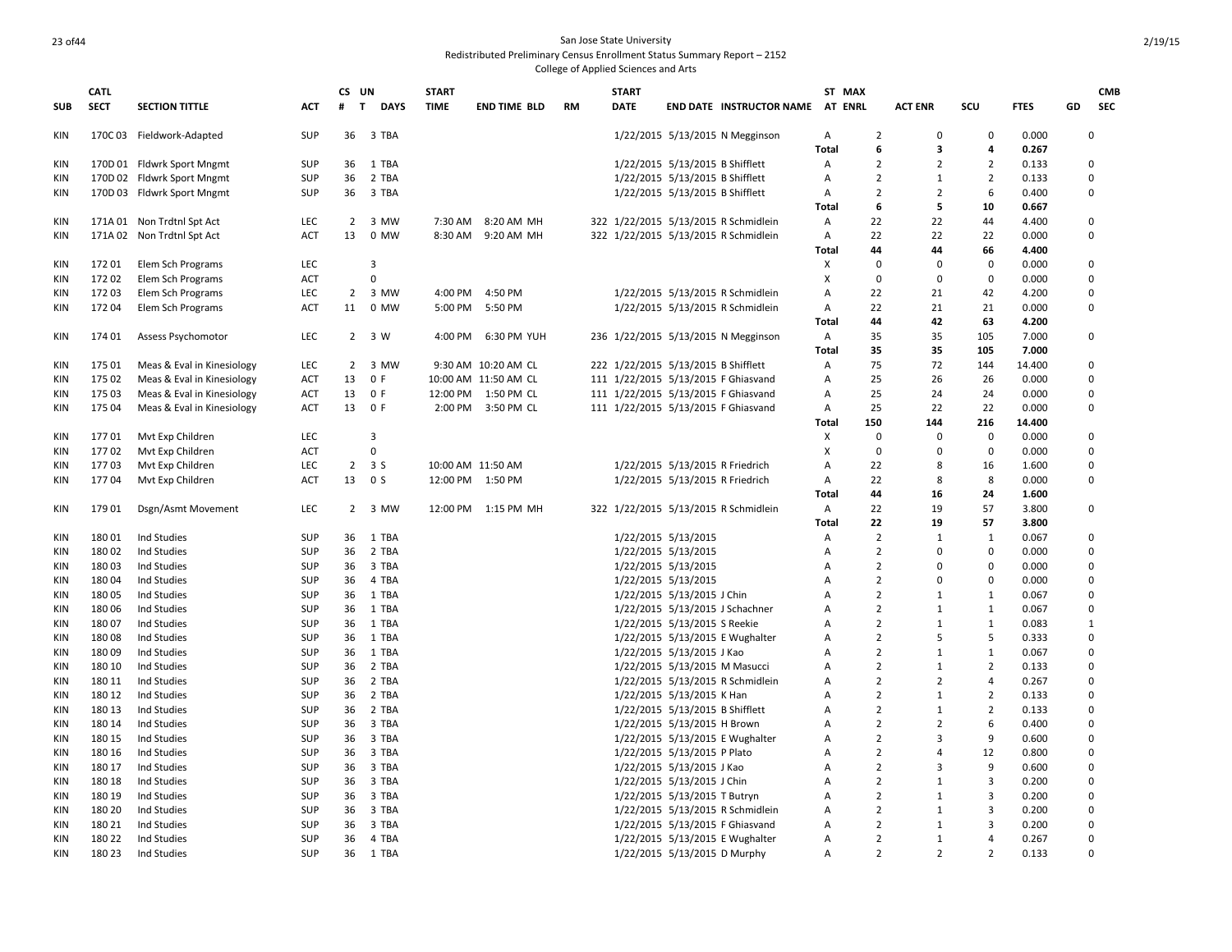**CATL** 

**CS UN**

**START** 

**SUB**

### 23 of 44 San Jose State University Redistributed Preliminary Census Enrollment Status Summary Report – 2152 College of Applied Sciences and Arts

**START** 

**ST MAX** 

| SUB        | <b>SECT</b> | <b>SECTION TITTLE</b>      | ACT        | #              | <b>DAYS</b><br>T | <b>TIME</b> | <b>END TIME BLD</b>  | RM | DATE                                |                                 | <b>END DATE INSTRUCTOR NAME AT ENRL</b> |              |                | <b>ACT ENR</b> | SCU            | FTES   | GD          |
|------------|-------------|----------------------------|------------|----------------|------------------|-------------|----------------------|----|-------------------------------------|---------------------------------|-----------------------------------------|--------------|----------------|----------------|----------------|--------|-------------|
| KIN        |             | 170C 03 Fieldwork-Adapted  | <b>SUP</b> | 36             | 3 TBA            |             |                      |    |                                     |                                 | 1/22/2015 5/13/2015 N Megginson         | Α            | 2              | 0              | 0              | 0.000  | 0           |
|            |             |                            |            |                |                  |             |                      |    |                                     |                                 |                                         | Total        | 6              | 3              | 4              | 0.267  |             |
| <b>KIN</b> |             | 170D 01 Fldwrk Sport Mngmt | <b>SUP</b> | 36             | 1 TBA            |             |                      |    |                                     | 1/22/2015 5/13/2015 B Shifflett |                                         | Α            | $\overline{2}$ | $\overline{2}$ | $\overline{2}$ | 0.133  | 0           |
| KIN        |             | 170D 02 Fldwrk Sport Mngmt | <b>SUP</b> | 36             | 2 TBA            |             |                      |    |                                     | 1/22/2015 5/13/2015 B Shifflett |                                         | Α            | $\overline{2}$ | $\mathbf{1}$   | $\overline{2}$ | 0.133  | 0           |
| KIN        |             | 170D 03 Fldwrk Sport Mngmt | SUP        | 36             | 3 TBA            |             |                      |    |                                     | 1/22/2015 5/13/2015 B Shifflett |                                         | Α            | $\overline{2}$ | $\overline{2}$ | 6              | 0.400  | 0           |
|            |             |                            |            |                |                  |             |                      |    |                                     |                                 |                                         | <b>Total</b> | 6              | 5              | 10             | 0.667  |             |
| KIN        |             | 171A 01 Non Trdtnl Spt Act | LEC        | 2              | 3 MW             | 7:30 AM     | 8:20 AM MH           |    |                                     |                                 | 322 1/22/2015 5/13/2015 R Schmidlein    | Α            | 22             | 22             | 44             | 4.400  | 0           |
| KIN        |             | 171A 02 Non Trdtnl Spt Act | <b>ACT</b> | 13             | 0 MW             | 8:30 AM     | 9:20 AM MH           |    |                                     |                                 | 322 1/22/2015 5/13/2015 R Schmidlein    | Α            | 22             | 22             | 22             | 0.000  | $\pmb{0}$   |
|            |             |                            |            |                |                  |             |                      |    |                                     |                                 |                                         | <b>Total</b> | 44             | 44             | 66             | 4.400  |             |
| KIN        | 17201       | Elem Sch Programs          | <b>LEC</b> |                | 3                |             |                      |    |                                     |                                 |                                         | X            | $\Omega$       | $\mathbf 0$    | $\mathbf 0$    | 0.000  | $\mathbf 0$ |
| <b>KIN</b> | 17202       | Elem Sch Programs          | <b>ACT</b> |                | $\mathbf 0$      |             |                      |    |                                     |                                 |                                         | X            | $\mathbf 0$    | $\mathbf 0$    | $\mathbf 0$    | 0.000  | $\mathbf 0$ |
| KIN        | 17203       | Elem Sch Programs          | LEC        | $\overline{2}$ | 3 MW             | 4:00 PM     | 4:50 PM              |    |                                     |                                 | 1/22/2015 5/13/2015 R Schmidlein        | Α            | 22             | 21             | 42             | 4.200  | $\mathbf 0$ |
| KIN        | 17204       | Elem Sch Programs          | <b>ACT</b> | 11             | 0 MW             | 5:00 PM     | 5:50 PM              |    |                                     |                                 | 1/22/2015 5/13/2015 R Schmidlein        | Α            | 22             | 21             | 21             | 0.000  | $\mathbf 0$ |
|            |             |                            |            |                |                  |             |                      |    |                                     |                                 |                                         | <b>Total</b> | 44             | 42             | 63             | 4.200  |             |
| KIN        | 174 01      | Assess Psychomotor         | LEC        |                | $2 \t3W$         | 4:00 PM     | 6:30 PM YUH          |    |                                     |                                 | 236 1/22/2015 5/13/2015 N Megginson     | Α            | 35             | 35             | 105            | 7.000  | $\mathbf 0$ |
|            |             |                            |            |                |                  |             |                      |    |                                     |                                 |                                         | <b>Total</b> | 35             | 35             | 105            | 7.000  |             |
| KIN        | 17501       | Meas & Eval in Kinesiology | LEC        | 2              | 3 MW             |             | 9:30 AM 10:20 AM CL  |    | 222 1/22/2015 5/13/2015 B Shifflett |                                 |                                         | Α            | 75             | 72             | 144            | 14.400 | 0           |
| KIN        | 175 02      | Meas & Eval in Kinesiology | <b>ACT</b> | 13             | 0 F              |             | 10:00 AM 11:50 AM CL |    |                                     |                                 | 111 1/22/2015 5/13/2015 F Ghiasvand     | Α            | 25             | 26             | 26             | 0.000  | $\mathbf 0$ |
| KIN        | 17503       | Meas & Eval in Kinesiology | ACT        | 13             | 0 F              |             | 12:00 PM 1:50 PM CL  |    |                                     |                                 | 111 1/22/2015 5/13/2015 F Ghiasvand     | Α            | 25             | 24             | 24             | 0.000  | $\mathbf 0$ |
| KIN        | 175 04      | Meas & Eval in Kinesiology | <b>ACT</b> | 13             | 0 F              |             | 2:00 PM 3:50 PM CL   |    |                                     |                                 | 111 1/22/2015 5/13/2015 F Ghiasvand     | Α            | 25             | 22             | 22             | 0.000  | 0           |
|            |             |                            |            |                |                  |             |                      |    |                                     |                                 |                                         | Total        | 150            | 144            | 216            | 14.400 |             |
| KIN        | 17701       | Mvt Exp Children           | LEC        |                | 3                |             |                      |    |                                     |                                 |                                         | Χ            | 0              | 0              | $\mathbf 0$    | 0.000  | 0           |
| KIN        | 17702       | Mvt Exp Children           | <b>ACT</b> |                | 0                |             |                      |    |                                     |                                 |                                         | Χ            | 0              | 0              | 0              | 0.000  | 0           |
| KIN        | 17703       | Mvt Exp Children           | LEC        | $\overline{2}$ | 3 S              |             |                      |    |                                     |                                 | 1/22/2015 5/13/2015 R Friedrich         | Α            | 22             | 8              | 16             | 1.600  | 0           |
|            |             |                            |            |                | 0 <sup>5</sup>   |             | 10:00 AM 11:50 AM    |    |                                     |                                 |                                         |              |                |                | 8              |        |             |
| KIN        | 17704       | Mvt Exp Children           | ACT        | 13             |                  |             | 12:00 PM 1:50 PM     |    |                                     |                                 | 1/22/2015 5/13/2015 R Friedrich         | Α            | 22             | 8              |                | 0.000  | 0           |
|            |             |                            |            |                |                  |             |                      |    |                                     |                                 |                                         | Total        | 44             | 16             | 24             | 1.600  | $\mathbf 0$ |
| KIN        | 17901       | Dsgn/Asmt Movement         | LEC        | $\overline{2}$ | 3 MW             | 12:00 PM    | 1:15 PM MH           |    |                                     |                                 | 322 1/22/2015 5/13/2015 R Schmidlein    | A            | 22             | 19             | 57             | 3.800  |             |
|            |             |                            |            |                |                  |             |                      |    |                                     |                                 |                                         | <b>Total</b> | 22             | 19             | 57             | 3.800  |             |
| <b>KIN</b> | 18001       | Ind Studies                | <b>SUP</b> | 36             | 1 TBA            |             |                      |    |                                     | 1/22/2015 5/13/2015             |                                         | Α            | $\overline{2}$ | 1              | $\mathbf{1}$   | 0.067  | $\mathbf 0$ |
| <b>KIN</b> | 18002       | Ind Studies                | <b>SUP</b> | 36             | 2 TBA            |             |                      |    |                                     | 1/22/2015 5/13/2015             |                                         | Α            | $\overline{2}$ | $\mathbf 0$    | $\mathbf 0$    | 0.000  | $\mathbf 0$ |
| KIN        | 18003       | Ind Studies                | <b>SUP</b> | 36             | 3 TBA            |             |                      |    |                                     | 1/22/2015 5/13/2015             |                                         | A            | $\overline{2}$ | O              | $\mathbf 0$    | 0.000  | $\mathbf 0$ |
| KIN        | 18004       | Ind Studies                | <b>SUP</b> | 36             | 4 TBA            |             |                      |    |                                     | 1/22/2015 5/13/2015             |                                         | A            | $\overline{2}$ | 0              | $\mathbf 0$    | 0.000  | $\mathbf 0$ |
| KIN        | 18005       | Ind Studies                | <b>SUP</b> | 36             | 1 TBA            |             |                      |    |                                     | 1/22/2015 5/13/2015 J Chin      |                                         | A            | $\overline{2}$ | $\mathbf{1}$   | $\mathbf{1}$   | 0.067  | $\mathbf 0$ |
| KIN        | 18006       | Ind Studies                | <b>SUP</b> | 36             | 1 TBA            |             |                      |    |                                     |                                 | 1/22/2015 5/13/2015 J Schachner         | А            | $\overline{2}$ | $\mathbf{1}$   | $\mathbf{1}$   | 0.067  | 0           |
| KIN        | 18007       | Ind Studies                | <b>SUP</b> | 36             | 1 TBA            |             |                      |    |                                     | 1/22/2015 5/13/2015 S Reekie    |                                         | A            | $\overline{2}$ | $\mathbf{1}$   | $\mathbf{1}$   | 0.083  | 1           |
| <b>KIN</b> | 18008       | Ind Studies                | <b>SUP</b> | 36             | 1 TBA            |             |                      |    |                                     |                                 | 1/22/2015 5/13/2015 E Wughalter         | Α            | $\overline{2}$ | 5              | 5              | 0.333  | $\mathbf 0$ |
| KIN        | 18009       | Ind Studies                | <b>SUP</b> | 36             | 1 TBA            |             |                      |    |                                     | 1/22/2015 5/13/2015 J Kao       |                                         | А            | $\overline{2}$ | $\mathbf{1}$   | $\mathbf{1}$   | 0.067  | $\mathbf 0$ |
| KIN        | 180 10      | Ind Studies                | <b>SUP</b> | 36             | 2 TBA            |             |                      |    |                                     |                                 | 1/22/2015 5/13/2015 M Masucci           | А            | $\overline{2}$ | $\mathbf{1}$   | $\overline{2}$ | 0.133  | $\mathbf 0$ |
| KIN        | 180 11      | Ind Studies                | <b>SUP</b> | 36             | 2 TBA            |             |                      |    |                                     |                                 | 1/22/2015 5/13/2015 R Schmidlein        | А            | $\overline{2}$ | $\overline{2}$ | $\overline{4}$ | 0.267  | 0           |
| KIN        | 180 12      | Ind Studies                | <b>SUP</b> | 36             | 2 TBA            |             |                      |    |                                     | 1/22/2015 5/13/2015 K Han       |                                         | А            | $\overline{2}$ | $\mathbf{1}$   | $\overline{2}$ | 0.133  | 0           |
| KIN        | 180 13      | Ind Studies                | <b>SUP</b> | 36             | 2 TBA            |             |                      |    |                                     | 1/22/2015 5/13/2015 B Shifflett |                                         | А            | $\overline{2}$ | $\mathbf{1}$   | $\overline{2}$ | 0.133  | 0           |
| KIN        | 180 14      | Ind Studies                | <b>SUP</b> | 36             | 3 TBA            |             |                      |    |                                     | 1/22/2015 5/13/2015 H Brown     |                                         | А            | $\overline{2}$ | $\overline{2}$ | 6              | 0.400  | 0           |
| KIN        | 180 15      | Ind Studies                | <b>SUP</b> | 36             | 3 TBA            |             |                      |    |                                     |                                 | 1/22/2015 5/13/2015 E Wughalter         | А            | $\overline{2}$ | 3              | 9              | 0.600  | 0           |
| KIN        | 180 16      | Ind Studies                | <b>SUP</b> | 36             | 3 TBA            |             |                      |    |                                     | 1/22/2015 5/13/2015 P Plato     |                                         | А            | $\overline{2}$ | 4              | 12             | 0.800  | $\pmb{0}$   |
| KIN        | 180 17      | Ind Studies                | <b>SUP</b> | 36             | 3 TBA            |             |                      |    |                                     | 1/22/2015 5/13/2015 J Kao       |                                         | А            | $\overline{2}$ | 3              | 9              | 0.600  | $\pmb{0}$   |
| KIN        | 180 18      | Ind Studies                | <b>SUP</b> | 36             | 3 TBA            |             |                      |    |                                     | 1/22/2015 5/13/2015 J Chin      |                                         | Α            | $\overline{2}$ | $\mathbf{1}$   | $\overline{3}$ | 0.200  | 0           |
| KIN        | 180 19      | Ind Studies                | <b>SUP</b> | 36             | 3 TBA            |             |                      |    |                                     | 1/22/2015 5/13/2015 T Butryn    |                                         | А            | $\overline{2}$ | $\mathbf{1}$   | $\overline{3}$ | 0.200  | 0           |
| <b>KIN</b> | 180 20      | Ind Studies                | <b>SUP</b> | 36             | 3 TBA            |             |                      |    |                                     |                                 | 1/22/2015 5/13/2015 R Schmidlein        | А            | $\overline{2}$ | $\mathbf{1}$   | 3              | 0.200  | $\mathbf 0$ |
| <b>KIN</b> | 180 21      | Ind Studies                | <b>SUP</b> | 36             | 3 TBA            |             |                      |    |                                     |                                 | 1/22/2015 5/13/2015 F Ghiasvand         | А            | $\overline{2}$ | $\mathbf{1}$   | $\overline{3}$ | 0.200  | $\mathbf 0$ |
| <b>KIN</b> | 180 22      | Ind Studies                | <b>SUP</b> | 36             | 4 TBA            |             |                      |    |                                     |                                 | 1/22/2015 5/13/2015 E Wughalter         | A            | $\overline{2}$ | $\mathbf{1}$   | $\overline{a}$ | 0.267  | $\Omega$    |
| <b>KIN</b> | 180 23      | Ind Studies                | <b>SUP</b> | 36             | 1 TBA            |             |                      |    |                                     |                                 | 1/22/2015 5/13/2015 D Murphy            | A            | $\overline{2}$ | $\overline{2}$ | $\overline{2}$ | 0.133  | $\Omega$    |

**CMB SEC**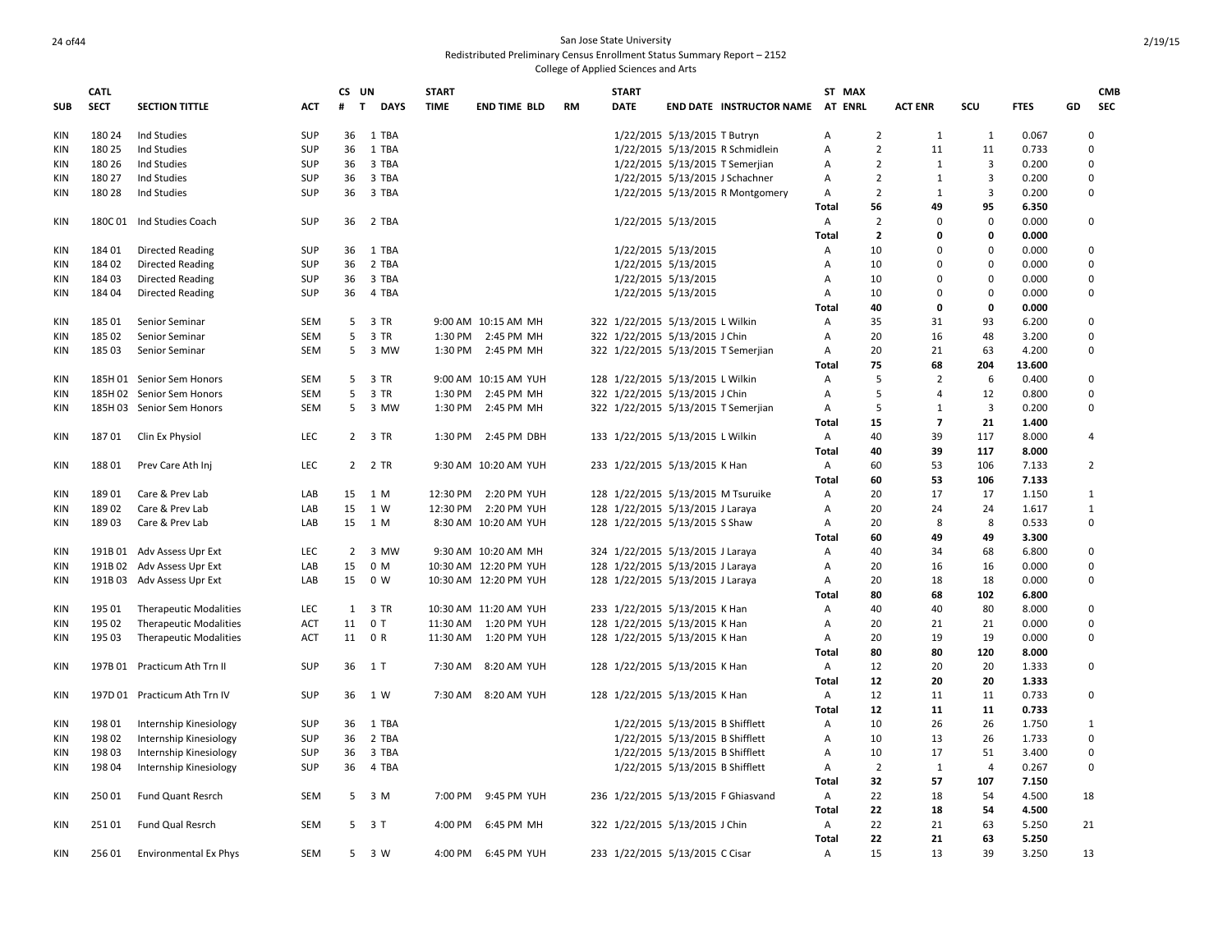## 24 of 44 San Jose State University Redistributed Preliminary Census Enrollment Status Summary Report – 2152

|            | <b>CATL</b> |                               |            | CS UN  |                     | <b>START</b> |                       |           | <b>START</b>                        |                                 |                                     |                | ST MAX         |                         |                |             |    | <b>CMB</b>     |
|------------|-------------|-------------------------------|------------|--------|---------------------|--------------|-----------------------|-----------|-------------------------------------|---------------------------------|-------------------------------------|----------------|----------------|-------------------------|----------------|-------------|----|----------------|
| <b>SUB</b> | <b>SECT</b> | <b>SECTION TITTLE</b>         | <b>ACT</b> | T<br># | <b>DAYS</b>         | <b>TIME</b>  | <b>END TIME BLD</b>   | <b>RM</b> | <b>DATE</b>                         |                                 | END DATE INSTRUCTOR NAME AT ENRL    |                |                | <b>ACT ENR</b>          | scu            | <b>FTES</b> | GD | <b>SEC</b>     |
| KIN        | 180 24      | Ind Studies                   | <b>SUP</b> |        | 36 1 TBA            |              |                       |           |                                     | 1/22/2015 5/13/2015 T Butryn    |                                     | Α              | $\overline{2}$ | 1                       | 1              | 0.067       |    | 0              |
| <b>KIN</b> | 180 25      | Ind Studies                   | <b>SUP</b> | 36     | 1 TBA               |              |                       |           |                                     |                                 | 1/22/2015 5/13/2015 R Schmidlein    | Α              | $\overline{2}$ | 11                      | 11             | 0.733       |    | 0              |
| <b>KIN</b> | 180 26      | Ind Studies                   | <b>SUP</b> | 36     | 3 TBA               |              |                       |           |                                     | 1/22/2015 5/13/2015 T Semerjian |                                     | Α              | $\overline{2}$ | $\mathbf{1}$            | 3              | 0.200       |    | 0              |
| <b>KIN</b> | 180 27      | Ind Studies                   | <b>SUP</b> | 36     | 3 TBA               |              |                       |           |                                     | 1/22/2015 5/13/2015 J Schachner |                                     | Α              | $\overline{2}$ | 1                       | 3              | 0.200       |    | 0              |
| KIN        | 180 28      | Ind Studies                   | <b>SUP</b> | 36     | 3 TBA               |              |                       |           |                                     |                                 | 1/22/2015 5/13/2015 R Montgomery    | Α              | $\overline{2}$ | $\mathbf{1}$            | 3              | 0.200       |    | 0              |
|            |             |                               |            |        |                     |              |                       |           |                                     |                                 |                                     | Total          | 56             | 49                      | 95             | 6.350       |    |                |
| KIN        |             | 180C 01 Ind Studies Coach     | <b>SUP</b> |        | 36 2 TBA            |              |                       |           |                                     | 1/22/2015 5/13/2015             |                                     | Α              | $\overline{2}$ | $\Omega$                | $\mathbf 0$    | 0.000       |    | 0              |
|            |             |                               |            |        |                     |              |                       |           |                                     |                                 |                                     | Total          | $\overline{2}$ | 0                       | 0              | 0.000       |    |                |
| KIN        | 18401       | <b>Directed Reading</b>       | <b>SUP</b> | 36     | 1 TBA               |              |                       |           |                                     | 1/22/2015 5/13/2015             |                                     | A              | 10             | $\Omega$                | $\mathbf 0$    | 0.000       |    | 0              |
| <b>KIN</b> | 18402       | <b>Directed Reading</b>       | <b>SUP</b> | 36     | 2 TBA               |              |                       |           |                                     | 1/22/2015 5/13/2015             |                                     | A              | 10             | $\Omega$                | $\mathbf 0$    | 0.000       |    | 0              |
| <b>KIN</b> | 18403       | <b>Directed Reading</b>       | <b>SUP</b> | 36     | 3 TBA               |              |                       |           |                                     | 1/22/2015 5/13/2015             |                                     | Α              | 10             | $\Omega$                | $\mathbf 0$    | 0.000       |    | 0              |
| <b>KIN</b> | 18404       | <b>Directed Reading</b>       | <b>SUP</b> | 36     | 4 TBA               |              |                       |           |                                     | 1/22/2015 5/13/2015             |                                     | Α              | 10             | $\Omega$                | $\mathbf 0$    | 0.000       |    | 0              |
|            |             |                               |            |        |                     |              |                       |           |                                     |                                 |                                     | Total          | 40             | 0                       | 0              | 0.000       |    |                |
|            |             |                               |            |        | 3 TR                |              |                       |           |                                     |                                 |                                     |                | 35             | 31                      |                |             |    |                |
| <b>KIN</b> | 18501       | Senior Seminar                | <b>SEM</b> | 5      |                     |              | 9:00 AM 10:15 AM MH   |           | 322 1/22/2015 5/13/2015 L Wilkin    |                                 |                                     | Α              |                |                         | 93             | 6.200       |    | 0              |
| <b>KIN</b> | 185 02      | Senior Seminar                | SEM        | 5      | 3 TR                |              | 1:30 PM 2:45 PM MH    |           | 322 1/22/2015 5/13/2015 J Chin      |                                 |                                     | Α              | 20             | 16                      | 48             | 3.200       |    | 0              |
| <b>KIN</b> | 18503       | Senior Seminar                | <b>SEM</b> | 5      | 3 MW                | 1:30 PM      | 2:45 PM MH            |           | 322 1/22/2015 5/13/2015 T Semerjian |                                 |                                     | A              | 20             | 21                      | 63             | 4.200       |    | 0              |
|            |             |                               |            |        |                     |              |                       |           |                                     |                                 |                                     | Total          | 75             | 68                      | 204            | 13.600      |    |                |
| <b>KIN</b> |             | 185H 01 Senior Sem Honors     | <b>SEM</b> |        | 5 3 TR              |              | 9:00 AM 10:15 AM YUH  |           | 128 1/22/2015 5/13/2015 L Wilkin    |                                 |                                     | Α              | 5              | $\overline{2}$          | 6              | 0.400       |    | 0              |
| <b>KIN</b> |             | 185H 02 Senior Sem Honors     | <b>SEM</b> | 5      | 3 TR                | 1:30 PM      | 2:45 PM MH            |           | 322 1/22/2015 5/13/2015 J Chin      |                                 |                                     | A              | 5              | $\overline{4}$          | 12             | 0.800       |    | 0              |
| <b>KIN</b> |             | 185H 03 Senior Sem Honors     | <b>SEM</b> | 5      | 3 MW                |              | 1:30 PM 2:45 PM MH    |           | 322 1/22/2015 5/13/2015 T Semerjian |                                 |                                     | Α              | 5              | 1                       | 3              | 0.200       |    | $\Omega$       |
|            |             |                               |            |        |                     |              |                       |           |                                     |                                 |                                     | Total          | 15             | $\overline{\mathbf{z}}$ | 21             | 1.400       |    |                |
| KIN        | 18701       | Clin Ex Physiol               | <b>LEC</b> |        | 2 3 TR              | 1:30 PM      | 2:45 PM DBH           |           | 133 1/22/2015 5/13/2015 L Wilkin    |                                 |                                     | Α              | 40             | 39                      | 117            | 8.000       |    | 4              |
|            |             |                               |            |        |                     |              |                       |           |                                     |                                 |                                     | Total          | 40             | 39                      | 117            | 8.000       |    |                |
| KIN        | 18801       | Prev Care Ath Inj             | LEC        |        | 2 2 TR              |              | 9:30 AM 10:20 AM YUH  |           | 233 1/22/2015 5/13/2015 K Han       |                                 |                                     | $\overline{A}$ | 60             | 53                      | 106            | 7.133       |    | $\overline{2}$ |
|            |             |                               |            |        |                     |              |                       |           |                                     |                                 |                                     | Total          | 60             | 53                      | 106            | 7.133       |    |                |
| KIN        | 18901       | Care & Prev Lab               | LAB        | 15     | 1 M                 | 12:30 PM     | 2:20 PM YUH           |           | 128 1/22/2015 5/13/2015 M Tsuruike  |                                 |                                     | Α              | 20             | 17                      | 17             | 1.150       |    | 1              |
| KIN        | 18902       | Care & Prev Lab               | LAB        | 15     | 1 W                 |              | 12:30 PM 2:20 PM YUH  |           | 128 1/22/2015 5/13/2015 J Laraya    |                                 |                                     | Α              | 20             | 24                      | 24             | 1.617       |    | $1\,$          |
| <b>KIN</b> | 18903       | Care & Prev Lab               | LAB        |        | 15 1 M              |              | 8:30 AM 10:20 AM YUH  |           | 128 1/22/2015 5/13/2015 S Shaw      |                                 |                                     | Α              | 20             | 8                       | 8              | 0.533       |    | 0              |
|            |             |                               |            |        |                     |              |                       |           |                                     |                                 |                                     | Total          | 60             | 49                      | 49             | 3.300       |    |                |
| KIN        |             | 191B 01 Adv Assess Upr Ext    | <b>LEC</b> |        | 2 3 MW              |              | 9:30 AM 10:20 AM MH   |           | 324 1/22/2015 5/13/2015 J Laraya    |                                 |                                     | Α              | 40             | 34                      | 68             | 6.800       |    | 0              |
| <b>KIN</b> |             | 191B 02 Adv Assess Upr Ext    | LAB        | 15     | 0 M                 |              | 10:30 AM 12:20 PM YUH |           | 128 1/22/2015 5/13/2015 J Laraya    |                                 |                                     | A              | 20             | 16                      | 16             | 0.000       |    | 0              |
| <b>KIN</b> |             | 191B 03 Adv Assess Upr Ext    | LAB        | 15     | 0 W                 |              | 10:30 AM 12:20 PM YUH |           | 128 1/22/2015 5/13/2015 J Laraya    |                                 |                                     | A              | 20             | 18                      | 18             | 0.000       |    | 0              |
|            |             |                               |            |        |                     |              |                       |           |                                     |                                 |                                     | Total          | 80             | 68                      | 102            | 6.800       |    |                |
| KIN        | 195 01      | <b>Therapeutic Modalities</b> | <b>LEC</b> | 1      | 3 TR                |              | 10:30 AM 11:20 AM YUH |           | 233 1/22/2015 5/13/2015 K Han       |                                 |                                     | Α              | 40             | 40                      | 80             | 8.000       |    | 0              |
| KIN        | 195 02      | <b>Therapeutic Modalities</b> | ACT        | 11     | 0T                  | 11:30 AM     | 1:20 PM YUH           |           | 128 1/22/2015 5/13/2015 K Han       |                                 |                                     | Α              | 20             | 21                      | 21             | 0.000       |    | 0              |
|            | 195 03      |                               |            |        | 11 0 R              |              | 11:30 AM  1:20 PM YUH |           |                                     |                                 |                                     | A              | 20             | 19                      | 19             | 0.000       |    | 0              |
| <b>KIN</b> |             | <b>Therapeutic Modalities</b> | ACT        |        |                     |              |                       |           | 128 1/22/2015 5/13/2015 K Han       |                                 |                                     |                | 80             | 80                      |                |             |    |                |
|            |             |                               |            |        |                     |              |                       |           |                                     |                                 |                                     | Total          |                |                         | 120            | 8.000       |    |                |
| <b>KIN</b> |             | 197B 01 Practicum Ath Trn II  | <b>SUP</b> | 36     | 1T                  | 7:30 AM      | 8:20 AM YUH           |           | 128 1/22/2015 5/13/2015 K Han       |                                 |                                     | Α              | 12             | 20                      | 20             | 1.333       |    | 0              |
|            |             |                               |            |        |                     |              |                       |           |                                     |                                 |                                     | Total          | 12             | 20                      | 20             | 1.333       |    |                |
| KIN        |             | 197D 01 Practicum Ath Trn IV  | <b>SUP</b> | 36     | 1 W                 |              | 7:30 AM 8:20 AM YUH   |           | 128 1/22/2015 5/13/2015 K Han       |                                 |                                     | A              | 12             | 11                      | 11             | 0.733       |    | 0              |
|            |             |                               |            |        |                     |              |                       |           |                                     |                                 |                                     | <b>Total</b>   | 12             | 11                      | 11             | 0.733       |    |                |
| KIN        | 19801       | Internship Kinesiology        | <b>SUP</b> | 36     | 1 TBA               |              |                       |           |                                     | 1/22/2015 5/13/2015 B Shifflett |                                     | Α              | 10             | 26                      | 26             | 1.750       |    | 1              |
| KIN        | 19802       | Internship Kinesiology        | <b>SUP</b> | 36     | 2 TBA               |              |                       |           |                                     | 1/22/2015 5/13/2015 B Shifflett |                                     | Α              | 10             | 13                      | 26             | 1.733       |    | 0              |
| <b>KIN</b> | 19803       | Internship Kinesiology        | <b>SUP</b> | 36     | 3 TBA               |              |                       |           |                                     | 1/22/2015 5/13/2015 B Shifflett |                                     | Α              | 10             | 17                      | 51             | 3.400       |    | 0              |
| <b>KIN</b> | 19804       | Internship Kinesiology        | <b>SUP</b> | 36     | 4 TBA               |              |                       |           |                                     | 1/22/2015 5/13/2015 B Shifflett |                                     | A              | $\overline{2}$ | 1                       | $\overline{4}$ | 0.267       |    | 0              |
|            |             |                               |            |        |                     |              |                       |           |                                     |                                 |                                     | <b>Total</b>   | 32             | 57                      | 107            | 7.150       |    |                |
| KIN        | 25001       | Fund Quant Resrch             | SEM        | 5      | 3 M                 | 7:00 PM      | 9:45 PM YUH           |           |                                     |                                 | 236 1/22/2015 5/13/2015 F Ghiasvand | A              | 22             | 18                      | 54             | 4.500       | 18 |                |
|            |             |                               |            |        |                     |              |                       |           |                                     |                                 |                                     | <b>Total</b>   | 22             | 18                      | 54             | 4.500       |    |                |
| KIN        | 25101       | Fund Qual Resrch              | <b>SEM</b> |        | $5 \quad 3 \quad T$ | 4:00 PM      | 6:45 PM MH            |           | 322 1/22/2015 5/13/2015 J Chin      |                                 |                                     | A              | 22             | 21                      | 63             | 5.250       | 21 |                |
|            |             |                               |            |        |                     |              |                       |           |                                     |                                 |                                     | <b>Total</b>   | 22             | 21                      | 63             | 5.250       |    |                |
| KIN        | 25601       | Environmental Ex Phys         | <b>SEM</b> | .5     | 3 W                 |              | 4:00 PM 6:45 PM YUH   |           | 233 1/22/2015 5/13/2015 C Cisar     |                                 |                                     | $\overline{A}$ | 15             | 13                      | 39             | 3.250       | 13 |                |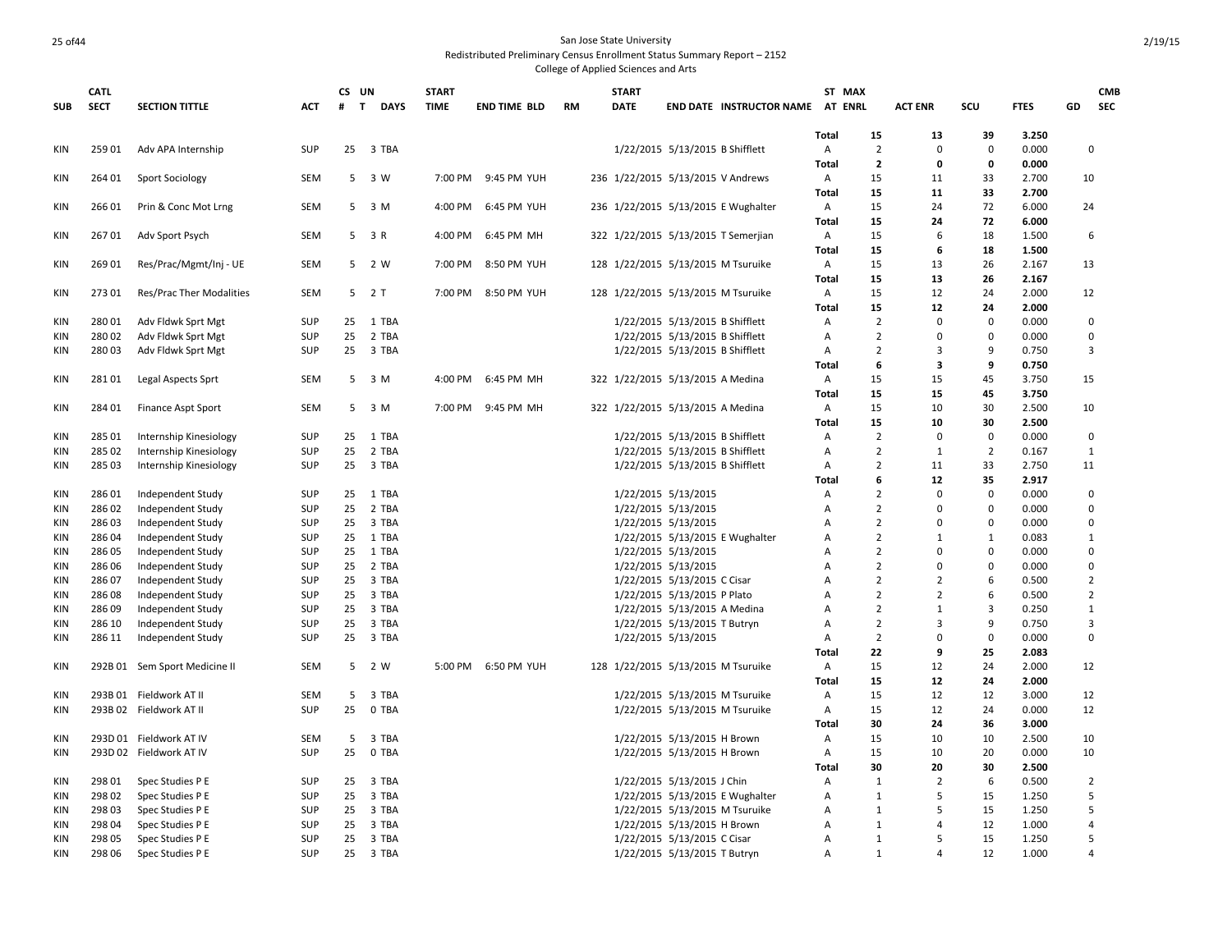### 25 of 44 San Jose State University Redistributed Preliminary Census Enrollment Status Summary Report – 2152

|            | <b>CATL</b> |                               |            | CS UN |                             | <b>START</b> |                     |           | <b>START</b> |                                    |                                     |                   | ST MAX            |                |                |                |    | <b>CMB</b>           |
|------------|-------------|-------------------------------|------------|-------|-----------------------------|--------------|---------------------|-----------|--------------|------------------------------------|-------------------------------------|-------------------|-------------------|----------------|----------------|----------------|----|----------------------|
| <b>SUB</b> | <b>SECT</b> | <b>SECTION TITTLE</b>         | <b>ACT</b> | #     | $\mathbf{T}$<br><b>DAYS</b> | <b>TIME</b>  | <b>END TIME BLD</b> | <b>RM</b> | DATE         |                                    | END DATE INSTRUCTOR NAME AT ENRL    |                   |                   | <b>ACT ENR</b> | scu            | <b>FTES</b>    | GD | SEC                  |
|            |             |                               |            |       |                             |              |                     |           |              |                                    |                                     |                   |                   |                |                |                |    |                      |
|            |             |                               |            |       |                             |              |                     |           |              |                                    |                                     | <b>Total</b>      | 15                | 13             | 39             | 3.250          |    |                      |
| KIN        | 25901       | Adv APA Internship            | <b>SUP</b> | 25    | 3 TBA                       |              |                     |           |              | 1/22/2015 5/13/2015 B Shifflett    |                                     | Α                 | $\overline{2}$    | $\mathbf 0$    | $\mathbf 0$    | 0.000          |    | $\mathbf 0$          |
|            |             |                               |            |       |                             |              |                     |           |              |                                    |                                     | Total             | $\overline{2}$    | 0              | 0              | 0.000          |    |                      |
| KIN        | 264 01      | <b>Sport Sociology</b>        | SEM        |       | 5 3 W                       |              | 7:00 PM 9:45 PM YUH |           |              | 236 1/22/2015 5/13/2015 V Andrews  |                                     | Α                 | 15                | 11             | 33             | 2.700          | 10 |                      |
|            |             |                               |            |       |                             |              |                     |           |              |                                    |                                     | Total             | 15<br>15          | 11             | 33<br>72       | 2.700          |    |                      |
| KIN        | 26601       | Prin & Conc Mot Lrng          | SEM        | 5     | 3 M                         | 4:00 PM      | 6:45 PM YUH         |           |              |                                    | 236 1/22/2015 5/13/2015 E Wughalter | Α                 |                   | 24<br>24       | 72             | 6.000          | 24 |                      |
|            |             |                               |            |       | 3 R                         | 4:00 PM      |                     |           |              |                                    |                                     | <b>Total</b>      | 15                | 6              |                | 6.000          |    | 6                    |
| KIN        | 26701       | Adv Sport Psych               | SEM        | 5     |                             |              | 6:45 PM MH          |           |              |                                    | 322 1/22/2015 5/13/2015 T Semerjian | A<br><b>Total</b> | 15<br>15          | 6              | 18<br>18       | 1.500<br>1.500 |    |                      |
| KIN        | 26901       | Res/Prac/Mgmt/Inj - UE        | SEM        | 5     | 2 W                         | 7:00 PM      | 8:50 PM YUH         |           |              | 128 1/22/2015 5/13/2015 M Tsuruike |                                     | A                 | 15                | 13             | 26             | 2.167          | 13 |                      |
|            |             |                               |            |       |                             |              |                     |           |              |                                    |                                     | Total             | 15                | 13             | 26             | 2.167          |    |                      |
| KIN        | 27301       | Res/Prac Ther Modalities      | SEM        |       | 5 2 T                       | 7:00 PM      | 8:50 PM YUH         |           |              | 128 1/22/2015 5/13/2015 M Tsuruike |                                     | A                 | 15                | 12             | 24             | 2.000          | 12 |                      |
|            |             |                               |            |       |                             |              |                     |           |              |                                    |                                     | <b>Total</b>      | 15                | 12             | 24             | 2.000          |    |                      |
| KIN        | 28001       | Adv Fldwk Sprt Mgt            | <b>SUP</b> | 25    | 1 TBA                       |              |                     |           |              | 1/22/2015 5/13/2015 B Shifflett    |                                     | Α                 | $\overline{2}$    | $\Omega$       | $\Omega$       | 0.000          |    | $\mathbf 0$          |
| <b>KIN</b> | 28002       | Adv Fldwk Sprt Mgt            | <b>SUP</b> | 25    | 2 TBA                       |              |                     |           |              | 1/22/2015 5/13/2015 B Shifflett    |                                     | Α                 | $\overline{2}$    | $\mathbf 0$    | $\Omega$       | 0.000          |    | $\mathbf 0$          |
| KIN        | 28003       | Adv Fldwk Sprt Mgt            | <b>SUP</b> | 25    | 3 TBA                       |              |                     |           |              | 1/22/2015 5/13/2015 B Shifflett    |                                     | A                 | $\overline{2}$    | 3              | q              | 0.750          |    | 3                    |
|            |             |                               |            |       |                             |              |                     |           |              |                                    |                                     | Total             | 6                 | 3              | 9              | 0.750          |    |                      |
| KIN        | 28101       | Legal Aspects Sprt            | SEM        | 5     | 3 M                         | 4:00 PM      | 6:45 PM MH          |           |              | 322 1/22/2015 5/13/2015 A Medina   |                                     | Α                 | 15                | 15             | 45             | 3.750          | 15 |                      |
|            |             |                               |            |       |                             |              |                     |           |              |                                    |                                     | Total             | 15                | 15             | 45             | 3.750          |    |                      |
| KIN        | 284 01      | <b>Finance Aspt Sport</b>     | SEM        |       | 5 3 M                       |              | 7:00 PM 9:45 PM MH  |           |              | 322 1/22/2015 5/13/2015 A Medina   |                                     | A                 | 15                | 10             | 30             | 2.500          | 10 |                      |
|            |             |                               |            |       |                             |              |                     |           |              |                                    |                                     | Total             | 15                | 10             | 30             | 2.500          |    |                      |
| KIN        | 285 01      | Internship Kinesiology        | <b>SUP</b> | 25    | 1 TBA                       |              |                     |           |              | 1/22/2015 5/13/2015 B Shifflett    |                                     | Α                 | $\overline{2}$    | $\mathbf 0$    | $\mathbf 0$    | 0.000          |    | $\mathbf 0$          |
| KIN        | 285 02      | Internship Kinesiology        | <b>SUP</b> | 25    | 2 TBA                       |              |                     |           |              | 1/22/2015 5/13/2015 B Shifflett    |                                     | A                 | $\overline{2}$    | 1              | $\overline{2}$ | 0.167          |    | 1                    |
| KIN        | 285 03      | Internship Kinesiology        | <b>SUP</b> | 25    | 3 TBA                       |              |                     |           |              | 1/22/2015 5/13/2015 B Shifflett    |                                     | A                 | $\overline{2}$    | 11             | 33             | 2.750          | 11 |                      |
|            |             |                               |            |       |                             |              |                     |           |              |                                    |                                     | <b>Total</b>      | 6                 | 12             | 35             | 2.917          |    |                      |
| KIN        | 28601       | Independent Study             | <b>SUP</b> | 25    | 1 TBA                       |              |                     |           |              | 1/22/2015 5/13/2015                |                                     | Α                 | $\overline{2}$    | 0              | $\Omega$       | 0.000          |    | $\mathbf 0$          |
| KIN        | 28602       | Independent Study             | <b>SUP</b> | 25    | 2 TBA                       |              |                     |           |              | 1/22/2015 5/13/2015                |                                     | Α                 | $\overline{2}$    | 0              | $\mathbf 0$    | 0.000          |    | $\mathbf 0$          |
| <b>KIN</b> | 28603       | Independent Study             | <b>SUP</b> | 25    | 3 TBA                       |              |                     |           |              | 1/22/2015 5/13/2015                |                                     | A                 | $\overline{2}$    | $\Omega$       | $\Omega$       | 0.000          |    | $\mathbf 0$          |
| KIN        | 28604       | Independent Study             | <b>SUP</b> | 25    | 1 TBA                       |              |                     |           |              |                                    | 1/22/2015 5/13/2015 E Wughalter     | Α                 | $\overline{2}$    | $\mathbf{1}$   | $\mathbf{1}$   | 0.083          |    | $\mathbf{1}$         |
| <b>KIN</b> | 28605       | Independent Study             | <b>SUP</b> | 25    | 1 TBA                       |              |                     |           |              | 1/22/2015 5/13/2015                |                                     | Α                 | $\overline{2}$    | $\Omega$       | $\Omega$       | 0.000          |    | $\mathbf 0$          |
| <b>KIN</b> | 28606       | Independent Study             | <b>SUP</b> | 25    | 2 TBA                       |              |                     |           |              | 1/22/2015 5/13/2015                |                                     | А                 | $\overline{2}$    | $\Omega$       | $\Omega$       | 0.000          |    | $\mathbf 0$          |
| KIN        | 28607       | Independent Study             | <b>SUP</b> | 25    | 3 TBA                       |              |                     |           |              | 1/22/2015 5/13/2015 C Cisar        |                                     | A                 | $\overline{2}$    | $\overline{2}$ | 6              | 0.500          |    | $\overline{2}$       |
| KIN        | 28608       | Independent Study             | <b>SUP</b> | 25    | 3 TBA                       |              |                     |           |              | 1/22/2015 5/13/2015 P Plato        |                                     | A                 | $\overline{2}$    | $\overline{2}$ | 6              | 0.500          |    | $\overline{2}$       |
| <b>KIN</b> | 28609       | Independent Study             | <b>SUP</b> | 25    | 3 TBA                       |              |                     |           |              | 1/22/2015 5/13/2015 A Medina       |                                     | A                 | $\overline{2}$    | $\mathbf{1}$   | 3              | 0.250          |    | $\mathbf{1}$         |
| KIN        | 286 10      | Independent Study             | <b>SUP</b> | 25    | 3 TBA                       |              |                     |           |              | 1/22/2015 5/13/2015 T Butryn       |                                     | Α                 | $\overline{2}$    | 3              | 9              | 0.750          |    | 3                    |
| <b>KIN</b> | 286 11      | Independent Study             | <b>SUP</b> | 25    | 3 TBA                       |              |                     |           |              | 1/22/2015 5/13/2015                |                                     | Α                 | $\overline{2}$    | 0              | $\Omega$       | 0.000          |    | $\mathbf 0$          |
|            |             |                               |            |       |                             |              |                     |           |              |                                    |                                     | Total             | 22                | 9              | 25             | 2.083          |    |                      |
| KIN        |             | 292B 01 Sem Sport Medicine II | SEM        |       | 5 2 W                       | 5:00 PM      | 6:50 PM YUH         |           |              | 128 1/22/2015 5/13/2015 M Tsuruike |                                     | Α                 | 15                | 12             | 24             | 2.000          | 12 |                      |
|            |             |                               |            |       |                             |              |                     |           |              |                                    |                                     | <b>Total</b>      | 15                | 12             | 24             | 2.000          |    |                      |
| <b>KIN</b> |             | 293B 01 Fieldwork AT II       | <b>SEM</b> | 5     | 3 TBA                       |              |                     |           |              | 1/22/2015 5/13/2015 M Tsuruike     |                                     | Α                 | 15                | 12             | 12             | 3.000          | 12 |                      |
| KIN        |             | 293B 02 Fieldwork AT II       | <b>SUP</b> | 25    | 0 TBA                       |              |                     |           |              | 1/22/2015 5/13/2015 M Tsuruike     |                                     | Α                 | 15                | 12             | 24             | 0.000          | 12 |                      |
|            |             |                               |            |       |                             |              |                     |           |              |                                    |                                     | Total             | 30                | 24             | 36             | 3.000          |    |                      |
| KIN        |             | 293D 01 Fieldwork AT IV       | SEM        | 5     | 3 TBA                       |              |                     |           |              | 1/22/2015 5/13/2015 H Brown        |                                     | Α                 | 15                | 10             | 10             | 2.500          | 10 |                      |
| KIN        |             | 293D 02 Fieldwork AT IV       | <b>SUP</b> | 25    | 0 TBA                       |              |                     |           |              | 1/22/2015 5/13/2015 H Brown        |                                     | A                 | 15                | 10             | 20             | 0.000          | 10 |                      |
|            |             |                               |            |       |                             |              |                     |           |              |                                    |                                     | <b>Total</b>      | 30                | 20             | 30             | 2.500          |    |                      |
| KIN        | 298 01      | Spec Studies P E              | <b>SUP</b> | 25    | 3 TBA                       |              |                     |           |              | 1/22/2015 5/13/2015 J Chin         |                                     | Α                 | $\mathbf{1}$      | $\overline{2}$ | 6              | 0.500          |    | $\overline{2}$       |
| <b>KIN</b> | 29802       | Spec Studies P E              | <b>SUP</b> | 25    | 3 TBA                       |              |                     |           |              |                                    | 1/22/2015 5/13/2015 E Wughalter     | Α                 | $\mathbf{1}$      | 5              | 15             | 1.250          |    | 5                    |
| <b>KIN</b> | 29803       | Spec Studies P E              | <b>SUP</b> | 25    | 3 TBA                       |              |                     |           |              | 1/22/2015 5/13/2015 M Tsuruike     |                                     | Α                 | $\mathbf{1}$      | 5              | 15             | 1.250          |    | 5                    |
| <b>KIN</b> | 298 04      | Spec Studies P E              | <b>SUP</b> | 25    | 3 TBA                       |              |                     |           |              | 1/22/2015 5/13/2015 H Brown        |                                     | Α                 | 1                 | 4              | 12             | 1.000          |    | $\overline{4}$       |
| <b>KIN</b> | 298 05      | Spec Studies P E              | <b>SUP</b> | 25    | 3 TBA                       |              |                     |           |              | 1/22/2015 5/13/2015 C Cisar        |                                     | A                 | $\mathbf{1}$<br>1 | 5<br>4         | 15             | 1.250          |    | .5<br>$\overline{4}$ |
| <b>KIN</b> | 298 06      | Spec Studies P E              | <b>SUP</b> | 25    | 3 TBA                       |              |                     |           |              | 1/22/2015 5/13/2015 T Butryn       |                                     | $\mathsf{A}$      |                   |                | 12             | 1.000          |    |                      |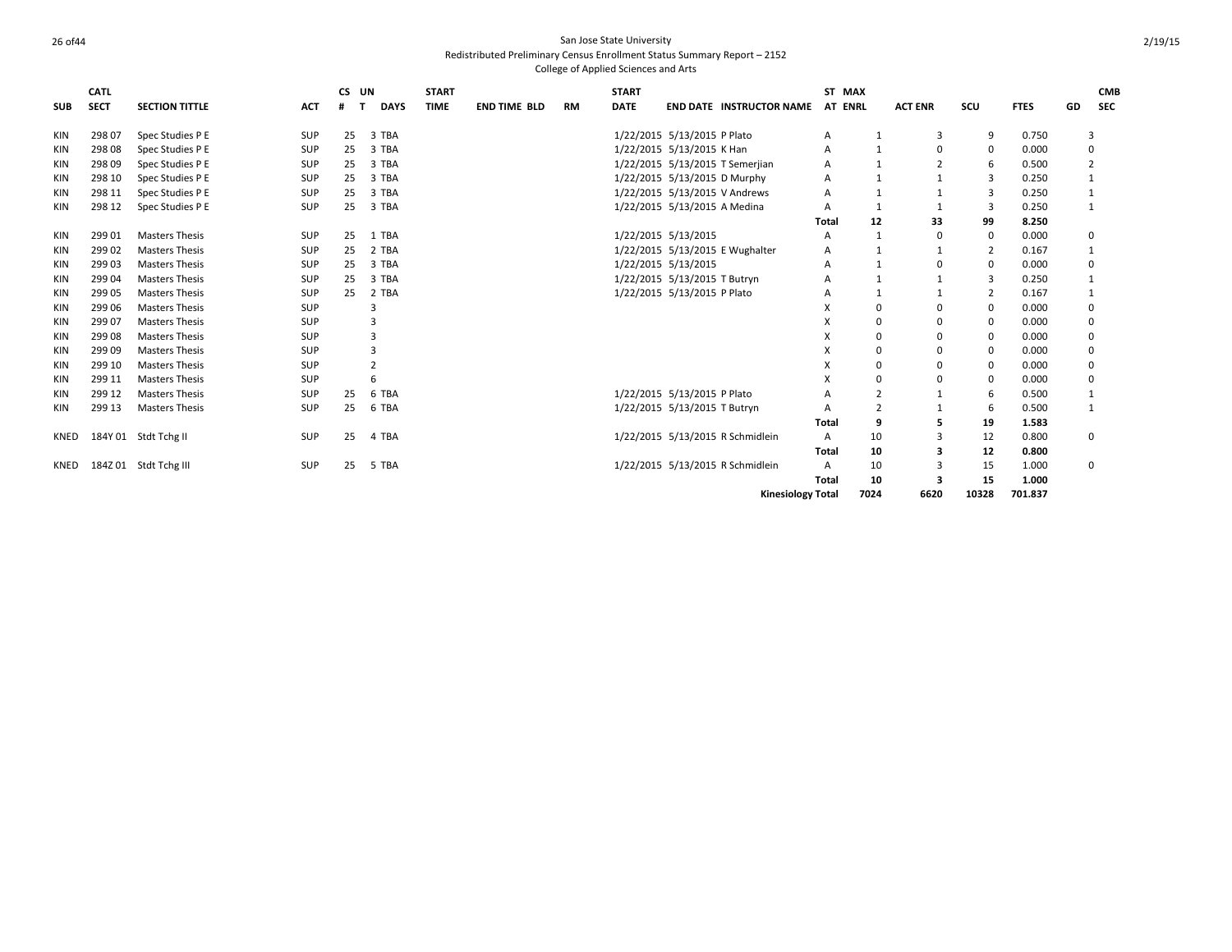|            | <b>CATL</b> |                       |            | CS UN |                | <b>START</b> |                     |    | <b>START</b>                 |                              |                                  | ST MAX       |                |                |             |             |                | <b>CMB</b> |
|------------|-------------|-----------------------|------------|-------|----------------|--------------|---------------------|----|------------------------------|------------------------------|----------------------------------|--------------|----------------|----------------|-------------|-------------|----------------|------------|
| <b>SUB</b> | <b>SECT</b> | <b>SECTION TITTLE</b> | <b>ACT</b> |       | <b>DAYS</b>    | <b>TIME</b>  | <b>END TIME BLD</b> | RM | <b>DATE</b>                  |                              | <b>END DATE INSTRUCTOR NAME</b>  | AT ENRL      |                | <b>ACT ENR</b> | SCU         | <b>FTES</b> | GD             | <b>SEC</b> |
| KIN        | 298 07      | Spec Studies P E      | <b>SUP</b> | 25    | 3 TBA          |              |                     |    |                              | 1/22/2015 5/13/2015 P Plato  |                                  | Α            | -1             | 3              | 9           | 0.750       | 3              |            |
| KIN        | 298 08      | Spec Studies P E      | <b>SUP</b> | 25    | 3 TBA          |              |                     |    | 1/22/2015 5/13/2015 K Han    |                              |                                  | Α            |                | $\Omega$       | 0           | 0.000       | $\mathbf 0$    |            |
| KIN        | 29809       | Spec Studies P E      | <b>SUP</b> | 25    | 3 TBA          |              |                     |    |                              |                              | 1/22/2015 5/13/2015 T Semerjian  | А            |                |                | 6           | 0.500       | $\overline{2}$ |            |
| KIN        | 298 10      | Spec Studies P E      | SUP        | 25    | 3 TBA          |              |                     |    | 1/22/2015 5/13/2015 D Murphy |                              |                                  | Α            |                |                | 3           | 0.250       | 1              |            |
| KIN        | 298 11      | Spec Studies P E      | <b>SUP</b> | 25    | 3 TBA          |              |                     |    |                              |                              | 1/22/2015 5/13/2015 V Andrews    | Α            |                |                | 3           | 0.250       | 1              |            |
| KIN        | 298 12      | Spec Studies P E      | SUP        | 25    | 3 TBA          |              |                     |    |                              | 1/22/2015 5/13/2015 A Medina |                                  | А            |                |                | 3           | 0.250       | 1              |            |
|            |             |                       |            |       |                |              |                     |    |                              |                              |                                  | Total        | 12             | 33             | 99          | 8.250       |                |            |
| KIN        | 299 01      | <b>Masters Thesis</b> | <b>SUP</b> | 25    | 1 TBA          |              |                     |    | 1/22/2015 5/13/2015          |                              |                                  | Α            | $\mathbf{1}$   |                | 0           | 0.000       | $\mathbf 0$    |            |
| KIN        | 299 02      | <b>Masters Thesis</b> | SUP        | 25    | 2 TBA          |              |                     |    |                              |                              | 1/22/2015 5/13/2015 E Wughalter  | Α            |                |                | 2           | 0.167       | 1              |            |
| <b>KIN</b> | 29903       | <b>Masters Thesis</b> | <b>SUP</b> | 25    | 3 TBA          |              |                     |    |                              | 1/22/2015 5/13/2015          |                                  | Α            |                |                | 0           | 0.000       | $\mathbf 0$    |            |
| <b>KIN</b> | 299 04      | <b>Masters Thesis</b> | <b>SUP</b> | 25    | 3 TBA          |              |                     |    | 1/22/2015 5/13/2015 T Butryn |                              |                                  | Α            |                |                | 3           | 0.250       | 1              |            |
| <b>KIN</b> | 299 05      | <b>Masters Thesis</b> | SUP        | 25    | 2 TBA          |              |                     |    |                              | 1/22/2015 5/13/2015 P Plato  |                                  | Α            |                |                | 2           | 0.167       | 1              |            |
| KIN        | 299 06      | <b>Masters Thesis</b> | <b>SUP</b> |       |                |              |                     |    |                              |                              |                                  | x            |                |                | 0           | 0.000       | $\mathbf 0$    |            |
| <b>KIN</b> | 299 07      | <b>Masters Thesis</b> | SUP        |       | 3              |              |                     |    |                              |                              |                                  | x            |                |                | 0           | 0.000       | $\mathbf 0$    |            |
| KIN        | 29908       | <b>Masters Thesis</b> | SUP        |       | 3              |              |                     |    |                              |                              |                                  | x            |                |                | 0           | 0.000       | 0              |            |
| <b>KIN</b> | 29909       | <b>Masters Thesis</b> | <b>SUP</b> |       | 3              |              |                     |    |                              |                              |                                  | X            |                |                | 0           | 0.000       | $\mathbf 0$    |            |
| KIN        | 299 10      | <b>Masters Thesis</b> | SUP        |       | $\overline{2}$ |              |                     |    |                              |                              |                                  | x            |                |                | $\mathbf 0$ | 0.000       | $\Omega$       |            |
| KIN        | 299 11      | <b>Masters Thesis</b> | SUP        |       | 6              |              |                     |    |                              |                              |                                  | x            | $\Omega$       | O              | $\Omega$    | 0.000       | $\mathbf 0$    |            |
| KIN        | 299 12      | <b>Masters Thesis</b> | SUP        | 25    | 6 TBA          |              |                     |    | 1/22/2015 5/13/2015 P Plato  |                              |                                  |              | $\overline{z}$ |                | 6           | 0.500       | 1              |            |
| KIN        | 299 13      | <b>Masters Thesis</b> | <b>SUP</b> | 25    | 6 TBA          |              |                     |    |                              | 1/22/2015 5/13/2015 T Butryn |                                  | А            | $\overline{2}$ |                | 6           | 0.500       | 1              |            |
|            |             |                       |            |       |                |              |                     |    |                              |                              |                                  | <b>Total</b> | 9              |                | 19          | 1.583       |                |            |
| KNED       |             | 184Y 01 Stdt Tchg II  | SUP        | 25    | 4 TBA          |              |                     |    |                              |                              | 1/22/2015 5/13/2015 R Schmidlein | A            | 10             |                | 12          | 0.800       | $\mathbf 0$    |            |
|            |             |                       |            |       |                |              |                     |    |                              |                              |                                  | Total        | 10             |                | 12          | 0.800       |                |            |
| KNED       |             | 184Z 01 Stdt Tchg III | <b>SUP</b> | 25    | 5 TBA          |              |                     |    |                              |                              | 1/22/2015 5/13/2015 R Schmidlein | A            | 10             |                | 15          | 1.000       | $\mathbf 0$    |            |
|            |             |                       |            |       |                |              |                     |    |                              |                              |                                  | <b>Total</b> | 10             |                | 15          | 1.000       |                |            |
|            |             |                       |            |       |                |              |                     |    |                              |                              | <b>Kinesiology Total</b>         |              | 7024           | 6620           | 10328       | 701.837     |                |            |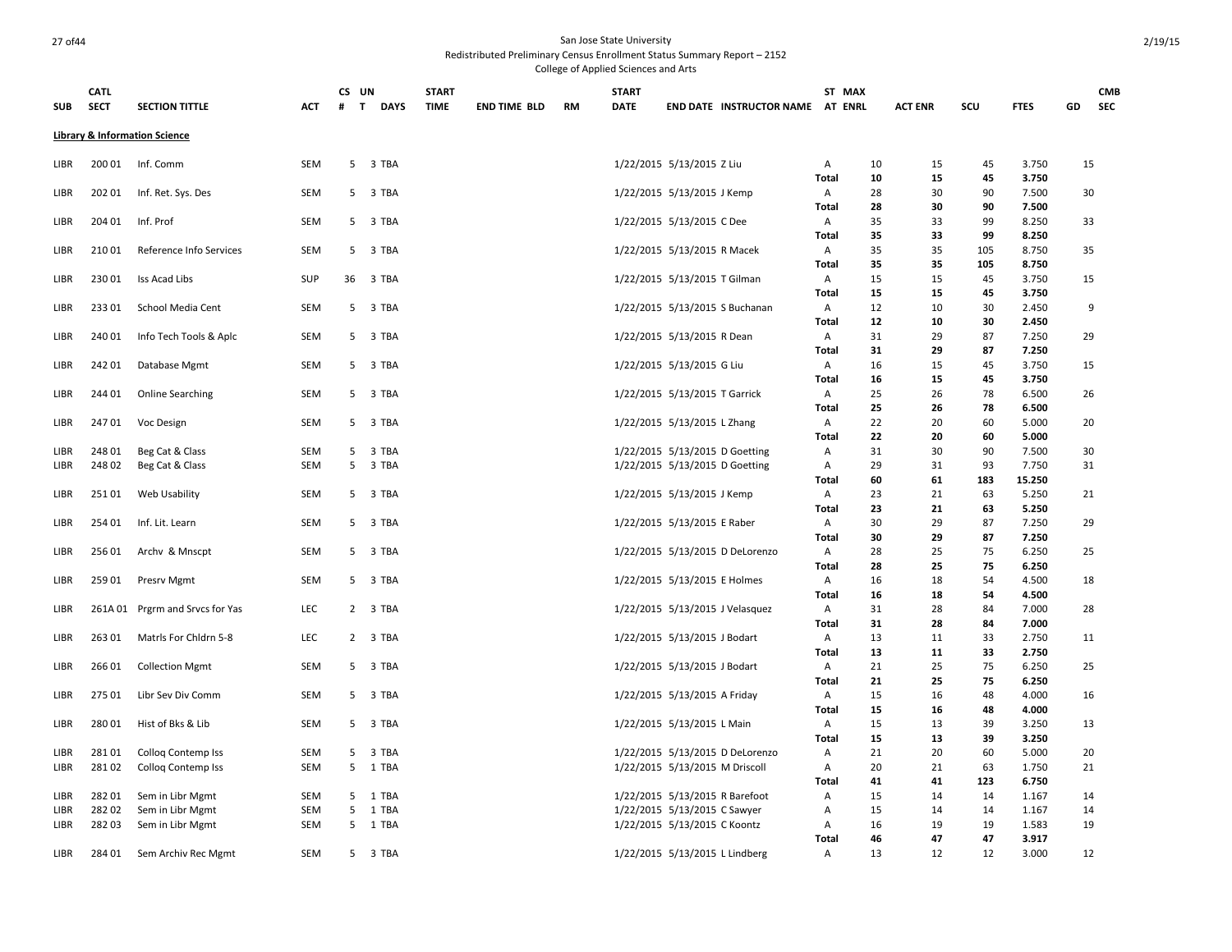| <b>SUB</b> | <b>CATL</b><br><b>SECT</b> | <b>SECTION TITTLE</b>                    | <b>ACT</b> | # | CS UN<br>$\mathbf{T}$<br><b>DAYS</b> | <b>START</b><br><b>TIME</b> | <b>END TIME BLD</b> | <b>RM</b> | <b>START</b><br><b>DATE</b> | END DATE INSTRUCTOR NAME AT ENRL | ST MAX            | <b>ACT ENR</b>       | SCU      | <b>FTES</b>    | GD | <b>CMB</b><br><b>SEC</b> |
|------------|----------------------------|------------------------------------------|------------|---|--------------------------------------|-----------------------------|---------------------|-----------|-----------------------------|----------------------------------|-------------------|----------------------|----------|----------------|----|--------------------------|
|            |                            | <b>Library &amp; Information Science</b> |            |   |                                      |                             |                     |           |                             |                                  |                   |                      |          |                |    |                          |
| libr       | 200 01                     | Inf. Comm                                | <b>SEM</b> |   | 5 3 TBA                              |                             |                     |           |                             | 1/22/2015 5/13/2015 Z Liu        | Α                 | 10<br>15             | 45       | 3.750          | 15 |                          |
|            |                            |                                          |            |   |                                      |                             |                     |           |                             |                                  | Total             | 10<br>15             | 45       | 3.750          |    |                          |
| LIBR       | 202 01                     | Inf. Ret. Sys. Des                       | <b>SEM</b> |   | 5 3 TBA                              |                             |                     |           |                             | 1/22/2015 5/13/2015 J Kemp       | Α<br>Total        | 30<br>28<br>28<br>30 | 90<br>90 | 7.500<br>7.500 | 30 |                          |
| LIBR       | 204 01                     | Inf. Prof                                | SEM        |   | 5 3 TBA                              |                             |                     |           |                             | 1/22/2015 5/13/2015 C Dee        | Α                 | 33<br>35             | 99       | 8.250          | 33 |                          |
|            |                            |                                          |            |   |                                      |                             |                     |           |                             |                                  | Total             | 35<br>33             | 99       | 8.250          |    |                          |
| LIBR       | 21001                      | Reference Info Services                  | SEM        |   | 5 3 TBA                              |                             |                     |           |                             | 1/22/2015 5/13/2015 R Macek      | Α                 | 35<br>35             | 105      | 8.750          | 35 |                          |
|            |                            |                                          |            |   |                                      |                             |                     |           |                             |                                  | Total             | 35<br>35             | 105      | 8.750          |    |                          |
| LIBR       | 23001                      | Iss Acad Libs                            | <b>SUP</b> |   | 36 3 TBA                             |                             |                     |           |                             | 1/22/2015 5/13/2015 T Gilman     | Α                 | 15<br>15             | 45       | 3.750          | 15 |                          |
|            |                            |                                          |            |   |                                      |                             |                     |           |                             |                                  | Total             | 15<br>15             | 45       | 3.750          |    |                          |
| LIBR       | 23301                      | School Media Cent                        | <b>SEM</b> | 5 | 3 TBA                                |                             |                     |           |                             | 1/22/2015 5/13/2015 S Buchanan   | Α                 | 12<br>10             | 30       | 2.450          | 9  |                          |
|            |                            |                                          |            |   |                                      |                             |                     |           |                             |                                  | Total             | 12<br>10             | 30       | 2.450          |    |                          |
| LIBR       | 240 01                     | Info Tech Tools & Aplc                   | SEM        |   | 5 3 TBA                              |                             |                     |           |                             | 1/22/2015 5/13/2015 R Dean       | Α                 | 29<br>31             | 87       | 7.250          | 29 |                          |
|            |                            |                                          |            |   |                                      |                             |                     |           |                             |                                  | <b>Total</b>      | 31<br>29             | 87       | 7.250          |    |                          |
| LIBR       | 24201                      | Database Mgmt                            | SEM        |   | 5 3 TBA                              |                             |                     |           |                             | 1/22/2015 5/13/2015 G Liu        | Α                 | 16<br>15             | 45       | 3.750          | 15 |                          |
|            |                            |                                          |            |   |                                      |                             |                     |           |                             |                                  | <b>Total</b>      | 16<br>15             | 45       | 3.750          |    |                          |
| LIBR       | 244 01                     | <b>Online Searching</b>                  | <b>SEM</b> |   | 5 3 TBA                              |                             |                     |           |                             | 1/22/2015 5/13/2015 T Garrick    | Α                 | 25<br>26             | 78       | 6.500          | 26 |                          |
|            |                            |                                          |            |   |                                      |                             |                     |           |                             |                                  | Total             | 25<br>26             | 78       | 6.500          |    |                          |
| LIBR       | 24701                      | Voc Design                               | SEM        |   | 5 3 TBA                              |                             |                     |           |                             | 1/22/2015 5/13/2015 L Zhang      | Α                 | 22<br>20             | 60       | 5.000          | 20 |                          |
| LIBR       | 24801                      | Beg Cat & Class                          | SEM        | 5 | 3 TBA                                |                             |                     |           |                             | 1/22/2015 5/13/2015 D Goetting   | Total<br>Α        | 22<br>20<br>31<br>30 | 60<br>90 | 5.000<br>7.500 | 30 |                          |
| LIBR       | 24802                      | Beg Cat & Class                          | SEM        | 5 | 3 TBA                                |                             |                     |           |                             | 1/22/2015 5/13/2015 D Goetting   | Α                 | 29<br>31             | 93       | 7.750          | 31 |                          |
|            |                            |                                          |            |   |                                      |                             |                     |           |                             |                                  | Total             | 61<br>60             | 183      | 15.250         |    |                          |
| LIBR       | 25101                      | Web Usability                            | SEM        |   | 5 3 TBA                              |                             |                     |           |                             | 1/22/2015 5/13/2015 J Kemp       | A                 | 23<br>21             | 63       | 5.250          | 21 |                          |
|            |                            |                                          |            |   |                                      |                             |                     |           |                             |                                  | <b>Total</b>      | 23<br>21             | 63       | 5.250          |    |                          |
| LIBR       | 254 01                     | Inf. Lit. Learn                          | <b>SEM</b> |   | 5 3 TBA                              |                             |                     |           |                             | 1/22/2015 5/13/2015 E Raber      | Α                 | 30<br>29             | 87       | 7.250          | 29 |                          |
|            |                            |                                          |            |   |                                      |                             |                     |           |                             |                                  | Total             | 29<br>30             | 87       | 7.250          |    |                          |
| LIBR       | 25601                      | Archy & Mnscpt                           | SEM        |   | 5 3 TBA                              |                             |                     |           |                             | 1/22/2015 5/13/2015 D DeLorenzo  | Α                 | 28<br>25             | 75       | 6.250          | 25 |                          |
|            |                            |                                          |            |   |                                      |                             |                     |           |                             |                                  | Total             | 25<br>28             | 75       | 6.250          |    |                          |
| LIBR       | 25901                      | Presry Mgmt                              | SEM        |   | 5 3 TBA                              |                             |                     |           |                             | 1/22/2015 5/13/2015 E Holmes     | Α                 | 16<br>18             | 54       | 4.500          | 18 |                          |
|            |                            |                                          |            |   |                                      |                             |                     |           |                             |                                  | Total             | 16<br>18             | 54       | 4.500          |    |                          |
| LIBR       |                            | 261A 01 Prgrm and Srvcs for Yas          | LEC        |   | 2 3 TBA                              |                             |                     |           |                             | 1/22/2015 5/13/2015 J Velasquez  | A                 | 31<br>28             | 84       | 7.000          | 28 |                          |
|            |                            |                                          |            |   |                                      |                             |                     |           |                             |                                  | Total             | 31<br>28             | 84       | 7.000          |    |                          |
| LIBR       | 26301                      | Matrls For Chldrn 5-8                    | LEC        |   | 2 3 TBA                              |                             |                     |           |                             | 1/22/2015 5/13/2015 J Bodart     | Α                 | 13<br>11             | 33       | 2.750          | 11 |                          |
|            |                            |                                          |            |   |                                      |                             |                     |           |                             |                                  | Total             | 13<br>11             | 33       | 2.750          |    |                          |
| LIBR       | 26601                      | <b>Collection Mgmt</b>                   | SEM        |   | 5 3 TBA                              |                             |                     |           |                             | 1/22/2015 5/13/2015 J Bodart     | Α                 | 21<br>25<br>25       | 75<br>75 | 6.250<br>6.250 | 25 |                          |
| LIBR       | 27501                      | Libr Sev Div Comm                        | SEM        |   | 5 3 TBA                              |                             |                     |           |                             | 1/22/2015 5/13/2015 A Friday     | <b>Total</b><br>Α | 21<br>15<br>16       | 48       | 4.000          | 16 |                          |
|            |                            |                                          |            |   |                                      |                             |                     |           |                             |                                  | Total             | 15<br>16             | 48       | 4.000          |    |                          |
| LIBR       | 28001                      | Hist of Bks & Lib                        | <b>SEM</b> |   | 5 3 TBA                              |                             |                     |           |                             | 1/22/2015 5/13/2015 L Main       | Α                 | 15<br>13             | 39       | 3.250          | 13 |                          |
|            |                            |                                          |            |   |                                      |                             |                     |           |                             |                                  | <b>Total</b>      | 15<br>13             | 39       | 3.250          |    |                          |
| LIBR       | 28101                      | Colloq Contemp Iss                       | SEM        | 5 | 3 TBA                                |                             |                     |           |                             | 1/22/2015 5/13/2015 D DeLorenzo  | Α                 | 21<br>20             | 60       | 5.000          | 20 |                          |
| LIBR       | 28102                      | Collog Contemp Iss                       | SEM        | 5 | 1 TBA                                |                             |                     |           |                             | 1/22/2015 5/13/2015 M Driscoll   | Α                 | 21<br>20             | 63       | 1.750          | 21 |                          |
|            |                            |                                          |            |   |                                      |                             |                     |           |                             |                                  | Total             | 41<br>41             | 123      | 6.750          |    |                          |
| LIBR       | 28201                      | Sem in Libr Mgmt                         | <b>SEM</b> | 5 | 1 TBA                                |                             |                     |           |                             | 1/22/2015 5/13/2015 R Barefoot   | Α                 | 15<br>14             | 14       | 1.167          | 14 |                          |
| LIBR       | 28202                      | Sem in Libr Mgmt                         | SEM        | 5 | 1 TBA                                |                             |                     |           |                             | 1/22/2015 5/13/2015 C Sawyer     | Α                 | 15<br>14             | 14       | 1.167          | 14 |                          |
| LIBR       | 28203                      | Sem in Libr Mgmt                         | <b>SEM</b> |   | 5 1 TBA                              |                             |                     |           |                             | 1/22/2015 5/13/2015 C Koontz     | Α                 | 16<br>19             | 19       | 1.583          | 19 |                          |
|            |                            |                                          |            |   |                                      |                             |                     |           |                             |                                  | <b>Total</b>      | 47<br>46             | 47       | 3.917          |    |                          |
| LIBR       | 284 01                     | Sem Archiv Rec Mgmt                      | <b>SEM</b> |   | 5 3 TBA                              |                             |                     |           |                             | 1/22/2015 5/13/2015 L Lindberg   | Α                 | 13<br>12             | 12       | 3.000          | 12 |                          |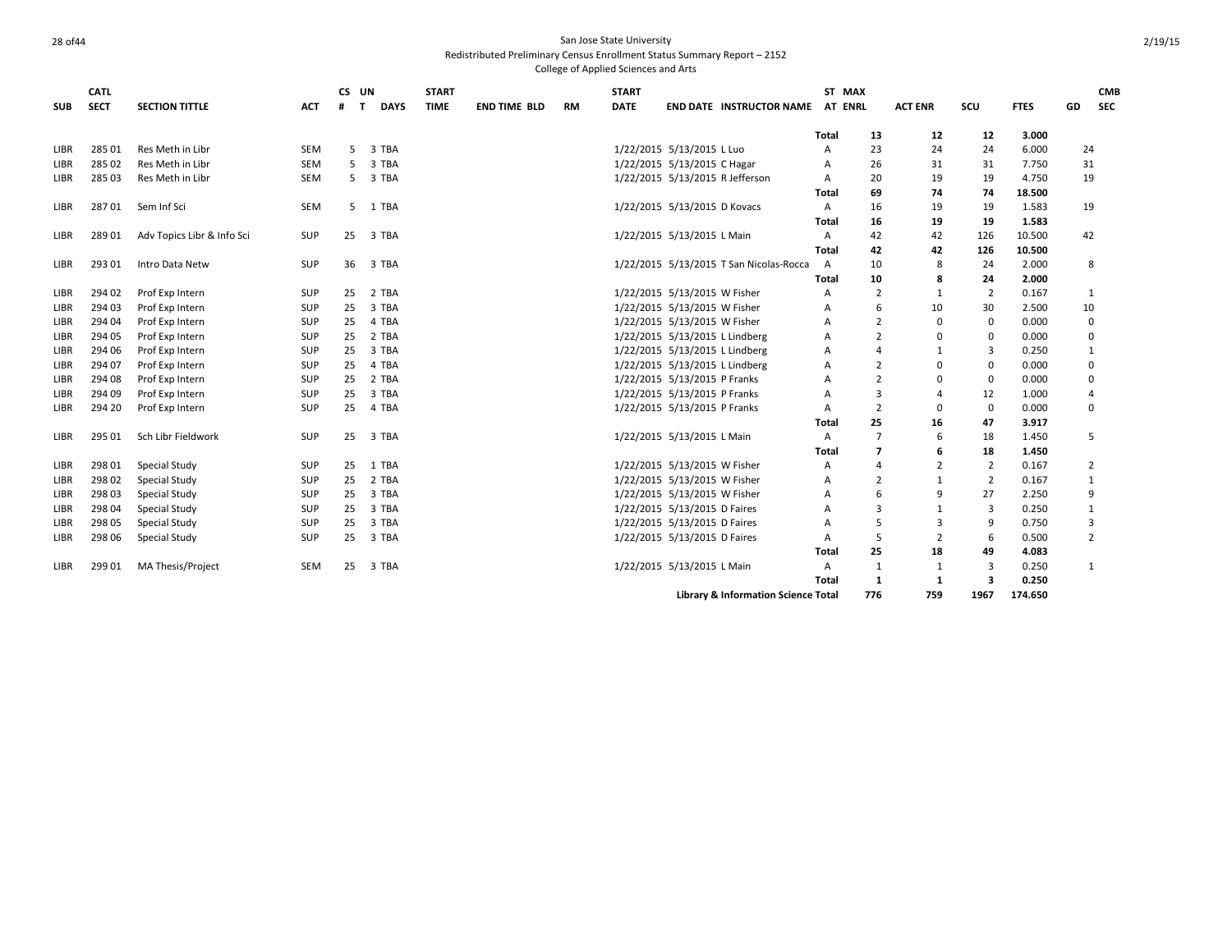|             | <b>CATL</b> |                            |            | CS UN  |             | <b>START</b> |                     |           | <b>START</b> |                                         |       | ST MAX         |                |                |             |                | <b>CMB</b> |
|-------------|-------------|----------------------------|------------|--------|-------------|--------------|---------------------|-----------|--------------|-----------------------------------------|-------|----------------|----------------|----------------|-------------|----------------|------------|
| <b>SUB</b>  | <b>SECT</b> | <b>SECTION TITTLE</b>      | ACT        | #<br>T | <b>DAYS</b> | <b>TIME</b>  | <b>END TIME BLD</b> | <b>RM</b> | <b>DATE</b>  | <b>END DATE INSTRUCTOR NAME</b>         |       | AT ENRL        | <b>ACT ENR</b> | SCU            | <b>FTES</b> | GD             | <b>SEC</b> |
|             |             |                            |            |        |             |              |                     |           |              |                                         | Total | 13             | 12             | 12             | 3.000       |                |            |
| <b>LIBR</b> | 28501       | Res Meth in Libr           | <b>SEM</b> | 5.     | 3 TBA       |              |                     |           |              | 1/22/2015 5/13/2015 L Luo               | A     | 23             | 24             | 24             | 6.000       | 24             |            |
| <b>LIBR</b> | 285 02      | Res Meth in Libr           | <b>SEM</b> | 5      | 3 TBA       |              |                     |           |              | 1/22/2015 5/13/2015 C Hagar             | A     | 26             | 31             | 31             | 7.750       | 31             |            |
| LIBR        | 285 03      | Res Meth in Libr           | SEM        | 5      | 3 TBA       |              |                     |           |              | 1/22/2015 5/13/2015 R Jefferson         | Α     | 20             | 19             | 19             | 4.750       | 19             |            |
|             |             |                            |            |        |             |              |                     |           |              |                                         | Total | 69             | 74             | 74             | 18.500      |                |            |
| <b>LIBR</b> | 28701       | Sem Inf Sci                | SEM        |        | 5 1 TBA     |              |                     |           |              | 1/22/2015 5/13/2015 D Kovacs            | Α     | 16             | 19             | 19             | 1.583       | 19             |            |
|             |             |                            |            |        |             |              |                     |           |              |                                         | Total | 16             | 19             | 19             | 1.583       |                |            |
| LIBR        | 28901       | Adv Topics Libr & Info Sci | SUP        | 25     | 3 TBA       |              |                     |           |              | 1/22/2015 5/13/2015 L Main              | Α     | 42             | 42             | 126            | 10.500      | 42             |            |
|             |             |                            |            |        |             |              |                     |           |              |                                         | Total | 42             | 42             | 126            | 10.500      |                |            |
| LIBR        | 293 01      | Intro Data Netw            | SUP        | 36     | 3 TBA       |              |                     |           |              | 1/22/2015 5/13/2015 T San Nicolas-Rocca | Α     | 10             | 8              | 24             | 2.000       | 8              |            |
|             |             |                            |            |        |             |              |                     |           |              |                                         | Total | 10             | 8              | 24             | 2.000       |                |            |
| LIBR        | 294 02      | Prof Exp Intern            | SUP        | 25     | 2 TBA       |              |                     |           |              | 1/22/2015 5/13/2015 W Fisher            | Α     | $\overline{2}$ | 1              | $\overline{2}$ | 0.167       | 1              |            |
| LIBR        | 294 03      | Prof Exp Intern            | <b>SUP</b> | 25     | 3 TBA       |              |                     |           |              | 1/22/2015 5/13/2015 W Fisher            | Α     | 6              | 10             | 30             | 2.500       | 10             |            |
| LIBR        | 294 04      | Prof Exp Intern            | <b>SUP</b> | 25     | 4 TBA       |              |                     |           |              | 1/22/2015 5/13/2015 W Fisher            | A     | $\overline{2}$ | $\mathbf 0$    | $\mathbf 0$    | 0.000       |                | 0          |
| LIBR        | 294 05      | Prof Exp Intern            | <b>SUP</b> | 25     | 2 TBA       |              |                     |           |              | 1/22/2015 5/13/2015 L Lindberg          | A     | $\overline{2}$ | $\Omega$       | $\Omega$       | 0.000       |                | 0          |
| LIBR        | 294 06      | Prof Exp Intern            | <b>SUP</b> | 25     | 3 TBA       |              |                     |           |              | 1/22/2015 5/13/2015 L Lindberg          | Α     | 4              | 1              | 3              | 0.250       | 1              |            |
| LIBR        | 294 07      | Prof Exp Intern            | <b>SUP</b> | 25     | 4 TBA       |              |                     |           |              | 1/22/2015 5/13/2015 L Lindberg          | A     | $\overline{2}$ | 0              | $\Omega$       | 0.000       | $\mathbf 0$    |            |
| LIBR        | 294 08      | Prof Exp Intern            | <b>SUP</b> | 25     | 2 TBA       |              |                     |           |              | 1/22/2015 5/13/2015 P Franks            | Α     | $\overline{2}$ | $\Omega$       | $\Omega$       | 0.000       | 0              |            |
| LIBR        | 294 09      | Prof Exp Intern            | <b>SUP</b> | 25     | 3 TBA       |              |                     |           |              | 1/22/2015 5/13/2015 P Franks            | A     | 3              | 4              | 12             | 1.000       | $\overline{4}$ |            |
| LIBR        | 294 20      | Prof Exp Intern            | <b>SUP</b> | 25     | 4 TBA       |              |                     |           |              | 1/22/2015 5/13/2015 P Franks            | A     | $\overline{2}$ | $\Omega$       | $\Omega$       | 0.000       | $\Omega$       |            |
|             |             |                            |            |        |             |              |                     |           |              |                                         | Total | 25             | 16             | 47             | 3.917       |                |            |
| LIBR        | 295 01      | Sch Libr Fieldwork         | <b>SUP</b> | 25     | 3 TBA       |              |                     |           |              | 1/22/2015 5/13/2015 L Main              | Α     | $\overline{7}$ | 6              | 18             | 1.450       | 5              |            |
|             |             |                            |            |        |             |              |                     |           |              |                                         | Total | 7              | 6              | 18             | 1.450       |                |            |
| LIBR        | 298 01      | <b>Special Study</b>       | <b>SUP</b> | 25     | 1 TBA       |              |                     |           |              | 1/22/2015 5/13/2015 W Fisher            | A     | 4              | 2              | $\overline{2}$ | 0.167       |                | 2          |
| LIBR        | 298 02      | <b>Special Study</b>       | <b>SUP</b> | 25     | 2 TBA       |              |                     |           |              | 1/22/2015 5/13/2015 W Fisher            | A     | $\overline{2}$ | $\mathbf{1}$   | $\overline{2}$ | 0.167       | 1              |            |
| LIBR        | 298 03      | <b>Special Study</b>       | <b>SUP</b> | 25     | 3 TBA       |              |                     |           |              | 1/22/2015 5/13/2015 W Fisher            | A     | 6              | 9              | 27             | 2.250       | 9              |            |
| LIBR        | 298 04      | <b>Special Study</b>       | <b>SUP</b> | 25     | 3 TBA       |              |                     |           |              | 1/22/2015 5/13/2015 D Faires            | А     | 3              | 1              | 3              | 0.250       | 1              |            |
| LIBR        | 298 05      | <b>Special Study</b>       | <b>SUP</b> | 25     | 3 TBA       |              |                     |           |              | 1/22/2015 5/13/2015 D Faires            | Α     | 5              | 3              | 9              | 0.750       | 3              |            |
| LIBR        | 298 06      | <b>Special Study</b>       | <b>SUP</b> | 25     | 3 TBA       |              |                     |           |              | 1/22/2015 5/13/2015 D Faires            | Α     | 5              | 2              | 6              | 0.500       |                | 2          |
|             |             |                            |            |        |             |              |                     |           |              |                                         | Total | 25             | 18             | 49             | 4.083       |                |            |
| LIBR        | 299 01      | <b>MA Thesis/Project</b>   | <b>SEM</b> | 25     | 3 TBA       |              |                     |           |              | 1/22/2015 5/13/2015 L Main              | Α     | 1              | 1              | 3              | 0.250       | 1              |            |
|             |             |                            |            |        |             |              |                     |           |              |                                         | Total | 1              | -1             | 3              | 0.250       |                |            |
|             |             |                            |            |        |             |              |                     |           |              | Library & Information Science Total     |       | 776            | 759            | 1967           | 174.650     |                |            |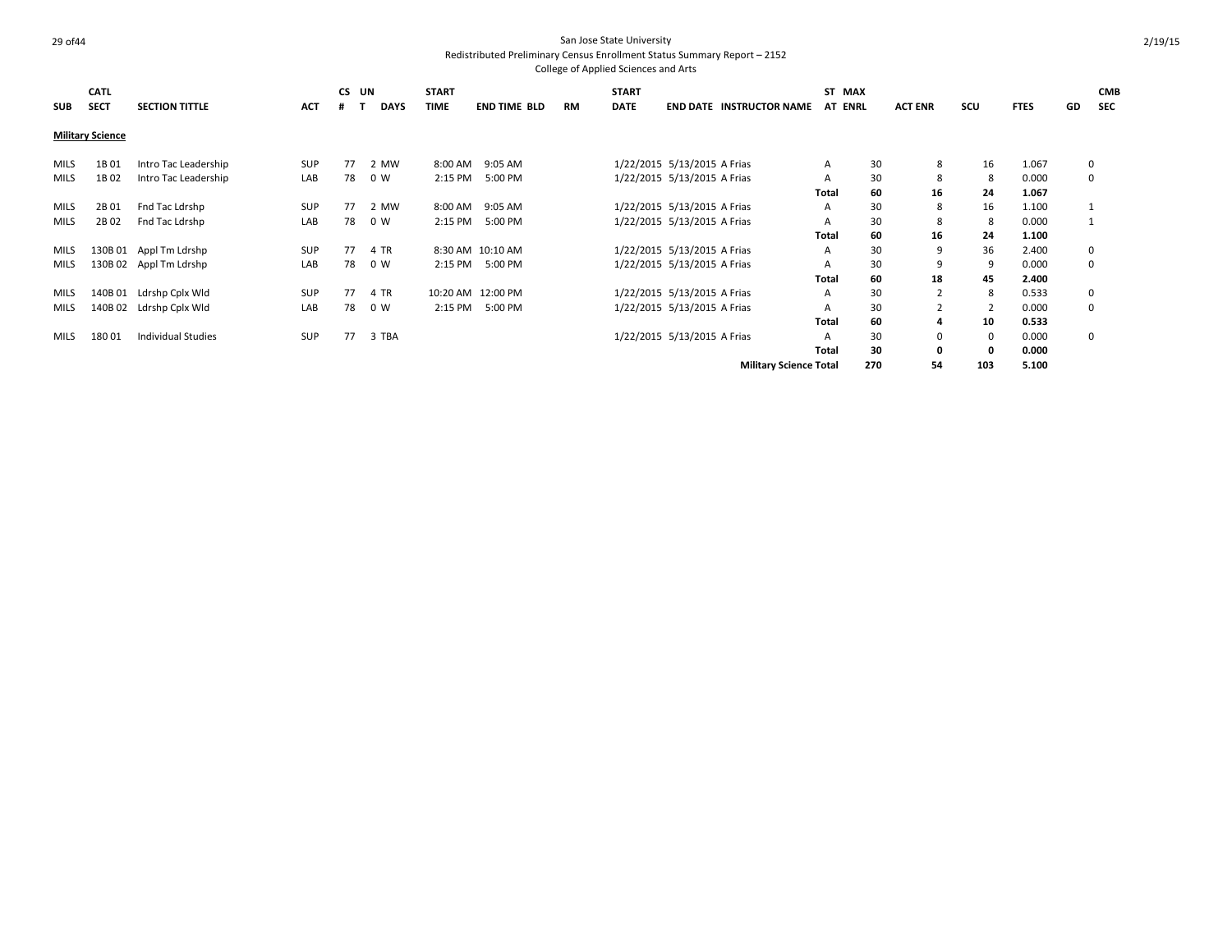**SUB CATL SECT SECTION TITTLE ACT CS UN # T DAYS START TIME END TIME BLD RM START DATE END DATE INSTRUCTOR NAME AT ST MAX ENRL ACT ENR SCU FTES GD CMB SEC Military Science** MILS 1B 01 Intro Tac Leadership SUP 77 2 MW 8:00 AM 9:05 AM 1/22/2015 5/13/2015 A Frias A 30 8 16 1.067 0 MILS 1B02 Intro Tac Leadership LAB 78 0 W 2:15 PM 5:00 PM 1/22/2015 5/13/2015 A Frias A 30 8 8 0.000 0 **Total 60 16 24 1.067** MILS 2B 01 Fnd Tac Ldrshp SUP 77 2 MW 8:00 AM 9:05 AM 1/22/2015 5/13/2015 A Frias A 30 8 16 1.100 1 MILS 2B02 Fnd Tac Ldrshp LAB 78 0 W 2:15 PM 5:00 PM 1/22/2015 5/13/2015 A Frias A 30 8 8 0.000 1 **Total 60 16 24 1.100** MILS 130B 01 Appl Tm Ldrshp SUP 77 4 TR 8:30 AM 10:10 AM 1/22/2015 5/13/2015 A Frias A 30 9 36 2.400 0 MILS 130B 02 Appl Tm Ldrshp COM LAB 78 0 W 2:15 PM 5:00 PM 1/22/2015 5/13/2015 A Frias A 30 9 9 0.000 0 **Total 60 18 45 2.400** MILS 140B 01 Ldrshp Cplx Wld SUP 77 4 TR 10:20 AM 12:00 PM 1/22/2015 5/13/2015 A Frias A 30 2 8 0.533 0 MILS 140B02 Ldrshp Cplx Wld . LAB 78 0 W 2:15 PM 5:00 PM 1/22/2015 5/13/2015 A Frias . A 30 2 2 0.000 0 **Total 60 4 10 0.533** MILS 18001 Individual Studies 6 SUP 77 3 TBA 1/22/2015 5/13/2015 5/13/2015 A Frias A 30 0 0.000 0 **Total 30 0 0 0.000 Military Science Total 270 54 103 5.100**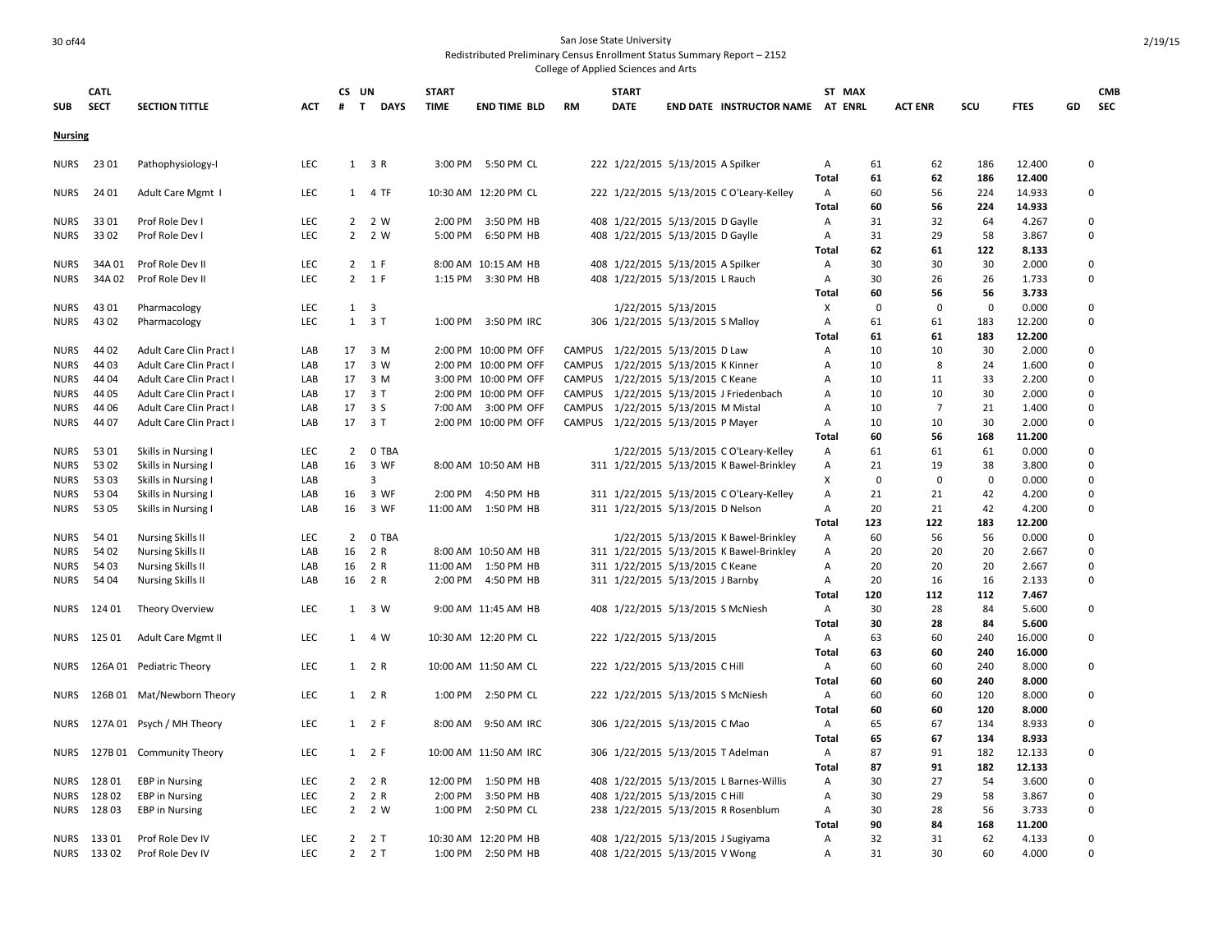### 30 of 44 San Jose State University Redistributed Preliminary Census Enrollment Status Summary Report – 2152

|                | <b>CATL</b>    |                                                |            | CS UN             |                     | <b>START</b> |                                    |           | <b>START</b> |                                     |                                          |                | ST MAX      |                |             |                  |    | <b>CMB</b> |
|----------------|----------------|------------------------------------------------|------------|-------------------|---------------------|--------------|------------------------------------|-----------|--------------|-------------------------------------|------------------------------------------|----------------|-------------|----------------|-------------|------------------|----|------------|
| <b>SUB</b>     | <b>SECT</b>    | <b>SECTION TITTLE</b>                          | ACT        | $\mathbf{T}$<br># | <b>DAYS</b>         | <b>TIME</b>  | <b>END TIME BLD</b>                | <b>RM</b> | <b>DATE</b>  |                                     | END DATE INSTRUCTOR NAME AT ENRL         |                |             | <b>ACT ENR</b> | SCU         | <b>FTES</b>      | GD | SEC        |
| <b>Nursing</b> |                |                                                |            |                   |                     |              |                                    |           |              |                                     |                                          |                |             |                |             |                  |    |            |
| NURS           | 23 01          | Pathophysiology-I                              | LEC        |                   | 1 3 R               |              | 3:00 PM 5:50 PM CL                 |           |              | 222 1/22/2015 5/13/2015 A Spilker   |                                          | A              | 61          | 62             | 186         | 12.400           |    | 0          |
|                |                |                                                |            |                   |                     |              |                                    |           |              |                                     |                                          | Total          | 61          | 62             | 186         | 12.400           |    |            |
| <b>NURS</b>    | 24 01          | Adult Care Mgmt I                              | LEC        | 1                 | 4 TF                |              | 10:30 AM 12:20 PM CL               |           |              |                                     | 222 1/22/2015 5/13/2015 CO'Leary-Kelley  | Α<br>Total     | 60<br>60    | 56<br>56       | 224<br>224  | 14.933<br>14.933 |    | 0          |
| <b>NURS</b>    | 3301           | Prof Role Dev I                                | LEC        | $2^{\circ}$       | 2 W                 |              | 2:00 PM 3:50 PM HB                 |           |              | 408 1/22/2015 5/13/2015 D Gaylle    |                                          | Α              | 31          | 32             | 64          | 4.267            |    | 0          |
| <b>NURS</b>    | 3302           | Prof Role Dev I                                | LEC        | $\overline{2}$    | 2 W                 | 5:00 PM      | 6:50 PM HB                         |           |              | 408 1/22/2015 5/13/2015 D Gaylle    |                                          | A              | 31          | 29             | 58          | 3.867            |    | 0          |
|                |                |                                                |            |                   |                     |              |                                    |           |              |                                     |                                          | Total          | 62          | 61             | 122         | 8.133            |    |            |
| <b>NURS</b>    | 34A01          | Prof Role Dev II                               | LEC        |                   | 2 1 F               |              | 8:00 AM 10:15 AM HB                |           |              | 408 1/22/2015 5/13/2015 A Spilker   |                                          | Α              | 30          | 30             | 30          | 2.000            |    | 0          |
| <b>NURS</b>    | 34A02          | Prof Role Dev II                               | LEC        |                   | 2 1 F               |              | 1:15 PM 3:30 PM HB                 |           |              | 408 1/22/2015 5/13/2015 L Rauch     |                                          | Α              | 30          | 26             | 26          | 1.733            |    | 0          |
|                |                |                                                |            |                   |                     |              |                                    |           |              |                                     |                                          | Total          | 60          | 56             | 56          | 3.733            |    |            |
| <b>NURS</b>    | 43 01          | Pharmacology                                   | LEC        | 1                 | 3                   |              |                                    |           |              | 1/22/2015 5/13/2015                 |                                          | X              | $\mathbf 0$ | $\Omega$       | $\mathbf 0$ | 0.000            |    | 0          |
| <b>NURS</b>    | 43 02          | Pharmacology                                   | LEC        |                   | $1 \quad 3 \quad T$ |              | 1:00 PM 3:50 PM IRC                |           |              | 306 1/22/2015 5/13/2015 S Malloy    |                                          | Α              | 61          | 61             | 183         | 12.200           |    | 0          |
|                |                |                                                |            |                   |                     |              |                                    |           |              |                                     |                                          | Total          | 61          | 61             | 183         | 12.200           |    |            |
| <b>NURS</b>    | 44 02          | Adult Care Clin Pract I                        | LAB        | 17                | 3 M                 |              | 2:00 PM 10:00 PM OFF               |           |              | CAMPUS 1/22/2015 5/13/2015 D Law    |                                          | Α              | 10          | 10             | 30          | 2.000            |    | 0          |
| <b>NURS</b>    | 44 03          | Adult Care Clin Pract I                        | LAB        | 17                | 3 W                 |              | 2:00 PM 10:00 PM OFF               | CAMPUS    |              | 1/22/2015 5/13/2015 K Kinner        |                                          | $\overline{A}$ | 10          | 8              | 24          | 1.600            |    | $\Omega$   |
| <b>NURS</b>    | 44 04          | Adult Care Clin Pract I                        | LAB        | 17                | 3 M                 |              | 3:00 PM 10:00 PM OFF               |           |              | CAMPUS 1/22/2015 5/13/2015 C Keane  |                                          | Α              | 10          | 11             | 33          | 2.200            |    | 0          |
| <b>NURS</b>    | 44 05          | Adult Care Clin Pract I                        | LAB        | 17                | 3 T                 |              | 2:00 PM 10:00 PM OFF               |           |              |                                     | CAMPUS 1/22/2015 5/13/2015 J Friedenbach | A              | 10          | 10             | 30          | 2.000            |    | 0          |
| <b>NURS</b>    | 44 06          | Adult Care Clin Pract I                        | LAB        | 17                | 3S                  |              | 7:00 AM 3:00 PM OFF                |           |              | CAMPUS 1/22/2015 5/13/2015 M Mistal |                                          | A              | 10          | $\overline{7}$ | 21          | 1.400            |    | 0          |
| <b>NURS</b>    | 44 07          | Adult Care Clin Pract I                        | LAB        | 17                | 3T                  |              | 2:00 PM 10:00 PM OFF               |           |              | CAMPUS 1/22/2015 5/13/2015 P Mayer  |                                          | $\overline{A}$ | 10          | 10             | 30          | 2.000            |    | $\Omega$   |
|                |                |                                                |            |                   |                     |              |                                    |           |              |                                     |                                          | Total          | 60          | 56             | 168         | 11.200           |    |            |
| <b>NURS</b>    | 5301           | Skills in Nursing I                            | <b>LEC</b> | $\overline{2}$    | 0 TBA               |              |                                    |           |              |                                     | 1/22/2015 5/13/2015 C O'Leary-Kelley     | Α              | 61          | 61             | 61          | 0.000            |    | 0          |
| <b>NURS</b>    | 53 02          | Skills in Nursing I                            | LAB        | 16                | 3 WF                |              | 8:00 AM 10:50 AM HB                |           |              |                                     | 311 1/22/2015 5/13/2015 K Bawel-Brinkley | Α              | 21          | 19             | 38          | 3.800            |    | 0          |
| <b>NURS</b>    | 53 03          | Skills in Nursing I                            | LAB        |                   | 3                   |              |                                    |           |              |                                     |                                          | х              | $\mathbf 0$ | $\mathbf 0$    | $\mathbf 0$ | 0.000            |    | 0          |
| <b>NURS</b>    | 53 04<br>53 05 | Skills in Nursing I                            | LAB        | 16<br>16          | 3 WF<br>3 WF        | 2:00 PM      | 4:50 PM HB<br>11:00 AM  1:50 PM HB |           |              |                                     | 311 1/22/2015 5/13/2015 CO'Leary-Kelley  | Α              | 21<br>20    | 21<br>21       | 42<br>42    | 4.200<br>4.200   |    | 0<br>0     |
| <b>NURS</b>    |                | Skills in Nursing I                            | LAB        |                   |                     |              |                                    |           |              | 311 1/22/2015 5/13/2015 D Nelson    |                                          | Α<br>Total     | 123         | 122            | 183         | 12.200           |    |            |
| <b>NURS</b>    | 54 01          | <b>Nursing Skills II</b>                       | LEC        | $\overline{2}$    | 0 TBA               |              |                                    |           |              |                                     | 1/22/2015 5/13/2015 K Bawel-Brinkley     | Α              | 60          | 56             | 56          | 0.000            |    | 0          |
| <b>NURS</b>    | 54 02          | <b>Nursing Skills II</b>                       | LAB        | 16                | 2 R                 |              | 8:00 AM 10:50 AM HB                |           |              |                                     | 311 1/22/2015 5/13/2015 K Bawel-Brinkley | Α              | 20          | 20             | 20          | 2.667            |    | $\Omega$   |
| NURS           | 54 03          | <b>Nursing Skills II</b>                       | LAB        | 16                | 2 R                 |              | 11:00 AM  1:50 PM HB               |           |              | 311 1/22/2015 5/13/2015 C Keane     |                                          | A              | 20          | 20             | 20          | 2.667            |    | 0          |
| <b>NURS</b>    | 54 04          | <b>Nursing Skills II</b>                       | LAB        | 16                | 2 R                 | 2:00 PM      | 4:50 PM HB                         |           |              | 311 1/22/2015 5/13/2015 J Barnby    |                                          | Α              | 20          | 16             | 16          | 2.133            |    | 0          |
|                |                |                                                |            |                   |                     |              |                                    |           |              |                                     |                                          | Total          | 120         | 112            | 112         | 7.467            |    |            |
| NURS           | 124 01         | <b>Theory Overview</b>                         | LEC        | 1                 | 3 W                 |              | 9:00 AM 11:45 AM HB                |           |              | 408 1/22/2015 5/13/2015 S McNiesh   |                                          | Α              | 30          | 28             | 84          | 5.600            |    | 0          |
|                |                |                                                |            |                   |                     |              |                                    |           |              |                                     |                                          | Total          | 30          | 28             | 84          | 5.600            |    |            |
| <b>NURS</b>    | 125 01         | <b>Adult Care Mgmt II</b>                      | LEC        | 1                 | 4 W                 |              | 10:30 AM 12:20 PM CL               |           |              | 222 1/22/2015 5/13/2015             |                                          | Α              | 63          | 60             | 240         | 16.000           |    | 0          |
|                |                |                                                |            |                   |                     |              |                                    |           |              |                                     |                                          | Total          | 63          | 60             | 240         | 16.000           |    |            |
| <b>NURS</b>    |                | 126A 01 Pediatric Theory                       | LEC        |                   | 1 2 R               |              | 10:00 AM 11:50 AM CL               |           |              | 222 1/22/2015 5/13/2015 C Hill      |                                          | A              | 60          | 60             | 240         | 8.000            |    | 0          |
|                |                |                                                |            |                   |                     |              |                                    |           |              |                                     |                                          | <b>Total</b>   | 60          | 60             | 240         | 8.000            |    |            |
| NURS           |                | 126B 01 Mat/Newborn Theory                     | LEC        |                   | 1 2 R               |              | 1:00 PM 2:50 PM CL                 |           |              | 222 1/22/2015 5/13/2015 S McNiesh   |                                          | A              | 60          | 60             | 120         | 8.000            |    | 0          |
|                |                |                                                |            |                   |                     |              |                                    |           |              |                                     |                                          | <b>Total</b>   | 60          | 60             | 120         | 8.000            |    |            |
| <b>NURS</b>    |                | 127A 01 Psych / MH Theory                      | LEC        | 1                 | 2 F                 | 8:00 AM      | 9:50 AM IRC                        |           |              | 306 1/22/2015 5/13/2015 C Mao       |                                          | A              | 65          | 67             | 134         | 8.933            |    | $\Omega$   |
|                |                |                                                |            |                   |                     |              |                                    |           |              |                                     |                                          | Total          | 65          | 67             | 134         | 8.933            |    |            |
| <b>NURS</b>    |                | 127B 01 Community Theory                       | <b>LEC</b> |                   | $1 \quad 2 \quad F$ |              | 10:00 AM 11:50 AM IRC              |           |              |                                     | 306 1/22/2015 5/13/2015 T Adelman        | Α              | 87<br>87    | 91<br>91       | 182         | 12.133           |    | 0          |
| NURS           | 12801          |                                                | LEC        | $2^{\circ}$       | 2 R                 | 12:00 PM     | 1:50 PM HB                         |           |              |                                     |                                          | Total          | 30          | 27             | 182<br>54   | 12.133<br>3.600  |    | 0          |
| NURS           | 12802          | <b>EBP</b> in Nursing<br><b>EBP</b> in Nursing | LEC        | $\overline{2}$    | 2 R                 | 2:00 PM      | 3:50 PM HB                         |           |              | 408 1/22/2015 5/13/2015 C Hill      | 408 1/22/2015 5/13/2015 L Barnes-Willis  | A<br>A         | 30          | 29             | 58          | 3.867            |    | 0          |
| <b>NURS</b>    | 12803          | <b>EBP</b> in Nursing                          | <b>LEC</b> | 2                 | 2 W                 | 1:00 PM      | 2:50 PM CL                         |           |              |                                     | 238 1/22/2015 5/13/2015 R Rosenblum      | Α              | 30          | 28             | 56          | 3.733            |    | 0          |
|                |                |                                                |            |                   |                     |              |                                    |           |              |                                     |                                          | Total          | 90          | 84             | 168         | 11.200           |    |            |
| <b>NURS</b>    | 13301          | Prof Role Dev IV                               | LEC        | $\overline{2}$    | 2T                  |              | 10:30 AM 12:20 PM HB               |           |              |                                     | 408 1/22/2015 5/13/2015 J Sugiyama       | $\overline{A}$ | 32          | 31             | 62          | 4.133            |    | $\Omega$   |
|                | NURS 13302     | Prof Role Dev IV                               | <b>LEC</b> | $\overline{2}$    | 2T                  |              | 1:00 PM 2:50 PM HB                 |           |              | 408 1/22/2015 5/13/2015 V Wong      |                                          | $\overline{A}$ | 31          | 30             | 60          | 4.000            |    | $\Omega$   |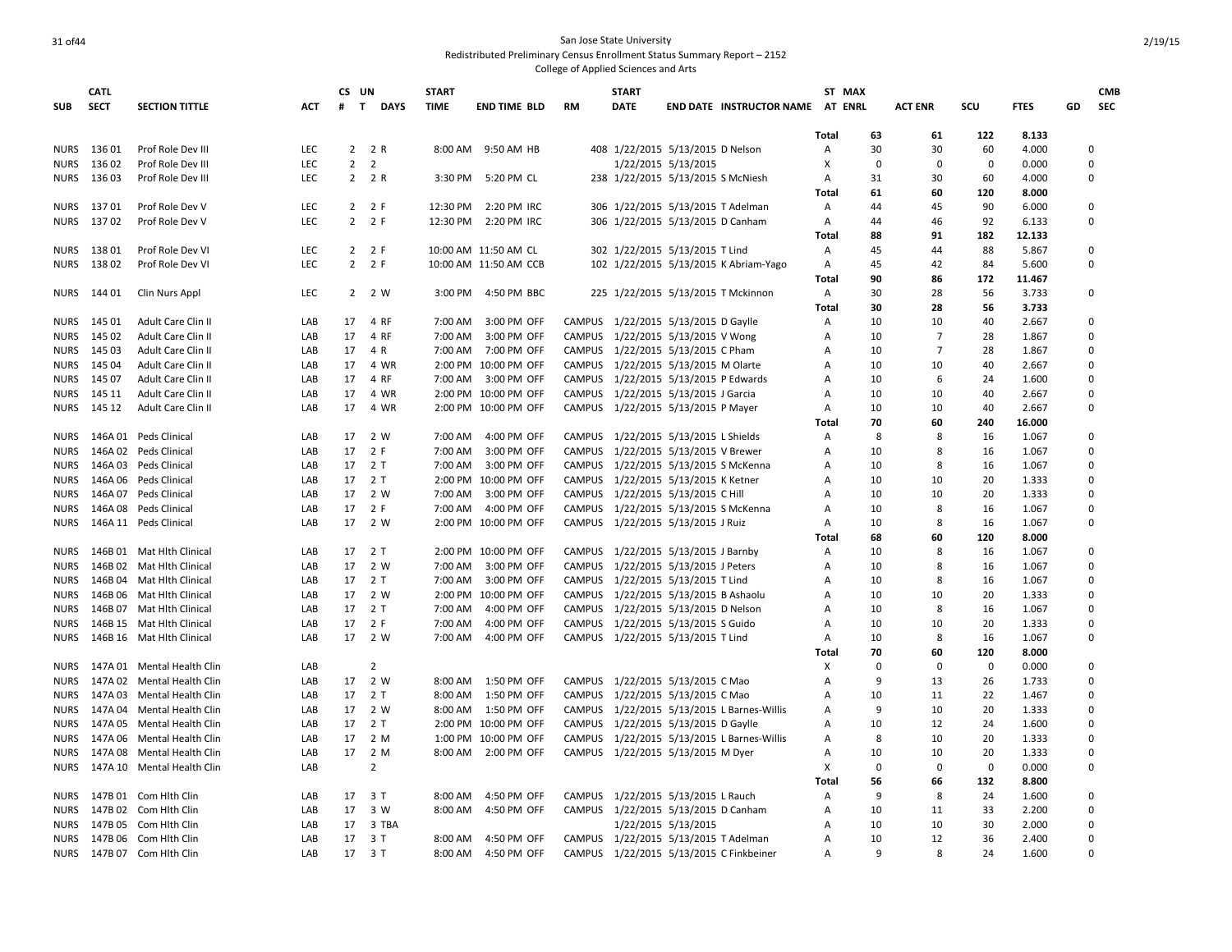### 31 of44 San Jose State University Redistributed Preliminary Census Enrollment Status Summary Report – 2152

|             | <b>CATL</b> |                            |            | CS UN             |                | <b>START</b> |                       |               | <b>START</b>                         |                     |                                            | ST MAX         |             |                |              |             |             | <b>CMB</b> |
|-------------|-------------|----------------------------|------------|-------------------|----------------|--------------|-----------------------|---------------|--------------------------------------|---------------------|--------------------------------------------|----------------|-------------|----------------|--------------|-------------|-------------|------------|
| <b>SUB</b>  | <b>SECT</b> | <b>SECTION TITTLE</b>      | <b>ACT</b> | $\mathbf{T}$<br># | <b>DAYS</b>    | <b>TIME</b>  | <b>END TIME BLD</b>   | <b>RM</b>     | <b>DATE</b>                          |                     | END DATE INSTRUCTOR NAME AT ENRL           |                |             | <b>ACT ENR</b> | SCU          | <b>FTES</b> | GD          | <b>SEC</b> |
|             |             |                            |            |                   |                |              |                       |               |                                      |                     |                                            |                |             |                |              |             |             |            |
|             |             |                            |            |                   |                |              |                       |               |                                      |                     |                                            | Total          | 63          | 61             | 122          | 8.133       |             |            |
| <b>NURS</b> | 13601       | Prof Role Dev III          | <b>LEC</b> |                   | 2 2 R          | 8:00 AM      | 9:50 AM HB            |               | 408 1/22/2015 5/13/2015 D Nelson     |                     |                                            | Α              | 30          | 30             | 60           | 4.000       | $\mathbf 0$ |            |
| <b>NURS</b> | 13602       | Prof Role Dev III          | LEC        | $\overline{2}$    | $\overline{2}$ |              |                       |               |                                      | 1/22/2015 5/13/2015 |                                            | Χ              | $\mathbf 0$ | $\mathbf 0$    | $\mathbf 0$  | 0.000       | $\Omega$    |            |
| <b>NURS</b> | 13603       | Prof Role Dev III          | <b>LEC</b> |                   | 2 2 R          |              | 3:30 PM 5:20 PM CL    |               | 238 1/22/2015 5/13/2015 S McNiesh    |                     |                                            | Α              | 31          | 30             | 60           | 4.000       |             | 0          |
|             |             |                            |            |                   |                |              |                       |               |                                      |                     |                                            | Total          | 61          | 60             | 120          | 8.000       |             |            |
| <b>NURS</b> | 13701       | Prof Role Dev V            | <b>LEC</b> |                   | $2 \t2 F$      | 12:30 PM     | 2:20 PM IRC           |               | 306 1/22/2015 5/13/2015 T Adelman    |                     |                                            | Α              | 44          | 45             | 90           | 6.000       | 0           |            |
|             | NURS 13702  | Prof Role Dev V            | <b>LEC</b> |                   | $2 \t2 F$      |              | 12:30 PM 2:20 PM IRC  |               | 306 1/22/2015 5/13/2015 D Canham     |                     |                                            | Α              | 44          | 46             | 92           | 6.133       | 0           |            |
|             |             |                            |            |                   |                |              |                       |               |                                      |                     |                                            | <b>Total</b>   | 88          | 91             | 182          | 12.133      |             |            |
| NURS        | 13801       | Prof Role Dev VI           | <b>LEC</b> |                   | $2 \t2 F$      |              | 10:00 AM 11:50 AM CL  |               | 302 1/22/2015 5/13/2015 T Lind       |                     |                                            | Α              | 45          | 44             | 88           | 5.867       | 0           |            |
| <b>NURS</b> | 13802       | Prof Role Dev VI           | <b>LEC</b> |                   | $2 \t2 F$      |              | 10:00 AM 11:50 AM CCB |               |                                      |                     | 102 1/22/2015 5/13/2015 K Abriam-Yago      | Α              | 45          | 42             | 84           | 5.600       |             | 0          |
|             |             |                            |            |                   |                |              |                       |               |                                      |                     |                                            | <b>Total</b>   | 90          | 86             | 172          | 11.467      |             |            |
| <b>NURS</b> | 144 01      | Clin Nurs Appl             | LEC        |                   | 2 2 W          | 3:00 PM      | 4:50 PM BBC           |               |                                      |                     | 225 1/22/2015 5/13/2015 T Mckinnon         | Α              | 30          | 28             | 56           | 3.733       | 0           |            |
|             |             |                            |            |                   |                |              |                       |               |                                      |                     |                                            | <b>Total</b>   | 30          | 28             | 56           | 3.733       |             |            |
| <b>NURS</b> | 145 01      | Adult Care Clin II         | LAB        | 17                | 4 RF           | 7:00 AM      | 3:00 PM OFF           |               | CAMPUS 1/22/2015 5/13/2015 D Gaylle  |                     |                                            | Α              | 10          | 10             | 40           | 2.667       | $\Omega$    |            |
| <b>NURS</b> | 145 02      | Adult Care Clin II         | LAB        | 17                | 4 RF           | 7:00 AM      | 3:00 PM OFF           |               | CAMPUS 1/22/2015 5/13/2015 V Wong    |                     |                                            | A              | 10          | 7              | 28           | 1.867       | $\Omega$    |            |
| <b>NURS</b> | 145 03      | Adult Care Clin II         | LAB        | 17                | 4 R            | 7:00 AM      | 7:00 PM OFF           |               | CAMPUS 1/22/2015 5/13/2015 C Pham    |                     |                                            | A              | 10          | $\overline{7}$ | 28           | 1.867       | $\Omega$    |            |
|             |             |                            |            |                   |                |              |                       |               |                                      |                     |                                            |                |             |                |              |             |             |            |
| <b>NURS</b> | 145 04      | Adult Care Clin II         | LAB        | 17                | 4 WR           |              | 2:00 PM 10:00 PM OFF  |               | CAMPUS 1/22/2015 5/13/2015 M Olarte  |                     |                                            | $\overline{A}$ | 10          | 10             | 40           | 2.667       | 0           |            |
| <b>NURS</b> | 145 07      | Adult Care Clin II         | LAB        | 17                | 4 RF           | 7:00 AM      | 3:00 PM OFF           | CAMPUS        | 1/22/2015 5/13/2015 P Edwards        |                     |                                            | Α              | 10          | 6              | 24           | 1.600       | $\Omega$    |            |
| <b>NURS</b> | 145 11      | Adult Care Clin II         | LAB        | 17                | 4 WR           |              | 2:00 PM 10:00 PM OFF  |               | CAMPUS 1/22/2015 5/13/2015 J Garcia  |                     |                                            | $\overline{A}$ | 10          | 10             | 40           | 2.667       | 0           |            |
| <b>NURS</b> | 145 12      | Adult Care Clin II         | LAB        | 17                | 4 WR           |              | 2:00 PM 10:00 PM OFF  |               | CAMPUS 1/22/2015 5/13/2015 P Mayer   |                     |                                            | Α              | 10          | 10             | 40           | 2.667       | $\Omega$    |            |
|             |             |                            |            |                   |                |              |                       |               |                                      |                     |                                            | <b>Total</b>   | 70          | 60             | 240          | 16.000      |             |            |
| <b>NURS</b> |             | 146A 01 Peds Clinical      | LAB        |                   | 17 2 W         | 7:00 AM      | 4:00 PM OFF           |               | CAMPUS 1/22/2015 5/13/2015 L Shields |                     |                                            | Α              | 8           | 8              | 16           | 1.067       | 0           |            |
| <b>NURS</b> |             | 146A 02 Peds Clinical      | LAB        |                   | 17 2 F         | 7:00 AM      | 3:00 PM OFF           |               | CAMPUS 1/22/2015 5/13/2015 V Brewer  |                     |                                            | A              | 10          | 8              | 16           | 1.067       | 0           |            |
| <b>NURS</b> |             | 146A 03 Peds Clinical      | LAB        | 17                | 2 T            |              | 7:00 AM 3:00 PM OFF   |               | CAMPUS 1/22/2015 5/13/2015 S McKenna |                     |                                            | A              | 10          | 8              | 16           | 1.067       | $\Omega$    |            |
| <b>NURS</b> |             | 146A 06 Peds Clinical      | LAB        | 17                | 2T             |              | 2:00 PM 10:00 PM OFF  |               | CAMPUS 1/22/2015 5/13/2015 K Ketner  |                     |                                            | Α              | 10          | 10             | 20           | 1.333       | 0           |            |
| <b>NURS</b> |             | 146A 07 Peds Clinical      | LAB        | 17                | 2 W            | 7:00 AM      | 3:00 PM OFF           |               | CAMPUS 1/22/2015 5/13/2015 C Hill    |                     |                                            | Α              | 10          | 10             | 20           | 1.333       | $\Omega$    |            |
| <b>NURS</b> |             | 146A 08 Peds Clinical      | LAB        | 17                | 2 F            | 7:00 AM      | 4:00 PM OFF           |               |                                      |                     | CAMPUS 1/22/2015 5/13/2015 S McKenna       | Α              | 10          | 8              | 16           | 1.067       | 0           |            |
| <b>NURS</b> |             | 146A 11 Peds Clinical      | LAB        |                   | 17 2 W         |              | 2:00 PM 10:00 PM OFF  |               | CAMPUS 1/22/2015 5/13/2015 J Ruiz    |                     |                                            | Α              | 10          | 8              | 16           | 1.067       | $\mathbf 0$ |            |
|             |             |                            |            |                   |                |              |                       |               |                                      |                     |                                            | Total          | 68          | 60             | 120          | 8.000       |             |            |
| <b>NURS</b> |             | 146B 01 Mat Hith Clinical  | LAB        |                   | 17 2 T         |              | 2:00 PM 10:00 PM OFF  |               | CAMPUS 1/22/2015 5/13/2015 J Barnby  |                     |                                            | Α              | 10          | 8              | 16           | 1.067       | 0           |            |
| <b>NURS</b> |             | 146B 02 Mat Hlth Clinical  | LAB        | 17                | 2 W            | 7:00 AM      | 3:00 PM OFF           | CAMPUS        | 1/22/2015 5/13/2015 J Peters         |                     |                                            | A              | 10          | 8              | 16           | 1.067       | $\Omega$    |            |
| <b>NURS</b> |             | 146B 04 Mat Hlth Clinical  | LAB        | 17                | 2 T            |              | 7:00 AM 3:00 PM OFF   |               | CAMPUS 1/22/2015 5/13/2015 T Lind    |                     |                                            | $\overline{A}$ | 10          | 8              | 16           | 1.067       | $\Omega$    |            |
| <b>NURS</b> |             | 146B 06 Mat Hith Clinical  | LAB        | 17                | 2 W            |              | 2:00 PM 10:00 PM OFF  |               | CAMPUS 1/22/2015 5/13/2015 B Ashaolu |                     |                                            | A              | 10          | 10             | 20           | 1.333       | $\Omega$    |            |
| <b>NURS</b> |             | 146B 07 Mat Hlth Clinical  | LAB        | 17                | 2 T            | 7:00 AM      | 4:00 PM OFF           | CAMPUS        | 1/22/2015 5/13/2015 D Nelson         |                     |                                            | $\overline{A}$ | 10          | 8              | 16           | 1.067       | 0           |            |
| <b>NURS</b> |             | 146B 15 Mat Hith Clinical  | LAB        | 17                | 2 F            | 7:00 AM      | 4:00 PM OFF           |               | CAMPUS 1/22/2015 5/13/2015 S Guido   |                     |                                            | Α              | 10          | 10             | 20           | 1.333       | $\Omega$    |            |
| <b>NURS</b> |             | 146B 16 Mat Hlth Clinical  | LAB        |                   | 17 2 W         | 7:00 AM      | 4:00 PM OFF           |               | CAMPUS 1/22/2015 5/13/2015 T Lind    |                     |                                            | Α              | 10          | 8              | 16           | 1.067       | 0           |            |
|             |             |                            |            |                   |                |              |                       |               |                                      |                     |                                            | <b>Total</b>   | 70          | 60             | 120          | 8.000       |             |            |
|             |             |                            | LAB        |                   | $\overline{2}$ |              |                       |               |                                      |                     |                                            | Χ              | $\mathbf 0$ | $\mathbf 0$    | $\mathbf 0$  | 0.000       | 0           |            |
| <b>NURS</b> |             | 147A 01 Mental Health Clin |            |                   |                |              |                       |               |                                      |                     |                                            |                | q           |                |              |             |             |            |
| <b>NURS</b> |             | 147A 02 Mental Health Clin | LAB        | 17                | 2 W            | 8:00 AM      | 1:50 PM OFF           |               | CAMPUS 1/22/2015 5/13/2015 C Mao     |                     |                                            | Α              |             | 13             | 26           | 1.733       | $\Omega$    |            |
| <b>NURS</b> |             | 147A 03 Mental Health Clin | LAB        | 17                | 2 T            | 8:00 AM      | 1:50 PM OFF           |               | CAMPUS 1/22/2015 5/13/2015 C Mao     |                     |                                            | A              | 10          | 11             | 22           | 1.467       | 0           |            |
| <b>NURS</b> |             | 147A 04 Mental Health Clin | LAB        |                   | 17 2 W         |              | 8:00 AM  1:50 PM OFF  |               |                                      |                     | CAMPUS 1/22/2015 5/13/2015 L Barnes-Willis | Α              | 9           | 10             | 20           | 1.333       | 0           |            |
| <b>NURS</b> |             | 147A 05 Mental Health Clin | LAB        | 17                | 2 T            |              | 2:00 PM 10:00 PM OFF  | <b>CAMPUS</b> | 1/22/2015 5/13/2015 D Gaylle         |                     |                                            | Α              | 10          | 12             | 24           | 1.600       | $\Omega$    |            |
| <b>NURS</b> |             | 147A 06 Mental Health Clin | LAB        | 17                | 2 M            |              | 1:00 PM 10:00 PM OFF  |               |                                      |                     | CAMPUS 1/22/2015 5/13/2015 L Barnes-Willis | Α              | 8           | 10             | 20           | 1.333       | $\mathbf 0$ |            |
| <b>NURS</b> |             | 147A 08 Mental Health Clin | LAB        | 17                | 2 M            | 8:00 AM      | 2:00 PM OFF           |               | CAMPUS 1/22/2015 5/13/2015 M Dyer    |                     |                                            | Α              | 10          | 10             | 20           | 1.333       | $\Omega$    |            |
| <b>NURS</b> |             | 147A 10 Mental Health Clin | LAB        |                   | $\overline{2}$ |              |                       |               |                                      |                     |                                            | x              | $\mathbf 0$ | $\mathbf 0$    | $\mathbf{0}$ | 0.000       | $\Omega$    |            |
|             |             |                            |            |                   |                |              |                       |               |                                      |                     |                                            | Total          | 56          | 66             | 132          | 8.800       |             |            |
| <b>NURS</b> |             | 147B 01 Com Hlth Clin      | LAB        | 17                | 3T             | 8:00 AM      | 4:50 PM OFF           | <b>CAMPUS</b> | 1/22/2015 5/13/2015 L Rauch          |                     |                                            | Α              | 9           | 8              | 24           | 1.600       | 0           |            |
| <b>NURS</b> |             | 147B 02 Com Hith Clin      | LAB        | 17                | 3 W            | 8:00 AM      | 4:50 PM OFF           |               | CAMPUS 1/22/2015 5/13/2015 D Canham  |                     |                                            | Α              | 10          | 11             | 33           | 2.200       | $\Omega$    |            |
| <b>NURS</b> |             | 147B 05 Com Hlth Clin      | LAB        | 17                | 3 TBA          |              |                       |               |                                      | 1/22/2015 5/13/2015 |                                            | A              | 10          | 10             | 30           | 2.000       | $\Omega$    |            |
| <b>NURS</b> |             | 147B 06 Com Hlth Clin      | LAB        | 17                | 3 T            | 8:00 AM      | 4:50 PM OFF           |               |                                      |                     | CAMPUS 1/22/2015 5/13/2015 T Adelman       | Α              | 10          | 12             | 36           | 2.400       |             | U          |
| <b>NURS</b> |             | 147B 07 Com Hlth Clin      | LAB        | 17                | 3 T            | 8:00 AM      | 4:50 PM OFF           |               |                                      |                     | CAMPUS 1/22/2015 5/13/2015 C Finkbeiner    | A              | q           | 8              | 24           | 1.600       | $\Omega$    |            |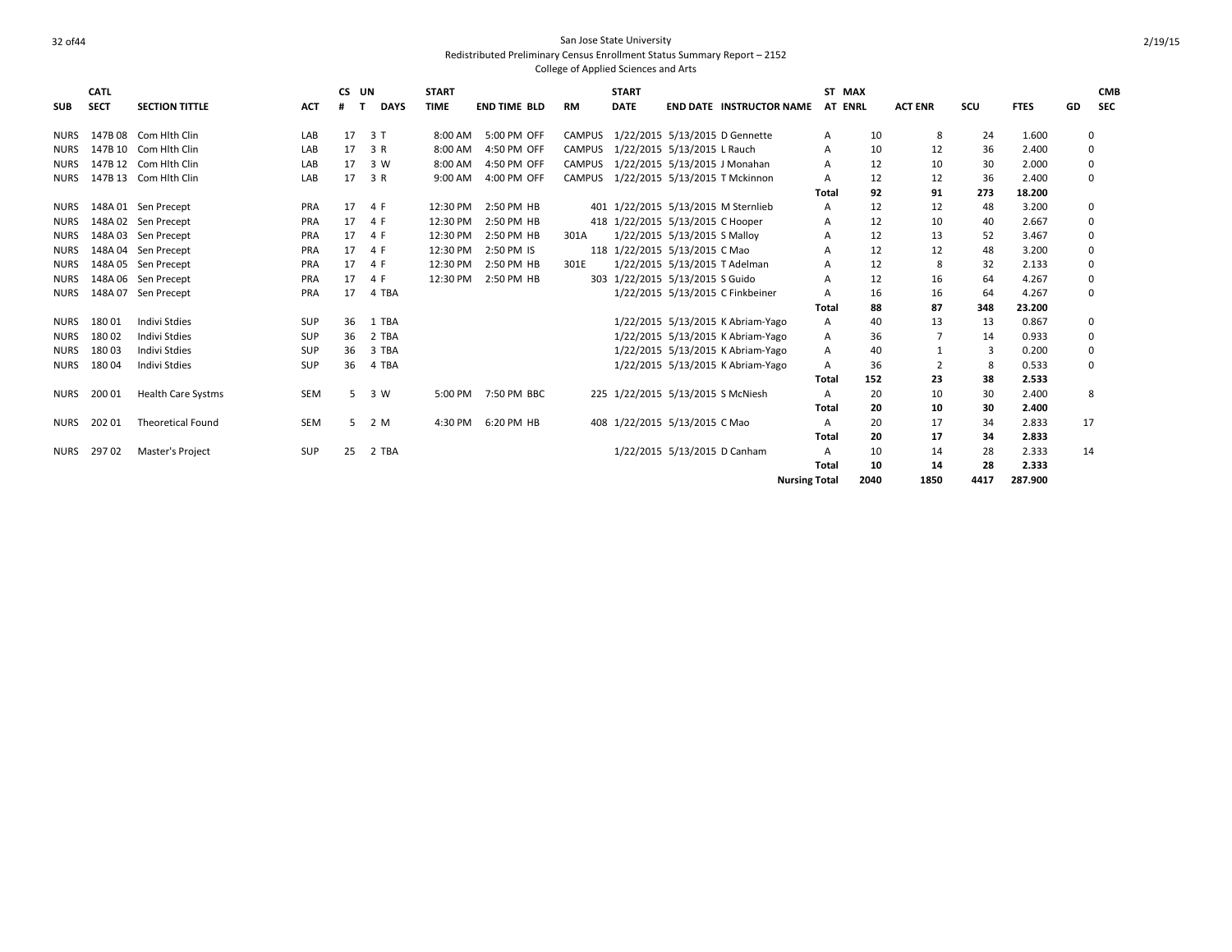|             | CATL        |                           |            | CS. | UN          | <b>START</b> |                     |               | <b>START</b> |                                    |                                       | ST MAX               |      |                |      |             |    | <b>CMB</b> |
|-------------|-------------|---------------------------|------------|-----|-------------|--------------|---------------------|---------------|--------------|------------------------------------|---------------------------------------|----------------------|------|----------------|------|-------------|----|------------|
| <b>SUB</b>  | <b>SECT</b> | <b>SECTION TITTLE</b>     | ACT        |     | <b>DAYS</b> | <b>TIME</b>  | <b>END TIME BLD</b> | <b>RM</b>     | <b>DATE</b>  |                                    | <b>END DATE INSTRUCTOR NAME</b>       | AT ENRL              |      | <b>ACT ENR</b> | SCU  | <b>FTES</b> | GD | <b>SEC</b> |
| <b>NURS</b> |             | 147B 08 Com Hith Clin     | LAB        | 17  | 3T          | 8:00 AM      | 5:00 PM OFF         |               |              |                                    | CAMPUS 1/22/2015 5/13/2015 D Gennette | Α                    | 10   | 8              | 24   | 1.600       |    | 0          |
| <b>NURS</b> |             | 147B 10 Com Hith Clin     | LAB        | 17  | 3 R         | 8:00 AM      | 4:50 PM OFF         |               |              | CAMPUS 1/22/2015 5/13/2015 L Rauch |                                       | A                    | 10   | 12             | 36   | 2.400       |    | 0          |
| <b>NURS</b> |             | 147B 12 Com Hith Clin     | LAB        | 17  | 3 W         | 8:00 AM      | 4:50 PM OFF         | <b>CAMPUS</b> |              | 1/22/2015 5/13/2015 J Monahan      |                                       | A                    | 12   | 10             | 30   | 2.000       |    | 0          |
| <b>NURS</b> |             | 147B 13 Com Hlth Clin     | LAB        | 17  | 3 R         | 9:00 AM      | 4:00 PM OFF         |               |              |                                    | CAMPUS 1/22/2015 5/13/2015 T Mckinnon | A                    | 12   | 12             | 36   | 2.400       |    | 0          |
|             |             |                           |            |     |             |              |                     |               |              |                                    |                                       | Total                | 92   | 91             | 273  | 18.200      |    |            |
| <b>NURS</b> |             | 148A 01 Sen Precept       | PRA        | 17  | 4 F         | 12:30 PM     | 2:50 PM HB          |               |              |                                    | 401 1/22/2015 5/13/2015 M Sternlieb   | A                    | 12   | 12             | 48   | 3.200       |    | 0          |
| <b>NURS</b> |             | 148A 02 Sen Precept       | PRA        | 17  | 4 F         | 12:30 PM     | 2:50 PM HB          |               |              | 418 1/22/2015 5/13/2015 C Hooper   |                                       | A                    | 12   | 10             | 40   | 2.667       |    | 0          |
| <b>NURS</b> |             | 148A 03 Sen Precept       | PRA        | 17  | 4 F         | 12:30 PM     | 2:50 PM HB          | 301A          |              | 1/22/2015 5/13/2015 S Malloy       |                                       | А                    | 12   | 13             | 52   | 3.467       |    | 0          |
| <b>NURS</b> |             | 148A 04 Sen Precept       | PRA        | 17  | 4 F         | 12:30 PM     | 2:50 PM IS          |               |              | 118 1/22/2015 5/13/2015 C Mao      |                                       | А                    | 12   | 12             | 48   | 3.200       |    | 0          |
| <b>NURS</b> |             | 148A 05 Sen Precept       | PRA        | 17  | 4 F         | 12:30 PM     | 2:50 PM HB          | 301E          |              | 1/22/2015 5/13/2015 T Adelman      |                                       | А                    | 12   | 8              | 32   | 2.133       |    | 0          |
| <b>NURS</b> |             | 148A 06 Sen Precept       | PRA        | 17  | 4 F         | 12:30 PM     | 2:50 PM HB          |               |              | 303 1/22/2015 5/13/2015 S Guido    |                                       | А                    | 12   | 16             | 64   | 4.267       |    | 0          |
| <b>NURS</b> |             | 148A 07 Sen Precept       | <b>PRA</b> | 17  | 4 TBA       |              |                     |               |              |                                    | 1/22/2015 5/13/2015 C Finkbeiner      | A                    | 16   | 16             | 64   | 4.267       |    | 0          |
|             |             |                           |            |     |             |              |                     |               |              |                                    |                                       | Total                | 88   | 87             | 348  | 23.200      |    |            |
| <b>NURS</b> | 18001       | <b>Indivi Stdies</b>      | <b>SUP</b> | 36  | 1 TBA       |              |                     |               |              |                                    | 1/22/2015 5/13/2015 K Abriam-Yago     | A                    | 40   | 13             | 13   | 0.867       |    | 0          |
| <b>NURS</b> | 18002       | <b>Indivi Stdies</b>      | <b>SUP</b> | 36  | 2 TBA       |              |                     |               |              |                                    | 1/22/2015 5/13/2015 K Abriam-Yago     | Α                    | 36   |                | 14   | 0.933       |    | 0          |
| <b>NURS</b> | 18003       | <b>Indivi Stdies</b>      | SUP        | 36  | 3 TBA       |              |                     |               |              |                                    | 1/22/2015 5/13/2015 K Abriam-Yago     | Α                    | 40   |                | 3    | 0.200       |    | 0          |
| <b>NURS</b> | 18004       | Indivi Stdies             | <b>SUP</b> | 36  | 4 TBA       |              |                     |               |              |                                    | 1/22/2015 5/13/2015 K Abriam-Yago     | A                    | 36   |                | 8    | 0.533       |    | 0          |
|             |             |                           |            |     |             |              |                     |               |              |                                    |                                       | Total                | 152  | 23             | 38   | 2.533       |    |            |
| <b>NURS</b> | 200 01      | <b>Health Care Systms</b> | SEM        | 5   | 3 W         | 5:00 PM      | 7:50 PM BBC         |               |              | 225 1/22/2015 5/13/2015 S McNiesh  |                                       | A                    | 20   | 10             | 30   | 2.400       |    | 8          |
|             |             |                           |            |     |             |              |                     |               |              |                                    |                                       | <b>Total</b>         | 20   | 10             | 30   | 2.400       |    |            |
| <b>NURS</b> | 20201       | <b>Theoretical Found</b>  | SEM        | 5.  | 2 M         | 4:30 PM      | 6:20 PM HB          |               |              | 408 1/22/2015 5/13/2015 C Mao      |                                       | A                    | 20   | 17             | 34   | 2.833       | 17 |            |
|             |             |                           |            |     |             |              |                     |               |              |                                    |                                       | <b>Total</b>         | 20   | 17             | 34   | 2.833       |    |            |
| NURS        | 29702       | Master's Project          | SUP        | 25  | 2 TBA       |              |                     |               |              | 1/22/2015 5/13/2015 D Canham       |                                       | Α                    | 10   | 14             | 28   | 2.333       | 14 |            |
|             |             |                           |            |     |             |              |                     |               |              |                                    |                                       | Total                | 10   | 14             | 28   | 2.333       |    |            |
|             |             |                           |            |     |             |              |                     |               |              |                                    |                                       | <b>Nursing Total</b> | 2040 | 1850           | 4417 | 287.900     |    |            |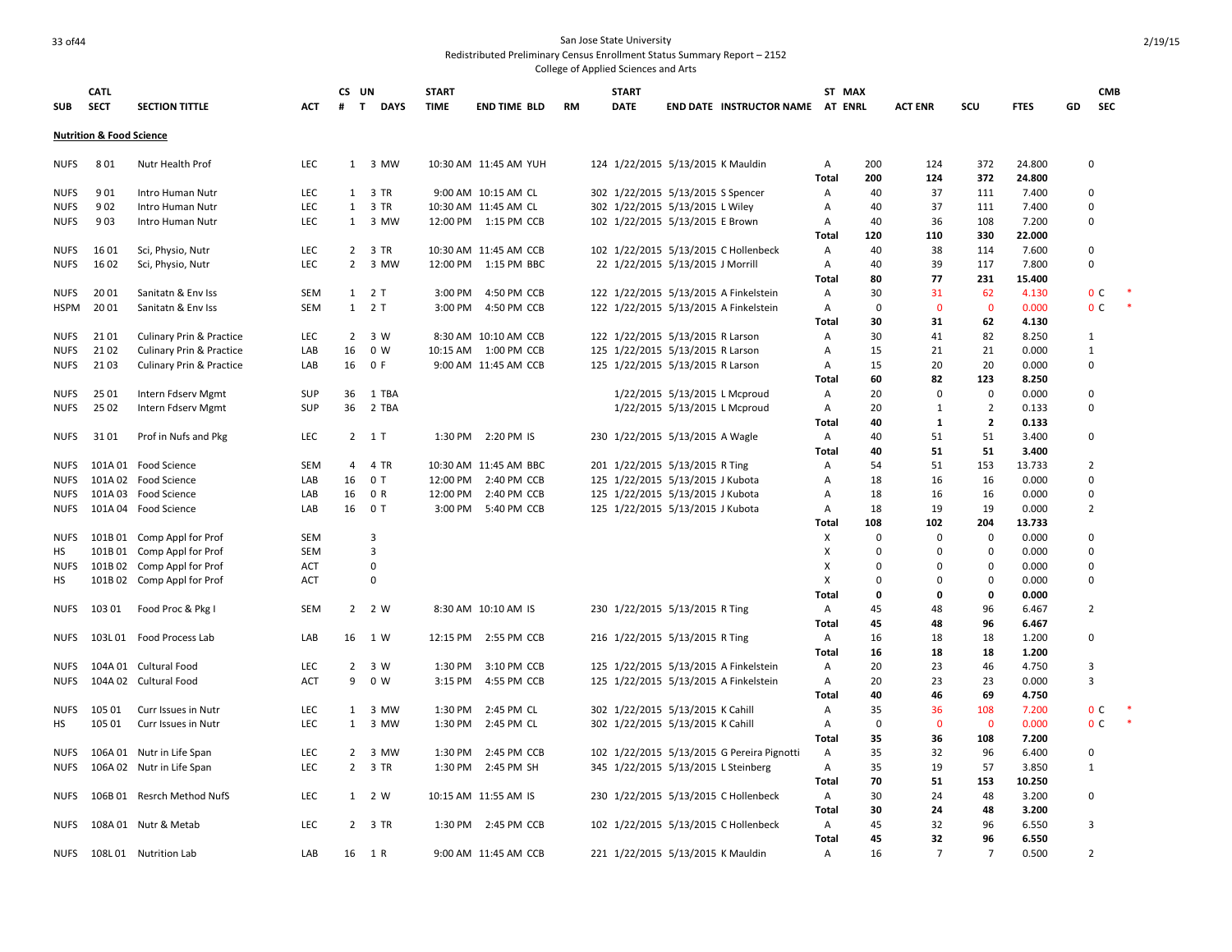### 33 of 44 San Jose State University Redistributed Preliminary Census Enrollment Status Summary Report – 2152

|             | <b>CATL</b>                         |                                     |            | CS UN          |                             | <b>START</b> |                       |           | <b>START</b>                          |                               |                                            | ST MAX       |             |                |                |                 |    | <b>CMB</b>     |  |
|-------------|-------------------------------------|-------------------------------------|------------|----------------|-----------------------------|--------------|-----------------------|-----------|---------------------------------------|-------------------------------|--------------------------------------------|--------------|-------------|----------------|----------------|-----------------|----|----------------|--|
| <b>SUB</b>  | <b>SECT</b>                         | <b>SECTION TITTLE</b>               | <b>ACT</b> | #              | <b>DAYS</b><br>$\mathbf{T}$ | <b>TIME</b>  | <b>END TIME BLD</b>   | <b>RM</b> | <b>DATE</b>                           |                               | <b>END DATE INSTRUCTOR NAME AT ENRL</b>    |              |             | <b>ACT ENR</b> | scu            | <b>FTES</b>     | GD | <b>SEC</b>     |  |
|             | <b>Nutrition &amp; Food Science</b> |                                     |            |                |                             |              |                       |           |                                       |                               |                                            |              |             |                |                |                 |    |                |  |
|             |                                     |                                     |            |                |                             |              |                       |           |                                       |                               |                                            |              |             |                |                |                 |    |                |  |
| <b>NUFS</b> | 801                                 | Nutr Health Prof                    | LEC        |                | 1 3 MW                      |              | 10:30 AM 11:45 AM YUH |           | 124 1/22/2015 5/13/2015 K Mauldin     |                               |                                            | Α            | 200         | 124<br>124     | 372            | 24.800          |    | $\Omega$       |  |
| <b>NUFS</b> | 901                                 | Intro Human Nutr                    | LEC        |                | 1 3 TR                      |              | 9:00 AM 10:15 AM CL   |           | 302 1/22/2015 5/13/2015 S Spencer     |                               |                                            | Total<br>Α   | 200<br>40   | 37             | 372<br>111     | 24.800<br>7.400 |    | 0              |  |
| <b>NUFS</b> | 902                                 | Intro Human Nutr                    | LEC        |                | 1 3 TR                      |              | 10:30 AM 11:45 AM CL  |           | 302 1/22/2015 5/13/2015 L Wiley       |                               |                                            | Α            | 40          | 37             | 111            | 7.400           |    | $\Omega$       |  |
| <b>NUFS</b> | 903                                 | Intro Human Nutr                    | LEC        |                | 1 3 MW                      |              | 12:00 PM 1:15 PM CCB  |           | 102 1/22/2015 5/13/2015 E Brown       |                               |                                            | Α            | 40          | 36             | 108            | 7.200           |    | $\Omega$       |  |
|             |                                     |                                     |            |                |                             |              |                       |           |                                       |                               |                                            | <b>Total</b> | 120         | 110            | 330            | 22.000          |    |                |  |
| <b>NUFS</b> | 1601                                | Sci, Physio, Nutr                   | LEC        |                | 2 3 TR                      |              | 10:30 AM 11:45 AM CCB |           |                                       |                               | 102 1/22/2015 5/13/2015 C Hollenbeck       | Α            | 40          | 38             | 114            | 7.600           |    | $\Omega$       |  |
| <b>NUFS</b> | 1602                                | Sci, Physio, Nutr                   | LEC        | $\mathbf{2}$   | 3 MW                        |              | 12:00 PM 1:15 PM BBC  |           | 22 1/22/2015 5/13/2015 J Morrill      |                               |                                            | Α            | 40          | 39             | 117            | 7.800           |    | $\Omega$       |  |
|             |                                     |                                     |            |                |                             |              |                       |           |                                       |                               |                                            | Total        | 80          | 77             | 231            | 15.400          |    |                |  |
| <b>NUFS</b> | 2001                                | Sanitatn & Env Iss                  | <b>SEM</b> |                | $1 \quad 2 \quad T$         | 3:00 PM      | 4:50 PM CCB           |           | 122 1/22/2015 5/13/2015 A Finkelstein |                               |                                            | Α            | 30          | 31             | 62             | 4.130           |    | 0 <sup>C</sup> |  |
| <b>HSPM</b> | 2001                                | Sanitatn & Env Iss                  | <b>SEM</b> |                | $1 \quad 2 \text{ T}$       | 3:00 PM      | 4:50 PM CCB           |           | 122 1/22/2015 5/13/2015 A Finkelstein |                               |                                            | Α            | $\mathbf 0$ | $\mathbf{0}$   | $\mathbf 0$    | 0.000           |    | 0 <sup>C</sup> |  |
|             |                                     |                                     |            |                |                             |              |                       |           |                                       |                               |                                            | Total        | 30          | 31             | 62             | 4.130           |    |                |  |
| <b>NUFS</b> | 2101                                | Culinary Prin & Practice            | LEC        |                | 2 3 W                       |              | 8:30 AM 10:10 AM CCB  |           | 122 1/22/2015 5/13/2015 R Larson      |                               |                                            | Α            | 30          | 41             | 82             | 8.250           |    | 1              |  |
| <b>NUFS</b> | 2102                                | Culinary Prin & Practice            | LAB        | 16             | 0 W                         | 10:15 AM     | 1:00 PM CCB           |           | 125 1/22/2015 5/13/2015 R Larson      |                               |                                            | A            | 15          | 21             | 21             | 0.000           |    | 1              |  |
| <b>NUFS</b> | 2103                                | <b>Culinary Prin &amp; Practice</b> | LAB        | 16             | 0 F                         |              | 9:00 AM 11:45 AM CCB  |           | 125 1/22/2015 5/13/2015 R Larson      |                               |                                            | Α            | 15          | 20             | 20             | 0.000           |    | $\Omega$       |  |
|             |                                     |                                     |            |                |                             |              |                       |           |                                       |                               |                                            | Total        | 60          | 82             | 123            | 8.250           |    |                |  |
| <b>NUFS</b> | 25 01                               | Intern Fdserv Mgmt                  | SUP        | 36             | 1 TBA                       |              |                       |           |                                       | 1/22/2015 5/13/2015 L Mcproud |                                            | Α            | 20          | $\mathbf 0$    | $\mathbf 0$    | 0.000           |    | $\Omega$       |  |
| <b>NUFS</b> | 25 02                               | Intern Fdserv Mgmt                  | <b>SUP</b> | 36             | 2 TBA                       |              |                       |           |                                       | 1/22/2015 5/13/2015 L Mcproud |                                            | Α            | 20          | 1              | $\overline{2}$ | 0.133           |    | $\Omega$       |  |
|             |                                     |                                     |            |                |                             |              |                       |           |                                       |                               |                                            | Total        | 40          | 1              | $\overline{2}$ | 0.133           |    |                |  |
| <b>NUFS</b> | 3101                                | Prof in Nufs and Pkg                | LEC        |                | $2 \t1 T$                   |              | 1:30 PM 2:20 PM IS    |           | 230 1/22/2015 5/13/2015 A Wagle       |                               |                                            | A            | 40          | 51             | 51             | 3.400           |    | $\Omega$       |  |
|             |                                     |                                     |            |                |                             |              |                       |           |                                       |                               |                                            | Total        | 40          | 51             | 51             | 3.400           |    |                |  |
| <b>NUFS</b> |                                     | 101A 01 Food Science                | <b>SEM</b> | $\overline{4}$ | 4 TR                        |              | 10:30 AM 11:45 AM BBC |           | 201 1/22/2015 5/13/2015 R Ting        |                               |                                            | Α            | 54          | 51             | 153            | 13.733          |    | $\overline{2}$ |  |
| <b>NUFS</b> |                                     | 101A 02 Food Science                | LAB        | 16             | 0 <sub>T</sub>              | 12:00 PM     | 2:40 PM CCB           |           | 125 1/22/2015 5/13/2015 J Kubota      |                               |                                            | Α            | 18          | 16             | 16             | 0.000           |    | $\Omega$       |  |
| <b>NUFS</b> |                                     | 101A 03 Food Science                | LAB        | 16             | 0 R                         | 12:00 PM     | 2:40 PM CCB           |           | 125 1/22/2015 5/13/2015 J Kubota      |                               |                                            | Α            | 18          | 16             | 16             | 0.000           |    | $\Omega$       |  |
| <b>NUFS</b> |                                     | 101A 04 Food Science                | LAB        | 16             | 0 T                         | 3:00 PM      | 5:40 PM CCB           |           | 125 1/22/2015 5/13/2015 J Kubota      |                               |                                            | Α            | 18          | 19             | 19             | 0.000           |    | $\overline{2}$ |  |
|             |                                     |                                     |            |                |                             |              |                       |           |                                       |                               |                                            | Total        | 108         | 102            | 204            | 13.733          |    |                |  |
| <b>NUFS</b> |                                     | 101B 01 Comp Appl for Prof          | <b>SEM</b> |                | $\overline{3}$              |              |                       |           |                                       |                               |                                            | X            | $\mathbf 0$ | $\mathbf 0$    | $\mathbf 0$    | 0.000           |    | $\mathbf 0$    |  |
| HS          |                                     | 101B 01 Comp Appl for Prof          | <b>SEM</b> |                | $\overline{3}$              |              |                       |           |                                       |                               |                                            | х            | $\Omega$    | $\Omega$       | 0              | 0.000           |    | $\Omega$       |  |
| <b>NUFS</b> |                                     | 101B 02 Comp Appl for Prof          | ACT        |                | $\Omega$                    |              |                       |           |                                       |                               |                                            | х            | $\Omega$    | $\Omega$       | $\mathbf 0$    | 0.000           |    | $\Omega$       |  |
| HS          |                                     | 101B 02 Comp Appl for Prof          | <b>ACT</b> |                | $\Omega$                    |              |                       |           |                                       |                               |                                            | Х            | $\Omega$    | $\Omega$       | 0              | 0.000           |    | $\Omega$       |  |
|             |                                     |                                     |            |                |                             |              |                       |           |                                       |                               |                                            | Total        | 0           | 0              | 0              | 0.000           |    |                |  |
| <b>NUFS</b> | 103 01                              | Food Proc & Pkg I                   | <b>SEM</b> |                | 2 2 W                       |              | 8:30 AM 10:10 AM IS   |           | 230 1/22/2015 5/13/2015 R Ting        |                               |                                            | A            | 45          | 48             | 96             | 6.467           |    | $\overline{2}$ |  |
|             |                                     |                                     |            |                |                             |              |                       |           |                                       |                               |                                            | Total        | 45          | 48             | 96             | 6.467           |    |                |  |
| <b>NUFS</b> |                                     | 103L 01 Food Process Lab            | LAB        |                | 16 1 W                      |              | 12:15 PM 2:55 PM CCB  |           | 216 1/22/2015 5/13/2015 R Ting        |                               |                                            | Α            | 16          | 18             | 18             | 1.200           |    | 0              |  |
|             |                                     |                                     |            |                |                             |              |                       |           |                                       |                               |                                            | Total        | 16          | 18             | 18             | 1.200           |    |                |  |
| <b>NUFS</b> |                                     | 104A 01 Cultural Food               | LEC        |                | $2 \t3W$                    | 1:30 PM      | 3:10 PM CCB           |           | 125 1/22/2015 5/13/2015 A Finkelstein |                               |                                            | Α            | 20          | 23             | 46             | 4.750           |    | 3              |  |
| <b>NUFS</b> |                                     | 104A 02 Cultural Food               | ACT        | 9              | 0 W                         | 3:15 PM      | 4:55 PM CCB           |           | 125 1/22/2015 5/13/2015 A Finkelstein |                               |                                            | Α            | 20          | 23             | 23             | 0.000           |    | 3              |  |
|             |                                     |                                     |            |                |                             |              |                       |           |                                       |                               |                                            | Total        | 40          | 46             | 69             | 4.750           |    |                |  |
| <b>NUFS</b> | 105 01                              | Curr Issues in Nutr                 | LEC        |                | 1 3 MW                      | 1:30 PM      | 2:45 PM CL            |           | 302 1/22/2015 5/13/2015 K Cahill      |                               |                                            | A            | 35          | 36             | 108            | 7.200           |    | 0 <sup>c</sup> |  |
| HS          | 105 01                              | Curr Issues in Nutr                 | LEC        |                | 1 3 MW                      | 1:30 PM      | 2:45 PM CL            |           | 302 1/22/2015 5/13/2015 K Cahill      |                               |                                            | Α            | $\mathbf 0$ | $\mathbf 0$    | $\mathbf 0$    | 0.000           |    | 0 <sup>C</sup> |  |
|             |                                     |                                     |            |                |                             |              |                       |           |                                       |                               |                                            | Total        | 35          | 36             | 108            | 7.200           |    |                |  |
| <b>NUFS</b> |                                     | 106A 01 Nutr in Life Span           | LEC        |                | 2 3 MW                      | 1:30 PM      | 2:45 PM CCB           |           |                                       |                               | 102 1/22/2015 5/13/2015 G Pereira Pignotti | Α            | 35          | 32             | 96             | 6.400           |    | 0              |  |
| <b>NUFS</b> |                                     | 106A 02 Nutr in Life Span           | LEC        | $\overline{2}$ | 3 TR                        | 1:30 PM      | 2:45 PM SH            |           | 345 1/22/2015 5/13/2015 L Steinberg   |                               |                                            | A            | 35          | 19             | 57             | 3.850           |    | 1              |  |
|             |                                     |                                     |            |                |                             |              |                       |           |                                       |                               |                                            | Total        | 70          | 51             | 153            | 10.250          |    |                |  |
| <b>NUFS</b> |                                     | 106B 01 Resrch Method NufS          | <b>LEC</b> |                | 1 2 W                       |              | 10:15 AM 11:55 AM IS  |           |                                       |                               | 230 1/22/2015 5/13/2015 C Hollenbeck       | A            | 30          | 24             | 48             | 3.200           |    | $\Omega$       |  |
|             |                                     |                                     |            |                |                             |              |                       |           |                                       |                               |                                            | Total        | 30          | 24             | 48             | 3.200           |    |                |  |
| <b>NUFS</b> |                                     | 108A 01 Nutr & Metab                | LEC        |                | 2 3 TR                      |              | 1:30 PM 2:45 PM CCB   |           |                                       |                               | 102 1/22/2015 5/13/2015 C Hollenbeck       | Α            | 45          | 32             | 96             | 6.550           |    | 3              |  |
|             |                                     |                                     |            |                |                             |              |                       |           |                                       |                               |                                            | Total        | 45          | 32             | 96             | 6.550           |    |                |  |
| <b>NUFS</b> |                                     | 108L 01 Nutrition Lab               | LAB        | 16             | 1 R                         |              | 9:00 AM 11:45 AM CCB  |           | 221 1/22/2015 5/13/2015 K Mauldin     |                               |                                            | Α            | 16          | $\overline{7}$ | $\overline{7}$ | 0.500           |    | $\overline{2}$ |  |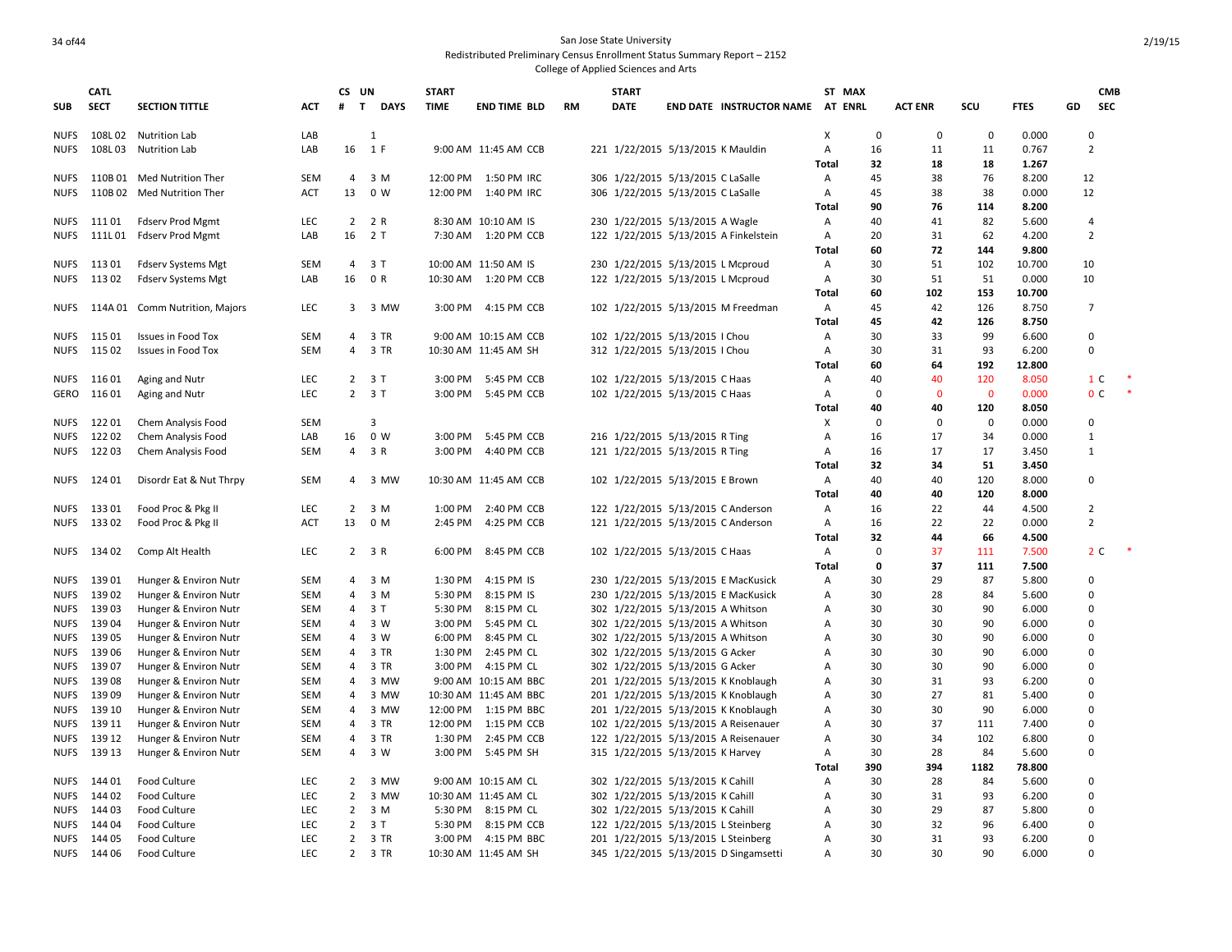|              | <b>CATL</b>    |                                                |                          | CS UN               |              | <b>START</b>       |                          |           | <b>START</b> |                                                                      |                                       |                   | ST MAX      |                |             |                | <b>CMB</b>           |  |
|--------------|----------------|------------------------------------------------|--------------------------|---------------------|--------------|--------------------|--------------------------|-----------|--------------|----------------------------------------------------------------------|---------------------------------------|-------------------|-------------|----------------|-------------|----------------|----------------------|--|
| <b>SUB</b>   | <b>SECT</b>    | <b>SECTION TITTLE</b>                          | <b>ACT</b>               | #<br>$\mathbf{T}$   | <b>DAYS</b>  | <b>TIME</b>        | <b>END TIME BLD</b>      | <b>RM</b> | <b>DATE</b>  |                                                                      | END DATE INSTRUCTOR NAME AT ENRL      |                   |             | <b>ACT ENR</b> | SCU         | <b>FTES</b>    | <b>SEC</b><br>GD     |  |
| NUFS         |                | 108L 02 Nutrition Lab                          | LAB                      |                     | $\mathbf{1}$ |                    |                          |           |              |                                                                      |                                       | X                 | $\mathbf 0$ | $\mathbf 0$    | $\mathbf 0$ | 0.000          | $\Omega$             |  |
| NUFS         | 108L03         | <b>Nutrition Lab</b>                           | LAB                      | 16                  | 1 F          |                    | 9:00 AM 11:45 AM CCB     |           |              | 221 1/22/2015 5/13/2015 K Mauldin                                    |                                       | А                 | 16          | 11             | 11          | 0.767          | $\overline{2}$       |  |
|              |                |                                                |                          |                     |              |                    |                          |           |              |                                                                      |                                       | Total             | 32          | 18             | 18          | 1.267          |                      |  |
| NUFS         |                | 110B 01 Med Nutrition Ther                     | <b>SEM</b>               | $\overline{4}$      | 3 M          | 12:00 PM           | 1:50 PM IRC              |           |              | 306 1/22/2015 5/13/2015 C LaSalle                                    |                                       | Α                 | 45          | 38             | 76          | 8.200          | 12                   |  |
| NUFS         | 110B 02        | Med Nutrition Ther                             | <b>ACT</b>               | 13                  | 0 W          | 12:00 PM           | 1:40 PM IRC              |           |              | 306 1/22/2015 5/13/2015 C LaSalle                                    |                                       | Α<br><b>Total</b> | 45<br>90    | 38<br>76       | 38<br>114   | 0.000          | 12                   |  |
| NUFS         | 111 01         |                                                | LEC                      |                     | 2 2 R        |                    | 8:30 AM 10:10 AM IS      |           |              | 230 1/22/2015 5/13/2015 A Wagle                                      |                                       |                   | 40          | 41             | 82          | 8.200<br>5.600 | 4                    |  |
| NUFS         | 111L 01        | Fdserv Prod Mgmt<br>Fdserv Prod Mgmt           | LAB                      | 16                  | 2 T          | 7:30 AM            | 1:20 PM CCB              |           |              |                                                                      | 122 1/22/2015 5/13/2015 A Finkelstein | A<br>Α            | 20          | 31             | 62          | 4.200          | $\overline{2}$       |  |
|              |                |                                                |                          |                     |              |                    |                          |           |              |                                                                      |                                       | Total             | 60          | 72             | 144         | 9.800          |                      |  |
| NUFS         | 11301          | Fdserv Systems Mgt                             | <b>SEM</b>               | 4                   | 3T           |                    | 10:00 AM 11:50 AM IS     |           |              | 230 1/22/2015 5/13/2015 L Mcproud                                    |                                       | Α                 | 30          | 51             | 102         | 10.700         | 10                   |  |
| NUFS         | 11302          | <b>Fdserv Systems Mgt</b>                      | LAB                      | 16                  | 0 R          | 10:30 AM           | 1:20 PM CCB              |           |              | 122 1/22/2015 5/13/2015 L Mcproud                                    |                                       | Α                 | 30          | 51             | 51          | 0.000          | 10                   |  |
|              |                |                                                |                          |                     |              |                    |                          |           |              |                                                                      |                                       | <b>Total</b>      | 60          | 102            | 153         | 10.700         |                      |  |
| NUFS         | 114A 01        | Comm Nutrition, Majors                         | LEC                      | 3                   | 3 MW         | 3:00 PM            | 4:15 PM CCB              |           |              |                                                                      | 102 1/22/2015 5/13/2015 M Freedman    | Α                 | 45          | 42             | 126         | 8.750          | $\overline{7}$       |  |
|              |                |                                                |                          |                     |              |                    |                          |           |              |                                                                      |                                       | Total             | 45          | 42             | 126         | 8.750          |                      |  |
| NUFS         | 115 01         | <b>Issues in Food Tox</b>                      | <b>SEM</b>               | $\overline{4}$      | 3 TR         |                    | 9:00 AM 10:15 AM CCB     |           |              | 102 1/22/2015 5/13/2015   Chou                                       |                                       | Α                 | 30          | 33             | 99          | 6.600          | $\Omega$             |  |
| NUFS         | 11502          | <b>Issues in Food Tox</b>                      | <b>SEM</b>               | $\overline{4}$      | 3 TR         |                    | 10:30 AM 11:45 AM SH     |           |              | 312 1/22/2015 5/13/2015   Chou                                       |                                       | Α                 | 30          | 31             | 93          | 6.200          | $\Omega$             |  |
|              |                |                                                |                          |                     |              |                    |                          |           |              |                                                                      |                                       | Total             | 60          | 64             | 192         | 12.800         |                      |  |
| NUFS         | 11601          | Aging and Nutr                                 | <b>LEC</b>               |                     | $2 \t3 T$    | 3:00 PM            | 5:45 PM CCB              |           |              | 102 1/22/2015 5/13/2015 C Haas                                       |                                       | Α                 | 40          | 40             | 120         | 8.050          | 1 C                  |  |
| GERO         | 116 01         | Aging and Nutr                                 | LEC                      |                     | $2 \t3 T$    | 3:00 PM            | 5:45 PM CCB              |           |              | 102 1/22/2015 5/13/2015 C Haas                                       |                                       | Α                 | $\Omega$    | $\mathbf{0}$   | $\mathbf 0$ | 0.000          | 0 <sup>C</sup>       |  |
|              |                |                                                |                          |                     |              |                    |                          |           |              |                                                                      |                                       | <b>Total</b>      | 40          | 40             | 120         | 8.050          |                      |  |
| NUFS         | 12201          | Chem Analysis Food                             | <b>SEM</b>               |                     | 3            |                    |                          |           |              |                                                                      |                                       | х                 | $\Omega$    | $\Omega$       | 0           | 0.000          | $\Omega$             |  |
| NUFS         | 12202          | Chem Analysis Food                             | LAB                      | 16                  | 0 W          | 3:00 PM            | 5:45 PM CCB              |           |              | 216 1/22/2015 5/13/2015 R Ting                                       |                                       | A                 | 16          | 17             | 34          | 0.000          | $\mathbf{1}$         |  |
| NUFS         | 12203          | Chem Analysis Food                             | <b>SEM</b>               | $\overline{4}$      | 3 R          | 3:00 PM            | 4:40 PM CCB              |           |              | 121 1/22/2015 5/13/2015 R Ting                                       |                                       | Α                 | 16          | 17             | 17          | 3.450          | $\mathbf{1}$         |  |
|              |                |                                                |                          |                     |              |                    |                          |           |              |                                                                      |                                       | Total             | 32          | 34             | 51          | 3.450          |                      |  |
| NUFS         | 124 01         | Disordr Eat & Nut Thrpy                        | <b>SEM</b>               | 4                   | 3 MW         |                    | 10:30 AM 11:45 AM CCB    |           |              | 102 1/22/2015 5/13/2015 E Brown                                      |                                       | Α                 | 40          | 40             | 120         | 8.000          | $\Omega$             |  |
|              |                |                                                |                          |                     |              |                    |                          |           |              |                                                                      |                                       | Total             | 40          | 40             | 120         | 8.000          |                      |  |
| NUFS         | 133 01         | Food Proc & Pkg II                             | LEC                      | $\overline{2}$      | 3 M          | 1:00 PM            | 2:40 PM CCB              |           |              | 122 1/22/2015 5/13/2015 C Anderson                                   |                                       | Α                 | 16          | 22             | 44          | 4.500          | 2                    |  |
| NUFS         | 13302          | Food Proc & Pkg II                             | <b>ACT</b>               | 13                  | 0 M          | 2:45 PM            | 4:25 PM CCB              |           |              | 121 1/22/2015 5/13/2015 C Anderson                                   |                                       | Α                 | 16          | 22             | 22          | 0.000          | $\overline{2}$       |  |
|              |                |                                                |                          |                     |              |                    |                          |           |              |                                                                      |                                       | Total             | 32          | 44             | 66          | 4.500          |                      |  |
|              | NUFS 134 02    | Comp Alt Health                                | LEC                      |                     | $2 \t3 R$    | 6:00 PM            | 8:45 PM CCB              |           |              | 102 1/22/2015 5/13/2015 C Haas                                       |                                       | Α                 | $\mathbf 0$ | 37             | 111         | 7.500          | 2 <sub>c</sub>       |  |
|              |                |                                                |                          |                     |              |                    |                          |           |              |                                                                      |                                       | Total             | $\mathbf 0$ | 37             | 111         | 7.500          |                      |  |
| NUFS         | 13901          | Hunger & Environ Nutr                          | <b>SEM</b>               | $\overline{4}$      | 3 M          | 1:30 PM            | 4:15 PM IS               |           |              |                                                                      | 230 1/22/2015 5/13/2015 E MacKusick   | Α                 | 30          | 29             | 87          | 5.800          | $\Omega$             |  |
| NUFS         | 13902          | Hunger & Environ Nutr                          | <b>SEM</b>               | $\overline{4}$      | 3 M          | 5:30 PM            | 8:15 PM IS               |           |              |                                                                      | 230 1/22/2015 5/13/2015 E MacKusick   | Α                 | 30          | 28             | 84          | 5.600          | $\Omega$             |  |
| NUFS         | 13903          | Hunger & Environ Nutr                          | <b>SEM</b>               | 4                   | 3 T          | 5:30 PM            | 8:15 PM CL               |           |              | 302 1/22/2015 5/13/2015 A Whitson                                    |                                       | A                 | 30          | 30             | 90          | 6.000          | $\Omega$             |  |
| <b>NUFS</b>  | 13904          | Hunger & Environ Nutr                          | <b>SEM</b>               | 4                   | 3 W          | 3:00 PM            | 5:45 PM CL               |           |              | 302 1/22/2015 5/13/2015 A Whitson                                    |                                       | Α                 | 30          | 30             | 90          | 6.000          | $\Omega$<br>$\Omega$ |  |
| NUFS<br>NUFS | 13905<br>13906 | Hunger & Environ Nutr                          | <b>SEM</b><br><b>SEM</b> | $\overline{4}$<br>4 | 3 W<br>3 TR  | 6:00 PM<br>1:30 PM | 8:45 PM CL<br>2:45 PM CL |           |              | 302 1/22/2015 5/13/2015 A Whitson<br>302 1/22/2015 5/13/2015 G Acker |                                       | A<br>A            | 30<br>30    | 30<br>30       | 90<br>90    | 6.000<br>6.000 | $\Omega$             |  |
| NUFS         | 13907          | Hunger & Environ Nutr<br>Hunger & Environ Nutr | <b>SEM</b>               | 4                   | 3 TR         | 3:00 PM            | 4:15 PM CL               |           |              | 302 1/22/2015 5/13/2015 G Acker                                      |                                       | $\overline{A}$    | 30          | 30             | 90          | 6.000          | 0                    |  |
| NUFS         | 13908          | Hunger & Environ Nutr                          | <b>SEM</b>               | 4                   | 3 MW         |                    | 9:00 AM 10:15 AM BBC     |           |              |                                                                      | 201 1/22/2015 5/13/2015 K Knoblaugh   | $\overline{A}$    | 30          | 31             | 93          | 6.200          | $\Omega$             |  |
| NUFS         | 13909          | Hunger & Environ Nutr                          | <b>SEM</b>               | $\overline{4}$      | 3 MW         |                    | 10:30 AM 11:45 AM BBC    |           |              |                                                                      | 201 1/22/2015 5/13/2015 K Knoblaugh   | A                 | 30          | 27             | 81          | 5.400          | $\Omega$             |  |
| NUFS         | 139 10         | Hunger & Environ Nutr                          | <b>SEM</b>               | 4                   | 3 MW         | 12:00 PM           | 1:15 PM BBC              |           |              |                                                                      | 201 1/22/2015 5/13/2015 K Knoblaugh   | Α                 | 30          | 30             | 90          | 6.000          | $\Omega$             |  |
| NUFS         | 139 11         | Hunger & Environ Nutr                          | <b>SEM</b>               | 4                   | 3 TR         | 12:00 PM           | 1:15 PM CCB              |           |              |                                                                      | 102 1/22/2015 5/13/2015 A Reisenauer  | Α                 | 30          | 37             | 111         | 7.400          | $\Omega$             |  |
| NUFS         | 139 12         | Hunger & Environ Nutr                          | <b>SEM</b>               | 4                   | 3 TR         | 1:30 PM            | 2:45 PM CCB              |           |              |                                                                      | 122 1/22/2015 5/13/2015 A Reisenauer  | Α                 | 30          | 34             | 102         | 6.800          | $\Omega$             |  |
| NUFS         | 139 13         | Hunger & Environ Nutr                          | <b>SEM</b>               | $\overline{4}$      | 3 W          | 3:00 PM            | 5:45 PM SH               |           |              | 315 1/22/2015 5/13/2015 K Harvey                                     |                                       | $\overline{A}$    | 30          | 28             | 84          | 5.600          | $\Omega$             |  |
|              |                |                                                |                          |                     |              |                    |                          |           |              |                                                                      |                                       | <b>Total</b>      | 390         | 394            | 1182        | 78.800         |                      |  |
| NUFS         | 144 01         | Food Culture                                   | LEC                      | $\overline{2}$      | 3 MW         |                    | 9:00 AM 10:15 AM CL      |           |              | 302 1/22/2015 5/13/2015 K Cahill                                     |                                       | А                 | 30          | 28             | 84          | 5.600          | $\Omega$             |  |
| NUFS         | 144 02         | Food Culture                                   | LEC                      | $\overline{2}$      | 3 MW         |                    | 10:30 AM 11:45 AM CL     |           |              | 302 1/22/2015 5/13/2015 K Cahill                                     |                                       | Α                 | 30          | 31             | 93          | 6.200          | $\Omega$             |  |
| NUFS         | 14403          | Food Culture                                   | LEC                      | $\overline{2}$      | 3 M          | 5:30 PM            | 8:15 PM CL               |           |              | 302 1/22/2015 5/13/2015 K Cahill                                     |                                       | A                 | 30          | 29             | 87          | 5.800          | 0                    |  |
| <b>NUFS</b>  | 14404          | Food Culture                                   | LEC                      |                     | $2 \t3 T$    | 5:30 PM            | 8:15 PM CCB              |           |              | 122 1/22/2015 5/13/2015 L Steinberg                                  |                                       | $\overline{A}$    | 30          | 32             | 96          | 6.400          | $\Omega$             |  |
| NUFS         | 144 05         | Food Culture                                   | <b>LEC</b>               | 2                   | 3 TR         | 3:00 PM            | 4:15 PM BBC              |           |              | 201 1/22/2015 5/13/2015 L Steinberg                                  |                                       | Α                 | 30          | 31             | 93          | 6.200          | $\Omega$             |  |
| <b>NUFS</b>  | 144 06         | Food Culture                                   | LEC                      |                     | 2 3 TR       |                    | 10:30 AM 11:45 AM SH     |           |              |                                                                      | 345 1/22/2015 5/13/2015 D Singamsetti | A                 | 30          | 30             | 90          | 6.000          | $\Omega$             |  |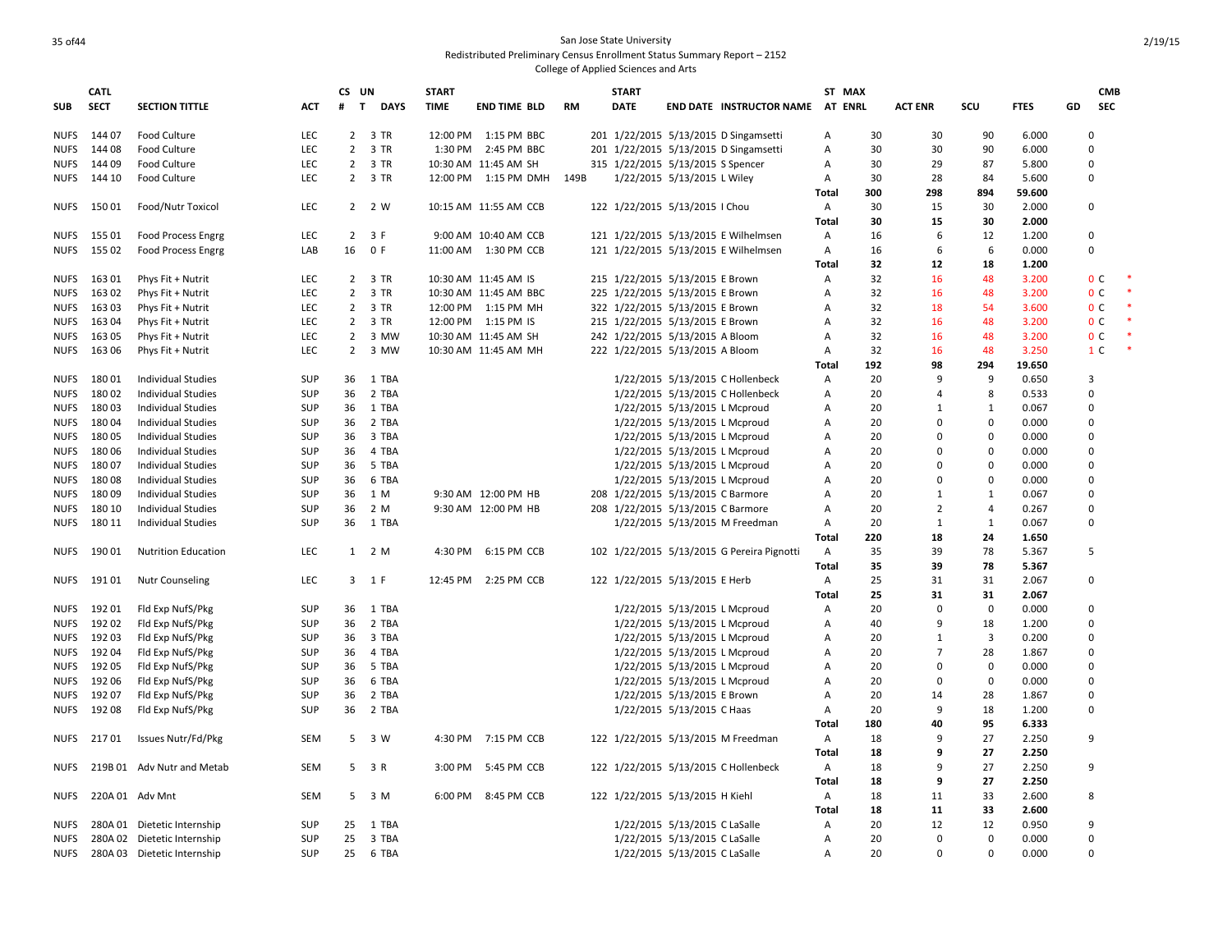## 35 of 44 San Jose State University Redistributed Preliminary Census Enrollment Status Summary Report – 2152

|             | <b>CATL</b> |                             |            | CS UN          |                             | <b>START</b> |                       |           | <b>START</b>                      |                               |                                            |                | ST MAX |                |                |             |          | <b>CMB</b>     |        |
|-------------|-------------|-----------------------------|------------|----------------|-----------------------------|--------------|-----------------------|-----------|-----------------------------------|-------------------------------|--------------------------------------------|----------------|--------|----------------|----------------|-------------|----------|----------------|--------|
| <b>SUB</b>  | <b>SECT</b> | <b>SECTION TITTLE</b>       | <b>ACT</b> | #              | $\mathbf{T}$<br><b>DAYS</b> | <b>TIME</b>  | <b>END TIME BLD</b>   | <b>RM</b> | <b>DATE</b>                       |                               | END DATE INSTRUCTOR NAME AT ENRL           |                |        | <b>ACT ENR</b> | scu            | <b>FTES</b> | GD       | <b>SEC</b>     |        |
| <b>NUFS</b> | 14407       | Food Culture                | <b>LEC</b> |                | 2 3 TR                      |              | 12:00 PM 1:15 PM BBC  |           |                                   |                               | 201 1/22/2015 5/13/2015 D Singamsetti      | Α              | 30     | 30             | 90             | 6.000       |          |                |        |
| <b>NUFS</b> | 14408       | Food Culture                | LEC        |                | 2 3 TR                      |              | 1:30 PM 2:45 PM BBC   |           |                                   |                               | 201 1/22/2015 5/13/2015 D Singamsetti      | Α              | 30     | 30             | 90             | 6.000       | $\Omega$ |                |        |
| <b>NUFS</b> | 144 09      | Food Culture                | <b>LEC</b> | $\overline{2}$ | 3 TR                        |              | 10:30 AM 11:45 AM SH  |           | 315 1/22/2015 5/13/2015 S Spencer |                               |                                            | A              | 30     | 29             | 87             | 5.800       | $\Omega$ |                |        |
| <b>NUFS</b> | 144 10      | Food Culture                | LEC        |                | 2 3 TR                      |              | 12:00 PM 1:15 PM DMH  | 149B      |                                   | 1/22/2015 5/13/2015 L Wiley   |                                            | A              | 30     | 28             | 84             | 5.600       | $\Omega$ |                |        |
|             |             |                             |            |                |                             |              |                       |           |                                   |                               |                                            | Total          | 300    | 298            | 894            | 59.600      |          |                |        |
| NUFS        | 15001       | Food/Nutr Toxicol           | LEC        |                | 2 2 W                       |              | 10:15 AM 11:55 AM CCB |           | 122 1/22/2015 5/13/2015   Chou    |                               |                                            | A              | 30     | 15             | 30             | 2.000       | $\Omega$ |                |        |
|             |             |                             |            |                |                             |              |                       |           |                                   |                               |                                            | Total          | 30     | 15             | 30             | 2.000       |          |                |        |
| <b>NUFS</b> | 15501       | <b>Food Process Engrg</b>   | <b>LEC</b> | $\mathbf{2}$   | 3 F                         |              | 9:00 AM 10:40 AM CCB  |           |                                   |                               | 121 1/22/2015 5/13/2015 E Wilhelmsen       | A              | 16     | 6              | 12             | 1.200       | $\Omega$ |                |        |
| <b>NUFS</b> | 155 02      | Food Process Engrg          | LAB        | 16             | 0 F                         |              | 11:00 AM  1:30 PM CCB |           |                                   |                               | 121 1/22/2015 5/13/2015 E Wilhelmsen       | Α              | 16     | 6              | 6              | 0.000       | $\Omega$ |                |        |
|             |             |                             |            |                |                             |              |                       |           |                                   |                               |                                            | Total          | 32     | 12             | 18             | 1.200       |          |                |        |
| <b>NUFS</b> | 16301       | Phys Fit + Nutrit           | LEC        | $\mathbf{2}$   | 3 TR                        |              | 10:30 AM 11:45 AM IS  |           | 215 1/22/2015 5/13/2015 E Brown   |                               |                                            | $\overline{A}$ | 32     | 16             | 48             | 3.200       |          | 0 <sup>c</sup> | $\ast$ |
| <b>NUFS</b> | 16302       | Phys Fit + Nutrit           | LEC        | $\overline{2}$ | 3 TR                        |              | 10:30 AM 11:45 AM BBC |           | 225 1/22/2015 5/13/2015 E Brown   |                               |                                            | Α              | 32     | 16             | 48             | 3.200       |          | 0 <sup>C</sup> | $\ast$ |
| <b>NUFS</b> | 16303       | Phys Fit + Nutrit           | LEC        | $\overline{2}$ | 3 TR                        |              | 12:00 PM 1:15 PM MH   |           | 322 1/22/2015 5/13/2015 E Brown   |                               |                                            | Α              | 32     | 18             | 54             | 3.600       |          | 0 <sup>c</sup> |        |
| <b>NUFS</b> | 16304       | Phys Fit + Nutrit           | LEC        | $\overline{2}$ | 3 TR                        |              | 12:00 PM 1:15 PM IS   |           | 215 1/22/2015 5/13/2015 E Brown   |                               |                                            | Α              | 32     | 16             | 48             | 3.200       |          | 0 <sup>C</sup> |        |
| <b>NUFS</b> | 16305       | Phys Fit + Nutrit           | <b>LEC</b> | $\overline{2}$ | 3 MW                        |              | 10:30 AM 11:45 AM SH  |           | 242 1/22/2015 5/13/2015 A Bloom   |                               |                                            | A              | 32     | 16             | 48             | 3.200       |          | 0 <sup>c</sup> |        |
| <b>NUFS</b> | 16306       | Phys Fit + Nutrit           | <b>LEC</b> | $\overline{2}$ | 3 MW                        |              | 10:30 AM 11:45 AM MH  |           | 222 1/22/2015 5/13/2015 A Bloom   |                               |                                            | A              | 32     | 16             | 48             | 3.250       |          | 1 <sup>C</sup> |        |
|             |             |                             |            |                |                             |              |                       |           |                                   |                               |                                            | Total          | 192    | 98             | 294            | 19.650      |          |                |        |
| <b>NUFS</b> | 18001       | Individual Studies          | <b>SUP</b> | 36             | 1 TBA                       |              |                       |           |                                   |                               | 1/22/2015 5/13/2015 C Hollenbeck           | A              | 20     | 9              | 9              | 0.650       | 3        |                |        |
| <b>NUFS</b> | 18002       | <b>Individual Studies</b>   | SUP        | 36             | 2 TBA                       |              |                       |           |                                   |                               | 1/22/2015 5/13/2015 C Hollenbeck           | A              | 20     | 4              | 8              | 0.533       | $\Omega$ |                |        |
| <b>NUFS</b> | 18003       | <b>Individual Studies</b>   | <b>SUP</b> | 36             | 1 TBA                       |              |                       |           |                                   | 1/22/2015 5/13/2015 L Mcproud |                                            | Α              | 20     | $\mathbf{1}$   | $\mathbf{1}$   | 0.067       | $\Omega$ |                |        |
| NUFS        | 18004       | <b>Individual Studies</b>   | SUP        | 36             | 2 TBA                       |              |                       |           |                                   | 1/22/2015 5/13/2015 L Mcproud |                                            | A              | 20     | $\Omega$       | 0              | 0.000       | $\Omega$ |                |        |
| <b>NUFS</b> | 18005       | <b>Individual Studies</b>   | <b>SUP</b> | 36             | 3 TBA                       |              |                       |           |                                   | 1/22/2015 5/13/2015 L Mcproud |                                            | Α              | 20     | 0              | 0              | 0.000       | $\Omega$ |                |        |
| <b>NUFS</b> | 18006       | <b>Individual Studies</b>   | <b>SUP</b> | 36             | 4 TBA                       |              |                       |           |                                   | 1/22/2015 5/13/2015 L Mcproud |                                            | Α              | 20     | $\Omega$       | 0              | 0.000       | $\Omega$ |                |        |
| <b>NUFS</b> | 18007       | <b>Individual Studies</b>   | <b>SUP</b> | 36             | 5 TBA                       |              |                       |           |                                   | 1/22/2015 5/13/2015 L Mcproud |                                            | А              | 20     | 0              | 0              | 0.000       | $\Omega$ |                |        |
| <b>NUFS</b> | 18008       | <b>Individual Studies</b>   | <b>SUP</b> | 36             | 6 TBA                       |              |                       |           |                                   | 1/22/2015 5/13/2015 L Mcproud |                                            | Α              | 20     | 0              | $\mathbf 0$    | 0.000       | $\Omega$ |                |        |
| <b>NUFS</b> | 18009       | Individual Studies          | SUP        | 36             | 1 M                         |              | 9:30 AM 12:00 PM HB   |           | 208 1/22/2015 5/13/2015 C Barmore |                               |                                            | Α              | 20     | 1              | $\mathbf{1}$   | 0.067       | $\Omega$ |                |        |
| <b>NUFS</b> | 180 10      | <b>Individual Studies</b>   | <b>SUP</b> | 36             | 2 M                         |              | 9:30 AM 12:00 PM HB   |           | 208 1/22/2015 5/13/2015 C Barmore |                               |                                            | Α              | 20     | $\overline{2}$ | 4              | 0.267       | $\Omega$ |                |        |
| <b>NUFS</b> | 180 11      | <b>Individual Studies</b>   | <b>SUP</b> | 36             | 1 TBA                       |              |                       |           |                                   |                               | 1/22/2015 5/13/2015 M Freedman             | $\mathsf{A}$   | 20     | 1              | 1              | 0.067       | $\Omega$ |                |        |
|             |             |                             |            |                |                             |              |                       |           |                                   |                               |                                            | Total          | 220    | 18             | 24             | 1.650       |          |                |        |
| <b>NUFS</b> | 19001       | <b>Nutrition Education</b>  | <b>LEC</b> |                | $1 \quad 2 \text{ M}$       | 4:30 PM      | 6:15 PM CCB           |           |                                   |                               | 102 1/22/2015 5/13/2015 G Pereira Pignotti | $\overline{A}$ | 35     | 39             | 78             | 5.367       | 5        |                |        |
|             |             |                             |            |                |                             |              |                       |           |                                   |                               |                                            | Total          | 35     | 39             | 78             | 5.367       |          |                |        |
| <b>NUFS</b> | 19101       | <b>Nutr Counseling</b>      | <b>LEC</b> |                | 3 1 F                       | 12:45 PM     | 2:25 PM CCB           |           | 122 1/22/2015 5/13/2015 E Herb    |                               |                                            | $\overline{A}$ | 25     | 31             | 31             | 2.067       | O        |                |        |
|             |             |                             |            |                |                             |              |                       |           |                                   |                               |                                            | Total          | 25     | 31             | 31             | 2.067       |          |                |        |
| <b>NUFS</b> | 19201       | Fld Exp NufS/Pkg            | SUP        | 36             | 1 TBA                       |              |                       |           |                                   | 1/22/2015 5/13/2015 L Mcproud |                                            | Α              | 20     | $\Omega$       | $\mathbf 0$    | 0.000       | $\Omega$ |                |        |
| <b>NUFS</b> | 19202       | Fld Exp NufS/Pkg            | SUP        | 36             | 2 TBA                       |              |                       |           |                                   | 1/22/2015 5/13/2015 L Mcproud |                                            | Α              | 40     | 9              | 18             | 1.200       | $\Omega$ |                |        |
| <b>NUFS</b> | 19203       | Fld Exp NufS/Pkg            | SUP        | 36             | 3 TBA                       |              |                       |           |                                   | 1/22/2015 5/13/2015 L Mcproud |                                            | A              | 20     | 1              | $\overline{3}$ | 0.200       | $\Omega$ |                |        |
| <b>NUFS</b> | 19204       | Fld Exp NufS/Pkg            | <b>SUP</b> | 36             | 4 TBA                       |              |                       |           |                                   | 1/22/2015 5/13/2015 L Mcproud |                                            | А              | 20     | $\overline{7}$ | 28             | 1.867       | $\Omega$ |                |        |
| <b>NUFS</b> | 19205       | Fld Exp NufS/Pkg            | SUP        | 36             | 5 TBA                       |              |                       |           |                                   | 1/22/2015 5/13/2015 L Mcproud |                                            | Α              | 20     | $\Omega$       | 0              | 0.000       | 0        |                |        |
| <b>NUFS</b> | 192 06      | Fld Exp NufS/Pkg            | <b>SUP</b> | 36             | 6 TBA                       |              |                       |           |                                   | 1/22/2015 5/13/2015 L Mcproud |                                            | A              | 20     | 0              | $\mathbf 0$    | 0.000       | $\Omega$ |                |        |
| <b>NUFS</b> | 19207       | Fld Exp NufS/Pkg            | <b>SUP</b> | 36             | 2 TBA                       |              |                       |           |                                   | 1/22/2015 5/13/2015 E Brown   |                                            | A              | 20     | 14             | 28             | 1.867       | $\Omega$ |                |        |
| <b>NUFS</b> | 19208       | Fld Exp NufS/Pkg            | SUP        | 36             | 2 TBA                       |              |                       |           |                                   | 1/22/2015 5/13/2015 C Haas    |                                            | Α              | 20     | 9              | 18             | 1.200       | $\Omega$ |                |        |
|             |             |                             |            |                |                             |              |                       |           |                                   |                               |                                            | Total          | 180    | 40             | 95             | 6.333       |          |                |        |
| NUFS        | 21701       | Issues Nutr/Fd/Pkg          | SEM        |                | 5 3 W                       |              | 4:30 PM 7:15 PM CCB   |           |                                   |                               | 122 1/22/2015 5/13/2015 M Freedman         | A              | 18     | 9              | 27             | 2.250       | 9        |                |        |
|             |             |                             |            |                |                             |              |                       |           |                                   |                               |                                            | Total          | 18     | q              | 27             | 2.250       |          |                |        |
| <b>NUFS</b> |             | 219B 01 Adv Nutr and Metab  | SEM        | 5              | 3 R                         | 3:00 PM      | 5:45 PM CCB           |           |                                   |                               | 122 1/22/2015 5/13/2015 C Hollenbeck       | A              | 18     | 9              | 27             | 2.250       | 9        |                |        |
|             |             |                             |            |                |                             |              |                       |           |                                   |                               |                                            | Total          | 18     | 9              | 27             | 2.250       |          |                |        |
| <b>NUFS</b> |             | 220A 01 Adv Mnt             | <b>SEM</b> |                | 5 3 M                       | 6:00 PM      | 8:45 PM CCB           |           | 122 1/22/2015 5/13/2015 H Kiehl   |                               |                                            | $\overline{A}$ | 18     | 11             | 33             | 2.600       | 8        |                |        |
|             |             |                             |            |                |                             |              |                       |           |                                   |                               |                                            | Total          | 18     | 11             | 33             | 2.600       |          |                |        |
| <b>NUFS</b> |             | 280A 01 Dietetic Internship | <b>SUP</b> | 25             | 1 TBA                       |              |                       |           |                                   | 1/22/2015 5/13/2015 C LaSalle |                                            | Α              | 20     | 12             | 12             | 0.950       | 9        |                |        |
| <b>NUFS</b> |             | 280A 02 Dietetic Internship | <b>SUP</b> | 25             | 3 TBA                       |              |                       |           |                                   | 1/22/2015 5/13/2015 C LaSalle |                                            | A              | 20     | $\Omega$       | 0              | 0.000       | 0        |                |        |
| <b>NUFS</b> |             | 280A 03 Dietetic Internship | SUP        | 25             | 6 TBA                       |              |                       |           |                                   | 1/22/2015 5/13/2015 C LaSalle |                                            | Α              | 20     | 0              | $\mathbf 0$    | 0.000       | $\Omega$ |                |        |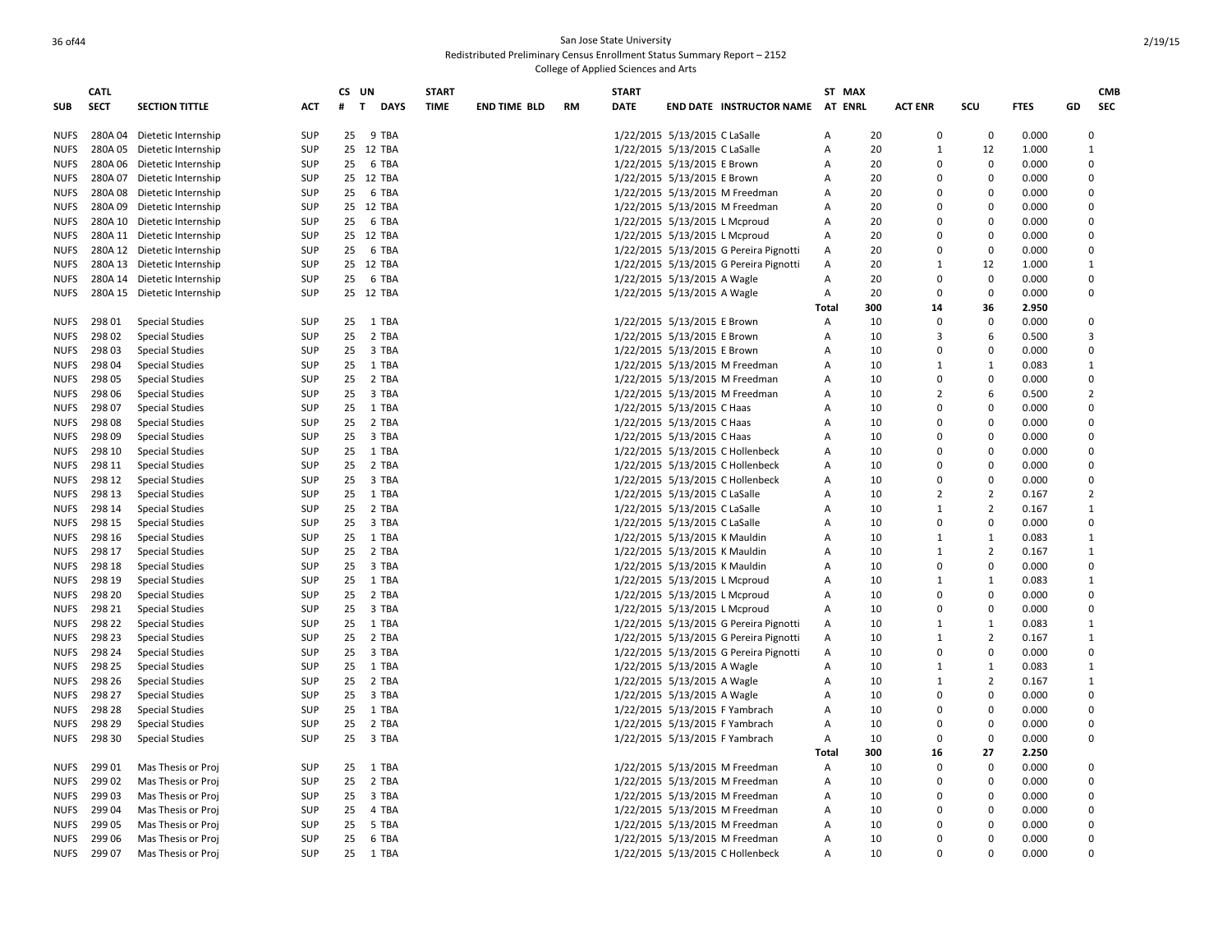|             | CATL        |                             |                          | CS UN    |                             | <b>START</b> |                     |           | <b>START</b> |                                        | ST MAX         |          |                          |                            |                |                | <b>CMB</b> |
|-------------|-------------|-----------------------------|--------------------------|----------|-----------------------------|--------------|---------------------|-----------|--------------|----------------------------------------|----------------|----------|--------------------------|----------------------------|----------------|----------------|------------|
| <b>SUB</b>  | <b>SECT</b> | <b>SECTION TITTLE</b>       | <b>ACT</b>               | #        | $\mathbf{T}$<br><b>DAYS</b> | <b>TIME</b>  | <b>END TIME BLD</b> | <b>RM</b> | <b>DATE</b>  | <b>END DATE INSTRUCTOR NAME</b>        | <b>AT ENRL</b> |          | <b>ACT ENR</b>           | scu                        | <b>FTES</b>    | GD             | <b>SEC</b> |
|             |             |                             |                          |          |                             |              |                     |           |              |                                        |                |          |                          |                            |                |                |            |
| <b>NUFS</b> |             | 280A 04 Dietetic Internship | <b>SUP</b>               | 25       | 9 TBA                       |              |                     |           |              | 1/22/2015 5/13/2015 C LaSalle          | A              | 20       | $\mathbf 0$              | 0                          | 0.000          | $\Omega$       |            |
| <b>NUFS</b> |             | 280A 05 Dietetic Internship | <b>SUP</b>               |          | 25 12 TBA                   |              |                     |           |              | 1/22/2015 5/13/2015 C LaSalle          | Α              | 20       | $\mathbf{1}$             | 12                         | 1.000          | 1              |            |
| <b>NUFS</b> |             | 280A 06 Dietetic Internship | <b>SUP</b>               | 25       | 6 TBA                       |              |                     |           |              | 1/22/2015 5/13/2015 E Brown            | Α              | 20       | $\Omega$                 | $\mathbf 0$                | 0.000          | $\Omega$       |            |
| <b>NUFS</b> |             | 280A 07 Dietetic Internship | <b>SUP</b>               |          | 25 12 TBA                   |              |                     |           |              | 1/22/2015 5/13/2015 E Brown            | Α              | 20       | $\Omega$                 | $\mathbf 0$                | 0.000          | $\Omega$       |            |
| <b>NUFS</b> |             | 280A 08 Dietetic Internship | <b>SUP</b>               | 25       | 6 TBA                       |              |                     |           |              | 1/22/2015 5/13/2015 M Freedman         | Α              | 20       | $\Omega$                 | $\Omega$                   | 0.000          | $\Omega$       |            |
| <b>NUFS</b> |             | 280A 09 Dietetic Internship | <b>SUP</b>               |          | 25 12 TBA                   |              |                     |           |              | 1/22/2015 5/13/2015 M Freedman         | Α              | 20       | $\Omega$                 | $\mathbf 0$                | 0.000          | $\Omega$       |            |
| <b>NUFS</b> |             | 280A 10 Dietetic Internship | <b>SUP</b>               | 25       | 6 TBA                       |              |                     |           |              | 1/22/2015 5/13/2015 L Mcproud          | Α              | 20       | $\Omega$                 | $\Omega$                   | 0.000          | $\Omega$       |            |
| <b>NUFS</b> |             | 280A 11 Dietetic Internship | <b>SUP</b>               |          | 25 12 TBA                   |              |                     |           |              | 1/22/2015 5/13/2015 L Mcproud          | Α              | 20       | $\Omega$                 | $\Omega$                   | 0.000          | $\Omega$       |            |
| <b>NUFS</b> |             | 280A 12 Dietetic Internship | <b>SUP</b>               | 25       | 6 TBA                       |              |                     |           |              | 1/22/2015 5/13/2015 G Pereira Pignotti | A              | 20       | $\Omega$                 | $\Omega$                   | 0.000          | $\Omega$       |            |
| <b>NUFS</b> |             | 280A 13 Dietetic Internship | <b>SUP</b>               |          | 25 12 TBA                   |              |                     |           |              | 1/22/2015 5/13/2015 G Pereira Pignotti | Α              | 20       | $\mathbf{1}$             | 12                         | 1.000          | 1              |            |
| <b>NUFS</b> |             | 280A 14 Dietetic Internship | <b>SUP</b>               | 25       | 6 TBA                       |              |                     |           |              | 1/22/2015 5/13/2015 A Wagle            | Α              | 20       | $\Omega$                 | 0                          | 0.000          | $\Omega$       |            |
| <b>NUFS</b> |             | 280A 15 Dietetic Internship | <b>SUP</b>               |          | 25 12 TBA                   |              |                     |           |              | 1/22/2015 5/13/2015 A Wagle            | Α              | 20       | $\Omega$                 | $\mathbf 0$                | 0.000          | $\Omega$       |            |
|             |             |                             |                          |          |                             |              |                     |           |              |                                        | Total          | 300      | 14                       | 36                         | 2.950          |                |            |
| <b>NUFS</b> | 298 01      | <b>Special Studies</b>      | <b>SUP</b>               | 25       | 1 TBA                       |              |                     |           |              | 1/22/2015 5/13/2015 E Brown            | Α              | 10       | $\Omega$                 | $\mathbf 0$                | 0.000          | $\Omega$       |            |
| <b>NUFS</b> | 298 02      | <b>Special Studies</b>      | <b>SUP</b>               | 25       | 2 TBA                       |              |                     |           |              | 1/22/2015 5/13/2015 E Brown            | A              | 10       | 3                        | 6                          | 0.500          | 3              |            |
| <b>NUFS</b> | 298 03      | <b>Special Studies</b>      | <b>SUP</b>               | 25       | 3 TBA                       |              |                     |           |              | 1/22/2015 5/13/2015 E Brown            | Α              | 10       | $\Omega$                 | $\mathbf 0$                | 0.000          | $\Omega$       |            |
| <b>NUFS</b> | 298 04      | <b>Special Studies</b>      | <b>SUP</b>               | 25       | 1 TBA                       |              |                     |           |              | 1/22/2015 5/13/2015 M Freedman         | А              | 10       | $\mathbf{1}$             | 1                          | 0.083          | 1              |            |
| <b>NUFS</b> | 298 05      | <b>Special Studies</b>      | <b>SUP</b>               | 25       | 2 TBA                       |              |                     |           |              | 1/22/2015 5/13/2015 M Freedman         | А              | 10       | $\Omega$                 | $\mathbf 0$                | 0.000          | $\Omega$       |            |
| <b>NUFS</b> | 298 06      | <b>Special Studies</b>      | <b>SUP</b>               | 25       | 3 TBA                       |              |                     |           |              | 1/22/2015 5/13/2015 M Freedman         | А              | 10       | $\overline{2}$           | 6                          | 0.500          | 2              |            |
| <b>NUFS</b> | 298 07      | <b>Special Studies</b>      | <b>SUP</b>               | 25       | 1 TBA                       |              |                     |           |              | 1/22/2015 5/13/2015 C Haas             | А              | 10       | $\Omega$                 | $\Omega$                   | 0.000          | $\Omega$       |            |
| <b>NUFS</b> | 29808       | <b>Special Studies</b>      | <b>SUP</b>               | 25       | 2 TBA                       |              |                     |           |              | 1/22/2015 5/13/2015 C Haas             | A              | 10       | $\Omega$                 | $\Omega$                   | 0.000          | $\Omega$       |            |
| <b>NUFS</b> | 298 09      | <b>Special Studies</b>      | <b>SUP</b>               | 25       | 3 TBA                       |              |                     |           |              | 1/22/2015 5/13/2015 C Haas             | А              | 10       | $\Omega$                 | $\Omega$                   | 0.000          | $\mathbf 0$    |            |
| <b>NUFS</b> | 298 10      | <b>Special Studies</b>      | <b>SUP</b>               | 25       | 1 TBA                       |              |                     |           |              | 1/22/2015 5/13/2015 C Hollenbeck       | A              | 10       | $\Omega$                 | $\Omega$                   | 0.000          | $\Omega$       |            |
| <b>NUFS</b> | 298 11      | <b>Special Studies</b>      | <b>SUP</b>               | 25       | 2 TBA                       |              |                     |           |              | 1/22/2015 5/13/2015 C Hollenbeck       | А              | 10       | $\Omega$                 | $\Omega$                   | 0.000          | $\Omega$       |            |
| <b>NUFS</b> | 298 12      | <b>Special Studies</b>      | <b>SUP</b>               | 25       | 3 TBA                       |              |                     |           |              | 1/22/2015 5/13/2015 C Hollenbeck       | А              | 10       | $\Omega$                 | $\mathbf 0$                | 0.000          | $\Omega$       |            |
| <b>NUFS</b> | 298 13      | <b>Special Studies</b>      | <b>SUP</b>               | 25       | 1 TBA                       |              |                     |           |              | 1/22/2015 5/13/2015 C LaSalle          | Α              | 10       | $\overline{2}$           | $\overline{2}$             | 0.167          | $\overline{2}$ |            |
|             | 298 14      |                             | <b>SUP</b>               | 25       | 2 TBA                       |              |                     |           |              |                                        | A              | 10       | $\mathbf{1}$             | $\overline{2}$             |                | 1              |            |
| <b>NUFS</b> | 298 15      | <b>Special Studies</b>      |                          |          |                             |              |                     |           |              | 1/22/2015 5/13/2015 C LaSalle          |                | 10       | $\Omega$                 | $\mathbf 0$                | 0.167          | $\Omega$       |            |
| <b>NUFS</b> | 298 16      | <b>Special Studies</b>      | <b>SUP</b><br><b>SUP</b> | 25<br>25 | 3 TBA<br>1 TBA              |              |                     |           |              | 1/22/2015 5/13/2015 C LaSalle          | A<br>A         | 10       | 1                        | 1                          | 0.000<br>0.083 | 1              |            |
| <b>NUFS</b> | 298 17      | <b>Special Studies</b>      |                          |          |                             |              |                     |           |              | 1/22/2015 5/13/2015 K Mauldin          |                |          | $\mathbf{1}$             |                            |                |                |            |
| <b>NUFS</b> | 298 18      | <b>Special Studies</b>      | <b>SUP</b><br><b>SUP</b> | 25<br>25 | 2 TBA<br>3 TBA              |              |                     |           |              | 1/22/2015 5/13/2015 K Mauldin          | Α              | 10<br>10 | $\Omega$                 | $\overline{2}$<br>$\Omega$ | 0.167<br>0.000 | 1<br>$\Omega$  |            |
| <b>NUFS</b> | 298 19      | <b>Special Studies</b>      |                          |          |                             |              |                     |           |              | 1/22/2015 5/13/2015 K Mauldin          | Α              | 10       | $\mathbf{1}$             | 1                          |                | 1              |            |
| <b>NUFS</b> |             | <b>Special Studies</b>      | <b>SUP</b>               | 25       | 1 TBA                       |              |                     |           |              | 1/22/2015 5/13/2015 L Mcproud          | Α              | 10       | $\Omega$                 | $\Omega$                   | 0.083          | $\Omega$       |            |
| <b>NUFS</b> | 298 20      | <b>Special Studies</b>      | <b>SUP</b>               | 25       | 2 TBA                       |              |                     |           |              | 1/22/2015 5/13/2015 L Mcproud          | A              |          | $\Omega$                 | $\Omega$                   | 0.000          | $\Omega$       |            |
| <b>NUFS</b> | 298 21      | <b>Special Studies</b>      | <b>SUP</b>               | 25       | 3 TBA                       |              |                     |           |              | 1/22/2015 5/13/2015 L Mcproud          | Α              | 10       |                          |                            | 0.000          |                |            |
| <b>NUFS</b> | 298 22      | <b>Special Studies</b>      | <b>SUP</b>               | 25       | 1 TBA                       |              |                     |           |              | 1/22/2015 5/13/2015 G Pereira Pignotti | A              | 10       | $\mathbf{1}$             | 1                          | 0.083          | 1              |            |
| <b>NUFS</b> | 298 23      | <b>Special Studies</b>      | <b>SUP</b>               | 25       | 2 TBA                       |              |                     |           |              | 1/22/2015 5/13/2015 G Pereira Pignotti | Α              | 10       | $\mathbf{1}$<br>$\Omega$ | $\overline{2}$<br>$\Omega$ | 0.167          | 1<br>$\Omega$  |            |
| <b>NUFS</b> | 298 24      | <b>Special Studies</b>      | <b>SUP</b>               | 25       | 3 TBA                       |              |                     |           |              | 1/22/2015 5/13/2015 G Pereira Pignotti | Α              | 10       |                          |                            | 0.000          |                |            |
| <b>NUFS</b> | 298 25      | <b>Special Studies</b>      | <b>SUP</b>               | 25       | 1 TBA                       |              |                     |           |              | 1/22/2015 5/13/2015 A Wagle            | Α              | 10       | $\mathbf{1}$             | $\mathbf{1}$               | 0.083          | 1              |            |
| <b>NUFS</b> | 298 26      | <b>Special Studies</b>      | SUP                      | 25       | 2 TBA                       |              |                     |           |              | 1/22/2015 5/13/2015 A Wagle            | Α              | 10       | $\mathbf{1}$             | $\overline{2}$             | 0.167          | 1              |            |
| <b>NUFS</b> | 298 27      | <b>Special Studies</b>      | <b>SUP</b>               | 25       | 3 TBA                       |              |                     |           |              | 1/22/2015 5/13/2015 A Wagle            | Α              | 10       | $\Omega$                 | $\Omega$                   | 0.000          | $\Omega$       |            |
| <b>NUFS</b> | 298 28      | <b>Special Studies</b>      | <b>SUP</b>               | 25       | 1 TBA                       |              |                     |           |              | 1/22/2015 5/13/2015 F Yambrach         | A              | 10       | $\Omega$                 | $\Omega$                   | 0.000          | $\Omega$       |            |
| <b>NUFS</b> | 298 29      | <b>Special Studies</b>      | <b>SUP</b>               | 25       | 2 TBA                       |              |                     |           |              | 1/22/2015 5/13/2015 F Yambrach         | Α              | 10       | $\Omega$                 | $\Omega$                   | 0.000          | $\Omega$       |            |
| <b>NUFS</b> | 298 30      | <b>Special Studies</b>      | <b>SUP</b>               | 25       | 3 TBA                       |              |                     |           |              | 1/22/2015 5/13/2015 F Yambrach         | Α              | 10       | $\Omega$                 | $\Omega$                   | 0.000          | $\Omega$       |            |
|             |             |                             |                          |          |                             |              |                     |           |              |                                        | Total          | 300      | 16                       | 27                         | 2.250          |                |            |
| <b>NUFS</b> | 299 01      | Mas Thesis or Proj          | <b>SUP</b>               | 25       | 1 TBA                       |              |                     |           |              | 1/22/2015 5/13/2015 M Freedman         | Α              | 10       | $\Omega$                 | $\Omega$                   | 0.000          | $\Omega$       |            |
| <b>NUFS</b> | 299 02      | Mas Thesis or Proj          | <b>SUP</b>               | 25       | 2 TBA                       |              |                     |           |              | 1/22/2015 5/13/2015 M Freedman         | Α              | 10       | $\Omega$                 | $\mathbf 0$                | 0.000          | $\Omega$       |            |
| <b>NUFS</b> | 29903       | Mas Thesis or Proj          | <b>SUP</b>               | 25       | 3 TBA                       |              |                     |           |              | 1/22/2015 5/13/2015 M Freedman         | A              | 10       | $\Omega$                 | $\Omega$                   | 0.000          | $\Omega$       |            |
| <b>NUFS</b> | 29904       | Mas Thesis or Proj          | <b>SUP</b>               | 25       | 4 TBA                       |              |                     |           |              | 1/22/2015 5/13/2015 M Freedman         | Α              | 10       | $\Omega$                 | $\Omega$                   | 0.000          | $\Omega$       |            |
| <b>NUFS</b> | 29905       | Mas Thesis or Proj          | <b>SUP</b>               | 25       | 5 TBA                       |              |                     |           |              | 1/22/2015 5/13/2015 M Freedman         | A              | 10       | $\Omega$                 | $\Omega$                   | 0.000          | $\Omega$       |            |
| <b>NUFS</b> | 299 06      | Mas Thesis or Proj          | <b>SUP</b>               | 25       | 6 TBA                       |              |                     |           |              | 1/22/2015 5/13/2015 M Freedman         | Α              | 10       | $\Omega$                 | $\Omega$                   | 0.000          | $\Omega$       |            |
| <b>NUFS</b> | 299 07      | Mas Thesis or Proj          | <b>SUP</b>               | 25       | 1 TBA                       |              |                     |           |              | 1/22/2015 5/13/2015 C Hollenbeck       | A              | 10       | $\Omega$                 | $\Omega$                   | 0.000          | $\Omega$       |            |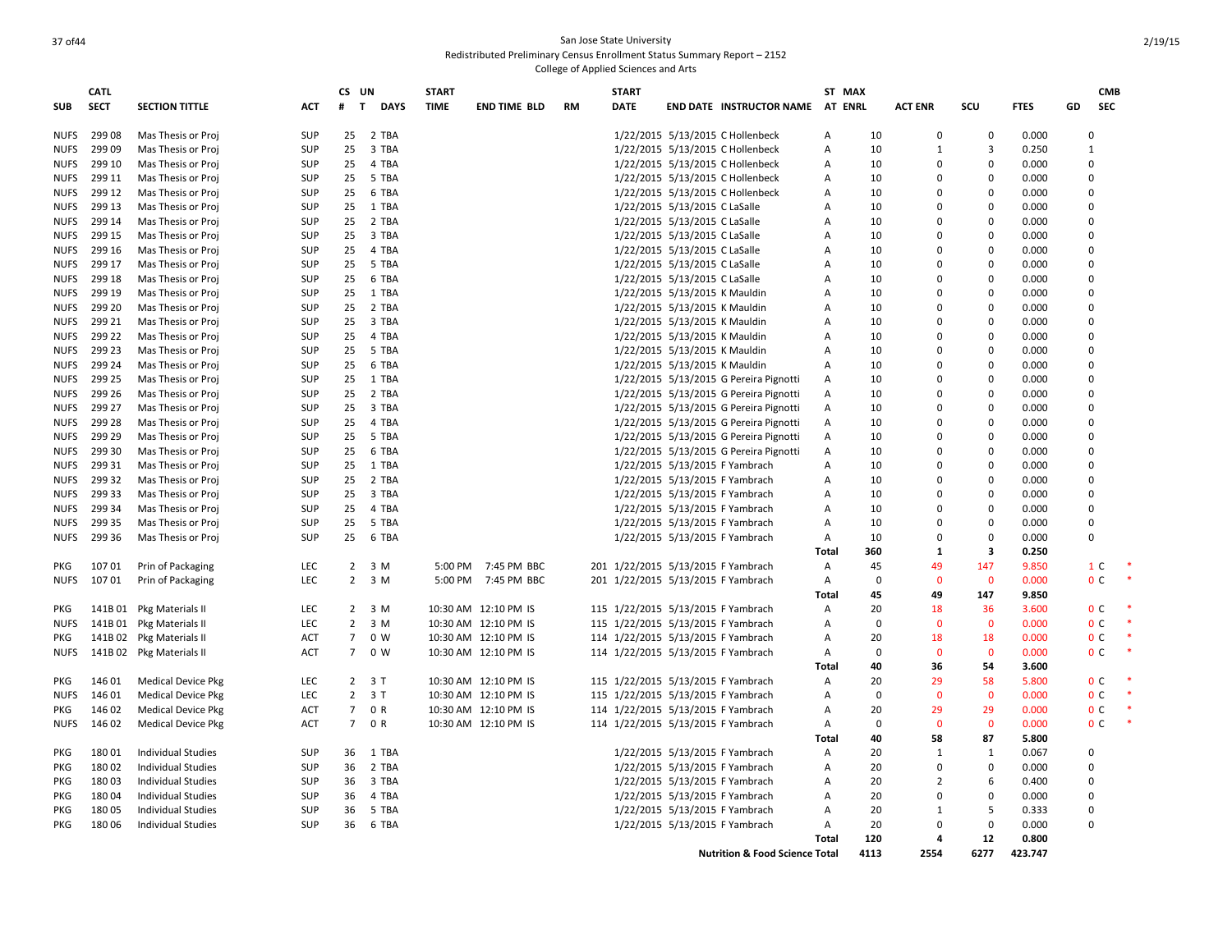|             | <b>CATL</b> |                           |            | CS UN             |                     | <b>START</b> |                      |           | <b>START</b> |                                    |                                           |                | ST MAX      |                |                |             |    | <b>CMB</b>     |  |
|-------------|-------------|---------------------------|------------|-------------------|---------------------|--------------|----------------------|-----------|--------------|------------------------------------|-------------------------------------------|----------------|-------------|----------------|----------------|-------------|----|----------------|--|
| SUB         | <b>SECT</b> | <b>SECTION TITTLE</b>     | ACT        | #<br>$\mathbf{T}$ | <b>DAYS</b>         | <b>TIME</b>  | <b>END TIME BLD</b>  | <b>RM</b> | <b>DATE</b>  |                                    | <b>END DATE INSTRUCTOR NAME</b>           | AT             | <b>ENRL</b> | <b>ACT ENR</b> | SCU            | <b>FTES</b> | GD | <b>SEC</b>     |  |
| <b>NUFS</b> | 29908       | Mas Thesis or Proj        | SUP        | 25                | 2 TBA               |              |                      |           |              |                                    | 1/22/2015 5/13/2015 C Hollenbeck          | Α              | 10          | $\Omega$       | $\mathbf 0$    | 0.000       |    | $\Omega$       |  |
| <b>NUFS</b> | 299 09      | Mas Thesis or Proj        | <b>SUP</b> | 25                | 3 TBA               |              |                      |           |              |                                    | 1/22/2015 5/13/2015 C Hollenbeck          | Α              | 10          | 1              | 3              | 0.250       |    | $\mathbf{1}$   |  |
| <b>NUFS</b> | 299 10      | Mas Thesis or Proj        | <b>SUP</b> | 25                | 4 TBA               |              |                      |           |              |                                    | 1/22/2015 5/13/2015 C Hollenbeck          | Α              | 10          | $\Omega$       | 0              | 0.000       |    | $\overline{0}$ |  |
| <b>NUFS</b> | 299 11      | Mas Thesis or Proj        | <b>SUP</b> | 25                | 5 TBA               |              |                      |           |              |                                    | 1/22/2015 5/13/2015 C Hollenbeck          | Α              | 10          | $\Omega$       | $\mathbf 0$    | 0.000       |    | $\Omega$       |  |
| <b>NUFS</b> | 299 12      | Mas Thesis or Proj        | <b>SUP</b> | 25                | 6 TBA               |              |                      |           |              |                                    | 1/22/2015 5/13/2015 C Hollenbeck          | Α              | 10          | $\Omega$       | $\Omega$       | 0.000       |    | $\Omega$       |  |
| <b>NUFS</b> | 299 13      | Mas Thesis or Proj        | <b>SUP</b> | 25                | 1 TBA               |              |                      |           |              | 1/22/2015 5/13/2015 C LaSalle      |                                           | Α              | 10          | $\Omega$       | $\Omega$       | 0.000       |    | $\mathbf 0$    |  |
| <b>NUFS</b> | 299 14      | Mas Thesis or Proj        | <b>SUP</b> | 25                | 2 TBA               |              |                      |           |              | 1/22/2015 5/13/2015 C LaSalle      |                                           | А              | 10          | 0              | $\Omega$       | 0.000       |    | $\Omega$       |  |
| <b>NUFS</b> | 299 15      | Mas Thesis or Proj        | SUP        | 25                | 3 TBA               |              |                      |           |              | 1/22/2015 5/13/2015 C LaSalle      |                                           | А              | 10          | $\Omega$       | $\mathbf 0$    | 0.000       |    | $\mathbf 0$    |  |
| <b>NUFS</b> | 299 16      | Mas Thesis or Proj        | <b>SUP</b> | 25                | 4 TBA               |              |                      |           |              | 1/22/2015 5/13/2015 C LaSalle      |                                           | Α              | 10          | $\Omega$       | $\mathbf 0$    | 0.000       |    | $\Omega$       |  |
| <b>NUFS</b> | 299 17      | Mas Thesis or Proj        | SUP        | 25                | 5 TBA               |              |                      |           |              | 1/22/2015 5/13/2015 C LaSalle      |                                           | A              | 10          | $\Omega$       | $\mathbf 0$    | 0.000       |    | $\overline{0}$ |  |
| <b>NUFS</b> | 299 18      | Mas Thesis or Proj        | <b>SUP</b> | 25                | 6 TBA               |              |                      |           |              | 1/22/2015 5/13/2015 C LaSalle      |                                           | A              | 10          | $\Omega$       | $\Omega$       | 0.000       |    | $\Omega$       |  |
| <b>NUFS</b> | 299 19      | Mas Thesis or Proj        | SUP        | 25                | 1 TBA               |              |                      |           |              | 1/22/2015 5/13/2015 K Mauldin      |                                           | Α              | 10          | $\Omega$       | 0              | 0.000       |    | $\Omega$       |  |
| <b>NUFS</b> | 299 20      | Mas Thesis or Proj        | <b>SUP</b> | 25                | 2 TBA               |              |                      |           |              | 1/22/2015 5/13/2015 K Mauldin      |                                           | А              | 10          | $\Omega$       | $\Omega$       | 0.000       |    | $\Omega$       |  |
| <b>NUFS</b> | 299 21      | Mas Thesis or Proj        | SUP        | 25                | 3 TBA               |              |                      |           |              | 1/22/2015 5/13/2015 K Mauldin      |                                           | А              | 10          | $\Omega$       | $\mathbf 0$    | 0.000       |    | $\overline{0}$ |  |
| <b>NUFS</b> | 299 22      | Mas Thesis or Proj        | <b>SUP</b> | 25                | 4 TBA               |              |                      |           |              | 1/22/2015 5/13/2015 K Mauldin      |                                           | Α              | 10          | $\Omega$       | $\Omega$       | 0.000       |    | $\mathbf 0$    |  |
| <b>NUFS</b> | 299 23      | Mas Thesis or Proj        | <b>SUP</b> | 25                | 5 TBA               |              |                      |           |              | 1/22/2015 5/13/2015 K Mauldin      |                                           | Α              | 10          | $\Omega$       | $\Omega$       | 0.000       |    | $\Omega$       |  |
| <b>NUFS</b> | 299 24      | Mas Thesis or Proj        | SUP        | 25                | 6 TBA               |              |                      |           |              | 1/22/2015 5/13/2015 K Mauldin      |                                           | A              | 10          | $\Omega$       | 0              | 0.000       |    | $\Omega$       |  |
| <b>NUFS</b> | 299 25      | Mas Thesis or Proj        | <b>SUP</b> | 25                | 1 TBA               |              |                      |           |              |                                    | 1/22/2015 5/13/2015 G Pereira Pignotti    | Α              | 10          | $\Omega$       | $\mathbf 0$    | 0.000       |    | $\Omega$       |  |
|             | 299 26      |                           | <b>SUP</b> | 25                | 2 TBA               |              |                      |           |              |                                    |                                           |                | 10          | $\Omega$       | $\Omega$       | 0.000       |    | $\Omega$       |  |
| <b>NUFS</b> |             | Mas Thesis or Proj        |            |                   |                     |              |                      |           |              |                                    | 1/22/2015 5/13/2015 G Pereira Pignotti    | $\mathsf{A}$   |             | $\Omega$       |                |             |    | $\Omega$       |  |
| <b>NUFS</b> | 299 27      | Mas Thesis or Proj        | SUP        | 25                | 3 TBA               |              |                      |           |              |                                    | 1/22/2015 5/13/2015 G Pereira Pignotti    | Α              | 10          |                | $\mathbf 0$    | 0.000       |    |                |  |
| <b>NUFS</b> | 299 28      | Mas Thesis or Proj        | <b>SUP</b> | 25                | 4 TBA               |              |                      |           |              |                                    | 1/22/2015 5/13/2015 G Pereira Pignotti    | A              | 10          | 0              | $\Omega$       | 0.000       |    | $\Omega$       |  |
| <b>NUFS</b> | 299 29      | Mas Thesis or Proj        | SUP        | 25                | 5 TBA               |              |                      |           |              |                                    | 1/22/2015 5/13/2015 G Pereira Pignotti    | A              | 10          | $\Omega$       | $\mathbf 0$    | 0.000       |    | $\overline{0}$ |  |
| <b>NUFS</b> | 299 30      | Mas Thesis or Proj        | <b>SUP</b> | 25                | 6 TBA               |              |                      |           |              |                                    | 1/22/2015 5/13/2015 G Pereira Pignotti    | $\overline{A}$ | 10          | O              | $\Omega$       | 0.000       |    | $\Omega$       |  |
| <b>NUFS</b> | 299 31      | Mas Thesis or Proj        | <b>SUP</b> | 25                | 1 TBA               |              |                      |           |              | 1/22/2015 5/13/2015 F Yambrach     |                                           | Α              | 10          | $\Omega$       | $\mathbf 0$    | 0.000       |    | $\Omega$       |  |
| <b>NUFS</b> | 299 32      | Mas Thesis or Proj        | SUP        | 25                | 2 TBA               |              |                      |           |              | 1/22/2015 5/13/2015 F Yambrach     |                                           | Α              | 10          | $\Omega$       | $\mathbf 0$    | 0.000       |    | $\mathbf 0$    |  |
| <b>NUFS</b> | 299 33      | Mas Thesis or Proj        | <b>SUP</b> | 25                | 3 TBA               |              |                      |           |              | 1/22/2015 5/13/2015 F Yambrach     |                                           | Α              | 10          | $\Omega$       | $\mathbf 0$    | 0.000       |    | $\Omega$       |  |
| <b>NUFS</b> | 299 34      | Mas Thesis or Proj        | SUP        | 25                | 4 TBA               |              |                      |           |              | 1/22/2015 5/13/2015 F Yambrach     |                                           | A              | 10          | $\Omega$       | $\Omega$       | 0.000       |    | $\overline{0}$ |  |
| <b>NUFS</b> | 299 35      | Mas Thesis or Proj        | <b>SUP</b> | 25                | 5 TBA               |              |                      |           |              | 1/22/2015 5/13/2015 F Yambrach     |                                           | A              | 10          | $\Omega$       | $\mathbf 0$    | 0.000       |    | $\Omega$       |  |
| <b>NUFS</b> | 299 36      | Mas Thesis or Proj        | <b>SUP</b> | 25                | 6 TBA               |              |                      |           |              | 1/22/2015 5/13/2015 F Yambrach     |                                           | A              | 10          | $\Omega$       | $\Omega$       | 0.000       |    | $\Omega$       |  |
|             |             |                           |            |                   |                     |              |                      |           |              |                                    |                                           | Total          | 360         | 1              | 3              | 0.250       |    |                |  |
| PKG         | 10701       | Prin of Packaging         | <b>LEC</b> |                   | $2 \quad 3 \quad M$ | 5:00 PM      | 7:45 PM BBC          |           |              | 201 1/22/2015 5/13/2015 F Yambrach |                                           | $\mathsf{A}$   | 45          | 49             | 147            | 9.850       |    | 1 C            |  |
| <b>NUFS</b> | 10701       | Prin of Packaging         | LEC        |                   | $2 \quad 3 \quad M$ | 5:00 PM      | 7:45 PM BBC          |           |              | 201 1/22/2015 5/13/2015 F Yambrach |                                           | Α              | $\Omega$    | $\mathbf 0$    | $\mathbf 0$    | 0.000       |    | 0 <sup>c</sup> |  |
|             |             |                           |            |                   |                     |              |                      |           |              |                                    |                                           | <b>Total</b>   | 45          | 49             | 147            | 9.850       |    |                |  |
| PKG         | 141B 01     | Pkg Materials II          | LEC        | $\overline{2}$    | 3 M                 |              | 10:30 AM 12:10 PM IS |           |              | 115 1/22/2015 5/13/2015 F Yambrach |                                           | A              | 20          | 18             | 36             | 3.600       |    | 0 <sup>C</sup> |  |
| <b>NUFS</b> |             | 141B 01 Pkg Materials II  | LEC        | $2^{\circ}$       | 3 M                 |              | 10:30 AM 12:10 PM IS |           |              | 115 1/22/2015 5/13/2015 F Yambrach |                                           | Α              | $\Omega$    | $\mathbf 0$    | $\mathbf 0$    | 0.000       |    | 0 <sup>c</sup> |  |
| PKG         |             | 141B 02 Pkg Materials II  | ACT        | $7^{\circ}$       | 0 W                 |              | 10:30 AM 12:10 PM IS |           |              | 114 1/22/2015 5/13/2015 F Yambrach |                                           | Α              | 20          | 18             | 18             | 0.000       |    | 0 <sup>c</sup> |  |
| <b>NUFS</b> |             | 141B 02 Pkg Materials II  | <b>ACT</b> | $7^{\circ}$       | 0 W                 |              | 10:30 AM 12:10 PM IS |           |              | 114 1/22/2015 5/13/2015 F Yambrach |                                           | Α              | $\Omega$    | $\mathbf{0}$   | $\overline{0}$ | 0.000       |    | 0 <sup>c</sup> |  |
|             |             |                           |            |                   |                     |              |                      |           |              |                                    |                                           | Total          | 40          | 36             | 54             | 3.600       |    |                |  |
| PKG         | 146 01      | <b>Medical Device Pkg</b> | LEC        |                   | $2 \t3 T$           |              | 10:30 AM 12:10 PM IS |           |              | 115 1/22/2015 5/13/2015 F Yambrach |                                           | A              | 20          | 29             | 58             | 5.800       |    | 0 <sup>C</sup> |  |
| <b>NUFS</b> | 14601       | <b>Medical Device Pkg</b> | LEC        |                   | $2 \t3T$            |              | 10:30 AM 12:10 PM IS |           |              | 115 1/22/2015 5/13/2015 F Yambrach |                                           | Α              | $\Omega$    | $\mathbf{0}$   | $\overline{0}$ | 0.000       |    | 0 <sup>c</sup> |  |
| PKG         | 146 02      | <b>Medical Device Pkg</b> | <b>ACT</b> |                   | 7 0 R               |              | 10:30 AM 12:10 PM IS |           |              | 114 1/22/2015 5/13/2015 F Yambrach |                                           | Α              | 20          | 29             | 29             | 0.000       |    | 0 <sup>c</sup> |  |
| <b>NUFS</b> | 146 02      | <b>Medical Device Pkg</b> | <b>ACT</b> | $7^{\circ}$       | 0 R                 |              | 10:30 AM 12:10 PM IS |           |              | 114 1/22/2015 5/13/2015 F Yambrach |                                           | Α              | $\Omega$    | $\mathbf{0}$   | $\mathbf 0$    | 0.000       |    | $\mathbf{0}$   |  |
|             |             |                           |            |                   |                     |              |                      |           |              |                                    |                                           | <b>Total</b>   | 40          | 58             | 87             | 5.800       |    |                |  |
|             |             |                           |            |                   |                     |              |                      |           |              |                                    |                                           |                |             |                |                |             |    |                |  |
| PKG         | 18001       | Individual Studies        | <b>SUP</b> | 36                | 1 TBA               |              |                      |           |              | 1/22/2015 5/13/2015 F Yambrach     |                                           | A              | 20          | -1<br>$\Omega$ | 1              | 0.067       |    | 0              |  |
| <b>PKG</b>  | 18002       | <b>Individual Studies</b> | <b>SUP</b> | 36                | 2 TBA               |              |                      |           |              | 1/22/2015 5/13/2015 F Yambrach     |                                           | A              | 20          |                | $\Omega$       | 0.000       |    | $\Omega$       |  |
| PKG         | 18003       | Individual Studies        | <b>SUP</b> | 36                | 3 TBA               |              |                      |           |              | 1/22/2015 5/13/2015 F Yambrach     |                                           | Α              | 20          | $\overline{2}$ | 6              | 0.400       |    | $\mathbf 0$    |  |
| PKG         | 18004       | <b>Individual Studies</b> | SUP        | 36                | 4 TBA               |              |                      |           |              | 1/22/2015 5/13/2015 F Yambrach     |                                           | А              | 20          | $\Omega$       | $\mathbf 0$    | 0.000       |    | $\overline{0}$ |  |
| PKG         | 18005       | Individual Studies        | <b>SUP</b> | 36                | 5 TBA               |              |                      |           |              | 1/22/2015 5/13/2015 F Yambrach     |                                           | Α              | 20          | -1             | 5              | 0.333       |    | $\mathbf 0$    |  |
| <b>PKG</b>  | 18006       | <b>Individual Studies</b> | <b>SUP</b> | 36                | 6 TBA               |              |                      |           |              | 1/22/2015 5/13/2015 F Yambrach     |                                           | Α              | 20          | $\Omega$       | $\mathbf 0$    | 0.000       |    | $\Omega$       |  |
|             |             |                           |            |                   |                     |              |                      |           |              |                                    |                                           | Total          | 120         | 4              | 12             | 0.800       |    |                |  |
|             |             |                           |            |                   |                     |              |                      |           |              |                                    | <b>Nutrition &amp; Food Science Total</b> |                | 4113        | 2554           | 6277           | 423.747     |    |                |  |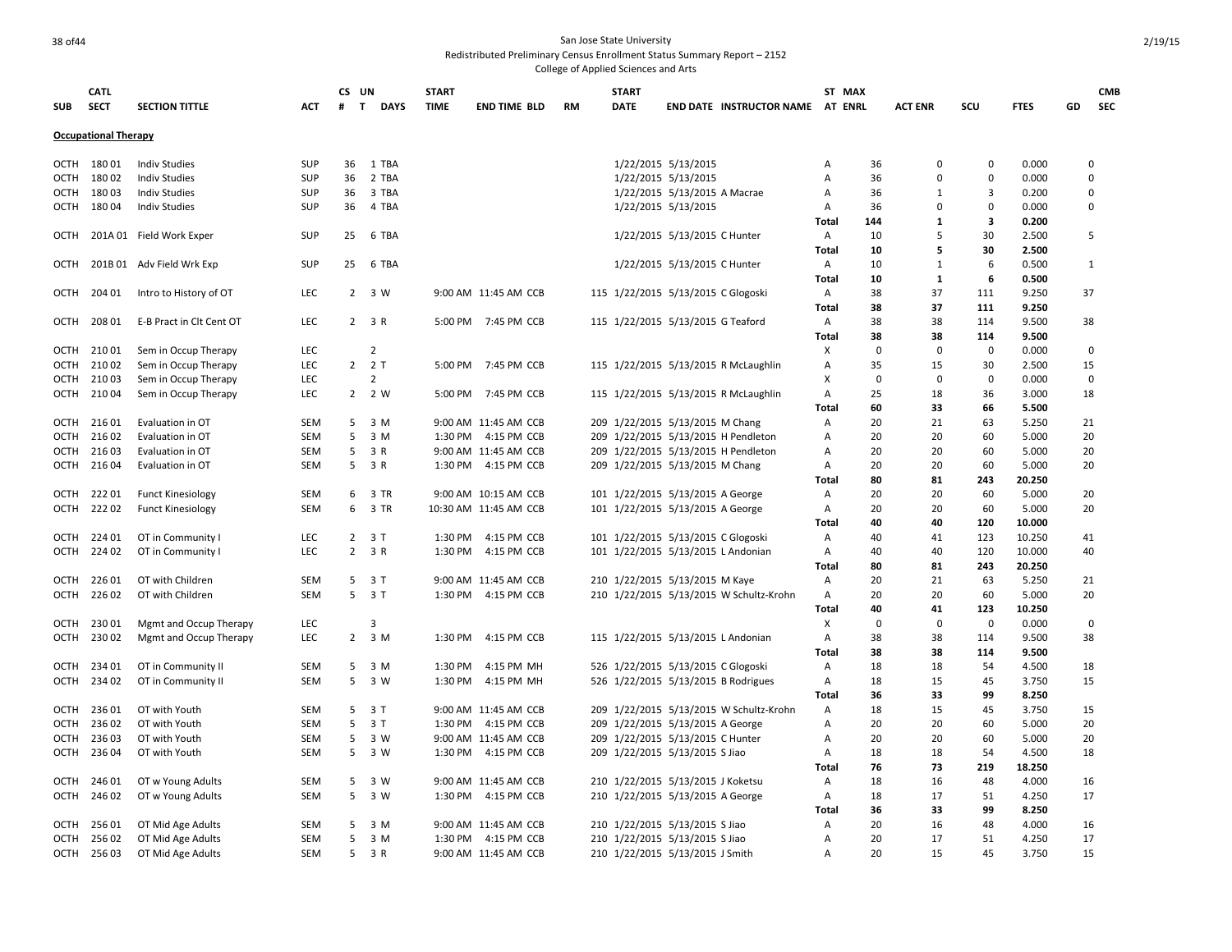### and the state University of the State University of the State University of the State University of the State University Redistributed Preliminary Census Enrollment Status Summary Report – 2152 College of Applied Sciences and Arts

|             | <b>CATL</b>                 |                           |            | CS UN             |                | <b>START</b> |                       |           | <b>START</b>                        |                              |                                         |                | ST MAX            |                |                |             |    | <b>CMB</b>     |
|-------------|-----------------------------|---------------------------|------------|-------------------|----------------|--------------|-----------------------|-----------|-------------------------------------|------------------------------|-----------------------------------------|----------------|-------------------|----------------|----------------|-------------|----|----------------|
| <b>SUB</b>  | <b>SECT</b>                 | <b>SECTION TITTLE</b>     | <b>ACT</b> | $\mathbf{T}$<br># | <b>DAYS</b>    | TIME         | <b>END TIME BLD</b>   | <b>RM</b> | <b>DATE</b>                         |                              | <b>END DATE INSTRUCTOR NAME AT ENRL</b> |                |                   | <b>ACT ENR</b> | SCU            | <b>FTES</b> | GD | <b>SEC</b>     |
|             | <b>Occupational Therapy</b> |                           |            |                   |                |              |                       |           |                                     |                              |                                         |                |                   |                |                |             |    |                |
|             | OCTH 180 01                 | <b>Indiv Studies</b>      | <b>SUP</b> | 36                | 1 TBA          |              |                       |           |                                     | 1/22/2015 5/13/2015          |                                         | A              | 36                | 0              | $\Omega$       | 0.000       |    | $\Omega$       |
| ОСТН        | 18002                       | <b>Indiv Studies</b>      | <b>SUP</b> | 36                | 2 TBA          |              |                       |           |                                     | 1/22/2015 5/13/2015          |                                         | A              | 36                | $\Omega$       | $\Omega$       | 0.000       |    | 0              |
| ОСТН        | 18003                       | <b>Indiv Studies</b>      | <b>SUP</b> | 36                | 3 TBA          |              |                       |           |                                     | 1/22/2015 5/13/2015 A Macrae |                                         | Α              | 36                | $\mathbf{1}$   | 3              | 0.200       |    | $\mathbf 0$    |
| ОСТН        | 18004                       | <b>Indiv Studies</b>      | <b>SUP</b> | 36                | 4 TBA          |              |                       |           |                                     | 1/22/2015 5/13/2015          |                                         | Α              | 36                | $\Omega$       | $\Omega$       | 0.000       |    | $\Omega$       |
|             |                             |                           |            |                   |                |              |                       |           |                                     |                              |                                         | Total          | 144               | $\mathbf{1}$   | 3              | 0.200       |    |                |
| OCTH        |                             | 201A 01 Field Work Exper  | <b>SUP</b> | 25                | 6 TBA          |              |                       |           |                                     | 1/22/2015 5/13/2015 C Hunter |                                         | A              | 10                | 5              | 30             | 2.500       |    | 5              |
|             |                             |                           |            |                   |                |              |                       |           |                                     |                              |                                         | Total          | 10                | 5              | 30             | 2.500       |    |                |
| OCTH        |                             | 201B 01 Adv Field Wrk Exp | <b>SUP</b> | 25                | 6 TBA          |              |                       |           |                                     | 1/22/2015 5/13/2015 C Hunter |                                         | A              | 10                | $\mathbf{1}$   | 6              | 0.500       |    | $\mathbf{1}$   |
|             |                             |                           |            |                   |                |              |                       |           |                                     |                              |                                         | Total          | 10                | 1              | 6              | 0.500       |    |                |
| ОСТН        | 204 01                      | Intro to History of OT    | LEC        |                   | 2 3 W          |              | 9:00 AM 11:45 AM CCB  |           | 115 1/22/2015 5/13/2015 C Glogoski  |                              |                                         | Α              | 38                | 37             | 111            | 9.250       |    | 37             |
|             |                             |                           |            |                   |                |              |                       |           |                                     |                              |                                         | Total          | 38                | 37             | 111            | 9.250       |    |                |
| ОСТН        | 208 01                      | E-B Pract in Clt Cent OT  | LEC        |                   | $2 \t3 R$      |              | 5:00 PM 7:45 PM CCB   |           | 115 1/22/2015 5/13/2015 G Teaford   |                              |                                         | Α              | 38                | 38             | 114            | 9.500       |    | 38             |
|             |                             |                           |            |                   |                |              |                       |           |                                     |                              |                                         | Total          | 38                | 38             | 114            | 9.500       |    |                |
|             | 21001                       | Sem in Occup Therapy      | LEC        |                   | $\overline{2}$ |              |                       |           |                                     |                              |                                         | X              | $\mathbf 0$       | $\mathbf 0$    | $\mathbf 0$    | 0.000       |    | $\Omega$       |
| ОСТН        |                             |                           |            |                   |                |              |                       |           |                                     |                              |                                         |                |                   |                |                |             |    |                |
| OCTH        | 21002                       | Sem in Occup Therapy      | LEC        | $\overline{2}$    | 2 T            |              | 5:00 PM 7:45 PM CCB   |           |                                     |                              | 115 1/22/2015 5/13/2015 R McLaughlin    | A              | 35<br>$\mathbf 0$ | 15             | 30<br>$\Omega$ | 2.500       |    | 15<br>$\Omega$ |
| ОСТН        | 21003                       | Sem in Occup Therapy      | LEC        |                   | $\overline{2}$ |              |                       |           |                                     |                              |                                         | х              |                   | 0              |                | 0.000       |    |                |
| OCTH        | 21004                       | Sem in Occup Therapy      | <b>LEC</b> |                   | 2 2 W          | 5:00 PM      | 7:45 PM CCB           |           |                                     |                              | 115 1/22/2015 5/13/2015 R McLaughlin    | Α              | 25                | 18             | 36             | 3.000       |    | 18             |
|             |                             |                           |            |                   |                |              |                       |           |                                     |                              |                                         | Total          | 60                | 33             | 66             | 5.500       |    |                |
| OCTH        | 21601                       | Evaluation in OT          | SEM        | 5                 | 3 M            |              | 9:00 AM 11:45 AM CCB  |           | 209 1/22/2015 5/13/2015 M Chang     |                              |                                         | Α              | 20                | 21             | 63             | 5.250       | 21 |                |
| <b>OCTH</b> | 21602                       | Evaluation in OT          | SEM        | 5                 | 3 M            |              | 1:30 PM 4:15 PM CCB   |           |                                     |                              | 209 1/22/2015 5/13/2015 H Pendleton     | A              | 20                | 20             | 60             | 5.000       |    | 20             |
| ОСТН        | 21603                       | Evaluation in OT          | SEM        | 5                 | 3 R            |              | 9:00 AM 11:45 AM CCB  |           |                                     |                              | 209 1/22/2015 5/13/2015 H Pendleton     | Α              | 20                | 20             | 60             | 5.000       |    | 20             |
| OCTH        | 21604                       | Evaluation in OT          | SEM        | 5                 | 3 R            |              | 1:30 PM 4:15 PM CCB   |           | 209 1/22/2015 5/13/2015 M Chang     |                              |                                         | Α              | 20                | 20             | 60             | 5.000       |    | 20             |
|             |                             |                           |            |                   |                |              |                       |           |                                     |                              |                                         | Total          | 80                | 81             | 243            | 20.250      |    |                |
| OCTH        | 22201                       | <b>Funct Kinesiology</b>  | SEM        | 6                 | 3 TR           |              | 9:00 AM 10:15 AM CCB  |           | 101 1/22/2015 5/13/2015 A George    |                              |                                         | Α              | 20                | 20             | 60             | 5.000       |    | 20             |
| ОСТН        | 22202                       | <b>Funct Kinesiology</b>  | SEM        | 6                 | 3 TR           |              | 10:30 AM 11:45 AM CCB |           | 101 1/22/2015 5/13/2015 A George    |                              |                                         | Α              | 20                | 20             | 60             | 5.000       |    | 20             |
|             |                             |                           |            |                   |                |              |                       |           |                                     |                              |                                         | Total          | 40                | 40             | 120            | 10.000      |    |                |
| ОСТН        | 224 01                      | OT in Community I         | <b>LEC</b> | $\overline{2}$    | 3 T            | 1:30 PM      | 4:15 PM CCB           |           | 101 1/22/2015 5/13/2015 C Glogoski  |                              |                                         | $\mathsf{A}$   | 40                | 41             | 123            | 10.250      | 41 |                |
| ОСТН        | 22402                       | OT in Community I         | LEC        |                   | $2 \t3 R$      | 1:30 PM      | 4:15 PM CCB           |           | 101 1/22/2015 5/13/2015 L Andonian  |                              |                                         | Α              | 40                | 40             | 120            | 10.000      |    | 40             |
|             |                             |                           |            |                   |                |              |                       |           |                                     |                              |                                         | Total          | 80                | 81             | 243            | 20.250      |    |                |
| ОСТН        | 22601                       | OT with Children          | SEM        | 5                 | 3 T            |              | 9:00 AM 11:45 AM CCB  |           | 210 1/22/2015 5/13/2015 M Kaye      |                              |                                         | Α              | 20                | 21             | 63             | 5.250       | 21 |                |
| ОСТН        | 226 02                      | OT with Children          | SEM        |                   | 5 3 T          |              | 1:30 PM 4:15 PM CCB   |           |                                     |                              | 210 1/22/2015 5/13/2015 W Schultz-Krohn | Α              | 20                | 20             | 60             | 5.000       |    | 20             |
|             |                             |                           |            |                   |                |              |                       |           |                                     |                              |                                         | Total          | 40                | 41             | 123            | 10.250      |    |                |
| ОСТН        | 23001                       | Mgmt and Occup Therapy    | <b>LEC</b> |                   | $\overline{3}$ |              |                       |           |                                     |                              |                                         | X              | $\mathbf 0$       | 0              | $\mathbf 0$    | 0.000       |    | $\mathbf 0$    |
| OCTH        | 23002                       | Mgmt and Occup Therapy    | <b>LEC</b> |                   | $2 \t3 M$      | 1:30 PM      | 4:15 PM CCB           |           | 115 1/22/2015 5/13/2015 L Andonian  |                              |                                         | $\overline{A}$ | 38                | 38             | 114            | 9.500       |    | 38             |
|             |                             |                           |            |                   |                |              |                       |           |                                     |                              |                                         | Total          | 38                | 38             | 114            | 9.500       |    |                |
| OCTH        | 234 01                      | OT in Community II        | SEM        | 5                 | 3 M            | 1:30 PM      | 4:15 PM MH            |           | 526 1/22/2015 5/13/2015 C Glogoski  |                              |                                         | Α              | 18                | 18             | 54             | 4.500       | 18 |                |
| OCTH        | 23402                       | OT in Community II        | SEM        | 5                 | 3 W            | 1:30 PM      | 4:15 PM MH            |           | 526 1/22/2015 5/13/2015 B Rodrigues |                              |                                         | A              | 18                | 15             | 45             | 3.750       | 15 |                |
|             |                             |                           |            |                   |                |              |                       |           |                                     |                              |                                         | Total          | 36                | 33             | 99             | 8.250       |    |                |
| OCTH        | 23601                       | OT with Youth             | SEM        |                   | 5 3 T          |              | 9:00 AM 11:45 AM CCB  |           |                                     |                              | 209 1/22/2015 5/13/2015 W Schultz-Krohn | Α              | 18                | 15             | 45             | 3.750       | 15 |                |
| ОСТН        | 236 02                      | OT with Youth             | SEM        | 5                 | 3T             | 1:30 PM      | 4:15 PM CCB           |           | 209 1/22/2015 5/13/2015 A George    |                              |                                         | Α              | 20                | 20             | 60             | 5.000       | 20 |                |
| OCTH        | 23603                       | OT with Youth             | SEM        | 5                 | 3 W            |              | 9:00 AM 11:45 AM CCB  |           | 209 1/22/2015 5/13/2015 C Hunter    |                              |                                         | Α              | 20                | 20             | 60             | 5.000       | 20 |                |
| ОСТН        | 23604                       | OT with Youth             | SEM        | 5                 | 3 W            |              | 1:30 PM 4:15 PM CCB   |           | 209 1/22/2015 5/13/2015 S Jiao      |                              |                                         | Α              | 18                | 18             | 54             | 4.500       | 18 |                |
|             |                             |                           |            |                   |                |              |                       |           |                                     |                              |                                         | Total          | 76                | 73             | 219            | 18.250      |    |                |
| ОСТН        | 24601                       | OT w Young Adults         | SEM        | 5                 | 3 W            |              | 9:00 AM 11:45 AM CCB  |           | 210 1/22/2015 5/13/2015 J Koketsu   |                              |                                         | A              | 18                | 16             | 48             | 4.000       |    | 16             |
| OCTH        | 246 02                      | OT w Young Adults         | SEM        | 5                 | 3 W            |              | 1:30 PM 4:15 PM CCB   |           | 210 1/22/2015 5/13/2015 A George    |                              |                                         | Α              | 18                | 17             | 51             | 4.250       | 17 |                |
|             |                             |                           |            |                   |                |              |                       |           |                                     |                              |                                         | Total          | 36                | 33             | 99             | 8.250       |    |                |
| OCTH        | 25601                       | OT Mid Age Adults         | SEM        | 5                 | 3 M            |              | 9:00 AM 11:45 AM CCB  |           | 210 1/22/2015 5/13/2015 S Jiao      |                              |                                         | Α              | 20                | 16             | 48             | 4.000       |    | 16             |
| OCTH        | 25602                       | OT Mid Age Adults         | <b>SEM</b> | 5                 | 3 M            |              | 1:30 PM 4:15 PM CCB   |           | 210 1/22/2015 5/13/2015 S Jiao      |                              |                                         | A              | 20                | 17             | 51             | 4.250       | 17 |                |
|             | OCTH 256 03                 | OT Mid Age Adults         | SEM        | 5                 | 3 R            |              | 9:00 AM 11:45 AM CCB  |           | 210 1/22/2015 5/13/2015 J Smith     |                              |                                         | $\overline{A}$ | 20                | 15             | 45             | 3.750       | 15 |                |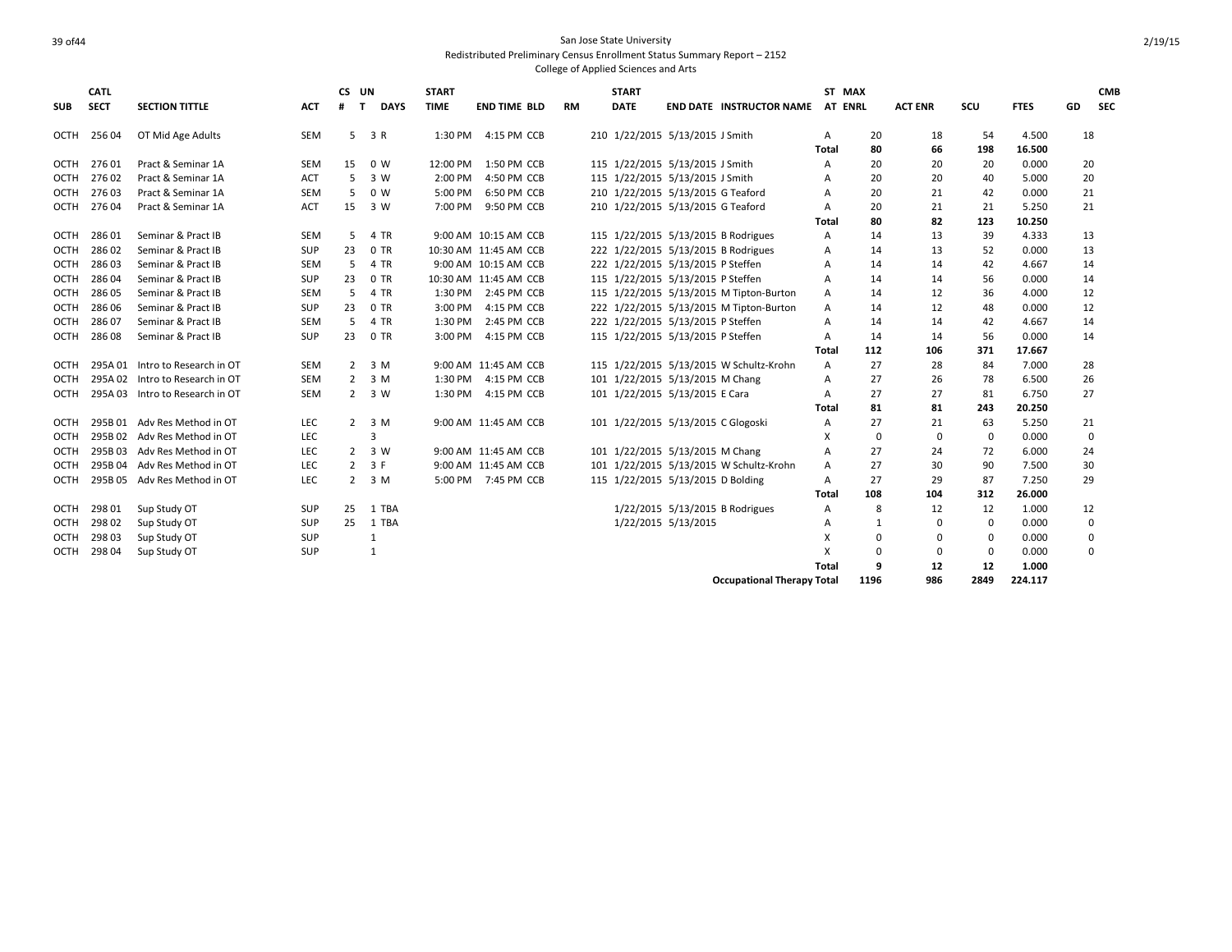|             | <b>CATL</b> |                                 |            | CS UN             |                     | <b>START</b> |                       |           | <b>START</b> |                                    |                                         |       | ST MAX      |                |             |             |    | <b>CMB</b> |
|-------------|-------------|---------------------------------|------------|-------------------|---------------------|--------------|-----------------------|-----------|--------------|------------------------------------|-----------------------------------------|-------|-------------|----------------|-------------|-------------|----|------------|
| <b>SUB</b>  | <b>SECT</b> | <b>SECTION TITTLE</b>           | ACT        | $\mathbf{T}$<br># | <b>DAYS</b>         | <b>TIME</b>  | <b>END TIME BLD</b>   | <b>RM</b> | <b>DATE</b>  |                                    | <b>END DATE INSTRUCTOR NAME</b>         |       | AT ENRL     | <b>ACT ENR</b> | scu         | <b>FTES</b> | GD | <b>SEC</b> |
| OCTH        | 25604       | OT Mid Age Adults               | <b>SEM</b> |                   | $5 \quad 3 \quad R$ | 1:30 PM      | 4:15 PM CCB           |           |              | 210 1/22/2015 5/13/2015 J Smith    |                                         | Α     | 20          | 18             | 54          | 4.500       | 18 |            |
|             |             |                                 |            |                   |                     |              |                       |           |              |                                    |                                         | Total | 80          | 66             | 198         | 16.500      |    |            |
| <b>OCTH</b> | 27601       | Pract & Seminar 1A              | <b>SEM</b> | 15                | 0 W                 | 12:00 PM     | 1:50 PM CCB           |           |              | 115 1/22/2015 5/13/2015 J Smith    |                                         | A     | 20          | 20             | 20          | 0.000       | 20 |            |
| OCTH        | 27602       | Pract & Seminar 1A              | <b>ACT</b> | 5                 | 3 W                 | 2:00 PM      | 4:50 PM CCB           |           |              | 115 1/22/2015 5/13/2015 J Smith    |                                         | A     | 20          | 20             | 40          | 5.000       | 20 |            |
| <b>OCTH</b> | 27603       | Pract & Seminar 1A              | <b>SEM</b> | 5                 | 0 W                 | 5:00 PM      | 6:50 PM CCB           |           |              | 210 1/22/2015 5/13/2015 G Teaford  |                                         | A     | 20          | 21             | 42          | 0.000       | 21 |            |
| OCTH        | 27604       | Pract & Seminar 1A              | <b>ACT</b> | 15                | 3 W                 | 7:00 PM      | 9:50 PM CCB           |           |              | 210 1/22/2015 5/13/2015 G Teaford  |                                         | A     | 20          | 21             | 21          | 5.250       | 21 |            |
|             |             |                                 |            |                   |                     |              |                       |           |              |                                    |                                         | Total | 80          | 82             | 123         | 10.250      |    |            |
| <b>OCTH</b> | 28601       | Seminar & Pract IB              | <b>SEM</b> | 5                 | 4 TR                |              | 9:00 AM 10:15 AM CCB  |           |              |                                    | 115 1/22/2015 5/13/2015 B Rodrigues     | A     | 14          | 13             | 39          | 4.333       | 13 |            |
| <b>OCTH</b> | 28602       | Seminar & Pract IB              | SUP        | 23                | 0 TR                |              | 10:30 AM 11:45 AM CCB |           |              |                                    | 222 1/22/2015 5/13/2015 B Rodrigues     | A     | 14          | 13             | 52          | 0.000       | 13 |            |
| <b>OCTH</b> | 28603       | Seminar & Pract IB              | <b>SEM</b> | 5                 | 4 TR                |              | 9:00 AM 10:15 AM CCB  |           |              | 222 1/22/2015 5/13/2015 P Steffen  |                                         | A     | 14          | 14             | 42          | 4.667       | 14 |            |
| <b>OCTH</b> | 28604       | Seminar & Pract IB              | SUP        | 23                | 0 TR                |              | 10:30 AM 11:45 AM CCB |           |              | 115 1/22/2015 5/13/2015 P Steffen  |                                         | A     | 14          | 14             | 56          | 0.000       | 14 |            |
| <b>OCTH</b> | 28605       | Seminar & Pract IB              | <b>SEM</b> | 5                 | 4 TR                |              | 1:30 PM 2:45 PM CCB   |           |              |                                    | 115 1/22/2015 5/13/2015 M Tipton-Burton | Α     | 14          | 12             | 36          | 4.000       | 12 |            |
| <b>OCTH</b> | 28606       | Seminar & Pract IB              | SUP        | 23                | 0 TR                | 3:00 PM      | 4:15 PM CCB           |           |              |                                    | 222 1/22/2015 5/13/2015 M Tipton-Burton | Α     | 14          | 12             | 48          | 0.000       | 12 |            |
| <b>OCTH</b> | 28607       | Seminar & Pract IB              | <b>SEM</b> | 5                 | 4 TR                | 1:30 PM      | 2:45 PM CCB           |           |              | 222 1/22/2015 5/13/2015 P Steffen  |                                         | A     | 14          | 14             | 42          | 4.667       | 14 |            |
| <b>OCTH</b> | 28608       | Seminar & Pract IB              | SUP        | 23                | 0 TR                | 3:00 PM      | 4:15 PM CCB           |           |              | 115 1/22/2015 5/13/2015 P Steffen  |                                         | Α     | 14          | 14             | 56          | 0.000       | 14 |            |
|             |             |                                 |            |                   |                     |              |                       |           |              |                                    |                                         | Total | 112         | 106            | 371         | 17.667      |    |            |
| OCTH        |             | 295A 01 Intro to Research in OT | <b>SEM</b> |                   | $2 \quad 3 \quad M$ |              | 9:00 AM 11:45 AM CCB  |           |              |                                    | 115 1/22/2015 5/13/2015 W Schultz-Krohn | Α     | 27          | 28             | 84          | 7.000       | 28 |            |
| OCTH        |             | 295A 02 Intro to Research in OT | <b>SEM</b> | $\overline{2}$    | 3 M                 | 1:30 PM      | 4:15 PM CCB           |           |              | 101 1/22/2015 5/13/2015 M Chang    |                                         | Α     | 27          | 26             | 78          | 6.500       | 26 |            |
| <b>OCTH</b> |             | 295A 03 Intro to Research in OT | <b>SEM</b> | $\mathbf{2}$      | 3 W                 | 1:30 PM      | 4:15 PM CCB           |           |              | 101 1/22/2015 5/13/2015 E Cara     |                                         | A     | 27          | 27             | 81          | 6.750       | 27 |            |
|             |             |                                 |            |                   |                     |              |                       |           |              |                                    |                                         | Total | 81          | 81             | 243         | 20.250      |    |            |
| OCTH        |             | 295B 01 Adv Res Method in OT    | LEC        | $2^{\circ}$       | 3 M                 |              | 9:00 AM 11:45 AM CCB  |           |              | 101 1/22/2015 5/13/2015 C Glogoski |                                         | A     | 27          | 21             | 63          | 5.250       | 21 |            |
| OCTH        |             | 295B 02 Adv Res Method in OT    | LEC        |                   | ς                   |              |                       |           |              |                                    |                                         | x     | $\mathbf 0$ | $\mathbf 0$    | $\mathbf 0$ | 0.000       |    | 0          |
| <b>OCTH</b> |             | 295B 03 Adv Res Method in OT    | LEC        | $2^{\circ}$       | 3 W                 |              | 9:00 AM 11:45 AM CCB  |           |              | 101 1/22/2015 5/13/2015 M Chang    |                                         | A     | 27          | 24             | 72          | 6.000       | 24 |            |
| OCTH        |             | 295B 04 Adv Res Method in OT    | LEC        | $\overline{2}$    | 3 F                 |              | 9:00 AM 11:45 AM CCB  |           |              |                                    | 101 1/22/2015 5/13/2015 W Schultz-Krohn | A     | 27          | 30             | 90          | 7.500       | 30 |            |
| <b>OCTH</b> |             | 295B 05 Adv Res Method in OT    | LEC        | $2^{\circ}$       | 3 M                 |              | 5:00 PM 7:45 PM CCB   |           |              | 115 1/22/2015 5/13/2015 D Bolding  |                                         | A     | 27          | 29             | 87          | 7.250       | 29 |            |
|             |             |                                 |            |                   |                     |              |                       |           |              |                                    |                                         | Total | 108         | 104            | 312         | 26.000      |    |            |
| OCTH        | 29801       | Sup Study OT                    | <b>SUP</b> | 25                | 1 TBA               |              |                       |           |              |                                    | 1/22/2015 5/13/2015 B Rodrigues         | Α     | 8           | 12             | 12          | 1.000       | 12 |            |
| <b>OCTH</b> | 298 02      | Sup Study OT                    | <b>SUP</b> | 25                | 1 TBA               |              |                       |           |              | 1/22/2015 5/13/2015                |                                         | A     | 1           | $\mathbf 0$    | $\mathbf 0$ | 0.000       |    | 0          |
| <b>OCTH</b> | 298 03      | Sup Study OT                    | SUP        |                   | 1                   |              |                       |           |              |                                    |                                         | X     | $\mathbf 0$ | $\mathbf 0$    | 0           | 0.000       |    | 0          |
| <b>OCTH</b> | 29804       | Sup Study OT                    | SUP        |                   | $\mathbf{1}$        |              |                       |           |              |                                    |                                         | X     | $\mathbf 0$ | $\mathbf 0$    | $\mathbf 0$ | 0.000       |    | 0          |
|             |             |                                 |            |                   |                     |              |                       |           |              |                                    |                                         | Total | q           | 12             | 12          | 1.000       |    |            |
|             |             |                                 |            |                   |                     |              |                       |           |              |                                    | <b>Occupational Therapy Total</b>       |       | 1196        | 986            | 2849        | 224.117     |    |            |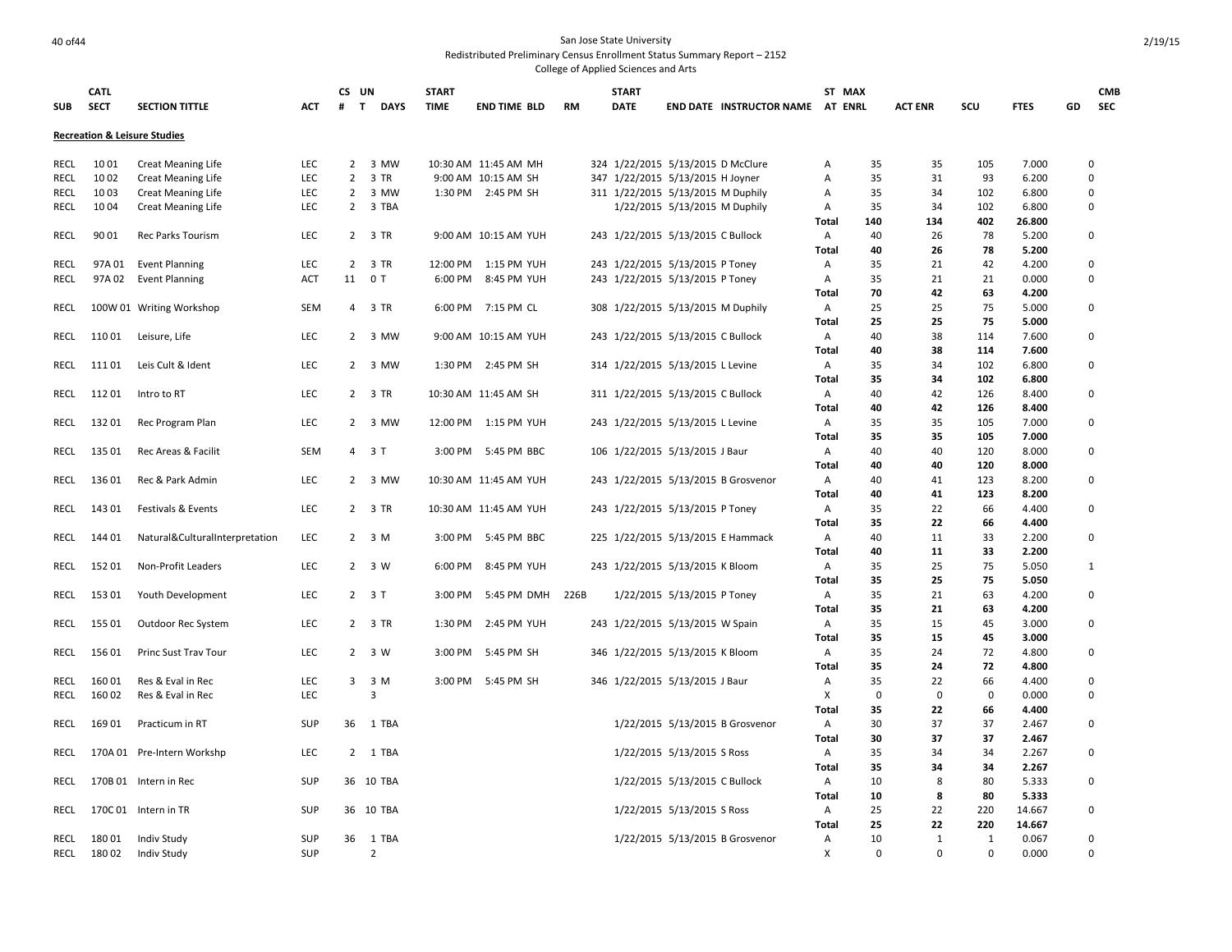| <b>SUB</b>  | <b>CATL</b><br><b>SECT</b> | <b>SECTION TITTLE</b>                   | <b>ACT</b> | CS UN<br>#     | $\mathbf{T}$<br><b>DAYS</b> | <b>START</b><br><b>TIME</b> | <b>END TIME BLD</b>   | <b>RM</b> | <b>START</b><br><b>DATE</b>       |                               | END DATE INSTRUCTOR NAME AT ENRL    | ST MAX                 | <b>ACT ENR</b> | SCU         | <b>FTES</b>    | GD | <b>CMB</b><br><b>SEC</b> |
|-------------|----------------------------|-----------------------------------------|------------|----------------|-----------------------------|-----------------------------|-----------------------|-----------|-----------------------------------|-------------------------------|-------------------------------------|------------------------|----------------|-------------|----------------|----|--------------------------|
|             |                            | <b>Recreation &amp; Leisure Studies</b> |            |                |                             |                             |                       |           |                                   |                               |                                     |                        |                |             |                |    |                          |
| RECL        | 1001                       | <b>Creat Meaning Life</b>               | LEC        | $\overline{2}$ | 3 MW                        |                             | 10:30 AM 11:45 AM MH  |           | 324 1/22/2015 5/13/2015 D McClure |                               |                                     | 35<br>A                | 35             | 105         | 7.000          |    | 0                        |
| <b>RECL</b> | 1002                       | <b>Creat Meaning Life</b>               | LEC        | $\overline{2}$ | 3 TR                        |                             | 9:00 AM 10:15 AM SH   |           | 347 1/22/2015 5/13/2015 H Joyner  |                               |                                     | 35<br>A                | 31             | 93          | 6.200          |    | 0                        |
| <b>RECL</b> | 1003                       | <b>Creat Meaning Life</b>               | LEC        | $\overline{2}$ | 3 MW                        |                             | 1:30 PM 2:45 PM SH    |           | 311 1/22/2015 5/13/2015 M Duphily |                               |                                     | 35<br>Α                | 34             | 102         | 6.800          |    | 0                        |
| RECL        | 1004                       | <b>Creat Meaning Life</b>               | LEC        | $\overline{2}$ | 3 TBA                       |                             |                       |           |                                   | 1/22/2015 5/13/2015 M Duphily |                                     | Α<br>35                | 34             | 102         | 6.800          |    | 0                        |
|             |                            |                                         |            |                |                             |                             |                       |           |                                   |                               |                                     | 140<br><b>Total</b>    | 134            | 402         | 26.800         |    |                          |
| RECL        | 90 01                      | <b>Rec Parks Tourism</b>                | <b>LEC</b> |                | 2 3 TR                      |                             | 9:00 AM 10:15 AM YUH  |           | 243 1/22/2015 5/13/2015 C Bullock |                               |                                     | 40<br>Α                | 26             | 78          | 5.200          |    | 0                        |
|             |                            |                                         |            |                |                             |                             |                       |           |                                   |                               |                                     | <b>Total</b><br>40     | 26             | 78          | 5.200          |    |                          |
| RECL        | 97A01                      | <b>Event Planning</b>                   | LEC        | $\overline{2}$ | 3 TR                        | 12:00 PM                    | 1:15 PM YUH           |           | 243 1/22/2015 5/13/2015 P Toney   |                               |                                     | Α<br>35                | 21             | 42          | 4.200          |    | 0                        |
| <b>RECL</b> |                            | 97A 02 Event Planning                   | <b>ACT</b> | 11             | 0T                          | 6:00 PM                     | 8:45 PM YUH           |           | 243 1/22/2015 5/13/2015 P Toney   |                               |                                     | 35<br>Α                | 21             | 21          | 0.000          |    | 0                        |
|             |                            |                                         |            |                | 3 TR                        |                             |                       |           |                                   |                               |                                     | <b>Total</b><br>70     | 42<br>25       | 63<br>75    | 4.200          |    | 0                        |
| RECL        |                            | 100W 01 Writing Workshop                | SEM        | 4              |                             |                             | 6:00 PM 7:15 PM CL    |           | 308 1/22/2015 5/13/2015 M Duphily |                               |                                     | 25<br>Α<br>Total<br>25 | 25             | 75          | 5.000<br>5.000 |    |                          |
| RECL        | 11001                      | Leisure, Life                           | LEC        |                | 2 3 MW                      |                             | 9:00 AM 10:15 AM YUH  |           | 243 1/22/2015 5/13/2015 C Bullock |                               |                                     | Α<br>40                | 38             | 114         | 7.600          |    | 0                        |
|             |                            |                                         |            |                |                             |                             |                       |           |                                   |                               |                                     | Total<br>40            | 38             | 114         | 7.600          |    |                          |
| RECL        | 11101                      | Leis Cult & Ident                       | LEC        |                | 2 3 MW                      |                             | 1:30 PM 2:45 PM SH    |           | 314 1/22/2015 5/13/2015 L Levine  |                               |                                     | 35<br>Α                | 34             | 102         | 6.800          |    | 0                        |
|             |                            |                                         |            |                |                             |                             |                       |           |                                   |                               |                                     | <b>Total</b><br>35     | 34             | 102         | 6.800          |    |                          |
| RECL        | 11201                      | Intro to RT                             | LEC        |                | 2 3 TR                      |                             | 10:30 AM 11:45 AM SH  |           | 311 1/22/2015 5/13/2015 C Bullock |                               |                                     | 40<br>Α                | 42             | 126         | 8.400          |    | 0                        |
|             |                            |                                         |            |                |                             |                             |                       |           |                                   |                               |                                     | Total<br>40            | 42             | 126         | 8.400          |    |                          |
| RECL        | 13201                      | Rec Program Plan                        | LEC        |                | 2 3 MW                      |                             | 12:00 PM 1:15 PM YUH  |           | 243 1/22/2015 5/13/2015 L Levine  |                               |                                     | 35<br>Α                | 35             | 105         | 7.000          |    | 0                        |
|             |                            |                                         |            |                |                             |                             |                       |           |                                   |                               |                                     | Total<br>35            | 35             | 105         | 7.000          |    |                          |
| RECL        | 135 01                     | Rec Areas & Facilit                     | SEM        |                | 4 3 T                       |                             | 3:00 PM 5:45 PM BBC   |           | 106 1/22/2015 5/13/2015 J Baur    |                               |                                     | Α<br>40                | 40             | 120         | 8.000          |    | 0                        |
|             |                            |                                         |            |                |                             |                             |                       |           |                                   |                               |                                     | Total<br>40            | 40             | 120         | 8.000          |    |                          |
| RECL        | 13601                      | Rec & Park Admin                        | LEC        |                | 2 3 MW                      |                             | 10:30 AM 11:45 AM YUH |           |                                   |                               | 243 1/22/2015 5/13/2015 B Grosvenor | 40<br>Α                | 41             | 123         | 8.200          |    | 0                        |
|             |                            |                                         |            |                |                             |                             |                       |           |                                   |                               |                                     | <b>Total</b><br>40     | 41             | 123         | 8.200          |    |                          |
| RECL        | 14301                      | Festivals & Events                      | LEC        |                | 2 3 TR                      |                             | 10:30 AM 11:45 AM YUH |           | 243 1/22/2015 5/13/2015 P Toney   |                               |                                     | Α<br>35                | 22             | 66          | 4.400          |    | 0                        |
|             |                            |                                         |            |                |                             |                             |                       |           |                                   |                               |                                     | <b>Total</b><br>35     | 22             | 66          | 4.400          |    |                          |
| RECL        | 144 01                     | Natural&CulturalInterpretation          | LEC        |                | 2 <sup>3</sup> M            | 3:00 PM                     | 5:45 PM BBC           |           |                                   |                               | 225 1/22/2015 5/13/2015 E Hammack   | 40<br>Α                | 11             | 33          | 2.200          |    | 0                        |
|             |                            |                                         |            |                |                             |                             |                       |           |                                   |                               |                                     | Total<br>40            | 11             | 33          | 2.200          |    |                          |
| RECL        | 15201                      | Non-Profit Leaders                      | LEC        |                | 2 3 W                       | 6:00 PM                     | 8:45 PM YUH           |           | 243 1/22/2015 5/13/2015 K Bloom   |                               |                                     | 35<br>Α                | 25             | 75          | 5.050          |    | $\mathbf{1}$             |
|             |                            |                                         |            |                |                             |                             |                       |           |                                   |                               |                                     | 35<br>Total            | 25             | 75          | 5.050          |    |                          |
| RECL        | 15301                      | Youth Development                       | LEC        |                | $2 \t3 T$                   | 3:00 PM                     | 5:45 PM DMH           | 226B      |                                   | 1/22/2015 5/13/2015 P Toney   |                                     | 35<br>Α                | 21             | 63          | 4.200          |    | 0                        |
|             |                            |                                         |            |                |                             |                             |                       |           |                                   |                               |                                     | <b>Total</b><br>35     | 21             | 63          | 4.200          |    |                          |
| RECL        | 155 01                     | Outdoor Rec System                      | LEC        |                | 2 3 TR                      |                             | 1:30 PM 2:45 PM YUH   |           | 243 1/22/2015 5/13/2015 W Spain   |                               |                                     | 35<br>Α                | 15             | 45          | 3.000          |    | 0                        |
| RECL        | 15601                      | Princ Sust Trav Tour                    | LEC        |                | 2 3 W                       | 3:00 PM                     | 5:45 PM SH            |           |                                   |                               |                                     | 35<br>Total<br>35<br>Α | 15<br>24       | 45<br>72    | 3.000<br>4.800 |    | 0                        |
|             |                            |                                         |            |                |                             |                             |                       |           | 346 1/22/2015 5/13/2015 K Bloom   |                               |                                     | Total<br>35            | 24             | 72          | 4.800          |    |                          |
| RECL        | 16001                      | Res & Eval in Rec                       | LEC        | 3              | 3 M                         | 3:00 PM                     | 5:45 PM SH            |           | 346 1/22/2015 5/13/2015 J Baur    |                               |                                     | 35<br>Α                | 22             | 66          | 4.400          |    | 0                        |
| RECL        | 16002                      | Res & Eval in Rec                       | <b>LEC</b> |                | 3                           |                             |                       |           |                                   |                               |                                     | X<br>0                 | $\mathbf 0$    | 0           | 0.000          |    | 0                        |
|             |                            |                                         |            |                |                             |                             |                       |           |                                   |                               |                                     | 35<br>Total            | 22             | 66          | 4.400          |    |                          |
| RECL        | 16901                      | Practicum in RT                         | <b>SUP</b> |                | 36 1 TBA                    |                             |                       |           |                                   |                               | 1/22/2015 5/13/2015 B Grosvenor     | 30<br>Α                | 37             | 37          | 2.467          |    | 0                        |
|             |                            |                                         |            |                |                             |                             |                       |           |                                   |                               |                                     | Total<br>30            | 37             | 37          | 2.467          |    |                          |
| RECL        |                            | 170A 01 Pre-Intern Workshp              | LEC        |                | 2 1 TBA                     |                             |                       |           |                                   | 1/22/2015 5/13/2015 S Ross    |                                     | 35<br>Α                | 34             | 34          | 2.267          |    | 0                        |
|             |                            |                                         |            |                |                             |                             |                       |           |                                   |                               |                                     | 35<br>Total            | 34             | 34          | 2.267          |    |                          |
| RECL        |                            | 170B 01 Intern in Rec                   | <b>SUP</b> |                | 36 10 TBA                   |                             |                       |           |                                   | 1/22/2015 5/13/2015 C Bullock |                                     | 10<br>Α                | 8              | 80          | 5.333          |    | 0                        |
|             |                            |                                         |            |                |                             |                             |                       |           |                                   |                               |                                     | <b>Total</b><br>10     | 8              | 80          | 5.333          |    |                          |
| RECL        |                            | 170C 01 Intern in TR                    | <b>SUP</b> |                | 36 10 TBA                   |                             |                       |           |                                   | 1/22/2015 5/13/2015 S Ross    |                                     | 25<br>Α                | 22             | 220         | 14.667         |    | 0                        |
|             |                            |                                         |            |                |                             |                             |                       |           |                                   |                               |                                     | 25<br><b>Total</b>     | 22             | 220         | 14.667         |    |                          |
| RECL        | 18001                      | Indiv Study                             | <b>SUP</b> |                | 36 1 TBA                    |                             |                       |           |                                   |                               | 1/22/2015 5/13/2015 B Grosvenor     | 10<br>Α                | 1              | 1           | 0.067          |    | 0                        |
| RECL        | 18002                      | <b>Indiv Study</b>                      | <b>SUP</b> |                | $\overline{2}$              |                             |                       |           |                                   |                               |                                     | X<br>$\Omega$          | $\Omega$       | $\mathbf 0$ | 0.000          |    | $\Omega$                 |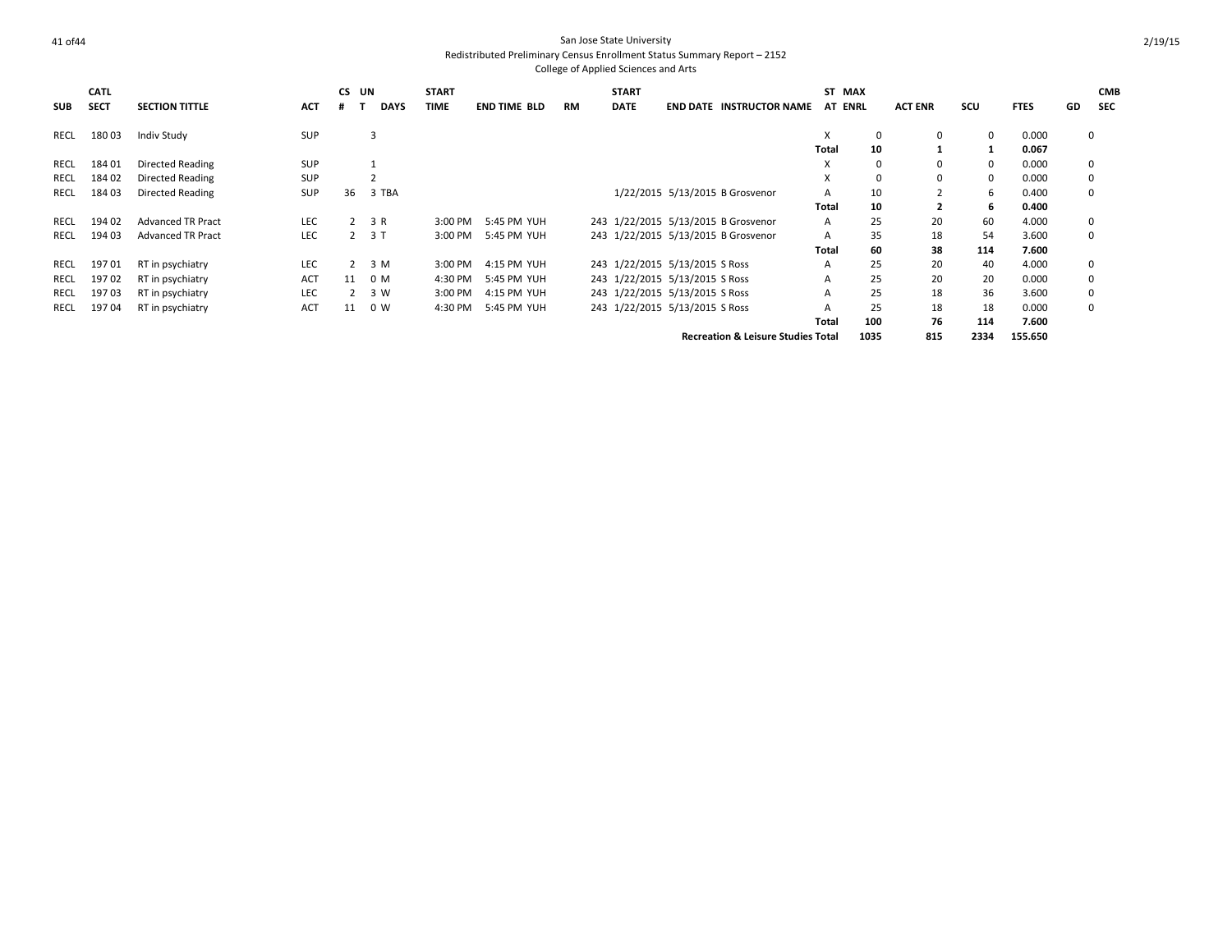| <b>SUB</b> | <b>CATL</b><br><b>SECT</b> | <b>SECTION TITTLE</b>    | <b>ACT</b> | CS.<br>.# | UN<br><b>DAYS</b> | <b>START</b><br><b>TIME</b> | <b>END TIME BLD</b> | <b>RM</b> | <b>START</b><br><b>DATE</b> | <b>END DATE INSTRUCTOR NAME</b>               | ST    | <b>MAX</b><br>AT ENRL | <b>ACT ENR</b> | SCU      | <b>FTES</b> | GD | <b>CMB</b><br><b>SEC</b> |
|------------|----------------------------|--------------------------|------------|-----------|-------------------|-----------------------------|---------------------|-----------|-----------------------------|-----------------------------------------------|-------|-----------------------|----------------|----------|-------------|----|--------------------------|
| RECL       | 18003                      | <b>Indiv Study</b>       | <b>SUP</b> |           | $\overline{3}$    |                             |                     |           |                             |                                               | X     | 0                     | 0              | 0        | 0.000       |    | $\mathbf 0$              |
|            |                            |                          |            |           |                   |                             |                     |           |                             |                                               | Total | 10                    |                |          | 0.067       |    |                          |
| RECL       | 18401                      | Directed Reading         | <b>SUP</b> |           |                   |                             |                     |           |                             |                                               | X     | 0                     | 0              | $\Omega$ | 0.000       |    | 0                        |
| RECL       | 18402                      | Directed Reading         | <b>SUP</b> |           |                   |                             |                     |           |                             |                                               | X     | $\Omega$              | 0              | 0        | 0.000       |    | 0                        |
| RECL       | 18403                      | Directed Reading         | SUP        | 36        | 3 TBA             |                             |                     |           |                             | 1/22/2015 5/13/2015 B Grosvenor               | A     | 10                    |                | 6        | 0.400       |    | $\Omega$                 |
|            |                            |                          |            |           |                   |                             |                     |           |                             |                                               | Total | 10                    | 2              | -6       | 0.400       |    |                          |
| RECL       | 19402                      | <b>Advanced TR Pract</b> | <b>LEC</b> | 2         | 3 R               | 3:00 PM                     | 5:45 PM YUH         |           |                             | 243 1/22/2015 5/13/2015 B Grosvenor           | A     | 25                    | 20             | 60       | 4.000       |    | $\mathbf 0$              |
| RECL       | 19403                      | <b>Advanced TR Pract</b> | <b>LEC</b> | 2         | 3 T               | 3:00 PM                     | 5:45 PM YUH         |           |                             | 243 1/22/2015 5/13/2015 B Grosvenor           | A     | 35                    | 18             | 54       | 3.600       |    | $\Omega$                 |
|            |                            |                          |            |           |                   |                             |                     |           |                             |                                               | Total | 60                    | 38             | 114      | 7.600       |    |                          |
| RECL       | 19701                      | RT in psychiatry         | LEC        | 2         | 3 M               | 3:00 PM                     | 4:15 PM YUH         |           |                             | 243 1/22/2015 5/13/2015 S Ross                | A     | 25                    | 20             | 40       | 4.000       |    | $\mathbf 0$              |
| RECL       | 19702                      | RT in psychiatry         | <b>ACT</b> | 11        | 0 M               | 4:30 PM                     | 5:45 PM YUH         |           |                             | 243 1/22/2015 5/13/2015 S Ross                | A     | 25                    | 20             | 20       | 0.000       |    | $\Omega$                 |
| RECL       | 19703                      | RT in psychiatry         | <b>LEC</b> | 2         | 3 W               | 3:00 PM                     | 4:15 PM YUH         |           |                             | 243 1/22/2015 5/13/2015 S Ross                | A     | 25                    | 18             | 36       | 3.600       |    | $\Omega$                 |
| RECL       | 19704                      | RT in psychiatry         | <b>ACT</b> | 11        | 0 <sub>W</sub>    | 4:30 PM                     | 5:45 PM YUH         |           |                             | 243 1/22/2015 5/13/2015 S Ross                | A     | 25                    | 18             | 18       | 0.000       |    | $\Omega$                 |
|            |                            |                          |            |           |                   |                             |                     |           |                             |                                               | Total | 100                   | 76             | 114      | 7.600       |    |                          |
|            |                            |                          |            |           |                   |                             |                     |           |                             | <b>Recreation &amp; Leisure Studies Total</b> |       | 1035                  | 815            | 2334     | 155.650     |    |                          |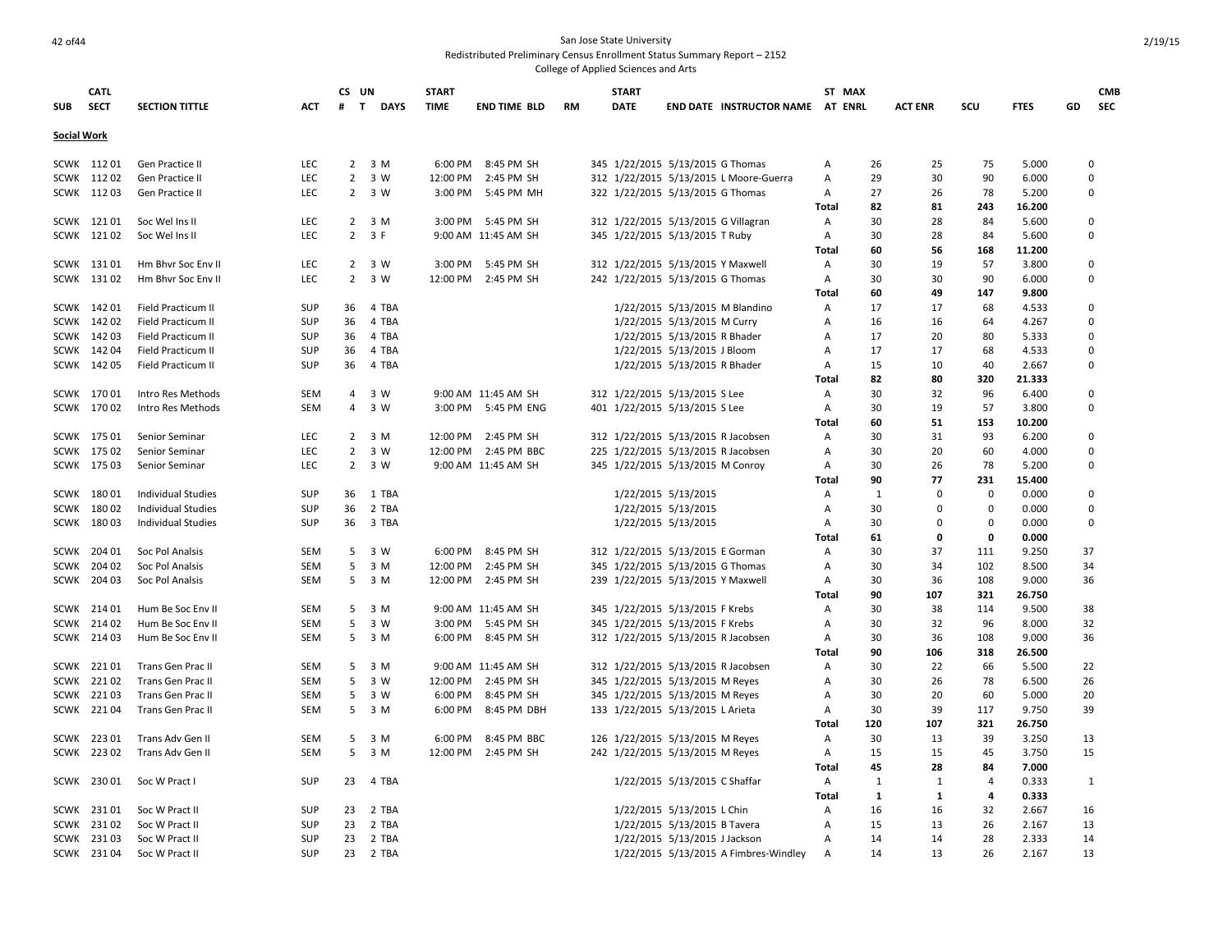### 42 of44 San Jose State University Redistributed Preliminary Census Enrollment Status Summary Report – 2152

|                    | <b>CATL</b> |                           |            | CS UN             |                     | <b>START</b> |                     |           | <b>START</b> |                                   |                                        | ST MAX         |         |                |                |             |    | <b>CMB</b>  |
|--------------------|-------------|---------------------------|------------|-------------------|---------------------|--------------|---------------------|-----------|--------------|-----------------------------------|----------------------------------------|----------------|---------|----------------|----------------|-------------|----|-------------|
| SUB                | <b>SECT</b> | <b>SECTION TITTLE</b>     | ACT        | $\mathbf{T}$<br># | <b>DAYS</b>         | <b>TIME</b>  | <b>END TIME BLD</b> | <b>RM</b> | <b>DATE</b>  |                                   | <b>END DATE INSTRUCTOR NAME</b>        | <b>AT ENRL</b> |         | <b>ACT ENR</b> | scu            | <b>FTES</b> | GD | SEC         |
|                    |             |                           |            |                   |                     |              |                     |           |              |                                   |                                        |                |         |                |                |             |    |             |
| <b>Social Work</b> |             |                           |            |                   |                     |              |                     |           |              |                                   |                                        |                |         |                |                |             |    |             |
|                    |             |                           |            |                   |                     |              |                     |           |              |                                   |                                        |                |         |                |                |             |    |             |
|                    | SCWK 11201  | Gen Practice II           | <b>LEC</b> |                   | $2 \t3M$            |              | 6:00 PM 8:45 PM SH  |           |              | 345 1/22/2015 5/13/2015 G Thomas  |                                        | Α              | 26      | 25             | 75             | 5.000       |    | 0           |
|                    | SCWK 11202  | Gen Practice II           | <b>LEC</b> | $\overline{2}$    | 3 W                 | 12:00 PM     | 2:45 PM SH          |           |              |                                   | 312 1/22/2015 5/13/2015 L Moore-Guerra | Α              | 29      | 30             | 90             | 6.000       |    | $\Omega$    |
|                    | SCWK 11203  | Gen Practice II           | LEC        | $\overline{2}$    | 3 W                 | 3:00 PM      | 5:45 PM MH          |           |              | 322 1/22/2015 5/13/2015 G Thomas  |                                        | Α              | 27      | 26             | 78             | 5.200       |    | 0           |
|                    |             |                           |            |                   |                     |              |                     |           |              |                                   |                                        | Total          | 82      | 81             | 243            | 16.200      |    |             |
|                    | SCWK 12101  | Soc Wel Ins II            | <b>LEC</b> |                   | $2 \quad 3 \quad M$ |              | 3:00 PM 5:45 PM SH  |           |              |                                   | 312 1/22/2015 5/13/2015 G Villagran    | Α              | 30      | 28             | 84             | 5.600       |    | 0           |
|                    | SCWK 12102  | Soc Wel Ins II            | <b>LEC</b> | $\overline{2}$    | 3 F                 |              | 9:00 AM 11:45 AM SH |           |              | 345 1/22/2015 5/13/2015 T Ruby    |                                        | Α              | 30      | 28             | 84             | 5.600       |    | $\Omega$    |
|                    |             |                           |            |                   |                     |              |                     |           |              |                                   |                                        | Total          | 60      | 56             | 168            | 11.200      |    |             |
|                    | SCWK 13101  | Hm Bhvr Soc Env II        | <b>LEC</b> |                   | $2 \t3W$            | 3:00 PM      | 5:45 PM SH          |           |              | 312 1/22/2015 5/13/2015 Y Maxwell |                                        | Α              | 30      | 19             | 57             | 3.800       |    | 0           |
|                    | SCWK 13102  | Hm Bhvr Soc Env II        | LEC        | $\overline{2}$    | 3 W                 | 12:00 PM     | 2:45 PM SH          |           |              | 242 1/22/2015 5/13/2015 G Thomas  |                                        | Α              | 30      | 30             | 90             | 6.000       |    | $\mathbf 0$ |
|                    |             |                           |            |                   |                     |              |                     |           |              |                                   |                                        | Total          | 60      | 49             | 147            | 9.800       |    |             |
| SCWK               | 14201       | Field Practicum II        | <b>SUP</b> | 36                | 4 TBA               |              |                     |           |              |                                   | 1/22/2015 5/13/2015 M Blandino         | Α              | 17      | 17             | 68             | 4.533       |    | $\mathbf 0$ |
|                    | SCWK 142 02 | Field Practicum II        | <b>SUP</b> | 36                | 4 TBA               |              |                     |           |              | 1/22/2015 5/13/2015 M Curry       |                                        | A              | 16      | 16             | 64             | 4.267       |    | $\Omega$    |
| SCWK               | 14203       | Field Practicum II        | SUP        | 36                | 4 TBA               |              |                     |           |              | 1/22/2015 5/13/2015 R Bhader      |                                        | A              | 17      | 20             | 80             | 5.333       |    | $\mathbf 0$ |
|                    | SCWK 142 04 | Field Practicum II        | <b>SUP</b> | 36                | 4 TBA               |              |                     |           |              | 1/22/2015 5/13/2015 J Bloom       |                                        | A              | 17      | 17             | 68             | 4.533       |    | $\Omega$    |
|                    | SCWK 142 05 | Field Practicum II        | SUP        | 36                | 4 TBA               |              |                     |           |              | 1/22/2015 5/13/2015 R Bhader      |                                        | Α              | 15      | 10             | 40             | 2.667       |    | $\Omega$    |
|                    |             |                           |            |                   |                     |              |                     |           |              |                                   |                                        | Total          | 82      | 80             | 320            | 21.333      |    |             |
|                    | SCWK 17001  | Intro Res Methods         | SEM        | 4                 | 3 W                 |              | 9:00 AM 11:45 AM SH |           |              | 312 1/22/2015 5/13/2015 S Lee     |                                        | Α              | 30      | 32             | 96             | 6.400       |    | $\Omega$    |
|                    | SCWK 17002  | Intro Res Methods         | <b>SEM</b> | $\overline{4}$    | 3 W                 |              | 3:00 PM 5:45 PM ENG |           |              | 401 1/22/2015 5/13/2015 S Lee     |                                        | Α              | 30      | 19             | 57             | 3.800       |    | 0           |
|                    |             |                           |            |                   |                     |              |                     |           |              |                                   |                                        | Total          | 60      | 51             | 153            | 10.200      |    |             |
|                    | SCWK 175 01 | Senior Seminar            | LEC        | $\overline{2}$    | 3 M                 | 12:00 PM     | 2:45 PM SH          |           |              |                                   | 312 1/22/2015 5/13/2015 R Jacobsen     | Α              | 30      | 31             | 93             | 6.200       |    | $\mathbf 0$ |
|                    | SCWK 175 02 | Senior Seminar            | LEC        | $2^{\circ}$       | 3 W                 | 12:00 PM     | 2:45 PM BBC         |           |              |                                   | 225 1/22/2015 5/13/2015 R Jacobsen     | Α              | 30      | 20             | 60             | 4.000       |    | $\Omega$    |
|                    | SCWK 175 03 | Senior Seminar            | <b>LEC</b> | $\overline{2}$    | 3 W                 |              | 9:00 AM 11:45 AM SH |           |              | 345 1/22/2015 5/13/2015 M Conroy  |                                        | Α              | 30      | 26             | 78             | 5.200       |    | 0           |
|                    |             |                           |            |                   |                     |              |                     |           |              |                                   |                                        | Total          | 90      | 77             | 231            | 15.400      |    |             |
| SCWK               | 18001       | <b>Individual Studies</b> | <b>SUP</b> | 36                | 1 TBA               |              |                     |           |              | 1/22/2015 5/13/2015               |                                        | Α              | 1       | $\Omega$       | $\mathbf 0$    | 0.000       |    | 0           |
| <b>SCWK</b>        | 18002       | <b>Individual Studies</b> | <b>SUP</b> | 36                | 2 TBA               |              |                     |           |              | 1/22/2015 5/13/2015               |                                        | Α              | 30      | $\Omega$       | 0              | 0.000       |    | $\mathbf 0$ |
|                    | SCWK 18003  | <b>Individual Studies</b> | <b>SUP</b> | 36                | 3 TBA               |              |                     |           |              | 1/22/2015 5/13/2015               |                                        | Α              | 30      | $\Omega$       | $\mathbf 0$    | 0.000       |    | 0           |
|                    |             |                           |            |                   |                     |              |                     |           |              |                                   |                                        | <b>Total</b>   | 61      | 0              | 0              | 0.000       |    |             |
| SCWK               | 204 01      | Soc Pol Analsis           | <b>SEM</b> | 5                 | 3 W                 |              | 6:00 PM 8:45 PM SH  |           |              | 312 1/22/2015 5/13/2015 E Gorman  |                                        | Α              | 30      | 37             | 111            | 9.250       | 37 |             |
| SCWK               | 204 02      | Soc Pol Analsis           | <b>SEM</b> | 5                 | 3 M                 | 12:00 PM     | 2:45 PM SH          |           |              | 345 1/22/2015 5/13/2015 G Thomas  |                                        | Α              | 30      | 34             | 102            | 8.500       | 34 |             |
|                    | SCWK 204 03 | Soc Pol Analsis           | <b>SEM</b> | 5 <sup>1</sup>    | 3 M                 | 12:00 PM     | 2:45 PM SH          |           |              | 239 1/22/2015 5/13/2015 Y Maxwell |                                        | Α              | 30      | 36             | 108            | 9.000       | 36 |             |
|                    |             |                           |            |                   |                     |              |                     |           |              |                                   |                                        | Total          | 90      | 107            | 321            | 26.750      |    |             |
| <b>SCWK</b>        | 21401       | Hum Be Soc Env II         | SEM        | 5                 | 3 M                 |              | 9:00 AM 11:45 AM SH |           |              | 345 1/22/2015 5/13/2015 F Krebs   |                                        | Α              | 30      | 38             | 114            | 9.500       | 38 |             |
| SCWK               | 21402       | Hum Be Soc Env II         | SEM        | 5                 | 3 W                 | 3:00 PM      | 5:45 PM SH          |           |              | 345 1/22/2015 5/13/2015 F Krebs   |                                        | Α              | 30      | 32             | 96             | 8.000       |    | 32          |
|                    | SCWK 214 03 | Hum Be Soc Env II         | <b>SEM</b> |                   | 5 <sup>3</sup> M    | 6:00 PM      | 8:45 PM SH          |           |              |                                   | 312 1/22/2015 5/13/2015 R Jacobsen     | Α              | 30      | 36             | 108            | 9.000       | 36 |             |
|                    |             |                           |            |                   |                     |              |                     |           |              |                                   |                                        | Total          | 90      | 106            | 318            | 26.500      |    |             |
| SCWK               | 22101       | Trans Gen Prac II         | <b>SEM</b> | 5                 | 3 M                 |              | 9:00 AM 11:45 AM SH |           |              |                                   | 312 1/22/2015 5/13/2015 R Jacobsen     | Α              | 30      | 22             | 66             | 5.500       | 22 |             |
| SCWK               | 22102       | Trans Gen Prac II         | <b>SEM</b> | 5                 | 3 W                 | 12:00 PM     | 2:45 PM SH          |           |              | 345 1/22/2015 5/13/2015 M Reyes   |                                        | Α              | 30      | 26             | 78             | 6.500       | 26 |             |
|                    | SCWK 22103  | Trans Gen Prac II         | <b>SEM</b> | 5                 | 3 W                 | 6:00 PM      | 8:45 PM SH          |           |              | 345 1/22/2015 5/13/2015 M Reyes   |                                        | Α              | 30      | 20             | 60             | 5.000       | 20 |             |
|                    | SCWK 22104  | Trans Gen Prac II         | <b>SEM</b> |                   | 5 <sup>3</sup> M    | 6:00 PM      | 8:45 PM DBH         |           |              | 133 1/22/2015 5/13/2015 L Arieta  |                                        | Α              | 30      | 39             | 117            | 9.750       | 39 |             |
|                    |             |                           |            |                   |                     |              |                     |           |              |                                   |                                        | Total          | 120     | 107            | 321            | 26.750      |    |             |
|                    | SCWK 22301  | Trans Adv Gen II          | SEM        | 5                 | 3 M                 | 6:00 PM      | 8:45 PM BBC         |           |              | 126 1/22/2015 5/13/2015 M Reyes   |                                        | Α              | 30      | 13             | 39             | 3.250       | 13 |             |
|                    | SCWK 22302  | Trans Adv Gen II          | SEM        | 5                 | 3 M                 | 12:00 PM     | 2:45 PM SH          |           |              | 242 1/22/2015 5/13/2015 M Reyes   |                                        | Α              | 15      | 15             | 45             | 3.750       | 15 |             |
|                    |             |                           |            |                   |                     |              |                     |           |              |                                   |                                        | Total          | 45      | 28             | 84             | 7.000       |    |             |
|                    | SCWK 230 01 | Soc W Pract I             | <b>SUP</b> | 23                | 4 TBA               |              |                     |           |              | 1/22/2015 5/13/2015 C Shaffar     |                                        | Α              | 1       | -1             | $\overline{4}$ | 0.333       |    | 1           |
|                    |             |                           |            |                   |                     |              |                     |           |              |                                   |                                        |                |         |                | 4              | 0.333       |    |             |
|                    | SCWK 23101  |                           |            |                   |                     |              |                     |           |              |                                   |                                        | Total          | 1<br>16 | 1              | 32             |             |    |             |
|                    |             | Soc W Pract II            | SUP        | 23                | 2 TBA               |              |                     |           |              | 1/22/2015 5/13/2015 L Chin        |                                        | Α              |         | 16             |                | 2.667       | 16 |             |
| SCWK               | 23102       | Soc W Pract II            | <b>SUP</b> | 23                | 2 TBA               |              |                     |           |              | 1/22/2015 5/13/2015 B Tavera      |                                        | A              | 15      | 13             | 26             | 2.167       | 13 |             |
|                    | SCWK 23103  | Soc W Pract II            | <b>SUP</b> | 23                | 2 TBA               |              |                     |           |              | 1/22/2015 5/13/2015 J Jackson     |                                        | A              | 14      | 14             | 28             | 2.333       | 14 |             |
|                    | SCWK 23104  | Soc W Pract II            | <b>SUP</b> | 23                | 2 TBA               |              |                     |           |              |                                   | 1/22/2015 5/13/2015 A Fimbres-Windley  | A              | 14      | 13             | 26             | 2.167       | 13 |             |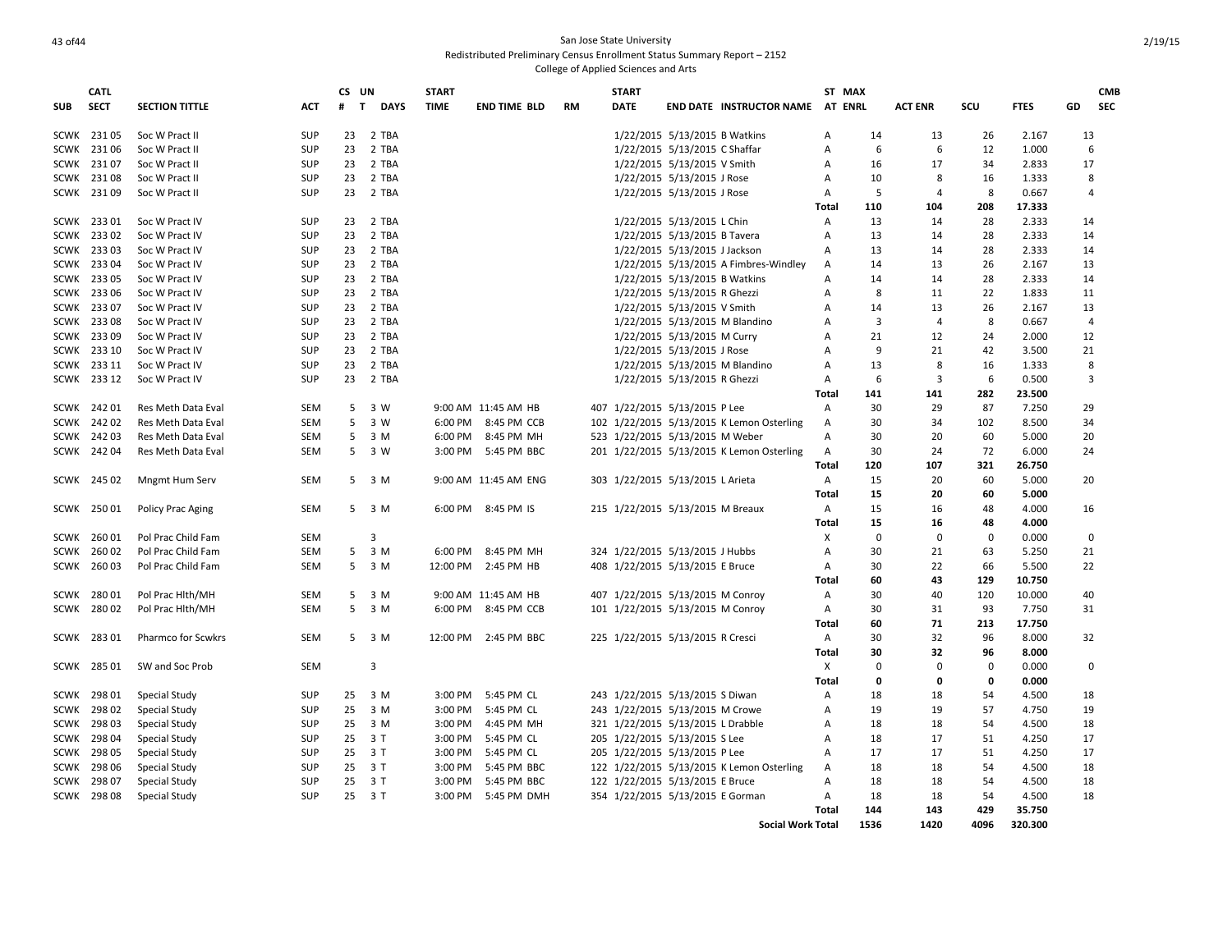### And of the state University of the State University of the State University of the State University of the State University of the State University of the State University of the State University of the State University of Redistributed Preliminary Census Enrollment Status Summary Report – 2152 College of Applied Sciences and Arts

|             | <b>CATL</b> |                           |                   | CS UN             |             | <b>START</b>       |                          |    | <b>START</b>                                                       |                               |                                           | ST MAX         |                |                |             |                | <b>CMB</b>       |
|-------------|-------------|---------------------------|-------------------|-------------------|-------------|--------------------|--------------------------|----|--------------------------------------------------------------------|-------------------------------|-------------------------------------------|----------------|----------------|----------------|-------------|----------------|------------------|
| <b>SUB</b>  | <b>SECT</b> | <b>SECTION TITTLE</b>     | ACT               | $\mathbf{T}$<br># | <b>DAYS</b> | <b>TIME</b>        | <b>END TIME BLD</b>      | RM | <b>DATE</b>                                                        |                               | <b>END DATE INSTRUCTOR NAME</b>           | <b>AT ENRL</b> |                | <b>ACT ENR</b> | SCU         | <b>FTES</b>    | GD<br><b>SEC</b> |
| SCWK        | 23105       | Soc W Pract II            | SUP               | 23                | 2 TBA       |                    |                          |    |                                                                    | 1/22/2015 5/13/2015 B Watkins |                                           | А              | 14             | 13             | 26          | 2.167          | 13               |
| <b>SCWK</b> | 23106       | Soc W Pract II            | <b>SUP</b>        | 23                | 2 TBA       |                    |                          |    |                                                                    | 1/22/2015 5/13/2015 C Shaffar |                                           | A              | 6              | 6              | 12          | 1.000          | 6                |
| <b>SCWK</b> | 23107       | Soc W Pract II            | SUP               | 23                | 2 TBA       |                    |                          |    |                                                                    | 1/22/2015 5/13/2015 V Smith   |                                           | A              | 16             | 17             | 34          | 2.833          | 17               |
| SCWK        | 23108       | Soc W Pract II            | <b>SUP</b>        | 23                | 2 TBA       |                    |                          |    |                                                                    | 1/22/2015 5/13/2015 J Rose    |                                           | А              | 10             | 8              | 16          | 1.333          | 8                |
|             | SCWK 23109  | Soc W Pract II            | <b>SUP</b>        | 23                | 2 TBA       |                    |                          |    |                                                                    | 1/22/2015 5/13/2015 J Rose    |                                           | Α              | 5              | $\overline{4}$ | 8           | 0.667          | $\overline{4}$   |
|             |             |                           |                   |                   |             |                    |                          |    |                                                                    |                               |                                           | Total          | 110            | 104            | 208         | 17.333         |                  |
|             | SCWK 233 01 | Soc W Pract IV            | SUP               | 23                | 2 TBA       |                    |                          |    |                                                                    | 1/22/2015 5/13/2015 L Chin    |                                           | Α              | 13             | 14             | 28          | 2.333          | 14               |
|             | SCWK 23302  | Soc W Pract IV            | <b>SUP</b>        | 23                | 2 TBA       |                    |                          |    |                                                                    | 1/22/2015 5/13/2015 B Tavera  |                                           | Α              | 13             | 14             | 28          | 2.333          | 14               |
| SCWK        | 23303       | Soc W Pract IV            | <b>SUP</b>        | 23                | 2 TBA       |                    |                          |    |                                                                    | 1/22/2015 5/13/2015 J Jackson |                                           | А              | 13             | 14             | 28          | 2.333          | 14               |
| <b>SCWK</b> | 23304       | Soc W Pract IV            | SUP               |                   | 23 2 TBA    |                    |                          |    |                                                                    |                               | 1/22/2015 5/13/2015 A Fimbres-Windley     | Α              | 14             | 13             | 26          | 2.167          | 13               |
| <b>SCWK</b> | 23305       | Soc W Pract IV            | <b>SUP</b>        | 23                | 2 TBA       |                    |                          |    |                                                                    | 1/22/2015 5/13/2015 B Watkins |                                           | А              | 14             | 14             | 28          | 2.333          | 14               |
| SCWK        | 23306       | Soc W Pract IV            | <b>SUP</b>        | 23                | 2 TBA       |                    |                          |    |                                                                    | 1/22/2015 5/13/2015 R Ghezzi  |                                           | А              | 8              | 11             | 22          | 1.833          | 11               |
| <b>SCWK</b> | 23307       | Soc W Pract IV            | <b>SUP</b>        | 23                | 2 TBA       |                    |                          |    |                                                                    | 1/22/2015 5/13/2015 V Smith   |                                           | A              | 14             | 13             | 26          | 2.167          | 13               |
| <b>SCWK</b> | 23308       | Soc W Pract IV            | SUP               | 23                | 2 TBA       |                    |                          |    |                                                                    |                               | 1/22/2015 5/13/2015 M Blandino            | А              | $\overline{3}$ | $\overline{4}$ | 8           | 0.667          | $\overline{4}$   |
| SCWK        | 23309       | Soc W Pract IV            | <b>SUP</b>        | 23                | 2 TBA       |                    |                          |    |                                                                    | 1/22/2015 5/13/2015 M Curry   |                                           | А              | 21             | 12             | 24          | 2.000          | 12               |
|             | SCWK 233 10 | Soc W Pract IV            | <b>SUP</b>        | 23                | 2 TBA       |                    |                          |    |                                                                    | 1/22/2015 5/13/2015 J Rose    |                                           | А              | 9              | 21             | 42          | 3.500          | 21               |
| <b>SCWK</b> | 233 11      | Soc W Pract IV            | <b>SUP</b>        | 23                | 2 TBA       |                    |                          |    |                                                                    |                               | 1/22/2015 5/13/2015 M Blandino            | A              | 13             | 8              | 16          | 1.333          | 8                |
|             | SCWK 233 12 | Soc W Pract IV            | <b>SUP</b>        | 23                | 2 TBA       |                    |                          |    |                                                                    | 1/22/2015 5/13/2015 R Ghezzi  |                                           | Α              | 6              | 3              | 6           | 0.500          | 3                |
|             |             |                           |                   |                   |             |                    |                          |    |                                                                    |                               |                                           | <b>Total</b>   | 141            | 141            | 282         | 23.500         |                  |
| <b>SCWK</b> | 24201       | Res Meth Data Eval        | SEM               | 5                 | 3 W         |                    | 9:00 AM 11:45 AM HB      |    | 407 1/22/2015 5/13/2015 P Lee                                      |                               |                                           | Α              | 30             | 29             | 87          | 7.250          | 29               |
| <b>SCWK</b> | 24202       | Res Meth Data Eval        | SEM               | 5                 | 3 W         |                    | 6:00 PM 8:45 PM CCB      |    |                                                                    |                               | 102 1/22/2015 5/13/2015 K Lemon Osterling | Α              | 30             | 34             | 102         | 8.500          | 34               |
| SCWK        | 24203       | Res Meth Data Eval        | <b>SEM</b>        | 5                 | 3 M         | 6:00 PM            | 8:45 PM MH               |    | 523 1/22/2015 5/13/2015 M Weber                                    |                               |                                           | Α              | 30             | 20             | 60          | 5.000          | 20               |
|             | SCWK 242 04 | Res Meth Data Eval        | <b>SEM</b>        | 5                 | 3 W         | 3:00 PM            | 5:45 PM BBC              |    |                                                                    |                               | 201 1/22/2015 5/13/2015 K Lemon Osterling | Α              | 30             | 24             | 72          | 6.000          | 24               |
|             |             |                           |                   |                   |             |                    |                          |    |                                                                    |                               |                                           | Total          | 120            | 107            | 321         | 26.750         |                  |
|             | SCWK 245 02 | Mngmt Hum Serv            | <b>SEM</b>        |                   | 5 3 M       |                    | 9:00 AM 11:45 AM ENG     |    | 303 1/22/2015 5/13/2015 L Arieta                                   |                               |                                           | Α              | 15             | 20             | 60          | 5.000          | 20               |
|             |             |                           |                   |                   |             |                    |                          |    |                                                                    |                               |                                           | <b>Total</b>   | 15             | 20             | 60          | 5.000          |                  |
|             | SCWK 25001  | <b>Policy Prac Aging</b>  | SEM               | 5                 | - 3 M       |                    | 6:00 PM 8:45 PM IS       |    | 215 1/22/2015 5/13/2015 M Breaux                                   |                               |                                           | A              | 15             | 16             | 48          | 4.000          | 16               |
|             |             |                           |                   |                   |             |                    |                          |    |                                                                    |                               |                                           | <b>Total</b>   | 15             | 16             | 48          | 4.000          |                  |
| SCWK        | 26001       | Pol Prac Child Fam        | <b>SEM</b>        |                   | 3           |                    |                          |    |                                                                    |                               |                                           | х              | $\mathbf 0$    | $\mathbf 0$    | $\mathbf 0$ | 0.000          | $\mathbf 0$      |
| SCWK        | 26002       | Pol Prac Child Fam        | <b>SEM</b>        | 5                 | 3 M         | 6:00 PM            | 8:45 PM MH               |    | 324 1/22/2015 5/13/2015 J Hubbs                                    |                               |                                           | Α              | 30             | 21             | 63          | 5.250          | 21               |
|             | SCWK 26003  | Pol Prac Child Fam        | <b>SEM</b>        |                   | 5 3 M       | 12:00 PM           | 2:45 PM HB               |    | 408 1/22/2015 5/13/2015 E Bruce                                    |                               |                                           | Α              | 30             | 22             | 66          | 5.500          | 22               |
|             |             |                           |                   |                   |             |                    |                          |    |                                                                    |                               |                                           | Total          | 60             | 43             | 129         | 10.750         |                  |
| <b>SCWK</b> | 28001       | Pol Prac Hlth/MH          | SEM               | 5                 | 3 M         |                    | 9:00 AM 11:45 AM HB      |    | 407 1/22/2015 5/13/2015 M Conroy                                   |                               |                                           | Α              | 30             | 40             | 120         | 10.000         | 40               |
| SCWK        | 28002       | Pol Prac Hith/MH          | SEM               | 5                 | 3 M         | 6:00 PM            | 8:45 PM CCB              |    | 101 1/22/2015 5/13/2015 M Conroy                                   |                               |                                           | Α              | 30             | 31             | 93          | 7.750          | 31               |
|             |             |                           |                   |                   |             |                    |                          |    |                                                                    |                               |                                           | <b>Total</b>   | 60             | 71             | 213         | 17.750         |                  |
| <b>SCWK</b> | 28301       | <b>Pharmco for Scwkrs</b> | SEM               | 5                 | 3 M         |                    | 12:00 PM 2:45 PM BBC     |    | 225 1/22/2015 5/13/2015 R Cresci                                   |                               |                                           | Α              | 30             | 32             | 96          | 8.000          | 32               |
|             |             |                           |                   |                   |             |                    |                          |    |                                                                    |                               |                                           | <b>Total</b>   | 30             | 32             | 96          | 8.000          |                  |
|             | SCWK 285 01 | SW and Soc Prob           | SEM               |                   | 3           |                    |                          |    |                                                                    |                               |                                           | X              | $\mathbf 0$    | $\Omega$       | $\mathbf 0$ | 0.000          | $\mathbf 0$      |
|             |             |                           |                   |                   |             |                    |                          |    |                                                                    |                               |                                           | <b>Total</b>   | $\mathbf 0$    | $\mathbf{0}$   | $\mathbf 0$ | 0.000          |                  |
| SCWK        | 29801       | <b>Special Study</b>      | SUP               |                   | 25 3 M      |                    | 3:00 PM 5:45 PM CL       |    | 243 1/22/2015 5/13/2015 S Diwan                                    |                               |                                           | Α              | 18             | 18             | 54          | 4.500          | 18               |
| <b>SCWK</b> | 29802       | <b>Special Study</b>      | <b>SUP</b>        | 25                | 3 M         | 3:00 PM            | 5:45 PM CL               |    | 243 1/22/2015 5/13/2015 M Crowe                                    |                               |                                           | А              | 19             | 19             | 57          | 4.750          | 19               |
|             | 29803       |                           |                   |                   |             |                    |                          |    |                                                                    |                               |                                           |                | 18             | 18             | 54          |                |                  |
| <b>SCWK</b> | 298 04      | Special Study             | <b>SUP</b><br>SUP | 25<br>25          | 3 M<br>3 T  | 3:00 PM<br>3:00 PM | 4:45 PM MH<br>5:45 PM CL |    | 321 1/22/2015 5/13/2015 L Drabble<br>205 1/22/2015 5/13/2015 S Lee |                               |                                           | A<br>А         | 18             | 17             | 51          | 4.500<br>4.250 | 18<br>17         |
| SCWK        |             | <b>Special Study</b>      |                   |                   |             |                    |                          |    |                                                                    |                               |                                           |                |                |                |             |                |                  |
| SCWK        | 29805       | Special Study             | <b>SUP</b>        |                   | 25 3 T      | 3:00 PM            | 5:45 PM CL               |    | 205 1/22/2015 5/13/2015 P Lee                                      |                               |                                           | А              | 17             | 17             | 51          | 4.250          | 17               |
| SCWK        | 29806       | Special Study             | <b>SUP</b>        | 25                | 3T          | 3:00 PM            | 5:45 PM BBC              |    |                                                                    |                               | 122 1/22/2015 5/13/2015 K Lemon Osterling | Α              | 18             | 18             | 54          | 4.500          | 18               |
| <b>SCWK</b> | 29807       | Special Study             | SUP               | 25                | 3T          | 3:00 PM            | 5:45 PM BBC              |    | 122 1/22/2015 5/13/2015 E Bruce                                    |                               |                                           | Α              | 18             | 18             | 54          | 4.500          | 18               |
|             | SCWK 298 08 | <b>Special Study</b>      | SUP               |                   | 25 3 T      | 3:00 PM            | 5:45 PM DMH              |    | 354 1/22/2015 5/13/2015 E Gorman                                   |                               |                                           | Α              | 18             | 18             | 54          | 4.500          | 18               |
|             |             |                           |                   |                   |             |                    |                          |    |                                                                    |                               |                                           | Total          | 144            | 143            | 429         | 35.750         |                  |
|             |             |                           |                   |                   |             |                    |                          |    |                                                                    |                               | <b>Social Work Total</b>                  |                | 1536           | 1420           | 4096        | 320.300        |                  |